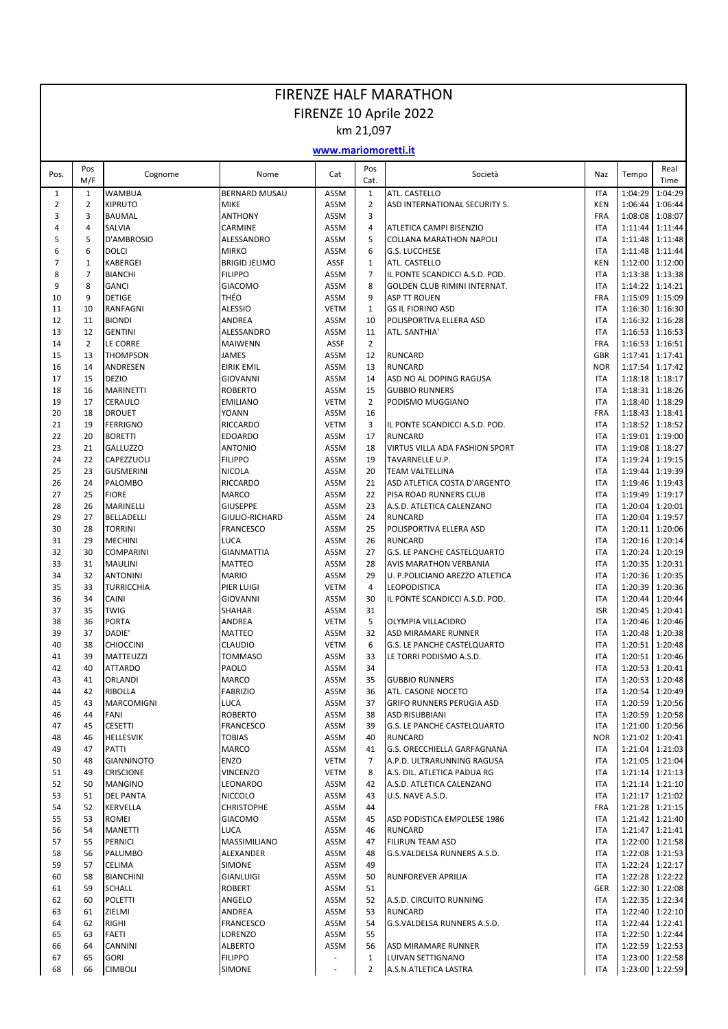## FIRENZE HALF MARATHON FIRENZE 10 Aprile 2022

km 21,097

## **www.mariomoretti.it**

| Pos.           | Pos<br>M/F     | Cognome                            | Nome                             | Cat                        | Pos<br>Cat.        | Società                                             | Naz                      | Tempo           | Real<br>Time                       |
|----------------|----------------|------------------------------------|----------------------------------|----------------------------|--------------------|-----------------------------------------------------|--------------------------|-----------------|------------------------------------|
| $\mathbf{1}$   | $\mathbf{1}$   | <b>WAMBUA</b>                      | <b>BERNARD MUSAU</b>             | ASSM                       | $\mathbf{1}$       | <b>ATL. CASTELLO</b>                                | <b>ITA</b>               | 1:04:29         | 1:04:29                            |
| $\overline{2}$ | $\overline{2}$ | <b>KIPRUTO</b>                     | <b>MIKE</b>                      | <b>ASSM</b>                | $\mathbf 2$        | ASD INTERNATIONAL SECURITY S.                       | <b>KEN</b>               | 1:06:44         | 1:06:44                            |
| 3              | 3              | <b>BAUMAL</b>                      | <b>ANTHONY</b>                   | <b>ASSM</b>                | $\mathsf 3$        |                                                     | <b>FRA</b>               | 1:08:08         | 1:08:07                            |
| 4              | $\overline{4}$ | <b>SALVIA</b>                      | CARMINE                          | <b>ASSM</b>                | $\sqrt{4}$         | ATLETICA CAMPI BISENZIO                             | <b>ITA</b>               | 1:11:44         | 1:11:44                            |
| 5              | 5              | D'AMBROSIO                         | ALESSANDRO                       | <b>ASSM</b>                | 5                  | <b>COLLANA MARATHON NAPOLI</b>                      | <b>ITA</b>               |                 | 1:11:48 1:11:48                    |
| 6              | 6              | <b>DOLCI</b>                       | <b>MIRKO</b>                     | <b>ASSM</b>                | 6                  | <b>G.S. LUCCHESE</b>                                | <b>ITA</b>               | 1:11:48         | 1:11:44                            |
| 7              | $\mathbf{1}$   | KABERGEI                           | <b>BRIGID JELIMO</b>             | ASSF                       | $\mathbf{1}$       | ATL. CASTELLO                                       | <b>KEN</b>               |                 | 1:12:00 1:12:00                    |
| 8              | $\overline{7}$ | <b>BIANCHI</b>                     | <b>FILIPPO</b>                   | <b>ASSM</b>                | $\overline{7}$     | IL PONTE SCANDICCI A.S.D. POD.                      | <b>ITA</b>               |                 | 1:13:38 1:13:38                    |
| 9              | 8              | <b>GANCI</b>                       | <b>GIACOMO</b>                   | <b>ASSM</b>                | 8                  | GOLDEN CLUB RIMINI INTERNAT.                        | <b>ITA</b>               |                 | 1:14:22 1:14:21                    |
| 10             | 9<br>10        | <b>DETIGE</b><br><b>RANFAGNI</b>   | THÉO                             | <b>ASSM</b>                | 9                  | <b>ASP TT ROUEN</b>                                 | <b>FRA</b><br><b>ITA</b> |                 | 1:15:09 1:15:09<br>1:16:30         |
| 11<br>12       | 11             | <b>BIONDI</b>                      | <b>ALESSIO</b><br>ANDREA         | <b>VETM</b><br><b>ASSM</b> | $\mathbf{1}$<br>10 | <b>GS IL FIORINO ASD</b><br>POLISPORTIVA ELLERA ASD | <b>ITA</b>               | 1:16:30         | 1:16:32 1:16:28                    |
| 13             | 12             | <b>GENTINI</b>                     | ALESSANDRO                       | <b>ASSM</b>                | 11                 | ATL. SANTHIA'                                       | <b>ITA</b>               |                 | 1:16:53 1:16:53                    |
| 14             | $\overline{2}$ | LE CORRE                           | <b>MAIWENN</b>                   | ASSF                       | $\overline{2}$     |                                                     | <b>FRA</b>               |                 | 1:16:53 1:16:51                    |
| 15             | 13             | <b>THOMPSON</b>                    | <b>JAMES</b>                     | ASSM                       | 12                 | <b>RUNCARD</b>                                      | GBR                      |                 | 1:17:41 1:17:41                    |
| 16             | 14             | ANDRESEN                           | <b>EIRIK EMIL</b>                | <b>ASSM</b>                | 13                 | <b>RUNCARD</b>                                      | <b>NOR</b>               |                 | 1:17:54 1:17:42                    |
| 17             | 15             | <b>DEZIO</b>                       | <b>GIOVANNI</b>                  | <b>ASSM</b>                | 14                 | ASD NO AL DOPING RAGUSA                             | <b>ITA</b>               |                 | 1:18:18 1:18:17                    |
| 18             | 16             | <b>MARINETTI</b>                   | <b>ROBERTO</b>                   | <b>ASSM</b>                | 15                 | <b>GUBBIO RUNNERS</b>                               | <b>ITA</b>               | 1:18:31         | 1:18:26                            |
| 19             | 17             | CERAULO                            | <b>EMILIANO</b>                  | <b>VETM</b>                | $\overline{2}$     | PODISMO MUGGIANO                                    | <b>ITA</b>               |                 | 1:18:40 1:18:29                    |
| 20             | 18             | <b>DROUET</b>                      | <b>YOANN</b>                     | <b>ASSM</b>                | 16                 |                                                     | <b>FRA</b>               |                 | 1:18:43 1:18:41                    |
| 21             | 19             | <b>FERRIGNO</b>                    | <b>RICCARDO</b>                  | <b>VETM</b>                | 3                  | IL PONTE SCANDICCI A.S.D. POD.                      | <b>ITA</b>               |                 | 1:18:52 1:18:52                    |
| 22             | 20             | <b>BORETTI</b>                     | <b>EDOARDO</b>                   | <b>ASSM</b>                | 17                 | <b>RUNCARD</b>                                      | <b>ITA</b>               |                 | 1:19:01 1:19:00                    |
| 23             | 21             | <b>GALLUZZO</b>                    | <b>ANTONIO</b>                   | <b>ASSM</b>                | 18                 | VIRTUS VILLA ADA FASHION SPORT                      | <b>ITA</b>               | 1:19:08         | 1:18:27                            |
| 24             | 22             | CAPEZZUOLI                         | <b>FILIPPO</b>                   | <b>ASSM</b>                | 19                 | TAVARNELLE U.P.                                     | <b>ITA</b>               |                 | 1:19:24 1:19:15                    |
| 25             | 23             | <b>GUSMERINI</b>                   | <b>NICOLA</b>                    | <b>ASSM</b>                | 20                 | <b>TEAM VALTELLINA</b>                              | <b>ITA</b>               |                 | 1:19:44 1:19:39                    |
| 26             | 24             | PALOMBO                            | RICCARDO                         | <b>ASSM</b>                | 21                 | ASD ATLETICA COSTA D'ARGENTO                        | <b>ITA</b>               |                 | 1:19:46 1:19:43                    |
| 27             | 25             | <b>FIORE</b>                       | <b>MARCO</b>                     | <b>ASSM</b>                | 22                 | PISA ROAD RUNNERS CLUB                              | <b>ITA</b>               | 1:19:49         | 1:19:17                            |
| 28             | 26             | <b>MARINELLI</b>                   | <b>GIUSEPPE</b>                  | <b>ASSM</b>                | 23                 | A.S.D. ATLETICA CALENZANO                           | <b>ITA</b>               |                 | 1:20:04 1:20:01                    |
| 29             | 27             | <b>BELLADELLI</b>                  | GIULIO-RICHARD                   | <b>ASSM</b>                | 24                 | <b>RUNCARD</b>                                      | <b>ITA</b>               |                 | 1:20:04 1:19:57                    |
| 30             | 28             | <b>TORRINI</b>                     | <b>FRANCESCO</b>                 | <b>ASSM</b>                | 25                 | POLISPORTIVA ELLERA ASD                             | <b>ITA</b>               | 1:20:11         | 1:20:06                            |
| 31<br>32       | 29<br>30       | <b>MECHINI</b><br><b>COMPARINI</b> | <b>LUCA</b><br><b>GIANMATTIA</b> | <b>ASSM</b><br><b>ASSM</b> | 26<br>27           | <b>RUNCARD</b><br>G.S. LE PANCHE CASTELQUARTO       | <b>ITA</b><br><b>ITA</b> | 1:20:24         | 1:20:16 1:20:14<br>1:20:19         |
| 33             | 31             | <b>MAULINI</b>                     | <b>MATTEO</b>                    | <b>ASSM</b>                | 28                 | <b>AVIS MARATHON VERBANIA</b>                       | <b>ITA</b>               |                 | 1:20:35   1:20:31                  |
| 34             | 32             | <b>ANTONINI</b>                    | <b>MARIO</b>                     | <b>ASSM</b>                | 29                 | U. P.POLICIANO AREZZO ATLETICA                      | <b>ITA</b>               |                 | 1:20:36 1:20:35                    |
| 35             | 33             | <b>TURRICCHIA</b>                  | PIER LUIGI                       | <b>VETM</b>                | 4                  | LEOPODISTICA                                        | <b>ITA</b>               | 1:20:39         | 1:20:36                            |
| 36             | 34             | CAINI                              | <b>GIOVANNI</b>                  | <b>ASSM</b>                | 30                 | IL PONTE SCANDICCI A.S.D. POD.                      | <b>ITA</b>               | 1:20:44         | 1:20:44                            |
| 37             | 35             | <b>TWIG</b>                        | <b>SHAHAR</b>                    | <b>ASSM</b>                | 31                 |                                                     | <b>ISR</b>               | 1:20:45         | 1:20:41                            |
| 38             | 36             | <b>PORTA</b>                       | ANDREA                           | <b>VETM</b>                | 5                  | OLYMPIA VILLACIDRO                                  | <b>ITA</b>               |                 | 1:20:46 1:20:46                    |
| 39             | 37             | DADIE'                             | <b>MATTEO</b>                    | <b>ASSM</b>                | 32                 | ASD MIRAMARE RUNNER                                 | <b>ITA</b>               | 1:20:48         | 1:20:38                            |
| 40             | 38             | <b>CHIOCCINI</b>                   | <b>CLAUDIO</b>                   | <b>VETM</b>                | 6                  | <b>G.S. LE PANCHE CASTELQUARTO</b>                  | <b>ITA</b>               | 1:20:51         | 1:20:48                            |
| 41             | 39             | <b>MATTEUZZI</b>                   | <b>TOMMASO</b>                   | <b>ASSM</b>                | 33                 | LE TORRI PODISMO A.S.D.                             | <b>ITA</b>               |                 | 1:20:51 1:20:46                    |
| 42             | 40             | <b>ATTARDO</b>                     | PAOLO                            | <b>ASSM</b>                | 34                 |                                                     | <b>ITA</b>               | 1:20:53         | 1:20:41                            |
| 43             | 41             | <b>ORLANDI</b>                     | <b>MARCO</b>                     | <b>ASSM</b>                | 35                 | <b>GUBBIO RUNNERS</b>                               | <b>ITA</b>               |                 | 1:20:53 1:20:48                    |
| 44             | 42             | RIBOLLA                            | <b>FABRIZIO</b>                  | <b>ASSM</b>                | 36                 | ATL. CASONE NOCETO                                  | <b>ITA</b>               |                 | 1:20:54 1:20:49                    |
| 45             | 43             | <b>MARCOMIGNI</b>                  | <b>LUCA</b>                      | <b>ASSM</b>                | 37                 | <b>GRIFO RUNNERS PERUGIA ASD</b>                    | <b>ITA</b>               |                 | 1:20:59 1:20:56                    |
| 46             | 44             | FANI                               | <b>ROBERTO</b>                   | ASSM                       | 38                 | <b>ASD RISUBBIANI</b>                               | ITA                      |                 | 1:20:59 1:20:58                    |
| 47             | 45             | <b>CESETTI</b>                     | FRANCESCO                        | ASSM                       | 39                 | G.S. LE PANCHE CASTELQUARTO                         | <b>ITA</b>               |                 | 1:21:00 1:20:56                    |
| 48<br>49       | 46<br>47       | <b>HELLESVIK</b><br><b>PATTI</b>   | <b>TOBIAS</b><br><b>MARCO</b>    | ASSM<br>ASSM               | 40<br>41           | <b>RUNCARD</b><br>G.S. ORECCHIELLA GARFAGNANA       | <b>NOR</b><br>ITA        |                 | 1:21:02 1:20:41<br>1:21:04 1:21:03 |
| 50             | 48             | <b>GIANNINOTO</b>                  | ENZO                             | <b>VETM</b>                | 7                  | A.P.D. ULTRARUNNING RAGUSA                          | <b>ITA</b>               |                 | 1:21:05 1:21:04                    |
| 51             | 49             | <b>CRISCIONE</b>                   | <b>VINCENZO</b>                  | <b>VETM</b>                | 8                  | A.S. DIL. ATLETICA PADUA RG                         | <b>ITA</b>               |                 | $1:21:14$ 1:21:13                  |
| 52             | 50             | <b>MANGINO</b>                     | LEONARDO                         | ASSM                       | 42                 | A.S.D. ATLETICA CALENZANO                           | <b>ITA</b>               |                 | 1:21:14 1:21:10                    |
| 53             | 51             | <b>DEL PANTA</b>                   | <b>NICCOLO</b>                   | ASSM                       | 43                 | U.S. NAVE A.S.D.                                    | <b>ITA</b>               |                 | 1:21:17 1:21:02                    |
| 54             | 52             | KERVELLA                           | <b>CHRISTOPHE</b>                | ASSM                       | 44                 |                                                     | <b>FRA</b>               |                 | 1:21:28 1:21:15                    |
| 55             | 53             | <b>ROMEI</b>                       | <b>GIACOMO</b>                   | ASSM                       | 45                 | ASD PODISTICA EMPOLESE 1986                         | ITA                      |                 | 1:21:42 1:21:40                    |
| 56             | 54             | <b>MANETTI</b>                     | <b>LUCA</b>                      | ASSM                       | 46                 | <b>RUNCARD</b>                                      | <b>ITA</b>               |                 | 1:21:47 1:21:41                    |
| 57             | 55             | <b>PERNICI</b>                     | <b>MASSIMILIANO</b>              | ASSM                       | 47                 | <b>FILIRUN TEAM ASD</b>                             | <b>ITA</b>               |                 | 1:22:00 1:21:58                    |
| 58             | 56             | PALUMBO                            | ALEXANDER                        | ASSM                       | 48                 | G.S.VALDELSA RUNNERS A.S.D.                         | <b>ITA</b>               |                 | 1:22:08 1:21:53                    |
| 59             | 57             | CELIMA                             | SIMONE                           | ASSM                       | 49                 |                                                     | <b>ITA</b>               |                 | 1:22:24 1:22:17                    |
| 60             | 58             | <b>BIANCHINI</b>                   | <b>GIANLUIGI</b>                 | ASSM                       | 50                 | RUNFOREVER APRILIA                                  | <b>ITA</b>               |                 | 1:22:28 1:22:22                    |
| 61             | 59             | <b>SCHALL</b>                      | <b>ROBERT</b>                    | ASSM                       | 51                 |                                                     | GER                      |                 | 1:22:30 1:22:08                    |
| 62             | 60             | <b>POLETTI</b>                     | ANGELO                           | ASSM                       | 52                 | A.S.D. CIRCUITO RUNNING                             | <b>ITA</b>               |                 | 1:22:35 1:22:34                    |
| 63             | 61             | ZIELMI                             | ANDREA                           | ASSM                       | 53                 | <b>RUNCARD</b>                                      | <b>ITA</b>               |                 | 1:22:40 1:22:10                    |
| 64             | 62<br>63       | <b>RIGHI</b>                       | <b>FRANCESCO</b>                 | ASSM                       | 54<br>55           | G.S.VALDELSA RUNNERS A.S.D.                         | <b>ITA</b>               |                 | 1:22:44 1:22:41                    |
| 65<br>66       | 64             | <b>FAETI</b><br><b>CANNINI</b>     | LORENZO<br><b>ALBERTO</b>        | ASSM<br>ASSM               | 56                 | ASD MIRAMARE RUNNER                                 | <b>ITA</b><br><b>ITA</b> |                 | 1:22:50 1:22:44<br>1:22:59 1:22:53 |
| 67             | 65             | <b>GORI</b>                        | <b>FILIPPO</b>                   | ÷,                         | $\mathbf{1}$       | LUIVAN SETTIGNANO                                   | <b>ITA</b>               |                 | 1:23:00 1:22:58                    |
| 68             | 66             | <b>CIMBOLI</b>                     | SIMONE                           | $\overline{a}$             | $\overline{2}$     | A.S.N.ATLETICA LASTRA                               | <b>ITA</b>               | 1:23:00 1:22:59 |                                    |
|                |                |                                    |                                  |                            |                    |                                                     |                          |                 |                                    |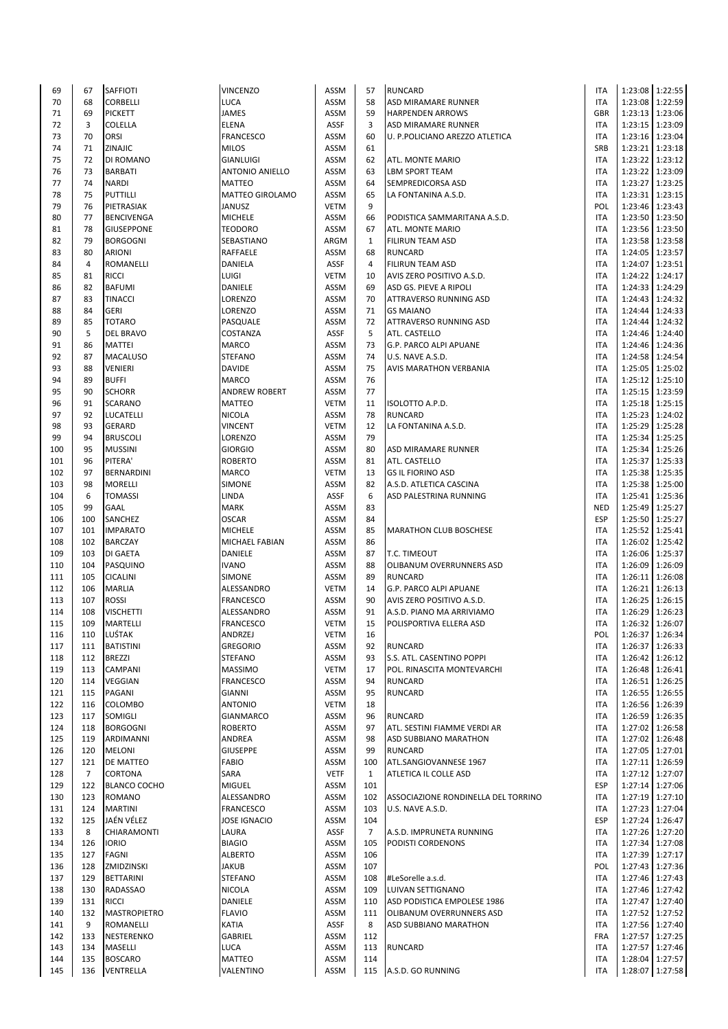| 69  | 67          | SAFFIOTI            | <b>VINCENZO</b>        | ASSM        | 57             | <b>RUNCARD</b>                      | <b>ITA</b> |                 | 1:23:08 1:22:55   |
|-----|-------------|---------------------|------------------------|-------------|----------------|-------------------------------------|------------|-----------------|-------------------|
| 70  | 68          | <b>CORBELLI</b>     | LUCA                   | <b>ASSM</b> | 58             | ASD MIRAMARE RUNNER                 | <b>ITA</b> |                 | 1:23:08 1:22:59   |
| 71  | 69          | <b>PICKETT</b>      | JAMES                  | ASSM        | 59             | <b>HARPENDEN ARROWS</b>             | <b>GBR</b> |                 | 1:23:13 1:23:06   |
| 72  | 3           | <b>COLELLA</b>      | <b>ELENA</b>           | ASSF        | 3              | ASD MIRAMARE RUNNER                 | <b>ITA</b> |                 | 1:23:15 1:23:09   |
| 73  | 70          | ORSI                | <b>FRANCESCO</b>       | <b>ASSM</b> | 60             | U. P.POLICIANO AREZZO ATLETICA      | <b>ITA</b> |                 | 1:23:16 1:23:04   |
| 74  | 71          | ZINAJIC             | <b>MILOS</b>           | <b>ASSM</b> | 61             |                                     | SRB        |                 | 1:23:21 1:23:18   |
| 75  | 72          | DI ROMANO           | <b>GIANLUIGI</b>       | <b>ASSM</b> | 62             | ATL. MONTE MARIO                    | <b>ITA</b> |                 | 1:23:22 1:23:12   |
|     |             |                     |                        |             |                |                                     |            |                 |                   |
| 76  | 73          | <b>BARBATI</b>      | <b>ANTONIO ANIELLO</b> | <b>ASSM</b> | 63             | <b>LBM SPORT TEAM</b>               | <b>ITA</b> |                 | 1:23:22 1:23:09   |
| 77  | 74          | <b>NARDI</b>        | <b>MATTEO</b>          | ASSM        | 64             | SEMPREDICORSA ASD                   | <b>ITA</b> |                 | 1:23:27 1:23:25   |
| 78  | 75          | <b>PUTTILLI</b>     | <b>MATTEO GIROLAMO</b> | <b>ASSM</b> | 65             | LA FONTANINA A.S.D.                 | <b>ITA</b> |                 | 1:23:31 1:23:15   |
| 79  | 76          | PIETRASIAK          | JANUSZ                 | <b>VETM</b> | 9              |                                     | POL        |                 | 1:23:46 1:23:43   |
| 80  | 77          | <b>BENCIVENGA</b>   | <b>MICHELE</b>         | ASSM        | 66             | PODISTICA SAMMARITANA A.S.D.        | <b>ITA</b> |                 | 1:23:50 1:23:50   |
| 81  | 78          | <b>GIUSEPPONE</b>   | TEODORO                | <b>ASSM</b> | 67             | ATL. MONTE MARIO                    | <b>ITA</b> |                 | 1:23:56   1:23:50 |
| 82  | 79          | <b>BORGOGNI</b>     | SEBASTIANO             | ARGM        | $\mathbf{1}$   | <b>FILIRUN TEAM ASD</b>             | <b>ITA</b> |                 | 1:23:58 1:23:58   |
| 83  | 80          | <b>ARIONI</b>       | RAFFAELE               | ASSM        | 68             | <b>RUNCARD</b>                      | <b>ITA</b> |                 | 1:24:05 1:23:57   |
| 84  | 4           | <b>ROMANELLI</b>    | DANIELA                | ASSF        | 4              | <b>FILIRUN TEAM ASD</b>             | <b>ITA</b> |                 | 1:24:07 1:23:51   |
| 85  | 81          | <b>RICCI</b>        | LUIGI                  | <b>VETM</b> | 10             | AVIS ZERO POSITIVO A.S.D.           | <b>ITA</b> |                 | 1:24:22 1:24:17   |
|     |             |                     |                        |             |                |                                     |            |                 |                   |
| 86  | 82          | <b>BAFUMI</b>       | DANIELE                | <b>ASSM</b> | 69             | ASD GS. PIEVE A RIPOLI              | <b>ITA</b> |                 | 1:24:33 1:24:29   |
| 87  | 83          | <b>TINACCI</b>      | LORENZO                | <b>ASSM</b> | 70             | ATTRAVERSO RUNNING ASD              | <b>ITA</b> |                 | 1:24:43 1:24:32   |
| 88  | 84          | <b>GERI</b>         | LORENZO                | <b>ASSM</b> | 71             | <b>GS MAIANO</b>                    | <b>ITA</b> |                 | 1:24:44 1:24:33   |
| 89  | 85          | <b>TOTARO</b>       | PASQUALE               | ASSM        | 72             | ATTRAVERSO RUNNING ASD              | <b>ITA</b> |                 | 1:24:44 1:24:32   |
| 90  | 5           | <b>DEL BRAVO</b>    | COSTANZA               | ASSF        | 5              | ATL. CASTELLO                       | <b>ITA</b> |                 | 1:24:46 1:24:40   |
| 91  | 86          | <b>MATTEI</b>       | <b>MARCO</b>           | <b>ASSM</b> | 73             | G.P. PARCO ALPI APUANE              | <b>ITA</b> |                 | 1:24:46 1:24:36   |
| 92  | 87          | <b>MACALUSO</b>     | <b>STEFANO</b>         | <b>ASSM</b> | 74             | U.S. NAVE A.S.D.                    | <b>ITA</b> |                 | 1:24:58 1:24:54   |
| 93  | 88          | <b>VENIERI</b>      | <b>DAVIDE</b>          | <b>ASSM</b> | 75             | AVIS MARATHON VERBANIA              | <b>ITA</b> |                 | 1:25:05   1:25:02 |
| 94  | 89          | <b>BUFFI</b>        | <b>MARCO</b>           | ASSM        | 76             |                                     | <b>ITA</b> |                 | 1:25:12 1:25:10   |
| 95  | 90          | <b>SCHORR</b>       |                        |             |                |                                     |            |                 |                   |
|     |             |                     | <b>ANDREW ROBERT</b>   | <b>ASSM</b> | 77             |                                     | <b>ITA</b> |                 | 1:25:15   1:23:59 |
| 96  | 91          | <b>SCARANO</b>      | MATTEO                 | <b>VETM</b> | 11             | ISOLOTTO A.P.D.                     | <b>ITA</b> |                 | 1:25:18   1:25:15 |
| 97  | 92          | <b>LUCATELLI</b>    | <b>NICOLA</b>          | <b>ASSM</b> | 78             | <b>RUNCARD</b>                      | <b>ITA</b> |                 | 1:25:23 1:24:02   |
| 98  | 93          | <b>GERARD</b>       | VINCENT                | <b>VETM</b> | 12             | LA FONTANINA A.S.D.                 | <b>ITA</b> |                 | 1:25:29 1:25:28   |
| 99  | 94          | <b>BRUSCOLI</b>     | LORENZO                | <b>ASSM</b> | 79             |                                     | <b>ITA</b> |                 | 1:25:34 1:25:25   |
| 100 | 95          | <b>MUSSINI</b>      | <b>GIORGIO</b>         | <b>ASSM</b> | 80             | ASD MIRAMARE RUNNER                 | <b>ITA</b> |                 | 1:25:34 1:25:26   |
| 101 | 96          | PITERA'             | <b>ROBERTO</b>         | <b>ASSM</b> | 81             | ATL. CASTELLO                       | <b>ITA</b> |                 | 1:25:37 1:25:33   |
| 102 | 97          | BERNARDINI          | <b>MARCO</b>           | <b>VETM</b> | 13             | <b>GS IL FIORINO ASD</b>            | <b>ITA</b> |                 | 1:25:38 1:25:35   |
| 103 | 98          | <b>MORELLI</b>      | <b>SIMONE</b>          | <b>ASSM</b> | 82             | A.S.D. ATLETICA CASCINA             | <b>ITA</b> |                 | 1:25:38 1:25:00   |
| 104 | 6           | <b>TOMASSI</b>      | LINDA                  | ASSF        | 6              | ASD PALESTRINA RUNNING              | <b>ITA</b> |                 | 1:25:41   1:25:36 |
|     |             |                     |                        |             |                |                                     |            |                 |                   |
| 105 | 99          | <b>GAAL</b>         | <b>MARK</b>            | <b>ASSM</b> | 83             |                                     | <b>NED</b> |                 | 1:25:49 1:25:27   |
| 106 | 100         | SANCHEZ             | <b>OSCAR</b>           | <b>ASSM</b> | 84             |                                     | <b>ESP</b> |                 | 1:25:50 1:25:27   |
| 107 | 101         | <b>IMPARATO</b>     | <b>MICHELE</b>         | <b>ASSM</b> | 85             | <b>MARATHON CLUB BOSCHESE</b>       | <b>ITA</b> |                 | 1:25:52 1:25:41   |
| 108 | 102         | <b>BARCZAY</b>      | MICHAEL FABIAN         | ASSM        | 86             |                                     | <b>ITA</b> |                 | 1:26:02 1:25:42   |
| 109 | 103         | <b>DI GAETA</b>     | DANIELE                | <b>ASSM</b> | 87             | T.C. TIMEOUT                        | <b>ITA</b> |                 | 1:26:06 1:25:37   |
| 110 | 104         | PASQUINO            | <b>IVANO</b>           | <b>ASSM</b> | 88             | OLIBANUM OVERRUNNERS ASD            | <b>ITA</b> |                 | 1:26:09 1:26:09   |
| 111 | 105         | <b>CICALINI</b>     | <b>SIMONE</b>          | <b>ASSM</b> | 89             | <b>RUNCARD</b>                      | <b>ITA</b> |                 | 1:26:11 1:26:08   |
| 112 | 106         | <b>MARLIA</b>       | ALESSANDRO             | <b>VETM</b> | 14             | G.P. PARCO ALPI APUANE              | <b>ITA</b> |                 | 1:26:21 1:26:13   |
| 113 | 107         | <b>ROSSI</b>        | FRANCESCO              | <b>ASSM</b> | 90             | AVIS ZERO POSITIVO A.S.D.           | <b>ITA</b> |                 | 1:26:25   1:26:15 |
| 114 | 108         | <b>VISCHETTI</b>    | ALESSANDRO             | ASSM        | 91             | A.S.D. PIANO MA ARRIVIAMO           | <b>ITA</b> |                 | 1:26:29 1:26:23   |
|     |             |                     |                        |             |                |                                     |            |                 | 1:26:32 1:26:07   |
| 115 | 109         | MARTELLI            | FRANCESCO              | <b>VETM</b> | 15             | POLISPORTIVA ELLERA ASD             | <b>ITA</b> |                 |                   |
| 116 |             | 110 LUŚTAK          | ANDRZEJ                | <b>VETM</b> | 16             |                                     | POL        | 1:26:37 1:26:34 |                   |
| 117 | 111         | <b>BATISTINI</b>    | <b>GREGORIO</b>        | ASSM        | 92             | <b>RUNCARD</b>                      | <b>ITA</b> |                 | 1:26:37 1:26:33   |
| 118 | 112         | <b>BREZZI</b>       | STEFANO                | ASSM        | 93             | S.S. ATL. CASENTINO POPPI           | <b>ITA</b> |                 | 1:26:42 1:26:12   |
| 119 | 113         | <b>CAMPANI</b>      | <b>MASSIMO</b>         | <b>VETM</b> | 17             | POL. RINASCITA MONTEVARCHI          | <b>ITA</b> |                 | 1:26:48 1:26:41   |
| 120 | 114         | <b>VEGGIAN</b>      | <b>FRANCESCO</b>       | ASSM        | 94             | <b>RUNCARD</b>                      | <b>ITA</b> |                 | 1:26:51 1:26:25   |
| 121 | 115         | PAGANI              | GIANNI                 | ASSM        | 95             | <b>RUNCARD</b>                      | <b>ITA</b> |                 | 1:26:55 1:26:55   |
| 122 | 116         | <b>COLOMBO</b>      | <b>ANTONIO</b>         | <b>VETM</b> | 18             |                                     | <b>ITA</b> |                 | 1:26:56 1:26:39   |
| 123 | 117         | SOMIGLI             | <b>GIANMARCO</b>       | ASSM        | 96             | <b>RUNCARD</b>                      | <b>ITA</b> |                 | 1:26:59 1:26:35   |
| 124 | 118         | <b>BORGOGNI</b>     | <b>ROBERTO</b>         | ASSM        | 97             | ATL. SESTINI FIAMME VERDI AR        | <b>ITA</b> |                 | 1:27:02 1:26:58   |
|     |             |                     |                        |             |                |                                     |            |                 |                   |
| 125 | 119         | ARDIMANNI           | ANDREA                 | ASSM        | 98             | ASD SUBBIANO MARATHON               | <b>ITA</b> |                 | 1:27:02 1:26:48   |
| 126 | 120         | <b>MELONI</b>       | <b>GIUSEPPE</b>        | ASSM        | 99             | <b>RUNCARD</b>                      | <b>ITA</b> |                 | 1:27:05 1:27:01   |
| 127 | 121         | <b>DE MATTEO</b>    | <b>FABIO</b>           | ASSM        | 100            | ATL.SANGIOVANNESE 1967              | <b>ITA</b> |                 | 1:27:11 1:26:59   |
| 128 | $7^{\circ}$ | <b>CORTONA</b>      | SARA                   | <b>VETF</b> | $\mathbf{1}$   | ATLETICA IL COLLE ASD               | <b>ITA</b> |                 | 1:27:12 1:27:07   |
| 129 | 122         | <b>BLANCO COCHO</b> | <b>MIGUEL</b>          | <b>ASSM</b> | 101            |                                     | <b>ESP</b> |                 | 1:27:14 1:27:06   |
| 130 | 123         | <b>ROMANO</b>       | ALESSANDRO             | ASSM        | 102            | ASSOCIAZIONE RONDINELLA DEL TORRINO | <b>ITA</b> |                 | 1:27:19 1:27:10   |
| 131 | 124         | <b>MARTINI</b>      | <b>FRANCESCO</b>       | ASSM        | 103            | U.S. NAVE A.S.D.                    | <b>ITA</b> |                 | 1:27:23 1:27:04   |
| 132 | 125         | JAÉN VÉLEZ          | JOSE IGNACIO           | ASSM        | 104            |                                     | <b>ESP</b> |                 | 1:27:24 1:26:47   |
| 133 | 8           | <b>CHIARAMONTI</b>  | LAURA                  | ASSF        | $\overline{7}$ | A.S.D. IMPRUNETA RUNNING            | <b>ITA</b> |                 | 1:27:26 1:27:20   |
| 134 | 126         | <b>IORIO</b>        | <b>BIAGIO</b>          | ASSM        | 105            | PODISTI CORDENONS                   | <b>ITA</b> |                 | 1:27:34 1:27:08   |
| 135 | 127         | <b>FAGNI</b>        | <b>ALBERTO</b>         | ASSM        | 106            |                                     | <b>ITA</b> |                 | 1:27:39 1:27:17   |
|     |             |                     |                        |             |                |                                     |            |                 |                   |
| 136 | 128         | ZMIDZINSKI          | JAKUB                  | ASSM        | 107            |                                     | POL        |                 | 1:27:43 1:27:36   |
| 137 | 129         | BETTARINI           | <b>STEFANO</b>         | ASSM        | 108            | #LeSorelle a.s.d.                   | <b>ITA</b> |                 | 1:27:46 1:27:43   |
| 138 | 130         | <b>RADASSAO</b>     | NICOLA                 | <b>ASSM</b> | 109            | LUIVAN SETTIGNANO                   | <b>ITA</b> |                 | 1:27:46 1:27:42   |
| 139 | 131         | <b>RICCI</b>        | DANIELE                | ASSM        | 110            | ASD PODISTICA EMPOLESE 1986         | <b>ITA</b> |                 | 1:27:47 1:27:40   |
| 140 | 132         | <b>MASTROPIETRO</b> | <b>FLAVIO</b>          | ASSM        | 111            | OLIBANUM OVERRUNNERS ASD            | <b>ITA</b> |                 | 1:27:52 1:27:52   |
| 141 | 9           | <b>ROMANELLI</b>    | KATIA                  | ASSF        | 8              | ASD SUBBIANO MARATHON               | <b>ITA</b> |                 | 1:27:56 1:27:40   |
| 142 | 133         | NESTERENKO          | GABRIEL                | ASSM        | 112            |                                     | <b>FRA</b> |                 | 1:27:57 1:27:25   |
| 143 | 134         | <b>MASELLI</b>      | LUCA                   | ASSM        | 113            | <b>RUNCARD</b>                      | ITA        |                 | 1:27:57 1:27:46   |
| 144 | 135         | <b>BOSCARO</b>      | MATTEO                 | ASSM        | 114            |                                     | <b>ITA</b> |                 | 1:28:04 1:27:57   |
| 145 | 136         |                     |                        |             |                |                                     | <b>ITA</b> |                 |                   |
|     |             | VENTRELLA           | VALENTINO              | ASSM        |                | 115 A.S.D. GO RUNNING               |            |                 | 1:28:07 1:27:58   |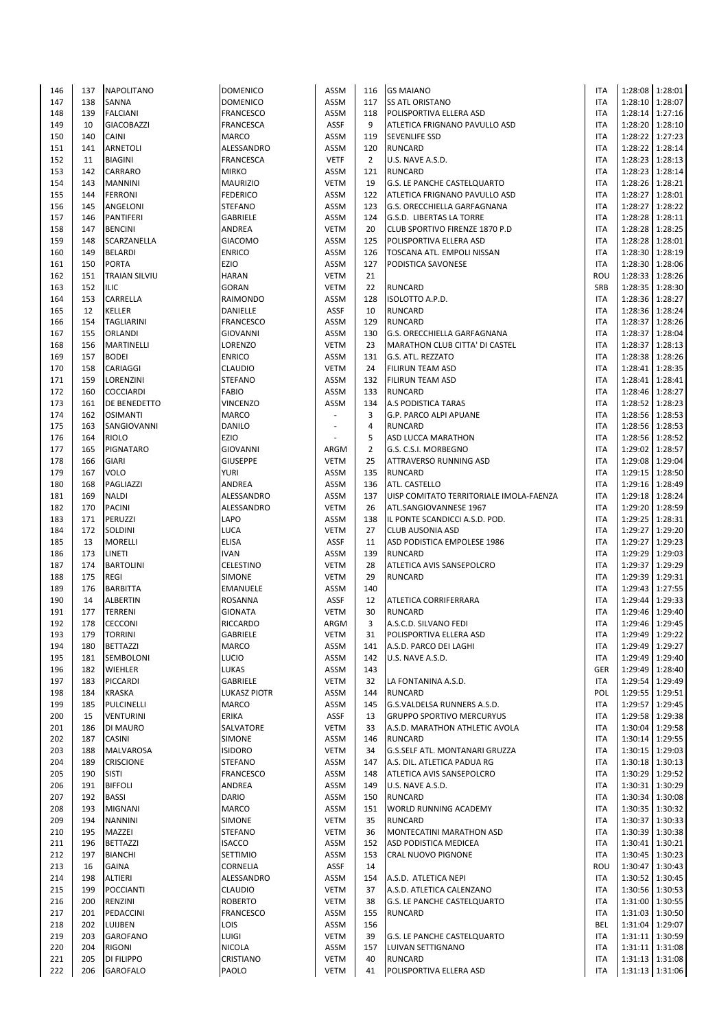| 146 | 137 | <b>NAPOLITANO</b>    | <b>DOMENICO</b>  | ASSM        | 116            | <b>GS MAIANO</b>                        | <b>ITA</b> |                 | 1:28:08 1:28:01 |
|-----|-----|----------------------|------------------|-------------|----------------|-----------------------------------------|------------|-----------------|-----------------|
| 147 | 138 | <b>SANNA</b>         | <b>DOMENICO</b>  | <b>ASSM</b> | 117            | <b>SS ATL ORISTANO</b>                  | <b>ITA</b> |                 | 1:28:10 1:28:07 |
| 148 | 139 | <b>FALCIANI</b>      | FRANCESCO        | <b>ASSM</b> | 118            | POLISPORTIVA ELLERA ASD                 | <b>ITA</b> |                 | 1:28:14 1:27:16 |
| 149 | 10  | <b>GIACOBAZZI</b>    | <b>FRANCESCA</b> | <b>ASSF</b> | 9              | ATLETICA FRIGNANO PAVULLO ASD           | <b>ITA</b> |                 | 1:28:20 1:28:10 |
| 150 | 140 | <b>CAINI</b>         | <b>MARCO</b>     | <b>ASSM</b> | 119            | <b>SEVENLIFE SSD</b>                    | <b>ITA</b> |                 | 1:28:22 1:27:23 |
| 151 | 141 | <b>ARNETOLI</b>      | ALESSANDRO       | <b>ASSM</b> | 120            | <b>RUNCARD</b>                          | <b>ITA</b> |                 | 1:28:22 1:28:14 |
|     |     |                      |                  |             |                |                                         |            |                 |                 |
| 152 | 11  | <b>BIAGINI</b>       | <b>FRANCESCA</b> | <b>VETF</b> | $\overline{2}$ | U.S. NAVE A.S.D.                        | <b>ITA</b> |                 | 1:28:23 1:28:13 |
| 153 | 142 | CARRARO              | <b>MIRKO</b>     | <b>ASSM</b> | 121            | <b>RUNCARD</b>                          | <b>ITA</b> |                 | 1:28:23 1:28:14 |
| 154 | 143 | <b>MANNINI</b>       | <b>MAURIZIO</b>  | <b>VETM</b> | 19             | G.S. LE PANCHE CASTELQUARTO             | <b>ITA</b> |                 | 1:28:26 1:28:21 |
| 155 | 144 | <b>FERRONI</b>       | <b>FEDERICO</b>  | <b>ASSM</b> | 122            | ATLETICA FRIGNANO PAVULLO ASD           | <b>ITA</b> |                 | 1:28:27 1:28:01 |
| 156 | 145 | ANGELONI             | <b>STEFANO</b>   | <b>ASSM</b> | 123            | G.S. ORECCHIELLA GARFAGNANA             | <b>ITA</b> |                 | 1:28:27 1:28:22 |
| 157 | 146 | PANTIFERI            | <b>GABRIELE</b>  | <b>ASSM</b> | 124            | G.S.D. LIBERTAS LA TORRE                | <b>ITA</b> |                 | 1:28:28 1:28:11 |
| 158 | 147 | <b>BENCINI</b>       | ANDREA           | <b>VETM</b> | 20             | CLUB SPORTIVO FIRENZE 1870 P.D          | <b>ITA</b> |                 | 1:28:28 1:28:25 |
| 159 | 148 | SCARZANELLA          | <b>GIACOMO</b>   | <b>ASSM</b> | 125            | POLISPORTIVA ELLERA ASD                 | <b>ITA</b> |                 | 1:28:28 1:28:01 |
| 160 | 149 | <b>BELARDI</b>       | <b>ENRICO</b>    | <b>ASSM</b> | 126            | TOSCANA ATL. EMPOLI NISSAN              | <b>ITA</b> |                 | 1:28:30 1:28:19 |
|     | 150 | <b>PORTA</b>         |                  | <b>ASSM</b> | 127            |                                         | <b>ITA</b> |                 |                 |
| 161 |     |                      | EZIO             |             |                | PODISTICA SAVONESE                      |            | 1:28:30 1:28:06 |                 |
| 162 | 151 | <b>TRAIAN SILVIU</b> | <b>HARAN</b>     | <b>VETM</b> | 21             |                                         | ROU        |                 | 1:28:33 1:28:26 |
| 163 | 152 | <b>ILIC</b>          | <b>GORAN</b>     | <b>VETM</b> | 22             | <b>RUNCARD</b>                          | SRB        |                 | 1:28:35 1:28:30 |
| 164 | 153 | CARRELLA             | RAIMONDO         | ASSM        | 128            | ISOLOTTO A.P.D.                         | ITA        |                 | 1:28:36 1:28:27 |
| 165 | 12  | <b>KELLER</b>        | DANIELLE         | <b>ASSF</b> | 10             | <b>RUNCARD</b>                          | <b>ITA</b> |                 | 1:28:36 1:28:24 |
| 166 | 154 | <b>TAGLIARINI</b>    | <b>FRANCESCO</b> | <b>ASSM</b> | 129            | <b>RUNCARD</b>                          | <b>ITA</b> | 1:28:37 1:28:26 |                 |
| 167 | 155 | <b>ORLANDI</b>       | <b>GIOVANNI</b>  | <b>ASSM</b> | 130            | G.S. ORECCHIELLA GARFAGNANA             | <b>ITA</b> |                 | 1:28:37 1:28:04 |
| 168 | 156 | <b>MARTINELLI</b>    | LORENZO          | <b>VETM</b> | 23             | MARATHON CLUB CITTA' DI CASTEL          | <b>ITA</b> |                 | 1:28:37 1:28:13 |
| 169 | 157 | <b>BODEI</b>         | <b>ENRICO</b>    | <b>ASSM</b> | 131            | G.S. ATL. REZZATO                       | <b>ITA</b> |                 | 1:28:38 1:28:26 |
| 170 | 158 | CARIAGGI             | CLAUDIO          | <b>VETM</b> | 24             | FILIRUN TEAM ASD                        | <b>ITA</b> |                 | 1:28:41 1:28:35 |
| 171 | 159 | LORENZINI            | <b>STEFANO</b>   | ASSM        | 132            | FILIRUN TEAM ASD                        | <b>ITA</b> |                 | 1:28:41 1:28:41 |
|     |     |                      |                  |             |                |                                         |            |                 |                 |
| 172 | 160 | <b>COCCIARDI</b>     | <b>FABIO</b>     | <b>ASSM</b> | 133            | <b>RUNCARD</b>                          | <b>ITA</b> |                 | 1:28:46 1:28:27 |
| 173 | 161 | DE BENEDETTO         | VINCENZO         | <b>ASSM</b> | 134            | A.S PODISTICA TARAS                     | <b>ITA</b> | 1:28:52 1:28:23 |                 |
| 174 | 162 | <b>OSIMANTI</b>      | <b>MARCO</b>     |             | 3              | G.P. PARCO ALPI APUANE                  | <b>ITA</b> |                 | 1:28:56 1:28:53 |
| 175 | 163 | SANGIOVANNI          | <b>DANILO</b>    |             | $\overline{4}$ | <b>RUNCARD</b>                          | ITA        |                 | 1:28:56 1:28:53 |
| 176 | 164 | <b>RIOLO</b>         | EZIO             |             | 5              | ASD LUCCA MARATHON                      | <b>ITA</b> |                 | 1:28:56 1:28:52 |
| 177 | 165 | PIGNATARO            | <b>GIOVANNI</b>  | ARGM        | $\overline{2}$ | G.S. C.S.I. MORBEGNO                    | <b>ITA</b> |                 | 1:29:02 1:28:57 |
| 178 | 166 | <b>GIARI</b>         | <b>GIUSEPPE</b>  | <b>VETM</b> | 25             | ATTRAVERSO RUNNING ASD                  | <b>ITA</b> | 1:29:08 1:29:04 |                 |
| 179 | 167 | <b>VOLO</b>          | <b>YURI</b>      | <b>ASSM</b> | 135            | <b>RUNCARD</b>                          | <b>ITA</b> |                 | 1:29:15 1:28:50 |
| 180 | 168 | PAGLIAZZI            | ANDREA           | <b>ASSM</b> | 136            | ATL. CASTELLO                           | <b>ITA</b> |                 | 1:29:16 1:28:49 |
| 181 | 169 |                      |                  | <b>ASSM</b> | 137            |                                         | <b>ITA</b> |                 |                 |
|     |     | <b>NALDI</b>         | ALESSANDRO       |             |                | UISP COMITATO TERRITORIALE IMOLA-FAENZA |            | 1:29:18 1:28:24 |                 |
| 182 | 170 | <b>PACINI</b>        | ALESSANDRO       | <b>VETM</b> | 26             | ATL.SANGIOVANNESE 1967                  | <b>ITA</b> |                 | 1:29:20 1:28:59 |
| 183 | 171 | PERUZZI              | LAPO             | <b>ASSM</b> | 138            | IL PONTE SCANDICCI A.S.D. POD.          | <b>ITA</b> |                 | 1:29:25 1:28:31 |
| 184 | 172 | SOLDINI              | LUCA             | <b>VETM</b> | 27             | <b>CLUB AUSONIA ASD</b>                 | <b>ITA</b> |                 | 1:29:27 1:29:20 |
| 185 | 13  | <b>MORELLI</b>       | <b>ELISA</b>     | <b>ASSF</b> | 11             | ASD PODISTICA EMPOLESE 1986             | <b>ITA</b> | 1:29:27 1:29:23 |                 |
| 186 | 173 | LINETI               | <b>IVAN</b>      | <b>ASSM</b> | 139            | <b>RUNCARD</b>                          | <b>ITA</b> |                 | 1:29:29 1:29:03 |
| 187 | 174 | <b>BARTOLINI</b>     | <b>CELESTINO</b> | <b>VETM</b> | 28             | ATLETICA AVIS SANSEPOLCRO               | ITA        |                 | 1:29:37 1:29:29 |
| 188 | 175 | <b>REGI</b>          | <b>SIMONE</b>    | <b>VETM</b> | 29             | <b>RUNCARD</b>                          | <b>ITA</b> |                 | 1:29:39 1:29:31 |
| 189 | 176 | <b>BARBITTA</b>      | EMANUELE         | ASSM        | 140            |                                         | ITA        |                 | 1:29:43 1:27:55 |
| 190 | 14  | <b>ALBERTIN</b>      | <b>ROSANNA</b>   | ASSF        | 12             | ATLETICA CORRIFERRARA                   | <b>ITA</b> |                 | 1:29:44 1:29:33 |
|     | 177 |                      |                  |             | 30             |                                         | <b>ITA</b> |                 | 1:29:46 1:29:40 |
| 191 |     | <b>TERRENI</b>       | <b>GIONATA</b>   | <b>VETM</b> |                | <b>RUNCARD</b>                          |            |                 |                 |
| 192 | 178 | <b>CECCONI</b>       | RICCARDO         | ARGM        | 3              | A.S.C.D. SILVANO FEDI                   | <b>ITA</b> | 1:29:46 1:29:45 |                 |
| 193 | 179 | <b>TORRINI</b>       | GABRIELE         | VETM        | 31             | POLISPORTIVA ELLERA ASD                 | <b>ITA</b> |                 | 1:29:49 1:29:22 |
| 194 | 180 | <b>BETTAZZI</b>      | <b>MARCO</b>     | ASSM        | 141            | A.S.D. PARCO DEI LAGHI                  | <b>ITA</b> |                 | 1:29:49 1:29:27 |
| 195 | 181 | SEMBOLONI            | LUCIO            | ASSM        | 142            | U.S. NAVE A.S.D.                        | <b>ITA</b> |                 | 1:29:49 1:29:40 |
| 196 | 182 | <b>WIEHLER</b>       | LUKAS            | ASSM        | 143            |                                         | <b>GER</b> |                 | 1:29:49 1:28:40 |
| 197 | 183 | <b>PICCARDI</b>      | GABRIELE         | <b>VETM</b> | 32             | LA FONTANINA A.S.D.                     | <b>ITA</b> |                 | 1:29:54 1:29:49 |
| 198 | 184 | <b>KRASKA</b>        | LUKASZ PIOTR     | ASSM        | 144            | <b>RUNCARD</b>                          | POL        |                 | 1:29:55 1:29:51 |
| 199 | 185 | PULCINELLI           | MARCO            | ASSM        | 145            | G.S.VALDELSA RUNNERS A.S.D.             | <b>ITA</b> |                 | 1:29:57 1:29:45 |
| 200 | 15  | <b>VENTURINI</b>     | ERIKA            | ASSF        | 13             | <b>GRUPPO SPORTIVO MERCURYUS</b>        | <b>ITA</b> |                 | 1:29:58 1:29:38 |
| 201 | 186 | DI MAURO             | SALVATORE        | <b>VETM</b> | 33             | A.S.D. MARATHON ATHLETIC AVOLA          | <b>ITA</b> |                 | 1:30:04 1:29:58 |
|     | 187 | <b>CASINI</b>        |                  |             |                |                                         | <b>ITA</b> |                 | 1:30:14 1:29:55 |
| 202 |     |                      | SIMONE           | ASSM        | 146            | <b>RUNCARD</b>                          |            |                 |                 |
| 203 | 188 | <b>MALVAROSA</b>     | <b>ISIDORO</b>   | <b>VETM</b> | 34             | G.S.SELF ATL. MONTANARI GRUZZA          | <b>ITA</b> |                 | 1:30:15 1:29:03 |
| 204 | 189 | <b>CRISCIONE</b>     | <b>STEFANO</b>   | ASSM        | 147            | A.S. DIL. ATLETICA PADUA RG             | ITA        |                 | 1:30:18 1:30:13 |
| 205 | 190 | <b>SISTI</b>         | FRANCESCO        | ASSM        | 148            | ATLETICA AVIS SANSEPOLCRO               | <b>ITA</b> |                 | 1:30:29 1:29:52 |
| 206 | 191 | <b>BIFFOLI</b>       | ANDREA           | ASSM        | 149            | U.S. NAVE A.S.D.                        | <b>ITA</b> |                 | 1:30:31 1:30:29 |
| 207 | 192 | <b>BASSI</b>         | <b>DARIO</b>     | ASSM        | 150            | <b>RUNCARD</b>                          | ITA        |                 | 1:30:34 1:30:08 |
| 208 | 193 | <b>MIGNANI</b>       | MARCO            | ASSM        | 151            | WORLD RUNNING ACADEMY                   | <b>ITA</b> |                 | 1:30:35 1:30:32 |
| 209 | 194 | <b>NANNINI</b>       | <b>SIMONE</b>    | <b>VETM</b> | 35             | <b>RUNCARD</b>                          | ITA        |                 | 1:30:37 1:30:33 |
| 210 | 195 | MAZZEI               | <b>STEFANO</b>   | <b>VETM</b> | 36             | MONTECATINI MARATHON ASD                | <b>ITA</b> |                 | 1:30:39 1:30:38 |
|     | 196 |                      |                  |             | 152            |                                         | <b>ITA</b> |                 | 1:30:41 1:30:21 |
| 211 |     | <b>BETTAZZI</b>      | <b>ISACCO</b>    | ASSM        |                | ASD PODISTICA MEDICEA                   |            |                 |                 |
| 212 | 197 | <b>BIANCHI</b>       | SETTIMIO         | ASSM        | 153            | CRAL NUOVO PIGNONE                      | <b>ITA</b> |                 | 1:30:45 1:30:23 |
| 213 | 16  | <b>GAINA</b>         | CORNELIA         | ASSF        | 14             |                                         | ROU        |                 | 1:30:47 1:30:43 |
| 214 | 198 | ALTIERI              | ALESSANDRO       | ASSM        | 154            | A.S.D. ATLETICA NEPI                    | <b>ITA</b> |                 | 1:30:52 1:30:45 |
| 215 | 199 | <b>POCCIANTI</b>     | CLAUDIO          | <b>VETM</b> | 37             | A.S.D. ATLETICA CALENZANO               | <b>ITA</b> |                 | 1:30:56 1:30:53 |
| 216 | 200 | <b>RENZINI</b>       | <b>ROBERTO</b>   | <b>VETM</b> | 38             | G.S. LE PANCHE CASTELQUARTO             | ITA        |                 | 1:31:00 1:30:55 |
| 217 | 201 | PEDACCINI            | <b>FRANCESCO</b> | ASSM        | 155            | <b>RUNCARD</b>                          | <b>ITA</b> |                 | 1:31:03 1:30:50 |
| 218 | 202 | LUIJBEN              | <b>LOIS</b>      | ASSM        | 156            |                                         | <b>BEL</b> |                 | 1:31:04 1:29:07 |
| 219 | 203 | <b>GAROFANO</b>      | LUIGI            | <b>VETM</b> | 39             | G.S. LE PANCHE CASTELQUARTO             | <b>ITA</b> |                 | 1:31:11 1:30:59 |
| 220 | 204 | <b>RIGONI</b>        | NICOLA           | ASSM        | 157            | LUIVAN SETTIGNANO                       | ITA        |                 | 1:31:11 1:31:08 |
| 221 | 205 | DI FILIPPO           | CRISTIANO        | <b>VETM</b> | 40             | <b>RUNCARD</b>                          | <b>ITA</b> |                 | 1:31:13 1:31:08 |
|     |     |                      |                  |             |                |                                         |            |                 |                 |
| 222 | 206 | <b>GAROFALO</b>      | PAOLO            | <b>VETM</b> | 41             | POLISPORTIVA ELLERA ASD                 | <b>ITA</b> | 1:31:13 1:31:06 |                 |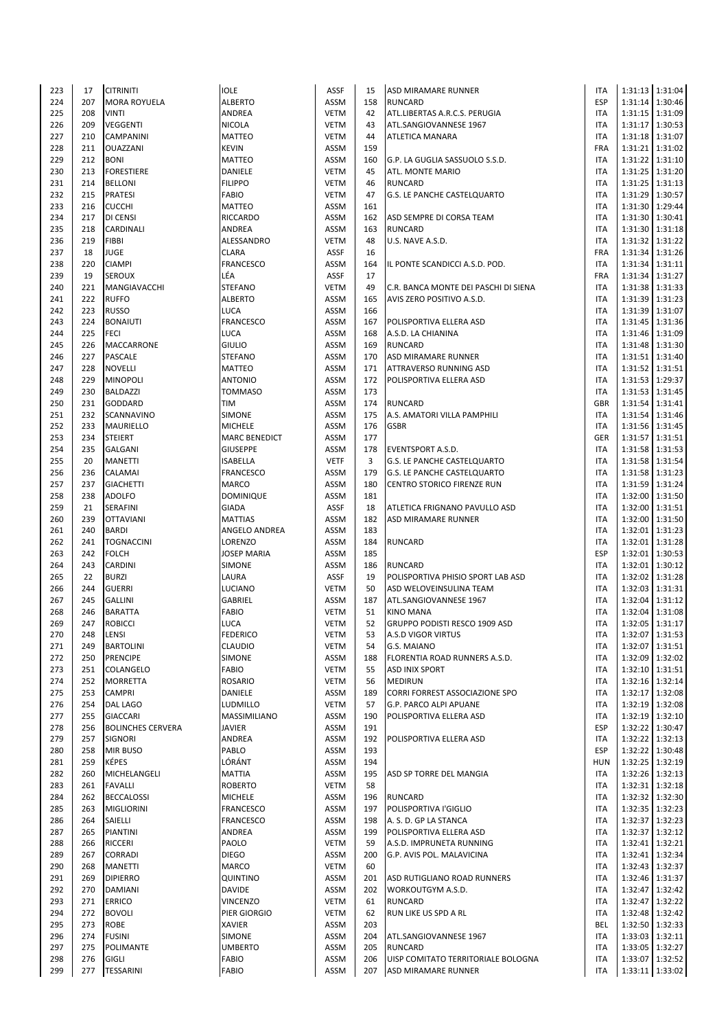| 223 | 17  | <b>CITRINITI</b>         | <b>IOLE</b>          | ASSF        | 15  | <b>ASD MIRAMARE RUNNER</b>           | <b>ITA</b> |                 | 1:31:13 1:31:04   |
|-----|-----|--------------------------|----------------------|-------------|-----|--------------------------------------|------------|-----------------|-------------------|
| 224 | 207 | <b>MORA ROYUELA</b>      | <b>ALBERTO</b>       | <b>ASSM</b> | 158 | <b>RUNCARD</b>                       | <b>ESP</b> |                 | 1:31:14 1:30:46   |
|     | 208 | <b>VINTI</b>             |                      |             | 42  |                                      | <b>ITA</b> |                 |                   |
| 225 |     |                          | ANDREA               | <b>VETM</b> |     | ATL.LIBERTAS A.R.C.S. PERUGIA        |            |                 | 1:31:15 1:31:09   |
| 226 | 209 | <b>VEGGENTI</b>          | NICOLA               | <b>VETM</b> | 43  | ATL.SANGIOVANNESE 1967               | <b>ITA</b> |                 | 1:31:17 1:30:53   |
| 227 | 210 | <b>CAMPANINI</b>         | <b>MATTEO</b>        | <b>VETM</b> | 44  | ATLETICA MANARA                      | <b>ITA</b> |                 | 1:31:18 1:31:07   |
| 228 | 211 | <b>OUAZZANI</b>          | <b>KEVIN</b>         | <b>ASSM</b> | 159 |                                      | <b>FRA</b> |                 | 1:31:21 1:31:02   |
| 229 | 212 | <b>BONI</b>              | MATTEO               | <b>ASSM</b> | 160 | G.P. LA GUGLIA SASSUOLO S.S.D.       | <b>ITA</b> |                 | 1:31:22 1:31:10   |
| 230 | 213 | <b>FORESTIERE</b>        | DANIELE              | <b>VETM</b> | 45  | ATL. MONTE MARIO                     | <b>ITA</b> |                 | 1:31:25   1:31:20 |
|     |     |                          |                      |             |     |                                      |            |                 |                   |
| 231 | 214 | <b>BELLONI</b>           | <b>FILIPPO</b>       | <b>VETM</b> | 46  | <b>RUNCARD</b>                       | <b>ITA</b> |                 | 1:31:25 1:31:13   |
| 232 | 215 | <b>PRATESI</b>           | <b>FABIO</b>         | <b>VETM</b> | 47  | G.S. LE PANCHE CASTELQUARTO          | <b>ITA</b> |                 | 1:31:29 1:30:57   |
| 233 | 216 | <b>CUCCHI</b>            | MATTEO               | <b>ASSM</b> | 161 |                                      | <b>ITA</b> |                 | 1:31:30 1:29:44   |
| 234 | 217 | <b>DI CENSI</b>          | RICCARDO             | <b>ASSM</b> | 162 | ASD SEMPRE DI CORSA TEAM             | <b>ITA</b> |                 | 1:31:30 1:30:41   |
| 235 | 218 | CARDINALI                | ANDREA               | <b>ASSM</b> | 163 | <b>RUNCARD</b>                       | <b>ITA</b> |                 | 1:31:30 1:31:18   |
|     |     |                          |                      |             |     |                                      |            |                 |                   |
| 236 | 219 | <b>FIBBI</b>             | ALESSANDRO           | <b>VETM</b> | 48  | U.S. NAVE A.S.D.                     | <b>ITA</b> |                 | 1:31:32 1:31:22   |
| 237 | 18  | <b>JUGE</b>              | <b>CLARA</b>         | ASSF        | 16  |                                      | <b>FRA</b> |                 | 1:31:34 1:31:26   |
| 238 | 220 | <b>CIAMPI</b>            | FRANCESCO            | <b>ASSM</b> | 164 | IL PONTE SCANDICCI A.S.D. POD.       | <b>ITA</b> |                 | 1:31:34 1:31:11   |
| 239 | 19  | <b>SEROUX</b>            | LÉA                  | ASSF        | 17  |                                      | <b>FRA</b> |                 | 1:31:34 1:31:27   |
| 240 | 221 | MANGIAVACCHI             | <b>STEFANO</b>       | <b>VETM</b> | 49  | C.R. BANCA MONTE DEI PASCHI DI SIENA | <b>ITA</b> |                 | 1:31:38 1:31:33   |
|     |     |                          |                      |             |     |                                      |            |                 |                   |
| 241 | 222 | <b>RUFFO</b>             | <b>ALBERTO</b>       | <b>ASSM</b> | 165 | AVIS ZERO POSITIVO A.S.D.            | <b>ITA</b> |                 | 1:31:39 1:31:23   |
| 242 | 223 | <b>RUSSO</b>             | LUCA                 | <b>ASSM</b> | 166 |                                      | <b>ITA</b> |                 | 1:31:39 1:31:07   |
| 243 | 224 | <b>BONAIUTI</b>          | FRANCESCO            | <b>ASSM</b> | 167 | POLISPORTIVA ELLERA ASD              | <b>ITA</b> |                 | 1:31:45 1:31:36   |
| 244 | 225 | <b>FECI</b>              | LUCA                 | <b>ASSM</b> | 168 | A.S.D. LA CHIANINA                   | <b>ITA</b> |                 | 1:31:46 1:31:09   |
| 245 | 226 | <b>MACCARRONE</b>        | <b>GIULIO</b>        | <b>ASSM</b> | 169 | <b>RUNCARD</b>                       | <b>ITA</b> |                 | 1:31:48 1:31:30   |
|     |     |                          |                      |             |     |                                      |            |                 |                   |
| 246 | 227 | <b>PASCALE</b>           | <b>STEFANO</b>       | <b>ASSM</b> | 170 | ASD MIRAMARE RUNNER                  | <b>ITA</b> |                 | 1:31:51 1:31:40   |
| 247 | 228 | <b>NOVELLI</b>           | <b>MATTEO</b>        | <b>ASSM</b> | 171 | ATTRAVERSO RUNNING ASD               | <b>ITA</b> |                 | 1:31:52 1:31:51   |
| 248 | 229 | <b>MINOPOLI</b>          | <b>ANTONIO</b>       | <b>ASSM</b> | 172 | POLISPORTIVA ELLERA ASD              | <b>ITA</b> |                 | 1:31:53 1:29:37   |
| 249 | 230 | <b>BALDAZZI</b>          | <b>TOMMASO</b>       | <b>ASSM</b> | 173 |                                      | <b>ITA</b> |                 | 1:31:53 1:31:45   |
|     | 231 | <b>GODDARD</b>           | TIM                  | <b>ASSM</b> | 174 | <b>RUNCARD</b>                       | GBR        |                 | 1:31:54 1:31:41   |
| 250 |     |                          |                      |             |     |                                      |            |                 |                   |
| 251 | 232 | SCANNAVINO               | <b>SIMONE</b>        | <b>ASSM</b> | 175 | A.S. AMATORI VILLA PAMPHILI          | <b>ITA</b> |                 | 1:31:54 1:31:46   |
| 252 | 233 | MAURIELLO                | <b>MICHELE</b>       | <b>ASSM</b> | 176 | <b>GSBR</b>                          | <b>ITA</b> |                 | 1:31:56 1:31:45   |
| 253 | 234 | <b>STEIERT</b>           | <b>MARC BENEDICT</b> | <b>ASSM</b> | 177 |                                      | <b>GER</b> |                 | 1:31:57 1:31:51   |
| 254 | 235 | <b>GALGANI</b>           | <b>GIUSEPPE</b>      | <b>ASSM</b> | 178 | <b>EVENTSPORT A.S.D.</b>             | <b>ITA</b> |                 | 1:31:58 1:31:53   |
|     |     |                          |                      | <b>VETF</b> |     |                                      |            |                 |                   |
| 255 | 20  | <b>MANETTI</b>           | <b>ISABELLA</b>      |             | 3   | G.S. LE PANCHE CASTELQUARTO          | <b>ITA</b> |                 | 1:31:58 1:31:54   |
| 256 | 236 | CALAMAI                  | FRANCESCO            | <b>ASSM</b> | 179 | G.S. LE PANCHE CASTELQUARTO          | <b>ITA</b> |                 | 1:31:58 1:31:23   |
| 257 | 237 | <b>GIACHETTI</b>         | <b>MARCO</b>         | <b>ASSM</b> | 180 | CENTRO STORICO FIRENZE RUN           | <b>ITA</b> |                 | 1:31:59 1:31:24   |
| 258 | 238 | <b>ADOLFO</b>            | DOMINIQUE            | ASSM        | 181 |                                      | <b>ITA</b> |                 | 1:32:00 1:31:50   |
| 259 | 21  | SERAFINI                 | <b>GIADA</b>         | ASSF        | 18  | ATLETICA FRIGNANO PAVULLO ASD        | <b>ITA</b> |                 | 1:32:00 1:31:51   |
|     |     |                          |                      |             |     |                                      | <b>ITA</b> |                 |                   |
| 260 | 239 | <b>OTTAVIANI</b>         | <b>MATTIAS</b>       | <b>ASSM</b> | 182 | ASD MIRAMARE RUNNER                  |            |                 | 1:32:00 1:31:50   |
| 261 | 240 | <b>BARDI</b>             | ANGELO ANDREA        | <b>ASSM</b> | 183 |                                      | <b>ITA</b> |                 | 1:32:01 1:31:23   |
| 262 | 241 | <b>TOGNACCINI</b>        | LORENZO              | <b>ASSM</b> | 184 | <b>RUNCARD</b>                       | <b>ITA</b> | 1:32:01         | 1:31:28           |
| 263 | 242 | <b>FOLCH</b>             | <b>JOSEP MARIA</b>   | <b>ASSM</b> | 185 |                                      | <b>ESP</b> |                 | 1:32:01 1:30:53   |
| 264 | 243 | <b>CARDINI</b>           | <b>SIMONE</b>        | <b>ASSM</b> | 186 | <b>RUNCARD</b>                       | <b>ITA</b> |                 | 1:32:01 1:30:12   |
| 265 | 22  | <b>BURZI</b>             | LAURA                | ASSF        | 19  | POLISPORTIVA PHISIO SPORT LAB ASD    | <b>ITA</b> |                 | 1:32:02 1:31:28   |
|     |     |                          |                      |             |     |                                      |            |                 |                   |
| 266 | 244 | <b>GUERRI</b>            | LUCIANO              | <b>VETM</b> | 50  | ASD WELOVEINSULINA TEAM              | <b>ITA</b> |                 | 1:32:03 1:31:31   |
| 267 | 245 | <b>GALLINI</b>           | GABRIEL              | <b>ASSM</b> | 187 | ATL.SANGIOVANNESE 1967               | <b>ITA</b> | 1:32:04         | 1:31:12           |
| 268 | 246 | <b>BARATTA</b>           | FABIO                | <b>VETM</b> | 51  | <b>KINO MANA</b>                     | <b>ITA</b> |                 | 1:32:04 1:31:08   |
| 269 | 247 | <b>ROBICCI</b>           | <b>LUCA</b>          | <b>VETM</b> | 52  | GRUPPO PODISTI RESCO 1909 ASD        | <b>ITA</b> |                 | 1:32:05 1:31:17   |
|     |     |                          |                      |             |     |                                      |            |                 |                   |
| 270 | 248 | ILENSI                   | <b>FEDERICO</b>      | VETM        | 53  | A.S.D VIGOR VIRTUS                   | <b>ITA</b> |                 | 1:32:07   1:31:53 |
| 271 | 249 | <b>BARTOLINI</b>         | CLAUDIO              | <b>VETM</b> | 54  | G.S. MAIANO                          | <b>ITA</b> |                 | 1:32:07 1:31:51   |
| 272 | 250 | <b>PRENCIPE</b>          | <b>SIMONE</b>        | <b>ASSM</b> | 188 | FLORENTIA ROAD RUNNERS A.S.D.        | <b>ITA</b> |                 | 1:32:09 1:32:02   |
| 273 | 251 | <b>COLANGELO</b>         | FABIO                | <b>VETM</b> | 55  | <b>ASD INIX SPORT</b>                | <b>ITA</b> |                 | 1:32:10 1:31:51   |
| 274 | 252 | <b>MORRETTA</b>          | <b>ROSARIO</b>       | <b>VETM</b> | 56  | <b>MEDIRUN</b>                       | <b>ITA</b> |                 | 1:32:16 1:32:14   |
| 275 | 253 |                          |                      |             | 189 |                                      | <b>ITA</b> |                 | 1:32:17 1:32:08   |
|     |     | <b>CAMPRI</b>            | DANIELE              | <b>ASSM</b> |     | CORRI FORREST ASSOCIAZIONE SPO       |            |                 |                   |
| 276 | 254 | <b>DAL LAGO</b>          | LUDMILLO             | <b>VETM</b> | 57  | G.P. PARCO ALPI APUANE               | <b>ITA</b> |                 | 1:32:19 1:32:08   |
| 277 | 255 | <b>GIACCARI</b>          | MASSIMILIANO         | ASSM        | 190 | POLISPORTIVA ELLERA ASD              | <b>ITA</b> |                 | 1:32:19 1:32:10   |
| 278 | 256 | <b>BOLINCHES CERVERA</b> | <b>JAVIER</b>        | ASSM        | 191 |                                      | <b>ESP</b> |                 | 1:32:22 1:30:47   |
| 279 | 257 | <b>SIGNORI</b>           | ANDREA               | <b>ASSM</b> | 192 | POLISPORTIVA ELLERA ASD              | <b>ITA</b> |                 | 1:32:22 1:32:13   |
| 280 | 258 | <b>MIR BUSO</b>          | PABLO                | ASSM        | 193 |                                      | <b>ESP</b> |                 | 1:32:22 1:30:48   |
|     |     |                          |                      |             |     |                                      |            |                 |                   |
| 281 | 259 | <b>KÉPES</b>             | LÓRÁNT               | ASSM        | 194 |                                      | <b>HUN</b> |                 | 1:32:25   1:32:19 |
| 282 | 260 | MICHELANGELI             | <b>MATTIA</b>        | ASSM        | 195 | ASD SP TORRE DEL MANGIA              | <b>ITA</b> |                 | 1:32:26 1:32:13   |
| 283 | 261 | <b>FAVALLI</b>           | ROBERTO              | <b>VETM</b> | 58  |                                      | <b>ITA</b> |                 | 1:32:31 1:32:18   |
| 284 | 262 | <b>BECCALOSSI</b>        | <b>MICHELE</b>       | ASSM        | 196 | <b>RUNCARD</b>                       | <b>ITA</b> |                 | 1:32:32 1:32:30   |
| 285 | 263 | <b>MIGLIORINI</b>        | FRANCESCO            | <b>ASSM</b> | 197 | POLISPORTIVA I'GIGLIO                | <b>ITA</b> |                 | 1:32:35 1:32:23   |
|     |     |                          |                      |             |     |                                      |            |                 |                   |
| 286 | 264 | SAIELLI                  | FRANCESCO            | <b>ASSM</b> | 198 | A. S. D. GP LA STANCA                | <b>ITA</b> | 1:32:37         | 1:32:23           |
| 287 | 265 | <b>PIANTINI</b>          | ANDREA               | ASSM        | 199 | POLISPORTIVA ELLERA ASD              | <b>ITA</b> |                 | 1:32:37 1:32:12   |
| 288 | 266 | <b>RICCERI</b>           | PAOLO                | <b>VETM</b> | 59  | A.S.D. IMPRUNETA RUNNING             | <b>ITA</b> |                 | 1:32:41 1:32:21   |
| 289 | 267 | <b>CORRADI</b>           | <b>DIEGO</b>         | ASSM        | 200 | G.P. AVIS POL. MALAVICINA            | <b>ITA</b> |                 | 1:32:41 1:32:34   |
| 290 | 268 | <b>MANETTI</b>           | MARCO                | <b>VETM</b> | 60  |                                      | <b>ITA</b> |                 | 1:32:43 1:32:37   |
| 291 | 269 | <b>DIPIERRO</b>          | QUINTINO             | <b>ASSM</b> | 201 |                                      | <b>ITA</b> |                 | 1:32:46 1:31:37   |
|     |     |                          |                      |             |     | ASD RUTIGLIANO ROAD RUNNERS          |            |                 |                   |
| 292 | 270 | <b>DAMIANI</b>           | <b>DAVIDE</b>        | ASSM        | 202 | WORKOUTGYM A.S.D.                    | <b>ITA</b> |                 | 1:32:47 1:32:42   |
| 293 | 271 | <b>ERRICO</b>            | <b>VINCENZO</b>      | <b>VETM</b> | 61  | <b>RUNCARD</b>                       | <b>ITA</b> | 1:32:47         | 1:32:22           |
| 294 | 272 | <b>BOVOLI</b>            | PIER GIORGIO         | <b>VETM</b> | 62  | RUN LIKE US SPD A RL                 | <b>ITA</b> |                 | 1:32:48 1:32:42   |
| 295 | 273 | <b>ROBE</b>              | XAVIER               | ASSM        | 203 |                                      | BEL        |                 | 1:32:50 1:32:33   |
|     |     |                          |                      |             |     |                                      |            |                 |                   |
| 296 | 274 | <b>FUSINI</b>            | <b>SIMONE</b>        | ASSM        | 204 | ATL.SANGIOVANNESE 1967               | <b>ITA</b> |                 | 1:33:03 1:32:11   |
| 297 | 275 | POLIMANTE                | <b>UMBERTO</b>       | ASSM        | 205 | <b>RUNCARD</b>                       | <b>ITA</b> |                 | 1:33:05   1:32:27 |
| 298 | 276 | <b>GIGLI</b>             | <b>FABIO</b>         | <b>ASSM</b> | 206 | UISP COMITATO TERRITORIALE BOLOGNA   | <b>ITA</b> |                 | 1:33:07 1:32:52   |
| 299 | 277 | <b>TESSARINI</b>         | FABIO                | ASSM        | 207 | ASD MIRAMARE RUNNER                  | <b>ITA</b> | 1:33:11 1:33:02 |                   |
|     |     |                          |                      |             |     |                                      |            |                 |                   |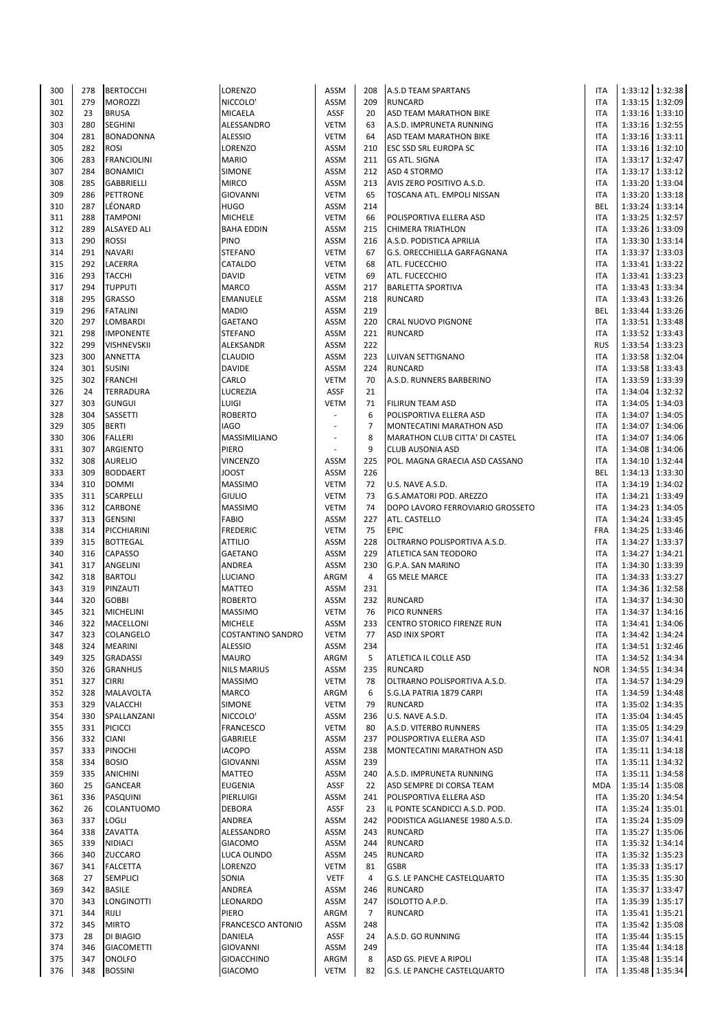| 300 | 278 | <b>BERTOCCHI</b>   | LORENZO             | <b>ASSM</b> | 208            | A.S.D TEAM SPARTANS                | <b>ITA</b> |                 | 1:33:12 1:32:38   |
|-----|-----|--------------------|---------------------|-------------|----------------|------------------------------------|------------|-----------------|-------------------|
| 301 | 279 | <b>MOROZZI</b>     | NICCOLO'            | <b>ASSM</b> | 209            | <b>RUNCARD</b>                     | <b>ITA</b> |                 | 1:33:15   1:32:09 |
| 302 | 23  | <b>BRUSA</b>       | MICAELA             | ASSF        | 20             | ASD TEAM MARATHON BIKE             | <b>ITA</b> |                 |                   |
|     |     |                    |                     |             |                |                                    |            |                 | 1:33:16 1:33:10   |
| 303 | 280 | <b>SEGHINI</b>     | ALESSANDRO          | <b>VETM</b> | 63             | A.S.D. IMPRUNETA RUNNING           | <b>ITA</b> |                 | 1:33:16   1:32:55 |
| 304 | 281 | <b>BONADONNA</b>   | <b>ALESSIO</b>      | <b>VETM</b> | 64             | ASD TEAM MARATHON BIKE             | ITA        |                 | 1:33:16 1:33:11   |
| 305 | 282 | <b>ROSI</b>        | LORENZO             | <b>ASSM</b> | 210            | <b>ESC SSD SRL EUROPA SC</b>       | <b>ITA</b> |                 | 1:33:16 1:32:10   |
| 306 | 283 | <b>FRANCIOLINI</b> | <b>MARIO</b>        | <b>ASSM</b> | 211            | <b>GS ATL. SIGNA</b>               | <b>ITA</b> |                 | 1:33:17 1:32:47   |
| 307 | 284 | <b>BONAMICI</b>    | <b>SIMONE</b>       | <b>ASSM</b> | 212            | ASD 4 STORMO                       | <b>ITA</b> |                 | 1:33:17 1:33:12   |
|     |     |                    |                     |             |                |                                    |            |                 |                   |
| 308 | 285 | <b>GABBRIELLI</b>  | <b>MIRCO</b>        | <b>ASSM</b> | 213            | AVIS ZERO POSITIVO A.S.D.          | <b>ITA</b> | 1:33:20 1:33:04 |                   |
| 309 | 286 | PETTRONE           | <b>GIOVANNI</b>     | <b>VETM</b> | 65             | TOSCANA ATL. EMPOLI NISSAN         | <b>ITA</b> |                 | 1:33:20 1:33:18   |
| 310 | 287 | LÉONARD            | <b>HUGO</b>         | <b>ASSM</b> | 214            |                                    | BEL        |                 | 1:33:24 1:33:14   |
| 311 | 288 | <b>TAMPONI</b>     | <b>MICHELE</b>      | <b>VETM</b> | 66             | POLISPORTIVA ELLERA ASD            | <b>ITA</b> |                 | 1:33:25   1:32:57 |
| 312 | 289 | <b>ALSAYED ALI</b> | <b>BAHA EDDIN</b>   | <b>ASSM</b> | 215            | <b>CHIMERA TRIATHLON</b>           | <b>ITA</b> |                 | 1:33:26 1:33:09   |
|     |     |                    |                     |             |                |                                    |            |                 |                   |
| 313 | 290 | <b>ROSSI</b>       | PINO                | <b>ASSM</b> | 216            | A.S.D. PODISTICA APRILIA           | <b>ITA</b> |                 | 1:33:30 1:33:14   |
| 314 | 291 | <b>NAVARI</b>      | <b>STEFANO</b>      | <b>VETM</b> | 67             | G.S. ORECCHIELLA GARFAGNANA        | <b>ITA</b> |                 | 1:33:37 1:33:03   |
| 315 | 292 | LACERRA            | CATALDO             | <b>VETM</b> | 68             | ATL. FUCECCHIO                     | <b>ITA</b> |                 | 1:33:41 1:33:22   |
| 316 | 293 | <b>TACCHI</b>      | <b>DAVID</b>        | <b>VETM</b> | 69             | ATL. FUCECCHIO                     | <b>ITA</b> |                 | 1:33:41 1:33:23   |
| 317 | 294 | <b>TUPPUTI</b>     | <b>MARCO</b>        | <b>ASSM</b> | 217            | <b>BARLETTA SPORTIVA</b>           | <b>ITA</b> |                 | 1:33:43 1:33:34   |
|     |     |                    |                     |             |                |                                    |            |                 |                   |
| 318 | 295 | <b>GRASSO</b>      | EMANUELE            | <b>ASSM</b> | 218            | <b>RUNCARD</b>                     | <b>ITA</b> |                 | 1:33:43 1:33:26   |
| 319 | 296 | <b>FATALINI</b>    | <b>MADIO</b>        | <b>ASSM</b> | 219            |                                    | <b>BEL</b> |                 | 1:33:44 1:33:26   |
| 320 | 297 | LOMBARDI           | <b>GAETANO</b>      | <b>ASSM</b> | 220            | <b>CRAL NUOVO PIGNONE</b>          | <b>ITA</b> |                 | 1:33:51 1:33:48   |
| 321 | 298 | <b>IMPONENTE</b>   | <b>STEFANO</b>      | <b>ASSM</b> | 221            | <b>RUNCARD</b>                     | <b>ITA</b> |                 | 1:33:52 1:33:43   |
| 322 | 299 | <b>VISHNEVSKII</b> | ALEKSANDR           | <b>ASSM</b> | 222            |                                    | <b>RUS</b> |                 | 1:33:54 1:33:23   |
|     |     |                    |                     |             |                |                                    |            |                 |                   |
| 323 | 300 | <b>ANNETTA</b>     | CLAUDIO             | <b>ASSM</b> | 223            | LUIVAN SETTIGNANO                  | <b>ITA</b> |                 | 1:33:58 1:32:04   |
| 324 | 301 | <b>SUSINI</b>      | <b>DAVIDE</b>       | <b>ASSM</b> | 224            | <b>RUNCARD</b>                     | <b>ITA</b> |                 | 1:33:58 1:33:43   |
| 325 | 302 | <b>FRANCHI</b>     | CARLO               | <b>VETM</b> | 70             | A.S.D. RUNNERS BARBERINO           | <b>ITA</b> |                 | 1:33:59 1:33:39   |
| 326 | 24  | <b>TERRADURA</b>   | LUCREZIA            | ASSF        | 21             |                                    | <b>ITA</b> |                 | 1:34:04 1:32:32   |
|     | 303 |                    | LUIGI               | <b>VETM</b> |                |                                    | <b>ITA</b> |                 |                   |
| 327 |     | <b>GUNGUI</b>      |                     |             | 71             | <b>FILIRUN TEAM ASD</b>            |            |                 | 1:34:05   1:34:03 |
| 328 | 304 | SASSETTI           | <b>ROBERTO</b>      |             | 6              | POLISPORTIVA ELLERA ASD            | ITA        |                 | 1:34:07 1:34:05   |
| 329 | 305 | <b>BERTI</b>       | <b>IAGO</b>         |             | $\overline{7}$ | MONTECATINI MARATHON ASD           | <b>ITA</b> |                 | 1:34:07 1:34:06   |
| 330 | 306 | <b>FALLERI</b>     | <b>MASSIMILIANO</b> |             | 8              | MARATHON CLUB CITTA' DI CASTEL     | <b>ITA</b> | 1:34:07         | 1:34:06           |
| 331 | 307 | ARGIENTO           | PIERO               |             | 9              | <b>CLUB AUSONIA ASD</b>            | <b>ITA</b> |                 | 1:34:08 1:34:06   |
| 332 | 308 |                    | <b>VINCENZO</b>     |             | 225            |                                    | <b>ITA</b> |                 | 1:34:10 1:32:44   |
|     |     | <b>AURELIO</b>     |                     | ASSM        |                | POL. MAGNA GRAECIA ASD CASSANO     |            |                 |                   |
| 333 | 309 | <b>BODDAERT</b>    | <b>JOOST</b>        | <b>ASSM</b> | 226            |                                    | BEL        |                 | 1:34:13 1:33:30   |
| 334 | 310 | <b>DOMMI</b>       | <b>MASSIMO</b>      | <b>VETM</b> | 72             | U.S. NAVE A.S.D.                   | <b>ITA</b> |                 | 1:34:19 1:34:02   |
| 335 | 311 | <b>SCARPELLI</b>   | <b>GIULIO</b>       | <b>VETM</b> | 73             | G.S.AMATORI POD. AREZZO            | ITA        |                 | 1:34:21   1:33:49 |
| 336 | 312 | CARBONE            | <b>MASSIMO</b>      | <b>VETM</b> | 74             | DOPO LAVORO FERROVIARIO GROSSETO   | <b>ITA</b> |                 | 1:34:23 1:34:05   |
|     |     |                    |                     |             |                |                                    |            |                 |                   |
| 337 | 313 | <b>GENSINI</b>     | <b>FABIO</b>        | <b>ASSM</b> | 227            | ATL. CASTELLO                      | <b>ITA</b> |                 | 1:34:24 1:33:45   |
| 338 | 314 | PICCHIARINI        | <b>FREDERIC</b>     | <b>VETM</b> | 75             | <b>EPIC</b>                        | FRA        |                 | 1:34:25   1:33:46 |
| 339 | 315 | <b>BOTTEGAL</b>    | <b>ATTILIO</b>      | <b>ASSM</b> | 228            | OLTRARNO POLISPORTIVA A.S.D.       | <b>ITA</b> | 1:34:27         | 1:33:37           |
| 340 | 316 | <b>CAPASSO</b>     | <b>GAETANO</b>      | <b>ASSM</b> | 229            | ATLETICA SAN TEODORO               | ITA        | 1:34:27         | 1:34:21           |
| 341 | 317 | ANGELINI           | ANDREA              | ASSM        | 230            | G.P.A. SAN MARINO                  | <b>ITA</b> |                 | 1:34:30 1:33:39   |
| 342 | 318 | <b>BARTOLI</b>     | LUCIANO             | ARGM        | 4              | <b>GS MELE MARCE</b>               | ITA        |                 | 1:34:33 1:33:27   |
|     |     |                    |                     |             |                |                                    |            |                 |                   |
| 343 | 319 | PINZAUTI           | <b>MATTEO</b>       | ASSM        | 231            |                                    | <b>ITA</b> |                 | 1:34:36 1:32:58   |
| 344 | 320 | <b>GOBBI</b>       | <b>ROBERTO</b>      | <b>ASSM</b> | 232            | <b>RUNCARD</b>                     | ITA        | 1:34:37         | 1:34:30           |
| 345 | 321 | <b>MICHELINI</b>   | <b>MASSIMO</b>      | <b>VETM</b> | 76             | PICO RUNNERS                       | <b>ITA</b> | 1:34:37         | 1:34:16           |
| 346 | 322 | MACELLONI          | <b>MICHELE</b>      | <b>ASSM</b> | 233            | CENTRO STORICO FIRENZE RUN         | <b>ITA</b> |                 | 1:34:41 1:34:06   |
| 347 | 323 | COLANGELO          | COSTANTINO SANDRO   | VETM        | 77             | ASD INIX SPORT                     | ITA        |                 | 1:34:42 1:34:24   |
|     |     |                    |                     |             |                |                                    |            |                 |                   |
| 348 | 324 | <b>MEARINI</b>     | <b>ALESSIO</b>      | ASSM        | 234            |                                    | <b>ITA</b> |                 | 1:34:51 1:32:46   |
| 349 | 325 | <b>GRADASSI</b>    | <b>MAURO</b>        | ARGM        | 5              | ATLETICA IL COLLE ASD              | <b>ITA</b> |                 | 1:34:52 1:34:34   |
| 350 | 326 | <b>GRANHUS</b>     | <b>NILS MARIUS</b>  | ASSM        | 235            | <b>RUNCARD</b>                     | <b>NOR</b> |                 | 1:34:55 1:34:34   |
| 351 | 327 | <b>CIRRI</b>       | <b>MASSIMO</b>      | <b>VETM</b> | 78             | OLTRARNO POLISPORTIVA A.S.D.       | <b>ITA</b> |                 | 1:34:57 1:34:29   |
| 352 | 328 | MALAVOLTA          | MARCO               | ARGM        | 6              | S.G.LA PATRIA 1879 CARPI           | <b>ITA</b> |                 | 1:34:59 1:34:48   |
|     | 329 |                    | <b>SIMONE</b>       | <b>VETM</b> | 79             | <b>RUNCARD</b>                     |            |                 |                   |
| 353 |     | <b>VALACCHI</b>    |                     |             |                |                                    | ITA        |                 | 1:35:02 1:34:35   |
| 354 | 330 | SPALLANZANI        | NICCOLO'            | ASSM        | 236            | U.S. NAVE A.S.D.                   | ITA        |                 | 1:35:04 1:34:45   |
| 355 | 331 | <b>PICICCI</b>     | FRANCESCO           | <b>VETM</b> | 80             | A.S.D. VITERBO RUNNERS             | <b>ITA</b> |                 | 1:35:05   1:34:29 |
| 356 | 332 | <b>CIANI</b>       | GABRIELE            | <b>ASSM</b> | 237            | POLISPORTIVA ELLERA ASD            | <b>ITA</b> | 1:35:07         | 1:34:41           |
| 357 | 333 | <b>PINOCHI</b>     | <b>IACOPO</b>       | ASSM        | 238            | MONTECATINI MARATHON ASD           | <b>ITA</b> |                 | 1:35:11 1:34:18   |
| 358 | 334 | <b>BOSIO</b>       | GIOVANNI            | <b>ASSM</b> | 239            |                                    | <b>ITA</b> |                 | 1:35:11 1:34:32   |
|     |     |                    |                     |             |                |                                    |            |                 |                   |
| 359 | 335 | <b>ANICHINI</b>    | MATTEO              | ASSM        | 240            | A.S.D. IMPRUNETA RUNNING           | ITA        |                 | 1:35:11 1:34:58   |
| 360 | 25  | <b>GANCEAR</b>     | <b>EUGENIA</b>      | ASSF        | 22             | ASD SEMPRE DI CORSA TEAM           | <b>MDA</b> |                 | 1:35:14 1:35:08   |
| 361 | 336 | PASQUINI           | PIERLUIGI           | ASSM        | 241            | POLISPORTIVA ELLERA ASD            | <b>ITA</b> |                 | 1:35:20 1:34:54   |
| 362 | 26  | COLANTUOMO         | <b>DEBORA</b>       | ASSF        | 23             | IL PONTE SCANDICCI A.S.D. POD.     | <b>ITA</b> |                 | 1:35:24   1:35:01 |
| 363 | 337 | <b>LOGLI</b>       | ANDREA              | <b>ASSM</b> | 242            | PODISTICA AGLIANESE 1980 A.S.D.    | <b>ITA</b> |                 | 1:35:24   1:35:09 |
|     | 338 |                    |                     |             | 243            |                                    | <b>ITA</b> |                 |                   |
| 364 |     | ZAVATTA            | ALESSANDRO          | ASSM        |                | <b>RUNCARD</b>                     |            |                 | 1:35:27 1:35:06   |
| 365 | 339 | <b>NIDIACI</b>     | <b>GIACOMO</b>      | ASSM        | 244            | <b>RUNCARD</b>                     | <b>ITA</b> |                 | 1:35:32 1:34:14   |
| 366 | 340 | <b>ZUCCARO</b>     | LUCA OLINDO         | ASSM        | 245            | <b>RUNCARD</b>                     | ITA        |                 | 1:35:32 1:35:23   |
| 367 | 341 | <b>FALCETTA</b>    | LORENZO             | <b>VETM</b> | 81             | <b>GSBR</b>                        | <b>ITA</b> |                 | 1:35:33 1:35:17   |
| 368 | 27  | <b>SEMPLICI</b>    | SONIA               | <b>VETF</b> | 4              | <b>G.S. LE PANCHE CASTELQUARTO</b> | <b>ITA</b> |                 | 1:35:35   1:35:30 |
| 369 | 342 | <b>BASILE</b>      | ANDREA              | ASSM        | 246            | <b>RUNCARD</b>                     | <b>ITA</b> |                 | 1:35:37 1:33:47   |
|     |     |                    |                     |             |                |                                    |            |                 |                   |
| 370 | 343 | <b>LONGINOTTI</b>  | LEONARDO            | ASSM        | 247            | ISOLOTTO A.P.D.                    | <b>ITA</b> |                 | 1:35:39 1:35:17   |
| 371 | 344 | RIJLI              | PIERO               | ARGM        | $\overline{7}$ | RUNCARD                            | <b>ITA</b> |                 | 1:35:41   1:35:21 |
| 372 | 345 | <b>MIRTO</b>       | FRANCESCO ANTONIO   | ASSM        | 248            |                                    | ITA        |                 | 1:35:42 1:35:08   |
| 373 | 28  | DI BIAGIO          | DANIELA             | ASSF        | 24             | A.S.D. GO RUNNING                  | ITA        |                 | 1:35:44 1:35:15   |
| 374 | 346 | <b>GIACOMETTI</b>  | <b>GIOVANNI</b>     | ASSM        | 249            |                                    | <b>ITA</b> |                 | 1:35:44 1:34:18   |
| 375 | 347 | <b>ONOLFO</b>      | <b>GIOACCHINO</b>   | ARGM        | 8              | ASD GS. PIEVE A RIPOLI             | <b>ITA</b> |                 | 1:35:48 1:35:14   |
|     |     |                    |                     |             |                |                                    |            |                 |                   |
| 376 | 348 | <b>BOSSINI</b>     | <b>GIACOMO</b>      | <b>VETM</b> | 82             | G.S. LE PANCHE CASTELQUARTO        | <b>ITA</b> |                 | 1:35:48 1:35:34   |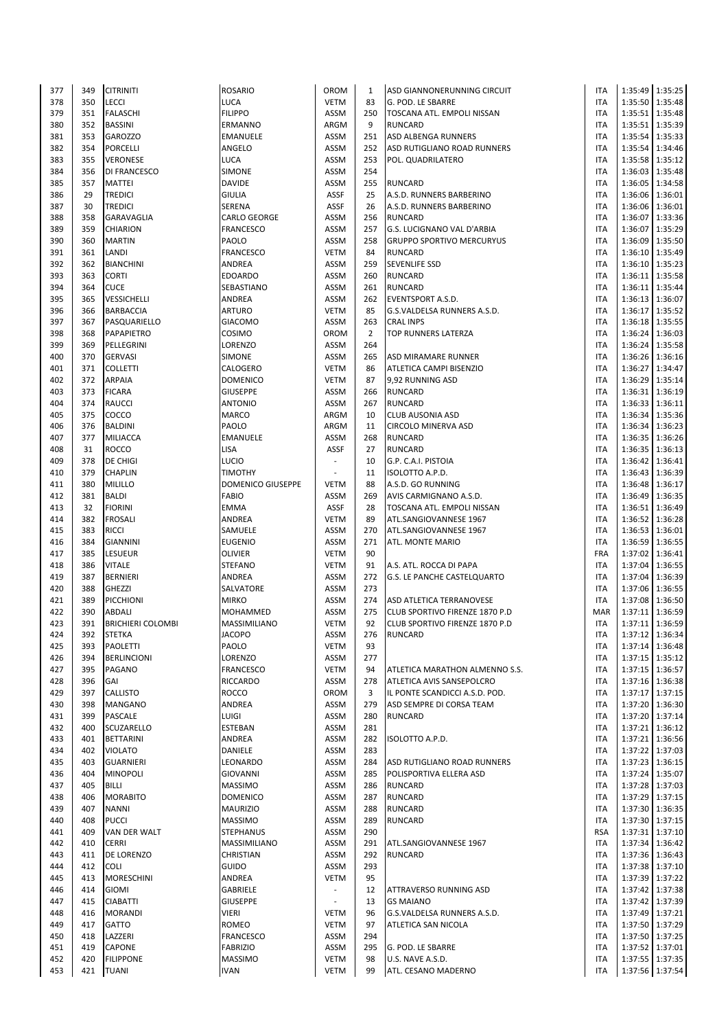| 377        | 349        | <b>CITRINITI</b>                 | <b>ROSARIO</b>                | OROM                       | 1              | ASD GIANNONERUNNING CIRCUIT             | <b>ITA</b>               | 1:35:49 1:35:25                      |         |
|------------|------------|----------------------------------|-------------------------------|----------------------------|----------------|-----------------------------------------|--------------------------|--------------------------------------|---------|
|            |            |                                  |                               |                            |                |                                         |                          |                                      |         |
| 378        | 350        | <b>LECCI</b>                     | LUCA                          | <b>VETM</b>                | 83             | G. POD. LE SBARRE                       | <b>ITA</b>               | 1:35:50 1:35:48                      |         |
| 379        | 351        | <b>FALASCHI</b>                  | <b>FILIPPO</b>                | <b>ASSM</b>                | 250            | TOSCANA ATL. EMPOLI NISSAN              | <b>ITA</b>               | 1:35:51   1:35:48                    |         |
| 380        | 352        | <b>BASSINI</b>                   | ERMANNO                       | ARGM                       | 9              | <b>RUNCARD</b>                          | <b>ITA</b>               | 1:35:51 1:35:39                      |         |
|            |            |                                  |                               |                            |                |                                         |                          |                                      |         |
| 381        | 353        | <b>GAROZZO</b>                   | EMANUELE                      | ASSM                       | 251            | ASD ALBENGA RUNNERS                     | <b>ITA</b>               | 1:35:54 1:35:33                      |         |
| 382        | 354        | <b>PORCELLI</b>                  | ANGELO                        | <b>ASSM</b>                | 252            | ASD RUTIGLIANO ROAD RUNNERS             | <b>ITA</b>               | 1:35:54 1:34:46                      |         |
| 383        | 355        | <b>VERONESE</b>                  | LUCA                          | <b>ASSM</b>                | 253            | POL. QUADRILATERO                       | <b>ITA</b>               | 1:35:58                              | 1:35:12 |
| 384        | 356        | <b>DI FRANCESCO</b>              | <b>SIMONE</b>                 | <b>ASSM</b>                | 254            |                                         | <b>ITA</b>               | 1:36:03 1:35:48                      |         |
|            |            |                                  |                               |                            |                |                                         |                          |                                      |         |
| 385        | 357        | <b>MATTEI</b>                    | <b>DAVIDE</b>                 | <b>ASSM</b>                | 255            | <b>RUNCARD</b>                          | <b>ITA</b>               | 1:36:05   1:34:58                    |         |
| 386        | 29         | <b>TREDICI</b>                   | <b>GIULIA</b>                 | ASSF                       | 25             | A.S.D. RUNNERS BARBERINO                | <b>ITA</b>               | 1:36:06 1:36:01                      |         |
| 387        | 30         | <b>TREDICI</b>                   | <b>SERENA</b>                 | ASSF                       | 26             | A.S.D. RUNNERS BARBERINO                | <b>ITA</b>               | 1:36:06 1:36:01                      |         |
|            |            |                                  |                               |                            |                |                                         |                          |                                      |         |
| 388        | 358        | <b>GARAVAGLIA</b>                | CARLO GEORGE                  | ASSM                       | 256            | <b>RUNCARD</b>                          | <b>ITA</b>               | 1:36:07 1:33:36                      |         |
| 389        | 359        | <b>CHIARION</b>                  | FRANCESCO                     | <b>ASSM</b>                | 257            | G.S. LUCIGNANO VAL D'ARBIA              | <b>ITA</b>               | 1:36:07 1:35:29                      |         |
| 390        | 360        | <b>MARTIN</b>                    | PAOLO                         | <b>ASSM</b>                | 258            | <b>GRUPPO SPORTIVO MERCURYUS</b>        | <b>ITA</b>               | 1:36:09 1:35:50                      |         |
|            |            |                                  |                               |                            |                |                                         |                          |                                      |         |
| 391        | 361        | LANDI                            | FRANCESCO                     | <b>VETM</b>                | 84             | <b>RUNCARD</b>                          | <b>ITA</b>               | 1:36:10 1:35:49                      |         |
| 392        | 362        | <b>BIANCHINI</b>                 | ANDREA                        | <b>ASSM</b>                | 259            | <b>SEVENLIFE SSD</b>                    | <b>ITA</b>               | 1:36:10 1:35:23                      |         |
| 393        | 363        | <b>CORTI</b>                     | <b>EDOARDO</b>                | <b>ASSM</b>                | 260            | <b>RUNCARD</b>                          | <b>ITA</b>               | 1:36:11 1:35:58                      |         |
|            |            |                                  |                               |                            |                |                                         |                          |                                      |         |
| 394        | 364        | <b>CUCE</b>                      | SEBASTIANO                    | <b>ASSM</b>                | 261            | <b>RUNCARD</b>                          | <b>ITA</b>               | 1:36:11 1:35:44                      |         |
| 395        | 365        | VESSICHELLI                      | ANDREA                        | <b>ASSM</b>                | 262            | <b>EVENTSPORT A.S.D.</b>                | <b>ITA</b>               | 1:36:13 1:36:07                      |         |
| 396        | 366        | <b>BARBACCIA</b>                 | <b>ARTURO</b>                 | <b>VETM</b>                | 85             | G.S.VALDELSA RUNNERS A.S.D.             | <b>ITA</b>               | 1:36:17 1:35:52                      |         |
|            |            |                                  |                               |                            |                |                                         |                          |                                      |         |
| 397        | 367        | PASQUARIELLO                     | <b>GIACOMO</b>                | <b>ASSM</b>                | 263            | <b>CRAL INPS</b>                        | <b>ITA</b>               | 1:36:18   1:35:55                    |         |
| 398        | 368        | PAPAPIETRO                       | COSIMO                        | OROM                       | $\overline{2}$ | TOP RUNNERS LATERZA                     | <b>ITA</b>               | 1:36:24 1:36:03                      |         |
| 399        | 369        | PELLEGRINI                       | LORENZO                       | <b>ASSM</b>                | 264            |                                         | <b>ITA</b>               | 1:36:24   1:35:58                    |         |
| 400        | 370        | <b>GERVASI</b>                   | <b>SIMONE</b>                 | <b>ASSM</b>                | 265            |                                         | <b>ITA</b>               | 1:36:26 1:36:16                      |         |
|            |            |                                  |                               |                            |                | ASD MIRAMARE RUNNER                     |                          |                                      |         |
| 401        | 371        | <b>COLLETTI</b>                  | CALOGERO                      | <b>VETM</b>                | 86             | ATLETICA CAMPI BISENZIO                 | <b>ITA</b>               | 1:36:27 1:34:47                      |         |
| 402        | 372        | <b>ARPAIA</b>                    | <b>DOMENICO</b>               | <b>VETM</b>                | 87             | 9,92 RUNNING ASD                        | <b>ITA</b>               | 1:36:29                              | 1:35:14 |
| 403        | 373        | <b>FICARA</b>                    | <b>GIUSEPPE</b>               | <b>ASSM</b>                | 266            | <b>RUNCARD</b>                          | <b>ITA</b>               | 1:36:31 1:36:19                      |         |
|            |            |                                  |                               |                            |                |                                         |                          |                                      |         |
| 404        | 374        | <b>RAUCCI</b>                    | <b>ANTONIO</b>                | <b>ASSM</b>                | 267            | <b>RUNCARD</b>                          | <b>ITA</b>               | 1:36:33 1:36:11                      |         |
| 405        | 375        | COCCO                            | <b>MARCO</b>                  | ARGM                       | 10             | <b>CLUB AUSONIA ASD</b>                 | <b>ITA</b>               | 1:36:34 1:35:36                      |         |
| 406        | 376        | <b>BALDINI</b>                   | PAOLO                         | ARGM                       | 11             | CIRCOLO MINERVA ASD                     | <b>ITA</b>               | 1:36:34 1:36:23                      |         |
|            |            |                                  |                               |                            |                |                                         |                          |                                      |         |
| 407        | 377        | <b>MILIACCA</b>                  | EMANUELE                      | <b>ASSM</b>                | 268            | <b>RUNCARD</b>                          | <b>ITA</b>               | 1:36:35   1:36:26                    |         |
| 408        | 31         | <b>ROCCO</b>                     | LISA                          | ASSF                       | 27             | <b>RUNCARD</b>                          | <b>ITA</b>               | 1:36:35   1:36:13                    |         |
| 409        | 378        | <b>DE CHIGI</b>                  | LUCIO                         | $\overline{\phantom{a}}$   | 10             | G.P. C.A.I. PISTOIA                     | <b>ITA</b>               | 1:36:42                              | 1:36:41 |
|            |            |                                  |                               |                            |                |                                         |                          |                                      |         |
| 410        | 379        | <b>CHAPLIN</b>                   | TIMOTHY                       | $\overline{\phantom{a}}$   | 11             | ISOLOTTO A.P.D.                         | <b>ITA</b>               | 1:36:43 1:36:39                      |         |
| 411        | 380        | <b>MILILLO</b>                   | <b>DOMENICO GIUSEPPE</b>      | <b>VETM</b>                | 88             | A.S.D. GO RUNNING                       | <b>ITA</b>               | 1:36:48 1:36:17                      |         |
| 412        | 381        | <b>BALDI</b>                     | <b>FABIO</b>                  | ASSM                       | 269            | AVIS CARMIGNANO A.S.D.                  | <b>ITA</b>               | 1:36:49 1:36:35                      |         |
|            |            |                                  |                               |                            |                |                                         |                          |                                      |         |
| 413        | 32         | <b>FIORINI</b>                   | <b>EMMA</b>                   | ASSF                       | 28             | TOSCANA ATL. EMPOLI NISSAN              | <b>ITA</b>               | 1:36:51 1:36:49                      |         |
| 414        | 382        | <b>FROSALI</b>                   | ANDREA                        | <b>VETM</b>                | 89             | ATL.SANGIOVANNESE 1967                  | <b>ITA</b>               | 1:36:52                              | 1:36:28 |
| 415        | 383        | <b>RICCI</b>                     | SAMUELE                       | <b>ASSM</b>                | 270            | ATL.SANGIOVANNESE 1967                  | <b>ITA</b>               | 1:36:53 1:36:01                      |         |
|            |            |                                  |                               |                            |                |                                         |                          |                                      |         |
| 416        | 384        | <b>GIANNINI</b>                  | <b>EUGENIO</b>                | <b>ASSM</b>                | 271            | ATL. MONTE MARIO                        | <b>ITA</b>               | 1:36:59 1:36:55                      |         |
| 417        | 385        | LESUEUR                          | OLIVIER                       | <b>VETM</b>                | 90             |                                         | <b>FRA</b>               | 1:37:02 1:36:41                      |         |
| 418        | 386        | <b>VITALE</b>                    | <b>STEFANO</b>                | <b>VETM</b>                | 91             | A.S. ATL. ROCCA DI PAPA                 | <b>ITA</b>               | 1:37:04 1:36:55                      |         |
|            |            |                                  |                               |                            |                |                                         |                          |                                      |         |
| 419        | 387        | <b>BERNIERI</b>                  | ANDREA                        | <b>ASSM</b>                | 272            | G.S. LE PANCHE CASTELQUARTO             | <b>ITA</b>               | 1:37:04 1:36:39                      |         |
| 420        | 388        | <b>GHEZZI</b>                    | SALVATORE                     | <b>ASSM</b>                | 273            |                                         | <b>ITA</b>               | 1:37:06 1:36:55                      |         |
| 421        | 389        | PICCHIONI                        | <b>MIRKO</b>                  | <b>ASSM</b>                | 274            | ASD ATLETICA TERRANOVESE                | <b>ITA</b>               | 1:37:08   1:36:50                    |         |
| 422        | 390        | <b>ABDALI</b>                    |                               | <b>ASSM</b>                | 275            | CLUB SPORTIVO FIRENZE 1870 P.D          | MAR                      | 1:37:11 1:36:59                      |         |
|            |            |                                  | MOHAMMED                      |                            |                |                                         |                          |                                      |         |
| 423        | 391        | <b>BRICHIERI COLOMBI</b>         | MASSIMILIANO                  | <b>VETM</b>                | 92             | CLUB SPORTIVO FIRENZE 1870 P.D          | <b>ITA</b>               | 1:37:11 1:36:59                      |         |
| 424        | 392        | <b>STETKA</b>                    | JACOPO                        | ASSM                       | 276            | RUNCARD                                 | <b>ITA</b>               | 1:37:12 1:36:34                      |         |
| 425        | 393        | <b>PAOLETTI</b>                  | PAOLO                         | <b>VETM</b>                | 93             |                                         | <b>ITA</b>               | 1:37:14 1:36:48                      |         |
|            |            |                                  |                               |                            |                |                                         |                          |                                      |         |
| 426        | 394        | <b>BERLINCIONI</b>               | LORENZO                       | ASSM                       | 277            |                                         | <b>ITA</b>               | 1:37:15 1:35:12                      |         |
| 427        | 395        | PAGANO                           | <b>FRANCESCO</b>              | <b>VETM</b>                | 94             | ATLETICA MARATHON ALMENNO S.S.          | <b>ITA</b>               | 1:37:15   1:36:57                    |         |
| 428        | 396        | GAI                              | RICCARDO                      | ASSM                       | 278            | ATLETICA AVIS SANSEPOLCRO               | <b>ITA</b>               | 1:37:16 1:36:38                      |         |
|            |            |                                  |                               |                            |                |                                         |                          |                                      |         |
| 429        | 397        | <b>CALLISTO</b>                  | ROCCO                         | OROM                       | 3              | IL PONTE SCANDICCI A.S.D. POD.          | <b>ITA</b>               | 1:37:17 1:37:15                      |         |
| 430        | 398        | <b>MANGANO</b>                   | ANDREA                        | ASSM                       | 279            | ASD SEMPRE DI CORSA TEAM                | <b>ITA</b>               | 1:37:20 1:36:30                      |         |
| 431        | 399        | <b>PASCALE</b>                   | LUIGI                         | ASSM                       | 280            | <b>RUNCARD</b>                          | <b>ITA</b>               | 1:37:20 1:37:14                      |         |
|            |            |                                  |                               |                            |                |                                         |                          |                                      |         |
| 432        | 400        | <b>SCUZARELLO</b>                | ESTEBAN                       | ASSM                       | 281            |                                         | <b>ITA</b>               | 1:37:21 1:36:12                      |         |
| 433        | 401        | <b>BETTARINI</b>                 | ANDREA                        | ASSM                       | 282            | ISOLOTTO A.P.D.                         | <b>ITA</b>               | 1:37:21   1:36:56                    |         |
| 434        | 402        | <b>VIOLATO</b>                   | DANIELE                       | ASSM                       | 283            |                                         | <b>ITA</b>               | 1:37:22 1:37:03                      |         |
| 435        | 403        | <b>GUARNIERI</b>                 | LEONARDO                      | ASSM                       | 284            | ASD RUTIGLIANO ROAD RUNNERS             | <b>ITA</b>               | 1:37:23 1:36:15                      |         |
|            |            |                                  |                               |                            |                |                                         |                          |                                      |         |
| 436        | 404        | <b>MINOPOLI</b>                  | <b>GIOVANNI</b>               | ASSM                       | 285            | POLISPORTIVA ELLERA ASD                 | <b>ITA</b>               | 1:37:24 1:35:07                      |         |
| 437        | 405        | <b>BILLI</b>                     | <b>MASSIMO</b>                | ASSM                       | 286            | <b>RUNCARD</b>                          | <b>ITA</b>               | 1:37:28 1:37:03                      |         |
| 438        |            |                                  |                               |                            |                |                                         | <b>ITA</b>               | 1:37:29 1:37:15                      |         |
|            |            |                                  |                               |                            |                |                                         |                          |                                      |         |
| 439        | 406        | <b>MORABITO</b>                  | <b>DOMENICO</b>               | ASSM                       | 287            | <b>RUNCARD</b>                          |                          |                                      |         |
| 440        | 407        | <b>NANNI</b>                     | <b>MAURIZIO</b>               | ASSM                       | 288            | <b>RUNCARD</b>                          | <b>ITA</b>               | 1:37:30 1:36:35                      |         |
|            | 408        | <b>PUCCI</b>                     | <b>MASSIMO</b>                | ASSM                       | 289            | <b>RUNCARD</b>                          | <b>ITA</b>               | 1:37:30 1:37:15                      |         |
|            |            |                                  |                               |                            |                |                                         |                          |                                      |         |
| 441        | 409        | VAN DER WALT                     | <b>STEPHANUS</b>              | ASSM                       | 290            |                                         | <b>RSA</b>               | 1:37:31 1:37:10                      |         |
| 442        | 410        | <b>CERRI</b>                     | MASSIMILIANO                  | ASSM                       | 291            | ATL.SANGIOVANNESE 1967                  | <b>ITA</b>               | 1:37:34 1:36:42                      |         |
| 443        | 411        | DE LORENZO                       | CHRISTIAN                     | ASSM                       | 292            | <b>RUNCARD</b>                          | <b>ITA</b>               | 1:37:36 1:36:43                      |         |
|            |            |                                  |                               |                            |                |                                         |                          |                                      |         |
| 444        | 412        | <b>COLI</b>                      | GUIDO                         | ASSM                       | 293            |                                         | <b>ITA</b>               | 1:37:38 1:37:10                      |         |
| 445        | 413        | <b>MORESCHINI</b>                | ANDREA                        | <b>VETM</b>                | 95             |                                         | <b>ITA</b>               | 1:37:39 1:37:22                      |         |
| 446        | 414        | <b>GIOMI</b>                     | GABRIELE                      | $\overline{\phantom{a}}$   | 12             | ATTRAVERSO RUNNING ASD                  | <b>ITA</b>               | 1:37:42 1:37:38                      |         |
| 447        | 415        |                                  |                               | $\overline{\phantom{a}}$   |                | <b>GS MAIANO</b>                        | <b>ITA</b>               |                                      |         |
|            |            | <b>CIABATTI</b>                  | <b>GIUSEPPE</b>               |                            | 13             |                                         |                          | 1:37:42 1:37:39                      |         |
| 448        | 416        | <b>MORANDI</b>                   | VIERI                         | <b>VETM</b>                | 96             | G.S.VALDELSA RUNNERS A.S.D.             | <b>ITA</b>               | 1:37:49 1:37:21                      |         |
| 449        | 417        | <b>GATTO</b>                     | ROMEO                         | <b>VETM</b>                | 97             | ATLETICA SAN NICOLA                     | <b>ITA</b>               | 1:37:50 1:37:29                      |         |
| 450        | 418        | LAZZERI                          | FRANCESCO                     | ASSM                       | 294            |                                         | <b>ITA</b>               | 1:37:50 1:37:25                      |         |
|            |            |                                  |                               |                            |                |                                         |                          |                                      |         |
| 451        | 419        | <b>CAPONE</b>                    | <b>FABRIZIO</b>               | ASSM                       | 295            | G. POD. LE SBARRE                       | <b>ITA</b>               | 1:37:52 1:37:01                      |         |
| 452<br>453 | 420<br>421 | <b>FILIPPONE</b><br><b>TUANI</b> | <b>MASSIMO</b><br><b>IVAN</b> | <b>VETM</b><br><b>VETM</b> | 98<br>99       | U.S. NAVE A.S.D.<br>ATL. CESANO MADERNO | <b>ITA</b><br><b>ITA</b> | 1:37:55   1:37:35<br>1:37:56 1:37:54 |         |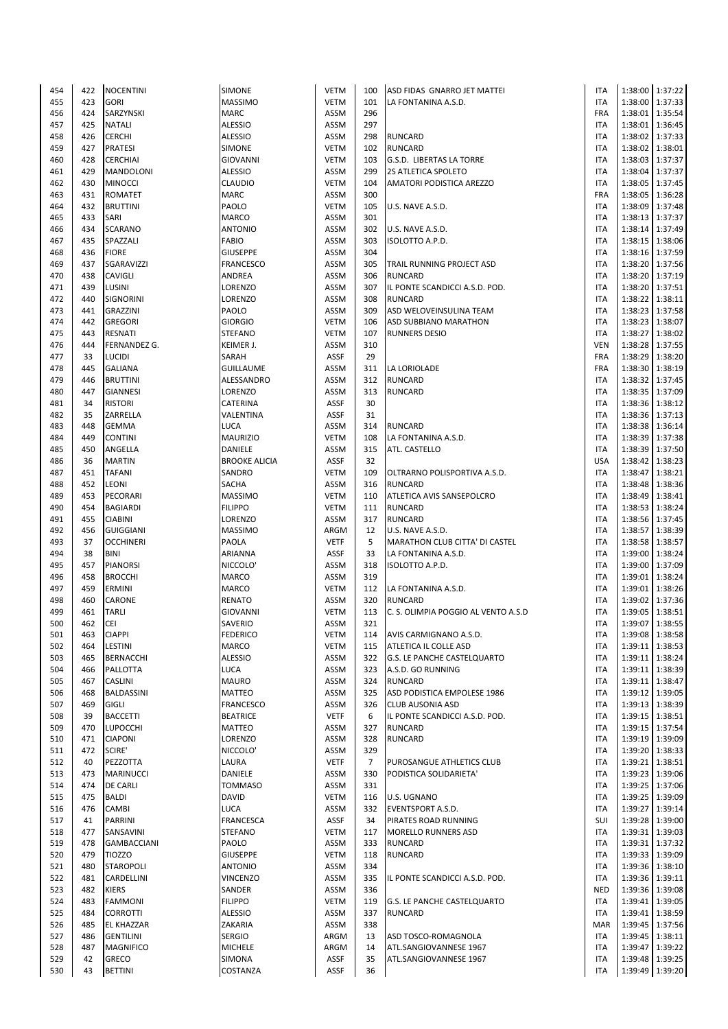| 454 | 422 | <b>NOCENTINI</b>   | <b>SIMONE</b>        | <b>VETM</b> | 100            | ASD FIDAS GNARRO JET MATTEI         | <b>ITA</b> |         | 1:38:00 1:37:22   |
|-----|-----|--------------------|----------------------|-------------|----------------|-------------------------------------|------------|---------|-------------------|
| 455 | 423 | <b>GORI</b>        | <b>MASSIMO</b>       | <b>VETM</b> | 101            | LA FONTANINA A.S.D.                 | <b>ITA</b> |         | 1:38:00 1:37:33   |
| 456 | 424 | SARZYNSKI          | <b>MARC</b>          | ASSM        | 296            |                                     | FRA        |         | 1:38:01 1:35:54   |
| 457 | 425 | <b>NATALI</b>      | <b>ALESSIO</b>       | ASSM        | 297            |                                     | <b>ITA</b> |         | 1:38:01 1:36:45   |
| 458 | 426 | <b>CERCHI</b>      | <b>ALESSIO</b>       | ASSM        | 298            | <b>RUNCARD</b>                      | <b>ITA</b> |         | 1:38:02 1:37:33   |
|     |     |                    |                      |             |                |                                     |            |         |                   |
| 459 | 427 | <b>PRATESI</b>     | SIMONE               | <b>VETM</b> | 102            | <b>RUNCARD</b>                      | <b>ITA</b> |         | 1:38:02 1:38:01   |
| 460 | 428 | <b>CERCHIAI</b>    | <b>GIOVANNI</b>      | <b>VETM</b> | 103            | G.S.D. LIBERTAS LA TORRE            | <b>ITA</b> |         | 1:38:03 1:37:37   |
| 461 | 429 | <b>MANDOLONI</b>   | <b>ALESSIO</b>       | ASSM        | 299            | 2S ATLETICA SPOLETO                 | <b>ITA</b> |         | 1:38:04 1:37:37   |
| 462 | 430 | <b>MINOCCI</b>     | CLAUDIO              | <b>VETM</b> | 104            | AMATORI PODISTICA AREZZO            | <b>ITA</b> |         | 1:38:05   1:37:45 |
| 463 | 431 | <b>ROMATET</b>     | <b>MARC</b>          | ASSM        | 300            |                                     | FRA        |         | 1:38:05 1:36:28   |
| 464 | 432 | <b>BRUTTINI</b>    | PAOLO                | <b>VETM</b> | 105            | U.S. NAVE A.S.D.                    | <b>ITA</b> |         | 1:38:09 1:37:48   |
| 465 | 433 | SARI               | <b>MARCO</b>         | ASSM        | 301            |                                     | <b>ITA</b> |         | 1:38:13 1:37:37   |
| 466 | 434 | <b>SCARANO</b>     | <b>ANTONIO</b>       | ASSM        | 302            | U.S. NAVE A.S.D.                    | <b>ITA</b> |         | 1:38:14 1:37:49   |
| 467 | 435 | SPAZZALI           | <b>FABIO</b>         | <b>ASSM</b> | 303            | ISOLOTTO A.P.D.                     | <b>ITA</b> |         | 1:38:15   1:38:06 |
|     |     |                    |                      |             | 304            |                                     |            |         |                   |
| 468 | 436 | <b>FIORE</b>       | <b>GIUSEPPE</b>      | ASSM        |                |                                     | <b>ITA</b> |         | 1:38:16 1:37:59   |
| 469 | 437 | SGARAVIZZI         | <b>FRANCESCO</b>     | ASSM        | 305            | TRAIL RUNNING PROJECT ASD           | <b>ITA</b> |         | 1:38:20 1:37:56   |
| 470 | 438 | CAVIGLI            | ANDREA               | ASSM        | 306            | <b>RUNCARD</b>                      | <b>ITA</b> |         | 1:38:20 1:37:19   |
| 471 | 439 | LUSINI             | LORENZO              | ASSM        | 307            | IL PONTE SCANDICCI A.S.D. POD.      | <b>ITA</b> |         | 1:38:20 1:37:51   |
| 472 | 440 | SIGNORINI          | LORENZO              | ASSM        | 308            | <b>RUNCARD</b>                      | <b>ITA</b> |         | 1:38:22 1:38:11   |
| 473 | 441 | <b>GRAZZINI</b>    | PAOLO                | ASSM        | 309            | ASD WELOVEINSULINA TEAM             | <b>ITA</b> |         | 1:38:23 1:37:58   |
| 474 | 442 | <b>GREGORI</b>     | <b>GIORGIO</b>       | <b>VETM</b> | 106            | ASD SUBBIANO MARATHON               | <b>ITA</b> |         | 1:38:23 1:38:07   |
| 475 | 443 | RESNATI            | <b>STEFANO</b>       | <b>VETM</b> | 107            | <b>RUNNERS DESIO</b>                | <b>ITA</b> |         | 1:38:27 1:38:02   |
| 476 | 444 | FERNANDEZ G.       | KEIMER J.            | ASSM        | 310            |                                     | <b>VEN</b> |         | 1:38:28   1:37:55 |
|     | 33  |                    |                      | ASSF        | 29             |                                     | <b>FRA</b> |         |                   |
| 477 |     | <b>LUCIDI</b>      | SARAH                |             |                |                                     |            |         | 1:38:29 1:38:20   |
| 478 | 445 | <b>GALIANA</b>     | <b>GUILLAUME</b>     | ASSM        | 311            | LA LORIOLADE                        | FRA        |         | 1:38:30 1:38:19   |
| 479 | 446 | <b>BRUTTINI</b>    | ALESSANDRO           | ASSM        | 312            | <b>RUNCARD</b>                      | <b>ITA</b> |         | 1:38:32 1:37:45   |
| 480 | 447 | <b>GIANNESI</b>    | LORENZO              | ASSM        | 313            | <b>RUNCARD</b>                      | <b>ITA</b> |         | 1:38:35   1:37:09 |
| 481 | 34  | <b>RISTORI</b>     | CATERINA             | ASSF        | 30             |                                     | <b>ITA</b> |         | 1:38:36 1:38:12   |
| 482 | 35  | ZARRELLA           | VALENTINA            | ASSF        | 31             |                                     | <b>ITA</b> |         | 1:38:36 1:37:13   |
| 483 | 448 | <b>GEMMA</b>       | <b>LUCA</b>          | ASSM        | 314            | <b>RUNCARD</b>                      | <b>ITA</b> |         | 1:38:38 1:36:14   |
| 484 | 449 | <b>CONTINI</b>     | <b>MAURIZIO</b>      | <b>VETM</b> | 108            | LA FONTANINA A.S.D.                 | <b>ITA</b> |         | 1:38:39 1:37:38   |
| 485 | 450 | ANGELLA            | DANIELE              | ASSM        | 315            | ATL. CASTELLO                       | <b>ITA</b> |         | 1:38:39 1:37:50   |
| 486 | 36  | <b>MARTIN</b>      | <b>BROOKE ALICIA</b> | ASSF        | 32             |                                     | <b>USA</b> |         | 1:38:42 1:38:23   |
|     | 451 |                    |                      | <b>VETM</b> | 109            |                                     | <b>ITA</b> |         |                   |
| 487 |     | <b>TAFANI</b>      | SANDRO               |             |                | OLTRARNO POLISPORTIVA A.S.D.        |            |         | 1:38:47 1:38:21   |
| 488 | 452 | LEONI              | SACHA                | ASSM        | 316            | <b>RUNCARD</b>                      | <b>ITA</b> |         | 1:38:48 1:38:36   |
| 489 | 453 | PECORARI           | <b>MASSIMO</b>       | <b>VETM</b> | 110            | ATLETICA AVIS SANSEPOLCRO           | <b>ITA</b> |         | 1:38:49 1:38:41   |
| 490 | 454 | <b>BAGIARDI</b>    | <b>FILIPPO</b>       | <b>VETM</b> | 111            | <b>RUNCARD</b>                      | <b>ITA</b> |         | 1:38:53 1:38:24   |
| 491 | 455 | <b>CIABINI</b>     | LORENZO              | ASSM        | 317            | <b>RUNCARD</b>                      | <b>ITA</b> |         | 1:38:56 1:37:45   |
| 492 | 456 | <b>GUIGGIANI</b>   | <b>MASSIMO</b>       | ARGM        | 12             | U.S. NAVE A.S.D.                    | <b>ITA</b> |         | 1:38:57 1:38:39   |
| 493 | 37  | <b>OCCHINERI</b>   | PAOLA                | <b>VETF</b> | 5              | MARATHON CLUB CITTA' DI CASTEL      | <b>ITA</b> |         | 1:38:58 1:38:57   |
| 494 | 38  | <b>BINI</b>        | ARIANNA              | ASSF        | 33             | LA FONTANINA A.S.D.                 | <b>ITA</b> |         | 1:39:00 1:38:24   |
| 495 | 457 | <b>PIANORSI</b>    | NICCOLO'             | ASSM        | 318            | ISOLOTTO A.P.D.                     | <b>ITA</b> |         | 1:39:00 1:37:09   |
| 496 | 458 | <b>BROCCHI</b>     | MARCO                | ASSM        | 319            |                                     | ITA        |         | 1:39:01 1:38:24   |
|     |     |                    |                      |             |                |                                     |            |         |                   |
| 497 | 459 | ERMINI             | <b>MARCO</b>         | <b>VETM</b> | 112            | LA FONTANINA A.S.D.                 | <b>ITA</b> |         | 1:39:01 1:38:26   |
| 498 | 460 | CARONE             | <b>RENATO</b>        | <b>ASSM</b> | 320            | <b>RUNCARD</b>                      | <b>ITA</b> |         | 1:39:02 1:37:36   |
| 499 | 461 | <b>TARLI</b>       | <b>GIOVANNI</b>      | <b>VETM</b> | 113            | C. S. OLIMPIA POGGIO AL VENTO A.S.D | <b>ITA</b> |         | 1:39:05 1:38:51   |
| 500 | 462 | CEI                | SAVERIO              | ASSM        | 321            |                                     | <b>ITA</b> |         | 1:39:07 1:38:55   |
| 501 | 463 | <b>CIAPPI</b>      | <b>FEDERICO</b>      | <b>VETM</b> | 114            | AVIS CARMIGNANO A.S.D.              | <b>ITA</b> |         | 1:39:08 1:38:58   |
| 502 | 464 | LESTINI            | MARCO                | <b>VETM</b> | 115            | ATLETICA IL COLLE ASD               | <b>ITA</b> |         | 1:39:11 1:38:53   |
| 503 | 465 | <b>BERNACCHI</b>   | <b>ALESSIO</b>       | ASSM        | 322            | G.S. LE PANCHE CASTELQUARTO         | <b>ITA</b> |         | 1:39:11 1:38:24   |
| 504 | 466 | PALLOTTA           | LUCA                 | ASSM        | 323            | A.S.D. GO RUNNING                   | <b>ITA</b> |         | 1:39:11 1:38:39   |
| 505 | 467 | CASLINI            | <b>MAURO</b>         | ASSM        | 324            | RUNCARD                             | <b>ITA</b> | 1:39:11 | 1:38:47           |
|     | 468 | BALDASSINI         | MATTEO               |             | 325            |                                     | <b>ITA</b> |         | 1:39:12 1:39:05   |
| 506 |     |                    |                      | ASSM        |                | ASD PODISTICA EMPOLESE 1986         |            |         |                   |
| 507 | 469 | <b>GIGLI</b>       | <b>FRANCESCO</b>     | ASSM        | 326            | <b>CLUB AUSONIA ASD</b>             | <b>ITA</b> |         | 1:39:13 1:38:39   |
| 508 | 39  | <b>BACCETTI</b>    | <b>BEATRICE</b>      | <b>VETF</b> | 6              | IL PONTE SCANDICCI A.S.D. POD.      | <b>ITA</b> |         | 1:39:15 1:38:51   |
| 509 | 470 | <b>LUPOCCHI</b>    | <b>MATTEO</b>        | ASSM        | 327            | <b>RUNCARD</b>                      | <b>ITA</b> |         | 1:39:15 1:37:54   |
| 510 | 471 | <b>CIAPONI</b>     | LORENZO              | ASSM        | 328            | RUNCARD                             | <b>ITA</b> |         | 1:39:19 1:39:09   |
| 511 | 472 | SCIRE'             | NICCOLO'             | ASSM        | 329            |                                     | <b>ITA</b> |         | 1:39:20 1:38:33   |
| 512 | 40  | PEZZOTTA           | LAURA                | <b>VETF</b> | $\overline{7}$ | PUROSANGUE ATHLETICS CLUB           | <b>ITA</b> |         | 1:39:21   1:38:51 |
| 513 | 473 | <b>MARINUCCI</b>   | DANIELE              | ASSM        | 330            | PODISTICA SOLIDARIETA'              | <b>ITA</b> |         | 1:39:23 1:39:06   |
| 514 | 474 | <b>DE CARLI</b>    | <b>TOMMASO</b>       | ASSM        | 331            |                                     | <b>ITA</b> |         | 1:39:25 1:37:06   |
| 515 | 475 | BALDI              | DAVID                | <b>VETM</b> | 116            | U.S. UGNANO                         | <b>ITA</b> |         | 1:39:25 1:39:09   |
| 516 | 476 | CAMBI              | LUCA                 | ASSM        | 332            | <b>EVENTSPORT A.S.D.</b>            | <b>ITA</b> |         | 1:39:27 1:39:14   |
|     |     |                    |                      |             |                |                                     |            |         |                   |
| 517 | 41  | PARRINI            | <b>FRANCESCA</b>     | <b>ASSF</b> | 34             | PIRATES ROAD RUNNING                | SUI        |         | 1:39:28 1:39:00   |
| 518 | 477 | SANSAVINI          | STEFANO              | <b>VETM</b> | 117            | MORELLO RUNNERS ASD                 | <b>ITA</b> |         | 1:39:31 1:39:03   |
| 519 | 478 | <b>GAMBACCIANI</b> | PAOLO                | ASSM        | 333            | <b>RUNCARD</b>                      | <b>ITA</b> |         | 1:39:31 1:37:32   |
| 520 | 479 | <b>TIOZZO</b>      | <b>GIUSEPPE</b>      | <b>VETM</b> | 118            | <b>RUNCARD</b>                      | <b>ITA</b> |         | 1:39:33 1:39:09   |
| 521 | 480 | <b>STAROPOLI</b>   | <b>ANTONIO</b>       | ASSM        | 334            |                                     | <b>ITA</b> |         | 1:39:36 1:38:10   |
| 522 | 481 | CARDELLINI         | <b>VINCENZO</b>      | ASSM        | 335            | IL PONTE SCANDICCI A.S.D. POD.      | <b>ITA</b> |         | 1:39:36 1:39:11   |
| 523 | 482 | <b>KIERS</b>       | SANDER               | ASSM        | 336            |                                     | <b>NED</b> |         | 1:39:36 1:39:08   |
| 524 | 483 | <b>FAMMONI</b>     | <b>FILIPPO</b>       | <b>VETM</b> | 119            | G.S. LE PANCHE CASTELQUARTO         | <b>ITA</b> | 1:39:41 | 1:39:05           |
| 525 | 484 | <b>CORROTTI</b>    | <b>ALESSIO</b>       | ASSM        | 337            | <b>RUNCARD</b>                      | <b>ITA</b> |         | 1:39:41 1:38:59   |
|     |     |                    |                      |             |                |                                     |            |         |                   |
| 526 | 485 | EL KHAZZAR         | ZAKARIA              | ASSM        | 338            |                                     | <b>MAR</b> |         | 1:39:45   1:37:56 |
| 527 | 486 | <b>GENTILINI</b>   | <b>SERGIO</b>        | ARGM        | 13             | ASD TOSCO-ROMAGNOLA                 | ITA        |         | 1:39:45 1:38:11   |
| 528 | 487 | <b>MAGNIFICO</b>   | <b>MICHELE</b>       | ARGM        | 14             | ATL.SANGIOVANNESE 1967              | <b>ITA</b> |         | 1:39:47 1:39:22   |
| 529 | 42  | GRECO              | SIMONA               | ASSF        | 35             | ATL.SANGIOVANNESE 1967              | <b>ITA</b> |         | 1:39:48 1:39:25   |
| 530 | 43  | <b>BETTINI</b>     | COSTANZA             | ASSF        | 36             |                                     | <b>ITA</b> |         | 1:39:49 1:39:20   |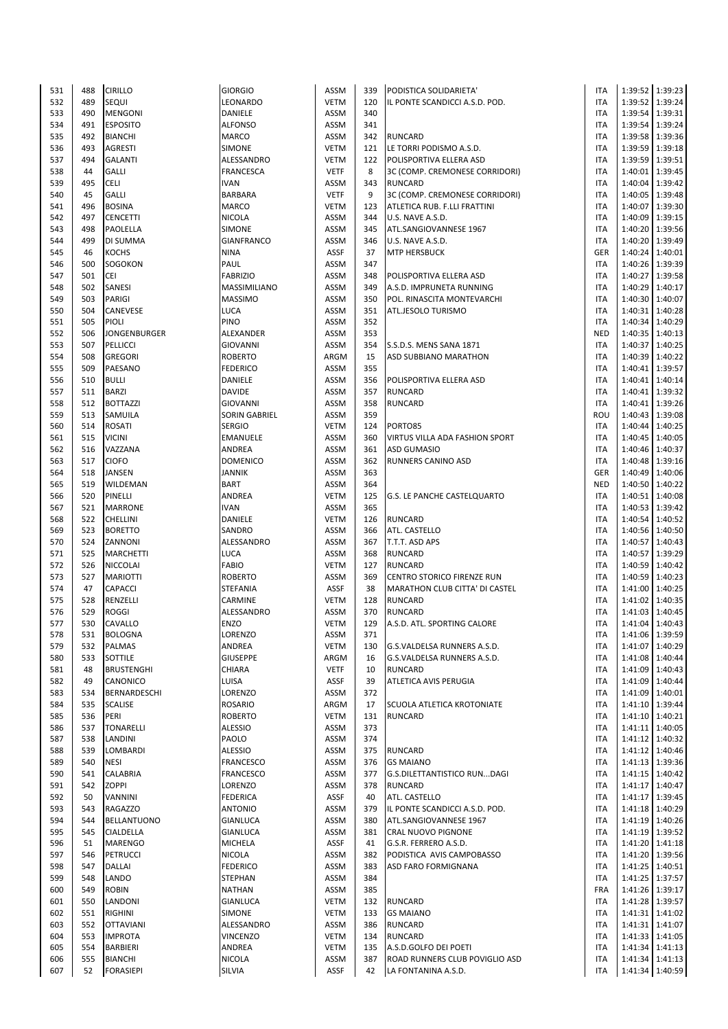| 531 | 488 | <b>CIRILLO</b>      | <b>GIORGIO</b>    | <b>ASSM</b> | 339 | PODISTICA SOLIDARIETA'         | <b>ITA</b> |                 | 1:39:52 1:39:23   |
|-----|-----|---------------------|-------------------|-------------|-----|--------------------------------|------------|-----------------|-------------------|
| 532 | 489 | <b>SEQUI</b>        | LEONARDO          | <b>VETM</b> | 120 | IL PONTE SCANDICCI A.S.D. POD. | <b>ITA</b> | 1:39:52         | 1:39:24           |
| 533 | 490 | <b>MENGONI</b>      | DANIELE           | <b>ASSM</b> | 340 |                                | <b>ITA</b> |                 | 1:39:54 1:39:31   |
| 534 | 491 | <b>ESPOSITO</b>     | <b>ALFONSO</b>    | ASSM        | 341 |                                | <b>ITA</b> |                 | 1:39:54 1:39:24   |
|     |     |                     |                   |             |     |                                |            |                 |                   |
| 535 | 492 | <b>BIANCHI</b>      | MARCO             | ASSM        | 342 | <b>RUNCARD</b>                 | <b>ITA</b> |                 | 1:39:58   1:39:36 |
| 536 | 493 | <b>AGRESTI</b>      | <b>SIMONE</b>     | <b>VETM</b> | 121 | LE TORRI PODISMO A.S.D.        | <b>ITA</b> |                 | 1:39:59 1:39:18   |
| 537 | 494 | <b>GALANTI</b>      | ALESSANDRO        | <b>VETM</b> | 122 | POLISPORTIVA ELLERA ASD        | <b>ITA</b> | 1:39:59 1:39:51 |                   |
| 538 | 44  | <b>GALLI</b>        | <b>FRANCESCA</b>  | <b>VETF</b> | 8   | 3C (COMP. CREMONESE CORRIDORI) | <b>ITA</b> | 1:40:01         | 1:39:45           |
| 539 | 495 | <b>CELI</b>         | <b>IVAN</b>       | ASSM        | 343 | <b>RUNCARD</b>                 | <b>ITA</b> | 1:40:04         | 1:39:42           |
| 540 | 45  | <b>GALLI</b>        | BARBARA           | <b>VETF</b> | 9   | 3C (COMP. CREMONESE CORRIDORI) | <b>ITA</b> |                 | 1:40:05 1:39:48   |
| 541 | 496 | <b>BOSINA</b>       | <b>MARCO</b>      | <b>VETM</b> | 123 | ATLETICA RUB. F.LLI FRATTINI   | <b>ITA</b> | 1:40:07         | 1:39:30           |
| 542 | 497 | <b>CENCETTI</b>     | <b>NICOLA</b>     | ASSM        | 344 | U.S. NAVE A.S.D.               | <b>ITA</b> | 1:40:09 1:39:15 |                   |
| 543 | 498 | PAOLELLA            | <b>SIMONE</b>     | <b>ASSM</b> | 345 | ATL.SANGIOVANNESE 1967         | <b>ITA</b> |                 | 1:40:20 1:39:56   |
| 544 | 499 | DI SUMMA            | <b>GIANFRANCO</b> | <b>ASSM</b> | 346 | U.S. NAVE A.S.D.               | <b>ITA</b> | 1:40:20 1:39:49 |                   |
| 545 | 46  | <b>KOCHS</b>        | <b>NINA</b>       | <b>ASSF</b> | 37  | <b>MTP HERSBUCK</b>            | <b>GER</b> | 1:40:24 1:40:01 |                   |
| 546 | 500 | <b>SOGOKON</b>      | PAUL              | ASSM        | 347 |                                | <b>ITA</b> |                 | 1:40:26 1:39:39   |
| 547 | 501 | <b>CEI</b>          | <b>FABRIZIO</b>   | <b>ASSM</b> | 348 | POLISPORTIVA ELLERA ASD        | <b>ITA</b> |                 | 1:40:27 1:39:58   |
|     |     |                     |                   |             |     |                                |            |                 |                   |
| 548 | 502 | <b>SANESI</b>       | MASSIMILIANO      | <b>ASSM</b> | 349 | A.S.D. IMPRUNETA RUNNING       | <b>ITA</b> |                 | 1:40:29 1:40:17   |
| 549 | 503 | <b>PARIGI</b>       | <b>MASSIMO</b>    | ASSM        | 350 | POL. RINASCITA MONTEVARCHI     | <b>ITA</b> |                 | 1:40:30 1:40:07   |
| 550 | 504 | CANEVESE            | <b>LUCA</b>       | <b>ASSM</b> | 351 | ATL.JESOLO TURISMO             | <b>ITA</b> |                 | 1:40:31 1:40:28   |
| 551 | 505 | PIOLI               | <b>PINO</b>       | ASSM        | 352 |                                | <b>ITA</b> | 1:40:34         | 1:40:29           |
| 552 | 506 | <b>JONGENBURGER</b> | ALEXANDER         | <b>ASSM</b> | 353 |                                | <b>NED</b> |                 | 1:40:35 1:40:13   |
| 553 | 507 | PELLICCI            | <b>GIOVANNI</b>   | ASSM        | 354 | S.S.D.S. MENS SANA 1871        | <b>ITA</b> | 1:40:37         | 1:40:25           |
| 554 | 508 | <b>GREGORI</b>      | <b>ROBERTO</b>    | ARGM        | 15  | ASD SUBBIANO MARATHON          | <b>ITA</b> |                 | 1:40:39 1:40:22   |
| 555 | 509 | PAESANO             | <b>FEDERICO</b>   | ASSM        | 355 |                                | <b>ITA</b> |                 | 1:40:41 1:39:57   |
| 556 | 510 | <b>BULLI</b>        | DANIELE           | ASSM        | 356 | POLISPORTIVA ELLERA ASD        | <b>ITA</b> | 1:40:41         | 1:40:14           |
| 557 | 511 | <b>BARZI</b>        | <b>DAVIDE</b>     | <b>ASSM</b> | 357 | <b>RUNCARD</b>                 | <b>ITA</b> |                 | 1:40:41 1:39:32   |
| 558 | 512 | <b>BOTTAZZI</b>     | <b>GIOVANNI</b>   | ASSM        | 358 | <b>RUNCARD</b>                 | <b>ITA</b> | 1:40:41         | 1:39:26           |
| 559 | 513 | SAMUILA             | SORIN GABRIEL     | ASSM        | 359 |                                | ROU        |                 | 1:40:43 1:39:08   |
| 560 | 514 | <b>ROSATI</b>       | <b>SERGIO</b>     | <b>VETM</b> | 124 | PORTO85                        | <b>ITA</b> | 1:40:44         | 1:40:25           |
|     |     |                     |                   |             |     |                                |            | 1:40:45 1:40:05 |                   |
| 561 | 515 | <b>VICINI</b>       | EMANUELE          | ASSM        | 360 | VIRTUS VILLA ADA FASHION SPORT | <b>ITA</b> |                 |                   |
| 562 | 516 | VAZZANA             | ANDREA            | <b>ASSM</b> | 361 | <b>ASD GUMASIO</b>             | <b>ITA</b> |                 | 1:40:46 1:40:37   |
| 563 | 517 | <b>CIOFO</b>        | <b>DOMENICO</b>   | <b>ASSM</b> | 362 | RUNNERS CANINO ASD             | <b>ITA</b> | 1:40:48         | 1:39:16           |
| 564 | 518 | <b>JANSEN</b>       | JANNIK            | ASSM        | 363 |                                | <b>GER</b> |                 | 1:40:49 1:40:06   |
| 565 | 519 | WILDEMAN            | <b>BART</b>       | ASSM        | 364 |                                | <b>NED</b> |                 | 1:40:50 1:40:22   |
| 566 | 520 | PINELLI             | ANDREA            | <b>VETM</b> | 125 | G.S. LE PANCHE CASTELQUARTO    | <b>ITA</b> |                 | 1:40:51 1:40:08   |
| 567 | 521 | <b>MARRONE</b>      | <b>IVAN</b>       | <b>ASSM</b> | 365 |                                | <b>ITA</b> |                 | 1:40:53 1:39:42   |
| 568 | 522 | <b>CHELLINI</b>     | DANIELE           | <b>VETM</b> | 126 | <b>RUNCARD</b>                 | <b>ITA</b> |                 | 1:40:54 1:40:52   |
| 569 | 523 | <b>BORETTO</b>      | SANDRO            | <b>ASSM</b> | 366 | ATL. CASTELLO                  | <b>ITA</b> |                 | 1:40:56 1:40:50   |
| 570 | 524 | ZANNONI             | ALESSANDRO        | ASSM        | 367 | T.T.T. ASD APS                 | <b>ITA</b> | 1:40:57         | 1:40:43           |
| 571 | 525 | <b>MARCHETTI</b>    | LUCA              | <b>ASSM</b> | 368 | <b>RUNCARD</b>                 | <b>ITA</b> |                 | 1:40:57 1:39:29   |
| 572 | 526 | <b>NICCOLAI</b>     | <b>FABIO</b>      | <b>VETM</b> | 127 | <b>RUNCARD</b>                 | <b>ITA</b> |                 | 1:40:59 1:40:42   |
| 573 | 527 | <b>MARIOTTI</b>     | <b>ROBERTO</b>    | ASSM        | 369 | CENTRO STORICO FIRENZE RUN     | <b>ITA</b> |                 | 1:40:59 1:40:23   |
| 574 | 47  | <b>CAPACCI</b>      | <b>STEFANIA</b>   | ASSF        | 38  | MARATHON CLUB CITTA' DI CASTEL | <b>ITA</b> |                 | 1:41:00 1:40:25   |
|     |     |                     |                   |             |     |                                |            | 1:41:02         |                   |
| 575 | 528 | RENZELLI            | CARMINE           | <b>VETM</b> | 128 | <b>RUNCARD</b>                 | <b>ITA</b> |                 | 1:40:35           |
| 576 | 529 | <b>ROGGI</b>        | ALESSANDRO        | <b>ASSM</b> | 370 | <b>RUNCARD</b>                 | <b>ITA</b> |                 | 1:41:03 1:40:45   |
| 577 | 530 | CAVALLO             | <b>ENZO</b>       | <b>VETM</b> | 129 | A.S.D. ATL. SPORTING CALORE    | <b>ITA</b> |                 | 1:41:04 1:40:43   |
| 578 | 531 | <b>BOLOGNA</b>      | LORENZO           | ASSM        | 371 |                                | <b>ITA</b> | 1:41:06 1:39:59 |                   |
| 579 | 532 | <b>PALMAS</b>       | ANDREA            | <b>VETM</b> | 130 | G.S.VALDELSA RUNNERS A.S.D.    | <b>ITA</b> |                 | 1:41:07 1:40:29   |
| 580 | 533 | SOTTILE             | <b>GIUSEPPE</b>   | ARGM        | 16  | G.S.VALDELSA RUNNERS A.S.D.    | <b>ITA</b> |                 | 1:41:08 1:40:44   |
| 581 | 48  | <b>BRUSTENGHI</b>   | CHIARA            | <b>VETF</b> | 10  | <b>RUNCARD</b>                 | <b>ITA</b> |                 | 1:41:09 1:40:43   |
| 582 | 49  | CANONICO            | LUISA             | ASSF        | 39  | ATLETICA AVIS PERUGIA          | <b>ITA</b> | 1:41:09         | 1:40:44           |
| 583 | 534 | BERNARDESCHI        | LORENZO           | ASSM        | 372 |                                | <b>ITA</b> |                 | 1:41:09 1:40:01   |
| 584 | 535 | <b>SCALISE</b>      | <b>ROSARIO</b>    | ARGM        | 17  | SCUOLA ATLETICA KROTONIATE     | <b>ITA</b> |                 | 1:41:10 1:39:44   |
| 585 | 536 | PERI                | <b>ROBERTO</b>    | <b>VETM</b> | 131 | <b>RUNCARD</b>                 | <b>ITA</b> |                 | 1:41:10 1:40:21   |
| 586 | 537 | <b>TONARELLI</b>    | <b>ALESSIO</b>    | ASSM        | 373 |                                | <b>ITA</b> |                 | 1:41:11 1:40:05   |
| 587 | 538 | LANDINI             | PAOLO             | ASSM        | 374 |                                | <b>ITA</b> |                 | 1:41:12 1:40:32   |
| 588 | 539 | LOMBARDI            | <b>ALESSIO</b>    | <b>ASSM</b> | 375 | <b>RUNCARD</b>                 | <b>ITA</b> |                 | 1:41:12 1:40:46   |
| 589 | 540 | <b>NESI</b>         | <b>FRANCESCO</b>  | ASSM        | 376 | <b>GS MAIANO</b>               | <b>ITA</b> |                 | 1:41:13 1:39:36   |
| 590 | 541 | <b>CALABRIA</b>     | <b>FRANCESCO</b>  | ASSM        | 377 | G.S.DILETTANTISTICO RUNDAGI    | <b>ITA</b> |                 | 1:41:15 1:40:42   |
| 591 | 542 | <b>ZOPPI</b>        | LORENZO           | ASSM        | 378 | <b>RUNCARD</b>                 | <b>ITA</b> |                 | 1:41:17 1:40:47   |
| 592 | 50  |                     | <b>FEDERICA</b>   | ASSF        | 40  | ATL. CASTELLO                  | <b>ITA</b> |                 | 1:41:17 1:39:45   |
|     |     | <b>VANNINI</b>      |                   |             |     |                                |            |                 |                   |
| 593 | 543 | <b>RAGAZZO</b>      | ANTONIO           | ASSM        | 379 | IL PONTE SCANDICCI A.S.D. POD. | <b>ITA</b> |                 | 1:41:18 1:40:29   |
| 594 | 544 | <b>BELLANTUONO</b>  | <b>GIANLUCA</b>   | ASSM        | 380 | ATL.SANGIOVANNESE 1967         | <b>ITA</b> | 1:41:19         | 1:40:26           |
| 595 | 545 | CIALDELLA           | GIANLUCA          | <b>ASSM</b> | 381 | CRAL NUOVO PIGNONE             | <b>ITA</b> |                 | 1:41:19 1:39:52   |
| 596 | 51  | <b>MARENGO</b>      | <b>MICHELA</b>    | ASSF        | 41  | G.S.R. FERRERO A.S.D.          | <b>ITA</b> |                 | 1:41:20 1:41:18   |
| 597 | 546 | <b>PETRUCCI</b>     | <b>NICOLA</b>     | ASSM        | 382 | PODISTICA AVIS CAMPOBASSO      | <b>ITA</b> |                 | 1:41:20 1:39:56   |
| 598 | 547 | <b>DALLAI</b>       | <b>FEDERICO</b>   | ASSM        | 383 | ASD FARO FORMIGNANA            | <b>ITA</b> |                 | 1:41:25 1:40:51   |
| 599 | 548 | LANDO               | STEPHAN           | ASSM        | 384 |                                | <b>ITA</b> |                 | 1:41:25   1:37:57 |
| 600 | 549 | <b>ROBIN</b>        | <b>NATHAN</b>     | ASSM        | 385 |                                | <b>FRA</b> |                 | 1:41:26 1:39:17   |
| 601 | 550 | LANDONI             | <b>GIANLUCA</b>   | <b>VETM</b> | 132 | <b>RUNCARD</b>                 | <b>ITA</b> |                 | 1:41:28 1:39:57   |
| 602 | 551 | <b>RIGHINI</b>      | SIMONE            | <b>VETM</b> | 133 | <b>GS MAIANO</b>               | <b>ITA</b> |                 | 1:41:31 1:41:02   |
| 603 | 552 | <b>OTTAVIANI</b>    | ALESSANDRO        | ASSM        | 386 | <b>RUNCARD</b>                 | <b>ITA</b> |                 | 1:41:31 1:41:07   |
| 604 | 553 | <b>IMPROTA</b>      | VINCENZO          | <b>VETM</b> | 134 | <b>RUNCARD</b>                 | <b>ITA</b> |                 | 1:41:33 1:41:05   |
| 605 | 554 | <b>BARBIERI</b>     | ANDREA            | <b>VETM</b> | 135 | A.S.D.GOLFO DEI POETI          | <b>ITA</b> |                 | 1:41:34 1:41:13   |
| 606 | 555 | <b>BIANCHI</b>      | NICOLA            | <b>ASSM</b> | 387 | ROAD RUNNERS CLUB POVIGLIO ASD | <b>ITA</b> |                 | 1:41:34 1:41:13   |
| 607 | 52  | <b>FORASIEPI</b>    | SILVIA            | ASSF        | 42  | LA FONTANINA A.S.D.            | <b>ITA</b> |                 | 1:41:34 1:40:59   |
|     |     |                     |                   |             |     |                                |            |                 |                   |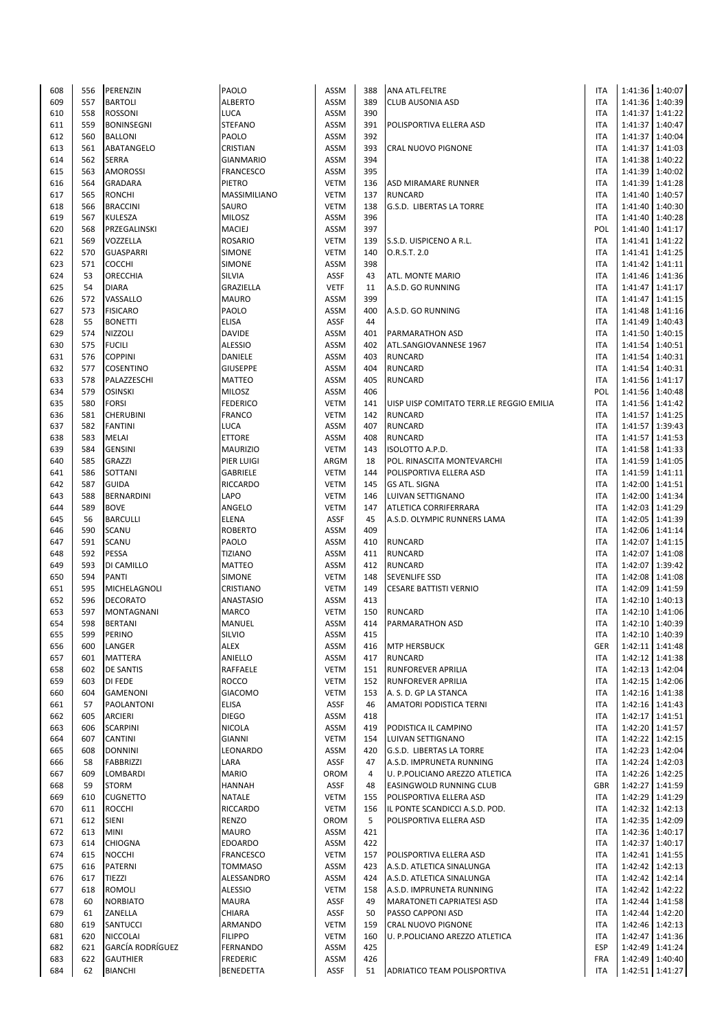| 608 | 556 | PERENZIN                | PAOLO            | <b>ASSM</b> | 388 | <b>ANA ATL.FELTRE</b>                    | <b>ITA</b> |                 | 1:41:36 1:40:07 |
|-----|-----|-------------------------|------------------|-------------|-----|------------------------------------------|------------|-----------------|-----------------|
| 609 | 557 | <b>BARTOLI</b>          | <b>ALBERTO</b>   | <b>ASSM</b> | 389 | <b>CLUB AUSONIA ASD</b>                  | <b>ITA</b> |                 | 1:41:36 1:40:39 |
| 610 | 558 | <b>ROSSONI</b>          | LUCA             | <b>ASSM</b> | 390 |                                          | <b>ITA</b> |                 | 1:41:37 1:41:22 |
| 611 | 559 | <b>BONINSEGNI</b>       | <b>STEFANO</b>   | <b>ASSM</b> | 391 | POLISPORTIVA ELLERA ASD                  | ITA        |                 | 1:41:37 1:40:47 |
|     | 560 |                         |                  |             | 392 |                                          |            |                 |                 |
| 612 |     | <b>BALLONI</b>          | PAOLO            | <b>ASSM</b> |     |                                          | ITA        | 1:41:37         | 1:40:04         |
| 613 | 561 | <b>ABATANGELO</b>       | CRISTIAN         | <b>ASSM</b> | 393 | CRAL NUOVO PIGNONE                       | ITA        | 1:41:37         | 1:41:03         |
| 614 | 562 | <b>SERRA</b>            | <b>GIANMARIO</b> | <b>ASSM</b> | 394 |                                          | <b>ITA</b> | 1:41:38         | 1:40:22         |
| 615 | 563 | <b>AMOROSSI</b>         | FRANCESCO        | <b>ASSM</b> | 395 |                                          | <b>ITA</b> |                 | 1:41:39 1:40:02 |
| 616 | 564 | <b>GRADARA</b>          | <b>PIETRO</b>    | <b>VETM</b> | 136 | <b>ASD MIRAMARE RUNNER</b>               | <b>ITA</b> |                 | 1:41:39 1:41:28 |
| 617 | 565 | <b>RONCHI</b>           | MASSIMILIANO     | <b>VETM</b> | 137 | <b>RUNCARD</b>                           | ITA        |                 | 1:41:40 1:40:57 |
| 618 | 566 | <b>BRACCINI</b>         | SAURO            | <b>VETM</b> | 138 | G.S.D. LIBERTAS LA TORRE                 | ITA        |                 | 1:41:40 1:40:30 |
| 619 | 567 | <b>KULESZA</b>          | MILOSZ           | <b>ASSM</b> | 396 |                                          | ITA        |                 | 1:41:40 1:40:28 |
| 620 | 568 | PRZEGALINSKI            | MACIEJ           | <b>ASSM</b> | 397 |                                          | POL        |                 | 1:41:40 1:41:17 |
| 621 | 569 | VOZZELLA                | <b>ROSARIO</b>   | <b>VETM</b> | 139 | S.S.D. UISPICENO A R.L.                  | <b>ITA</b> | 1:41:41         | 1:41:22         |
| 622 | 570 | <b>GUASPARRI</b>        | <b>SIMONE</b>    | <b>VETM</b> | 140 | O.R.S.T. 2.0                             | ITA        |                 | 1:41:41 1:41:25 |
|     |     |                         |                  |             |     |                                          |            |                 |                 |
| 623 | 571 | <b>COCCHI</b>           | <b>SIMONE</b>    | <b>ASSM</b> | 398 |                                          | ITA        | 1:41:42 1:41:11 |                 |
| 624 | 53  | <b>ORECCHIA</b>         | SILVIA           | <b>ASSF</b> | 43  | ATL. MONTE MARIO                         | ITA        |                 | 1:41:46 1:41:36 |
| 625 | 54  | <b>DIARA</b>            | GRAZIELLA        | <b>VETF</b> | 11  | A.S.D. GO RUNNING                        | ITA        |                 | 1:41:47 1:41:17 |
| 626 | 572 | VASSALLO                | <b>MAURO</b>     | <b>ASSM</b> | 399 |                                          | ITA        | 1:41:47         | 1:41:15         |
| 627 | 573 | <b>FISICARO</b>         | PAOLO            | <b>ASSM</b> | 400 | A.S.D. GO RUNNING                        | <b>ITA</b> |                 | 1:41:48 1:41:16 |
| 628 | 55  | <b>BONETTI</b>          | <b>ELISA</b>     | <b>ASSF</b> | 44  |                                          | <b>ITA</b> | 1:41:49 1:40:43 |                 |
| 629 | 574 | <b>NIZZOLI</b>          | <b>DAVIDE</b>    | <b>ASSM</b> | 401 | PARMARATHON ASD                          | <b>ITA</b> |                 | 1:41:50 1:40:15 |
| 630 | 575 | <b>FUCILI</b>           | <b>ALESSIO</b>   | <b>ASSM</b> | 402 | ATL.SANGIOVANNESE 1967                   | ITA        |                 | 1:41:54 1:40:51 |
| 631 | 576 | <b>COPPINI</b>          | DANIELE          | <b>ASSM</b> | 403 | <b>RUNCARD</b>                           | ITA        | 1:41:54         | 1:40:31         |
|     | 577 | <b>COSENTINO</b>        |                  | <b>ASSM</b> | 404 |                                          | <b>ITA</b> |                 | 1:40:31         |
| 632 |     |                         | <b>GIUSEPPE</b>  |             |     | <b>RUNCARD</b>                           |            | 1:41:54         |                 |
| 633 | 578 | PALAZZESCHI             | <b>MATTEO</b>    | <b>ASSM</b> | 405 | <b>RUNCARD</b>                           | <b>ITA</b> | 1:41:56         | 1:41:17         |
| 634 | 579 | <b>OSINSKI</b>          | MILOSZ           | <b>ASSM</b> | 406 |                                          | POL        |                 | 1:41:56 1:40:48 |
| 635 | 580 | <b>FORSI</b>            | <b>FEDERICO</b>  | <b>VETM</b> | 141 | UISP UISP COMITATO TERR.LE REGGIO EMILIA | <b>ITA</b> |                 | 1:41:56 1:41:42 |
| 636 | 581 | <b>CHERUBINI</b>        | FRANCO           | <b>VETM</b> | 142 | <b>RUNCARD</b>                           | <b>ITA</b> |                 | 1:41:57 1:41:25 |
| 637 | 582 | <b>FANTINI</b>          | LUCA             | <b>ASSM</b> | 407 | <b>RUNCARD</b>                           | ITA        |                 | 1:41:57 1:39:43 |
| 638 | 583 | <b>MELAI</b>            | <b>ETTORE</b>    | <b>ASSM</b> | 408 | <b>RUNCARD</b>                           | <b>ITA</b> | 1:41:57         | 1:41:53         |
| 639 | 584 | <b>GENSINI</b>          | <b>MAURIZIO</b>  | <b>VETM</b> | 143 | ISOLOTTO A.P.D.                          | <b>ITA</b> |                 | 1:41:58 1:41:33 |
| 640 | 585 | <b>GRAZZI</b>           | PIER LUIGI       | ARGM        | 18  | POL. RINASCITA MONTEVARCHI               | <b>ITA</b> | 1:41:59 1:41:05 |                 |
| 641 | 586 | SOTTANI                 | <b>GABRIELE</b>  | <b>VETM</b> | 144 | POLISPORTIVA ELLERA ASD                  | <b>ITA</b> |                 | 1:41:59 1:41:11 |
|     |     |                         |                  |             |     |                                          |            |                 |                 |
| 642 | 587 | <b>GUIDA</b>            | <b>RICCARDO</b>  | <b>VETM</b> | 145 | <b>GS ATL. SIGNA</b>                     | ITA        |                 | 1:42:00 1:41:51 |
| 643 | 588 | BERNARDINI              | LAPO             | <b>VETM</b> | 146 | LUIVAN SETTIGNANO                        | <b>ITA</b> |                 | 1:42:00 1:41:34 |
| 644 | 589 | <b>BOVE</b>             | ANGELO           | <b>VETM</b> | 147 | ATLETICA CORRIFERRARA                    | ITA        |                 | 1:42:03 1:41:29 |
| 645 | 56  | <b>BARCULLI</b>         | <b>ELENA</b>     | <b>ASSF</b> | 45  | A.S.D. OLYMPIC RUNNERS LAMA              | <b>ITA</b> | 1:42:05         | 1:41:39         |
| 646 | 590 | <b>SCANU</b>            | <b>ROBERTO</b>   | <b>ASSM</b> | 409 |                                          | <b>ITA</b> |                 | 1:42:06 1:41:14 |
| 647 | 591 | <b>SCANU</b>            | PAOLO            | <b>ASSM</b> | 410 | <b>RUNCARD</b>                           | <b>ITA</b> | 1:42:07         | 1:41:15         |
| 648 | 592 | <b>PESSA</b>            | <b>TIZIANO</b>   | <b>ASSM</b> | 411 | <b>RUNCARD</b>                           | <b>ITA</b> | 1:42:07         | 1:41:08         |
| 649 | 593 | DI CAMILLO              | <b>MATTEO</b>    | ASSM        | 412 | <b>RUNCARD</b>                           | ITA        | 1:42:07         | 1:39:42         |
| 650 | 594 | <b>PANTI</b>            | <b>SIMONE</b>    | <b>VETM</b> | 148 | <b>SEVENLIFE SSD</b>                     | ITA        | 1:42:08         | 1:41:08         |
| 651 | 595 | MICHELAGNOLI            | CRISTIANO        | <b>VETM</b> | 149 | <b>CESARE BATTISTI VERNIO</b>            | <b>ITA</b> | 1:42:09         | 1:41:59         |
|     |     |                         |                  |             |     |                                          |            |                 |                 |
| 652 | 596 | <b>DECORATO</b>         | ANASTASIO        | <b>ASSM</b> | 413 |                                          | ITA        |                 | 1:42:10 1:40:13 |
| 653 | 597 | <b>MONTAGNANI</b>       | MARCO            | <b>VETM</b> | 150 | <b>RUNCARD</b>                           | ITA        |                 | 1:42:10 1:41:06 |
| 654 | 598 | <b>BERTANI</b>          | MANUEL           | <b>ASSM</b> | 414 | <b>PARMARATHON ASD</b>                   | <b>ITA</b> |                 | 1:42:10 1:40:39 |
| 655 | 599 | PERINO                  | SILVIO           | ASSM        | 415 |                                          | ITA        |                 | 1:42:10 1:40:39 |
| 656 | 600 | LANGER                  | ALEX             | <b>ASSM</b> | 416 | <b>MTP HERSBUCK</b>                      | GER        |                 | 1:42:11 1:41:48 |
| 657 | 601 | <b>MATTERA</b>          | ANIELLO          | <b>ASSM</b> | 417 | <b>RUNCARD</b>                           | <b>ITA</b> |                 | 1:42:12 1:41:38 |
| 658 | 602 | <b>DE SANTIS</b>        | RAFFAELE         | <b>VETM</b> | 151 | <b>RUNFOREVER APRILIA</b>                | <b>ITA</b> |                 | 1:42:13 1:42:04 |
| 659 | 603 | <b>DI FEDE</b>          | <b>ROCCO</b>     | <b>VETM</b> | 152 | RUNFOREVER APRILIA                       | <b>ITA</b> |                 | 1:42:15 1:42:06 |
| 660 | 604 | <b>GAMENONI</b>         | <b>GIACOMO</b>   | <b>VETM</b> | 153 | A. S. D. GP LA STANCA                    | <b>ITA</b> |                 | 1:42:16 1:41:38 |
|     | 57  | <b>PAOLANTONI</b>       | <b>ELISA</b>     | <b>ASSF</b> | 46  |                                          |            |                 |                 |
| 661 |     |                         |                  |             |     | AMATORI PODISTICA TERNI                  | ITA        |                 | 1:42:16 1:41:43 |
| 662 | 605 | <b>ARCIERI</b>          | <b>DIEGO</b>     | <b>ASSM</b> | 418 |                                          | ITA        |                 | 1:42:17 1:41:51 |
| 663 | 606 | <b>SCARPINI</b>         | NICOLA           | <b>ASSM</b> | 419 | PODISTICA IL CAMPINO                     | <b>ITA</b> |                 | 1:42:20 1:41:57 |
| 664 | 607 | <b>CANTINI</b>          | <b>GIANNI</b>    | <b>VETM</b> | 154 | LUIVAN SETTIGNANO                        | ITA        | 1:42:22 1:42:15 |                 |
| 665 | 608 | <b>DONNINI</b>          | LEONARDO         | <b>ASSM</b> | 420 | G.S.D. LIBERTAS LA TORRE                 | ITA        |                 | 1:42:23 1:42:04 |
| 666 | 58  | <b>FABBRIZZI</b>        | LARA             | ASSF        | 47  | A.S.D. IMPRUNETA RUNNING                 | <b>ITA</b> |                 | 1:42:24 1:42:03 |
| 667 | 609 | LOMBARDI                | <b>MARIO</b>     | OROM        | 4   | U. P.POLICIANO AREZZO ATLETICA           | <b>ITA</b> |                 | 1:42:26 1:42:25 |
| 668 | 59  | <b>STORM</b>            | <b>HANNAH</b>    | ASSF        | 48  | EASINGWOLD RUNNING CLUB                  | GBR        |                 | 1:42:27 1:41:59 |
| 669 | 610 | <b>CUGNETTO</b>         | NATALE           | <b>VETM</b> | 155 | POLISPORTIVA ELLERA ASD                  | ITA        |                 | 1:42:29 1:41:29 |
| 670 | 611 | <b>ROCCHI</b>           | <b>RICCARDO</b>  | <b>VETM</b> | 156 | IL PONTE SCANDICCI A.S.D. POD.           | ITA        |                 | 1:42:32 1:42:13 |
| 671 | 612 | <b>SIENI</b>            | <b>RENZO</b>     | <b>OROM</b> | 5   | POLISPORTIVA ELLERA ASD                  | ITA        | 1:42:35 1:42:09 |                 |
| 672 | 613 | <b>MINI</b>             | <b>MAURO</b>     | ASSM        | 421 |                                          | <b>ITA</b> |                 | 1:42:36 1:40:17 |
|     |     |                         |                  |             |     |                                          |            |                 |                 |
| 673 | 614 | <b>CHIOGNA</b>          | <b>EDOARDO</b>   | <b>ASSM</b> | 422 |                                          | ITA        |                 | 1:42:37 1:40:17 |
| 674 | 615 | <b>NOCCHI</b>           | <b>FRANCESCO</b> | <b>VETM</b> | 157 | POLISPORTIVA ELLERA ASD                  | ITA        |                 | 1:42:41 1:41:55 |
| 675 | 616 | <b>PATERNI</b>          | <b>TOMMASO</b>   | <b>ASSM</b> | 423 | A.S.D. ATLETICA SINALUNGA                | ITA        |                 | 1:42:42 1:42:13 |
| 676 | 617 | <b>TIEZZI</b>           | ALESSANDRO       | <b>ASSM</b> | 424 | A.S.D. ATLETICA SINALUNGA                | ITA        | 1:42:42         | 1:42:14         |
| 677 | 618 | <b>ROMOLI</b>           | <b>ALESSIO</b>   | <b>VETM</b> | 158 | A.S.D. IMPRUNETA RUNNING                 | <b>ITA</b> |                 | 1:42:42 1:42:22 |
| 678 | 60  | <b>NORBIATO</b>         | <b>MAURA</b>     | <b>ASSF</b> | 49  | MARATONETI CAPRIATESI ASD                | ITA        |                 | 1:42:44 1:41:58 |
| 679 | 61  | ZANELLA                 | CHIARA           | ASSF        | 50  | PASSO CAPPONI ASD                        | ITA        |                 | 1:42:44 1:42:20 |
| 680 | 619 | SANTUCCI                | ARMANDO          | <b>VETM</b> | 159 | CRAL NUOVO PIGNONE                       | ITA        |                 | 1:42:46 1:42:13 |
| 681 | 620 | <b>NICCOLAI</b>         | <b>FILIPPO</b>   | <b>VETM</b> | 160 | U. P.POLICIANO AREZZO ATLETICA           | ITA        | 1:42:47         | 1:41:36         |
| 682 | 621 | <b>GARCÍA RODRÍGUEZ</b> | FERNANDO         | <b>ASSM</b> | 425 |                                          | <b>ESP</b> |                 | 1:42:49 1:41:24 |
|     |     |                         |                  |             |     |                                          |            |                 |                 |
| 683 | 622 | <b>GAUTHIER</b>         | <b>FREDERIC</b>  | <b>ASSM</b> | 426 |                                          | <b>FRA</b> |                 | 1:42:49 1:40:40 |
| 684 | 62  | <b>BIANCHI</b>          | <b>BENEDETTA</b> | ASSF        | 51  | ADRIATICO TEAM POLISPORTIVA              | <b>ITA</b> |                 | 1:42:51 1:41:27 |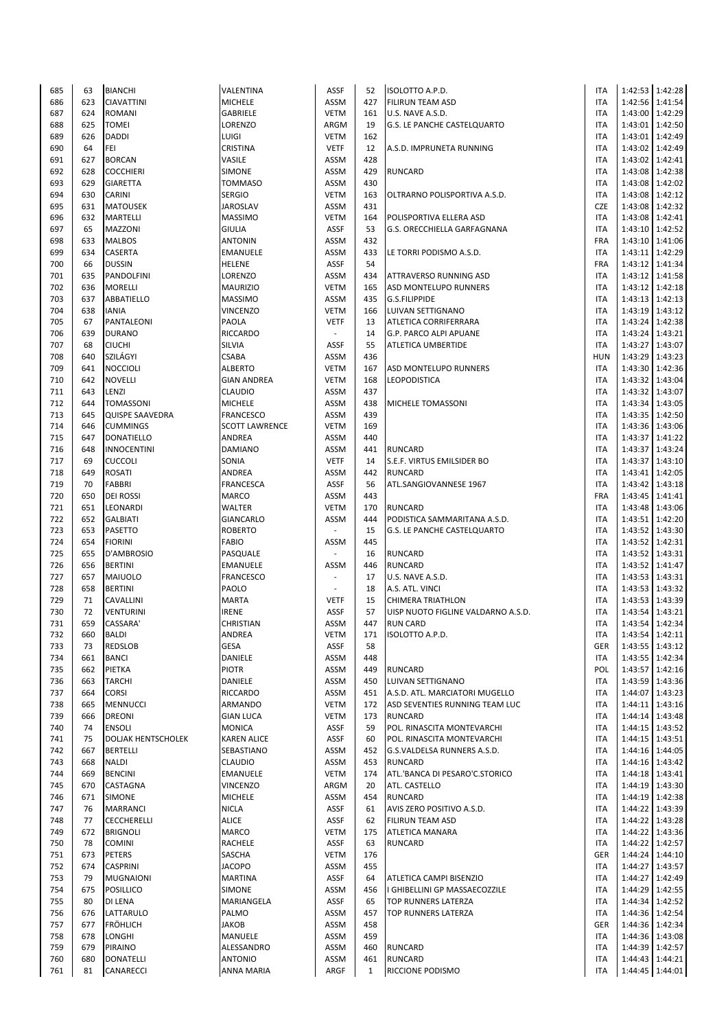| 685 | 63  | <b>BIANCHI</b>            | VALENTINA             | ASSF                     | 52           | ISOLOTTO A.P.D.                    | <b>ITA</b>               |                 | 1:42:53 1:42:28   |
|-----|-----|---------------------------|-----------------------|--------------------------|--------------|------------------------------------|--------------------------|-----------------|-------------------|
| 686 | 623 | <b>CIAVATTINI</b>         | <b>MICHELE</b>        | ASSM                     | 427          | <b>FILIRUN TEAM ASD</b>            | <b>ITA</b>               |                 | 1:42:56 1:41:54   |
| 687 | 624 | <b>ROMANI</b>             | GABRIELE              | <b>VETM</b>              | 161          | U.S. NAVE A.S.D.                   | <b>ITA</b>               |                 | 1:43:00 1:42:29   |
| 688 | 625 | <b>TOMEI</b>              | LORENZO               | ARGM                     | 19           | G.S. LE PANCHE CASTELQUARTO        | <b>ITA</b>               |                 | 1:43:01 1:42:50   |
| 689 | 626 | <b>DADDI</b>              | LUIGI                 | <b>VETM</b>              | 162          |                                    | <b>ITA</b>               |                 | 1:43:01 1:42:49   |
| 690 | 64  | FEI                       | CRISTINA              | <b>VETF</b>              | 12           | A.S.D. IMPRUNETA RUNNING           | <b>ITA</b>               |                 | 1:43:02 1:42:49   |
| 691 | 627 | <b>BORCAN</b>             | VASILE                | ASSM                     | 428          |                                    | <b>ITA</b>               |                 | 1:43:02 1:42:41   |
| 692 | 628 | <b>COCCHIERI</b>          | SIMONE                | <b>ASSM</b>              | 429          | <b>RUNCARD</b>                     | <b>ITA</b>               |                 | 1:43:08 1:42:38   |
| 693 | 629 | <b>GIARETTA</b>           | <b>TOMMASO</b>        | <b>ASSM</b>              | 430          |                                    | <b>ITA</b>               |                 | 1:43:08 1:42:02   |
| 694 | 630 | CARINI                    | <b>SERGIO</b>         | <b>VETM</b>              | 163          | OLTRARNO POLISPORTIVA A.S.D.       | <b>ITA</b>               |                 | 1:43:08 1:42:12   |
| 695 | 631 | <b>MATOUSEK</b>           | <b>JAROSLAV</b>       | ASSM                     | 431          |                                    | <b>CZE</b>               |                 | 1:43:08 1:42:32   |
| 696 | 632 | <b>MARTELLI</b>           | <b>MASSIMO</b>        | <b>VETM</b>              | 164          | POLISPORTIVA ELLERA ASD            | <b>ITA</b>               |                 | 1:43:08 1:42:41   |
| 697 | 65  | MAZZONI                   | <b>GIULIA</b>         | ASSF                     | 53           | G.S. ORECCHIELLA GARFAGNANA        | <b>ITA</b>               |                 | 1:43:10 1:42:52   |
| 698 | 633 | <b>MALBOS</b>             | <b>ANTONIN</b>        | <b>ASSM</b>              | 432          |                                    | FRA                      |                 | 1:43:10 1:41:06   |
| 699 | 634 | CASERTA                   | <b>EMANUELE</b>       | <b>ASSM</b>              | 433          | LE TORRI PODISMO A.S.D.            | <b>ITA</b>               |                 | 1:43:11 1:42:29   |
| 700 | 66  | <b>DUSSIN</b>             | <b>HELENE</b>         | <b>ASSF</b>              | 54           |                                    | FRA                      |                 | 1:43:12 1:41:34   |
| 701 | 635 | PANDOLFINI                | LORENZO               | ASSM                     | 434          | ATTRAVERSO RUNNING ASD             | <b>ITA</b>               |                 | 1:43:12 1:41:58   |
| 702 | 636 | <b>MORELLI</b>            | <b>MAURIZIO</b>       | <b>VETM</b>              | 165          | ASD MONTELUPO RUNNERS              | <b>ITA</b>               |                 | 1:43:12 1:42:18   |
| 703 | 637 | ABBATIELLO                | <b>MASSIMO</b>        | ASSM                     | 435          | G.S.FILIPPIDE                      | <b>ITA</b>               |                 | 1:43:13 1:42:13   |
| 704 | 638 | <b>IANIA</b>              | <b>VINCENZO</b>       | <b>VETM</b>              | 166          | LUIVAN SETTIGNANO                  | <b>ITA</b>               |                 | 1:43:19 1:43:12   |
| 705 | 67  | PANTALEONI                | PAOLA                 | <b>VETF</b>              | 13           | ATLETICA CORRIFERRARA              | <b>ITA</b>               |                 | 1:43:24 1:42:38   |
| 706 | 639 | <b>DURANO</b>             | RICCARDO              |                          | 14           | G.P. PARCO ALPI APUANE             | <b>ITA</b>               | 1:43:24 1:43:21 |                   |
| 707 | 68  | <b>CIUCHI</b>             | <b>SILVIA</b>         | <b>ASSF</b>              | 55           | ATLETICA UMBERTIDE                 | <b>ITA</b>               | 1:43:27 1:43:07 |                   |
| 708 | 640 | SZILÁGYI                  | <b>CSABA</b>          | <b>ASSM</b>              | 436          |                                    | <b>HUN</b>               |                 | 1:43:29 1:43:23   |
| 709 | 641 | <b>NOCCIOLI</b>           | <b>ALBERTO</b>        | <b>VETM</b>              | 167          | <b>ASD MONTELUPO RUNNERS</b>       | <b>ITA</b>               |                 | 1:43:30 1:42:36   |
| 710 | 642 | <b>NOVELLI</b>            | <b>GIAN ANDREA</b>    | <b>VETM</b>              | 168          | LEOPODISTICA                       | <b>ITA</b>               |                 | 1:43:32 1:43:04   |
| 711 | 643 | LENZI                     | CLAUDIO               | ASSM                     | 437          |                                    | <b>ITA</b>               |                 | 1:43:32 1:43:07   |
| 712 | 644 | <b>TOMASSONI</b>          | <b>MICHELE</b>        | ASSM                     | 438          | <b>MICHELE TOMASSONI</b>           | <b>ITA</b>               |                 | 1:43:34 1:43:05   |
| 713 | 645 | <b>QUISPE SAAVEDRA</b>    | <b>FRANCESCO</b>      | ASSM                     | 439          |                                    | <b>ITA</b>               |                 | 1:43:35 1:42:50   |
| 714 | 646 | <b>CUMMINGS</b>           | <b>SCOTT LAWRENCE</b> | <b>VETM</b>              | 169          |                                    | <b>ITA</b>               |                 | 1:43:36 1:43:06   |
| 715 | 647 | DONATIELLO                | ANDREA                | ASSM                     | 440          |                                    | <b>ITA</b>               |                 | 1:43:37 1:41:22   |
| 716 | 648 | <b>INNOCENTINI</b>        | <b>DAMIANO</b>        | ASSM                     | 441          | <b>RUNCARD</b>                     | <b>ITA</b>               |                 | 1:43:37 1:43:24   |
| 717 | 69  | <b>CUCCOLI</b>            | SONIA                 | <b>VETF</b>              | 14           | S.E.F. VIRTUS EMILSIDER BO         | <b>ITA</b>               |                 | 1:43:37 1:43:10   |
| 718 | 649 | <b>ROSATI</b>             | ANDREA                | <b>ASSM</b>              | 442          | <b>RUNCARD</b>                     | <b>ITA</b>               |                 | 1:43:41 1:42:05   |
| 719 | 70  | <b>FABBRI</b>             | <b>FRANCESCA</b>      | <b>ASSF</b>              | 56           | ATL.SANGIOVANNESE 1967             | <b>ITA</b>               |                 | 1:43:42 1:43:18   |
| 720 | 650 | <b>DEI ROSSI</b>          | <b>MARCO</b>          | ASSM                     | 443          |                                    | FRA                      | 1:43:45 1:41:41 |                   |
| 721 | 651 |                           | WALTER                | <b>VETM</b>              | 170          | <b>RUNCARD</b>                     | <b>ITA</b>               |                 | 1:43:48 1:43:06   |
|     |     | LEONARDI                  |                       |                          |              |                                    |                          |                 |                   |
| 722 | 652 | <b>GALBIATI</b>           | GIANCARLO             | <b>ASSM</b>              | 444          | PODISTICA SAMMARITANA A.S.D.       | <b>ITA</b>               |                 | 1:43:51 1:42:20   |
| 723 | 653 | <b>PASETTO</b>            | <b>ROBERTO</b>        | $\overline{\phantom{a}}$ | 15<br>445    | G.S. LE PANCHE CASTELQUARTO        | <b>ITA</b><br><b>ITA</b> |                 | 1:43:52 1:43:30   |
| 724 | 654 | <b>FIORINI</b>            | <b>FABIO</b>          | ASSM                     |              |                                    |                          | 1:43:52 1:42:31 |                   |
| 725 | 655 | D'AMBROSIO                | PASQUALE              |                          | 16           | <b>RUNCARD</b>                     | <b>ITA</b>               | 1:43:52 1:43:31 |                   |
| 726 | 656 | <b>BERTINI</b>            | <b>EMANUELE</b>       | ASSM                     | 446          | <b>RUNCARD</b>                     | <b>ITA</b>               |                 | 1:43:52 1:41:47   |
| 727 | 657 | <b>MAIUOLO</b>            | <b>FRANCESCO</b>      | $\overline{\phantom{a}}$ | 17           | U.S. NAVE A.S.D.                   | <b>ITA</b>               |                 | 1:43:53 1:43:31   |
| 728 | 658 | <b>BERTINI</b>            | PAOLO                 | $\sim$                   | 18           | A.S. ATL. VINCI                    | <b>ITA</b>               |                 | 1:43:53 1:43:32   |
| 729 | 71  | CAVALLINI                 | <b>MARTA</b>          | <b>VETF</b>              | 15           | <b>CHIMERA TRIATHLON</b>           | <b>ITA</b>               |                 | 1:43:53 1:43:39   |
| 730 | 72  | <b>VENTURINI</b>          | <b>IRENE</b>          | <b>ASSF</b>              | 57           | UISP NUOTO FIGLINE VALDARNO A.S.D. | <b>ITA</b>               |                 | 1:43:54 1:43:21   |
| 731 | 659 | CASSARA'                  | <b>CHRISTIAN</b>      | ASSM                     | 447          | <b>RUN CARD</b>                    | <b>ITA</b>               |                 | 1:43:54 1:42:34   |
| 732 | 660 | <b>BALDI</b>              | ANDREA                | <b>VETM</b>              | 171          | ISOLOTTO A.P.D.                    | <b>ITA</b>               | 1:43:54 1:42:11 |                   |
| 733 | 73  | REDSLOB                   | <b>GESA</b>           | ASSF                     | 58           |                                    | GER                      |                 | 1:43:55   1:43:12 |
| 734 | 661 | <b>BANCI</b>              | DANIELE               | ASSM                     | 448          |                                    | ITA                      |                 | 1:43:55 1:42:34   |
| 735 | 662 | <b>PIETKA</b>             | <b>PIOTR</b>          | ASSM                     | 449          | <b>RUNCARD</b>                     | POL                      |                 | 1:43:57 1:42:16   |
| 736 | 663 | <b>TARCHI</b>             | DANIELE               | ASSM                     | 450          | LUIVAN SETTIGNANO                  | <b>ITA</b>               |                 | 1:43:59 1:43:36   |
| 737 | 664 | CORSI                     | RICCARDO              | ASSM                     | 451          | A.S.D. ATL. MARCIATORI MUGELLO     | <b>ITA</b>               |                 | 1:44:07 1:43:23   |
| 738 | 665 | <b>MENNUCCI</b>           | ARMANDO               | <b>VETM</b>              | 172          | ASD SEVENTIES RUNNING TEAM LUC     | <b>ITA</b>               |                 | 1:44:11 1:43:16   |
| 739 | 666 | <b>DREONI</b>             | <b>GIAN LUCA</b>      | <b>VETM</b>              | 173          | <b>RUNCARD</b>                     | <b>ITA</b>               |                 | 1:44:14 1:43:48   |
| 740 | 74  | <b>ENSOLI</b>             | <b>MONICA</b>         | ASSF                     | 59           | POL. RINASCITA MONTEVARCHI         | <b>ITA</b>               |                 | 1:44:15 1:43:52   |
| 741 | 75  | <b>DOLJAK HENTSCHOLEK</b> | <b>KAREN ALICE</b>    | ASSF                     | 60           | POL. RINASCITA MONTEVARCHI         | <b>ITA</b>               |                 | 1:44:15 1:43:51   |
| 742 | 667 | <b>BERTELLI</b>           | SEBASTIANO            | ASSM                     | 452          | G.S.VALDELSA RUNNERS A.S.D.        | <b>ITA</b>               |                 | 1:44:16 1:44:05   |
| 743 | 668 | <b>NALDI</b>              | CLAUDIO               | ASSM                     | 453          | <b>RUNCARD</b>                     | <b>ITA</b>               |                 | 1:44:16 1:43:42   |
| 744 | 669 | <b>BENCINI</b>            | <b>EMANUELE</b>       | <b>VETM</b>              | 174          | ATL.'BANCA DI PESARO'C.STORICO     | <b>ITA</b>               |                 | 1:44:18 1:43:41   |
| 745 | 670 | CASTAGNA                  | VINCENZO              | ARGM                     | 20           | ATL. CASTELLO                      | <b>ITA</b>               |                 | 1:44:19 1:43:30   |
| 746 | 671 | <b>SIMONE</b>             | <b>MICHELE</b>        | ASSM                     | 454          | <b>RUNCARD</b>                     | <b>ITA</b>               |                 | 1:44:19 1:42:38   |
| 747 | 76  | <b>MARRANCI</b>           | <b>NICLA</b>          | ASSF                     | 61           | AVIS ZERO POSITIVO A.S.D.          | <b>ITA</b>               |                 | 1:44:22 1:43:39   |
| 748 | 77  | CECCHERELLI               | <b>ALICE</b>          | ASSF                     | 62           | <b>FILIRUN TEAM ASD</b>            | <b>ITA</b>               |                 | 1:44:22 1:43:28   |
| 749 | 672 | <b>BRIGNOLI</b>           | MARCO                 | <b>VETM</b>              | 175          | ATLETICA MANARA                    | <b>ITA</b>               |                 | 1:44:22 1:43:36   |
| 750 | 78  | <b>COMINI</b>             | RACHELE               | ASSF                     | 63           | <b>RUNCARD</b>                     | <b>ITA</b>               |                 | 1:44:22 1:42:57   |
| 751 | 673 | PETERS                    | SASCHA                | <b>VETM</b>              | 176          |                                    | GER                      |                 | 1:44:24 1:44:10   |
| 752 | 674 | <b>CASPRINI</b>           | <b>JACOPO</b>         | ASSM                     | 455          |                                    | <b>ITA</b>               |                 | 1:44:27 1:43:57   |
| 753 | 79  | <b>MUGNAIONI</b>          | <b>MARTINA</b>        | ASSF                     | 64           | ATLETICA CAMPI BISENZIO            | <b>ITA</b>               |                 | 1:44:27 1:42:49   |
| 754 | 675 | <b>POSILLICO</b>          | SIMONE                | ASSM                     | 456          | I GHIBELLINI GP MASSAECOZZILE      | <b>ITA</b>               |                 | 1:44:29 1:42:55   |
| 755 | 80  | DI LENA                   | MARIANGELA            | ASSF                     | 65           | TOP RUNNERS LATERZA                | <b>ITA</b>               |                 | 1:44:34 1:42:52   |
| 756 | 676 | LATTARULO                 | PALMO                 | ASSM                     | 457          | TOP RUNNERS LATERZA                | <b>ITA</b>               |                 | 1:44:36 1:42:54   |
| 757 | 677 | <b>FRÖHLICH</b>           | <b>JAKOB</b>          | ASSM                     | 458          |                                    | GER                      |                 | 1:44:36 1:42:34   |
| 758 | 678 | <b>LONGHI</b>             | MANUELE               | ASSM                     | 459          |                                    | ITA                      |                 | 1:44:36 1:43:08   |
| 759 | 679 | PIRAINO                   | ALESSANDRO            | ASSM                     | 460          | <b>RUNCARD</b>                     | ITA                      |                 | 1:44:39 1:42:57   |
| 760 | 680 | <b>DONATELLI</b>          | <b>ANTONIO</b>        | ASSM                     | 461          | <b>RUNCARD</b>                     | <b>ITA</b>               |                 | 1:44:43 1:44:21   |
| 761 | 81  | CANARECCI                 | <b>ANNA MARIA</b>     | ARGF                     | $\mathbf{1}$ | RICCIONE PODISMO                   | <b>ITA</b>               | 1:44:45 1:44:01 |                   |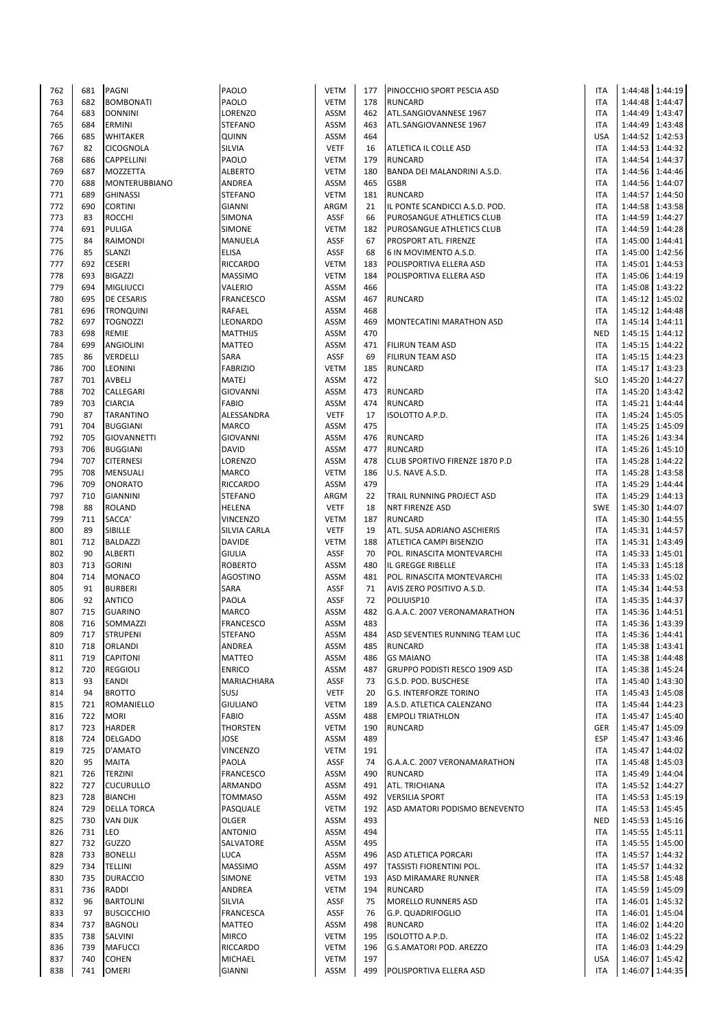| 762 | 681 | <b>PAGNI</b>         | PAOLO            | <b>VETM</b> | 177 | PINOCCHIO SPORT PESCIA ASD           | <b>ITA</b> |                 | 1:44:48 1:44:19   |
|-----|-----|----------------------|------------------|-------------|-----|--------------------------------------|------------|-----------------|-------------------|
| 763 | 682 | <b>BOMBONATI</b>     | PAOLO            | <b>VETM</b> | 178 | <b>RUNCARD</b>                       | <b>ITA</b> | 1:44:48         | 1:44:47           |
| 764 | 683 | <b>DONNINI</b>       | LORENZO          | <b>ASSM</b> | 462 | ATL.SANGIOVANNESE 1967               | <b>ITA</b> |                 | 1:44:49 1:43:47   |
| 765 | 684 | <b>ERMINI</b>        | <b>STEFANO</b>   | <b>ASSM</b> | 463 | ATL.SANGIOVANNESE 1967               | ITA        |                 | 1:44:49 1:43:48   |
| 766 |     |                      |                  |             | 464 |                                      | <b>USA</b> |                 |                   |
|     | 685 | <b>WHITAKER</b>      | QUINN            | <b>ASSM</b> |     |                                      |            |                 | 1:44:52 1:42:53   |
| 767 | 82  | <b>CICOGNOLA</b>     | SILVIA           | <b>VETF</b> | 16  | ATLETICA IL COLLE ASD                | <b>ITA</b> | 1:44:53         | 1:44:32           |
| 768 | 686 | CAPPELLINI           | PAOLO            | <b>VETM</b> | 179 | <b>RUNCARD</b>                       | <b>ITA</b> | 1:44:54         | 1:44:37           |
| 769 | 687 | <b>MOZZETTA</b>      | <b>ALBERTO</b>   | <b>VETM</b> | 180 | BANDA DEI MALANDRINI A.S.D.          | <b>ITA</b> |                 | 1:44:56 1:44:46   |
| 770 | 688 | <b>MONTERUBBIANO</b> | ANDREA           | <b>ASSM</b> | 465 | <b>GSBR</b>                          | ITA        | 1:44:56 1:44:07 |                   |
| 771 | 689 | <b>GHINASSI</b>      | <b>STEFANO</b>   | <b>VETM</b> | 181 | <b>RUNCARD</b>                       | <b>ITA</b> | 1:44:57         | 1:44:50           |
| 772 | 690 | <b>CORTINI</b>       | <b>GIANNI</b>    | ARGM        | 21  | IL PONTE SCANDICCI A.S.D. POD.       | ITA        |                 | 1:44:58 1:43:58   |
| 773 | 83  | <b>ROCCHI</b>        | SIMONA           | <b>ASSF</b> | 66  | PUROSANGUE ATHLETICS CLUB            | ITA        | 1:44:59         | 1:44:27           |
| 774 | 691 | <b>PULIGA</b>        | <b>SIMONE</b>    | <b>VETM</b> | 182 | PUROSANGUE ATHLETICS CLUB            | <b>ITA</b> | 1:44:59         | 1:44:28           |
| 775 | 84  | RAIMONDI             | MANUELA          | <b>ASSF</b> | 67  | PROSPORT ATL. FIRENZE                | <b>ITA</b> | 1:45:00         | 1:44:41           |
| 776 | 85  |                      |                  | <b>ASSF</b> | 68  | 6 IN MOVIMENTO A.S.D.                | <b>ITA</b> |                 | 1:45:00 1:42:56   |
|     |     | <b>SLANZI</b>        | <b>ELISA</b>     |             |     |                                      |            |                 |                   |
| 777 | 692 | <b>CESERI</b>        | RICCARDO         | <b>VETM</b> | 183 | POLISPORTIVA ELLERA ASD              | <b>ITA</b> |                 | 1:45:01 1:44:53   |
| 778 | 693 | <b>BIGAZZI</b>       | <b>MASSIMO</b>   | <b>VETM</b> | 184 | POLISPORTIVA ELLERA ASD              | ITA        |                 | 1:45:06 1:44:19   |
| 779 | 694 | <b>MIGLIUCCI</b>     | VALERIO          | <b>ASSM</b> | 466 |                                      | ITA        |                 | 1:45:08 1:43:22   |
| 780 | 695 | <b>DE CESARIS</b>    | <b>FRANCESCO</b> | <b>ASSM</b> | 467 | <b>RUNCARD</b>                       | ITA        | 1:45:12         | 1:45:02           |
| 781 | 696 | <b>TRONQUINI</b>     | RAFAEL           | <b>ASSM</b> | 468 |                                      | <b>ITA</b> |                 | 1:45:12 1:44:48   |
| 782 | 697 | <b>TOGNOZZI</b>      | LEONARDO         | <b>ASSM</b> | 469 | MONTECATINI MARATHON ASD             | <b>ITA</b> | 1:45:14 1:44:11 |                   |
| 783 | 698 | <b>REMIE</b>         | <b>MATTHIJS</b>  | <b>ASSM</b> | 470 |                                      | <b>NED</b> |                 | 1:45:15 1:44:12   |
| 784 | 699 | <b>ANGIOLINI</b>     | <b>MATTEO</b>    | <b>ASSM</b> | 471 | <b>FILIRUN TEAM ASD</b>              | <b>ITA</b> |                 | 1:45:15 1:44:22   |
| 785 | 86  | VERDELLI             | SARA             | <b>ASSF</b> | 69  | <b>FILIRUN TEAM ASD</b>              | ITA        | 1:45:15         | 1:44:23           |
|     |     |                      |                  |             |     |                                      |            |                 |                   |
| 786 | 700 | <b>LEONINI</b>       | <b>FABRIZIO</b>  | <b>VETM</b> | 185 | <b>RUNCARD</b>                       | <b>ITA</b> | 1:45:17         | 1:43:23           |
| 787 | 701 | AVBELJ               | <b>MATEJ</b>     | <b>ASSM</b> | 472 |                                      | <b>SLO</b> | 1:45:20         | 1:44:27           |
| 788 | 702 | CALLEGARI            | <b>GIOVANNI</b>  | <b>ASSM</b> | 473 | <b>RUNCARD</b>                       | <b>ITA</b> |                 | 1:45:20 1:43:42   |
| 789 | 703 | <b>CIARCIA</b>       | <b>FABIO</b>     | <b>ASSM</b> | 474 | <b>RUNCARD</b>                       | <b>ITA</b> | 1:45:21 1:44:44 |                   |
| 790 | 87  | <b>TARANTINO</b>     | ALESSANDRA       | <b>VETF</b> | 17  | <b>ISOLOTTO A.P.D.</b>               | <b>ITA</b> | 1:45:24 1:45:05 |                   |
| 791 | 704 | <b>BUGGIANI</b>      | <b>MARCO</b>     | <b>ASSM</b> | 475 |                                      | ITA        |                 | 1:45:25 1:45:09   |
| 792 | 705 | GIOVANNETTI          | <b>GIOVANNI</b>  | <b>ASSM</b> | 476 | <b>RUNCARD</b>                       | <b>ITA</b> | 1:45:26         | 1:43:34           |
| 793 | 706 | <b>BUGGIANI</b>      | <b>DAVID</b>     | <b>ASSM</b> | 477 | <b>RUNCARD</b>                       | <b>ITA</b> |                 | 1:45:26   1:45:10 |
| 794 | 707 | <b>CITERNESI</b>     | LORENZO          | <b>ASSM</b> | 478 | CLUB SPORTIVO FIRENZE 1870 P.D       | <b>ITA</b> | 1:45:28         | 1:44:22           |
| 795 | 708 | <b>MENSUALI</b>      | MARCO            | <b>VETM</b> | 186 | U.S. NAVE A.S.D.                     | <b>ITA</b> |                 | 1:45:28 1:43:58   |
|     |     |                      |                  |             |     |                                      |            |                 |                   |
| 796 | 709 | <b>ONORATO</b>       | <b>RICCARDO</b>  | <b>ASSM</b> | 479 |                                      | <b>ITA</b> |                 | 1:45:29 1:44:44   |
| 797 | 710 | <b>GIANNINI</b>      | <b>STEFANO</b>   | ARGM        | 22  | TRAIL RUNNING PROJECT ASD            | ITA        |                 | 1:45:29 1:44:13   |
| 798 | 88  | <b>ROLAND</b>        | HELENA           | <b>VETF</b> | 18  | <b>NRT FIRENZE ASD</b>               | <b>SWE</b> |                 | 1:45:30 1:44:07   |
| 799 | 711 | SACCA'               | <b>VINCENZO</b>  | <b>VETM</b> | 187 | <b>RUNCARD</b>                       | <b>ITA</b> | 1:45:30         | 1:44:55           |
| 800 | 89  | SIBILLE              | SILVIA CARLA     | <b>VETF</b> | 19  | ATL. SUSA ADRIANO ASCHIERIS          | <b>ITA</b> |                 | 1:45:31 1:44:57   |
| 801 | 712 | <b>BALDAZZI</b>      | <b>DAVIDE</b>    | <b>VETM</b> | 188 | ATLETICA CAMPI BISENZIO              | <b>ITA</b> | 1:45:31 1:43:49 |                   |
| 802 | 90  | <b>ALBERTI</b>       | <b>GIULIA</b>    | <b>ASSF</b> | 70  | POL. RINASCITA MONTEVARCHI           | ITA        | 1:45:33 1:45:01 |                   |
| 803 | 713 | <b>GORINI</b>        | <b>ROBERTO</b>   | <b>ASSM</b> | 480 | IL GREGGE RIBELLE                    | ITA        |                 | 1:45:33 1:45:18   |
| 804 | 714 | <b>MONACO</b>        | <b>AGOSTINO</b>  | <b>ASSM</b> | 481 | POL. RINASCITA MONTEVARCHI           | ITA        | 1:45:33         | 1:45:02           |
|     | 91  |                      |                  |             |     |                                      |            |                 |                   |
| 805 |     | <b>BURBERI</b>       | SARA             | <b>ASSF</b> | 71  | AVIS ZERO POSITIVO A.S.D.            | <b>ITA</b> | 1:45:34         | 1:44:53           |
| 806 | 92  | <b>ANTICO</b>        | PAOLA            | <b>ASSF</b> | 72  | POLIUISP10                           | ITA        | 1:45:35         | 1:44:37           |
| 807 | 715 | <b>GUARINO</b>       | MARCO            | <b>ASSM</b> | 482 | G.A.A.C. 2007 VERONAMARATHON         | ITA        |                 | 1:45:36 1:44:51   |
| 808 | 716 | SOMMAZZI             | <b>FRANCESCO</b> | <b>ASSM</b> | 483 |                                      | <b>ITA</b> |                 | 1:45:36 1:43:39   |
| 809 | 717 | <b>STRUPENI</b>      | STEFANO          | ASSM        | 484 | ASD SEVENTIES RUNNING TEAM LUC       | ITA        |                 | 1:45:36 1:44:41   |
| 810 | 718 | <b>ORLANDI</b>       | ANDREA           | <b>ASSM</b> | 485 | <b>RUNCARD</b>                       | <b>ITA</b> |                 | 1:45:38 1:43:41   |
| 811 | 719 | <b>CAPITONI</b>      | <b>MATTEO</b>    | <b>ASSM</b> | 486 | <b>GS MAIANO</b>                     | <b>ITA</b> | 1:45:38         | 1:44:48           |
| 812 | 720 | <b>REGGIOLI</b>      | <b>ENRICO</b>    | <b>ASSM</b> | 487 | <b>GRUPPO PODISTI RESCO 1909 ASD</b> | <b>ITA</b> |                 | 1:45:38 1:45:24   |
| 813 | 93  | <b>EANDI</b>         | MARIACHIARA      | <b>ASSF</b> | 73  | G.S.D. POD. BUSCHESE                 | <b>ITA</b> |                 | 1:45:40 1:43:30   |
|     | 94  | <b>BROTTO</b>        | SUSJ             | <b>VETF</b> |     |                                      | <b>ITA</b> |                 |                   |
| 814 |     |                      |                  |             | 20  | <b>G.S. INTERFORZE TORINO</b>        |            |                 | 1:45:43 1:45:08   |
| 815 | 721 | <b>ROMANIELLO</b>    | <b>GIULIANO</b>  | <b>VETM</b> | 189 | A.S.D. ATLETICA CALENZANO            | ITA        |                 | 1:45:44 1:44:23   |
| 816 | 722 | <b>MORI</b>          | <b>FABIO</b>     | <b>ASSM</b> | 488 | <b>EMPOLI TRIATHLON</b>              | ITA        | 1:45:47         | 1:45:40           |
| 817 | 723 | <b>HARDER</b>        | <b>THORSTEN</b>  | <b>VETM</b> | 190 | <b>RUNCARD</b>                       | GER        | 1:45:47         | 1:45:09           |
| 818 | 724 | <b>DELGADO</b>       | <b>JOSE</b>      | <b>ASSM</b> | 489 |                                      | <b>ESP</b> | 1:45:47         | 1:43:46           |
| 819 | 725 | D'AMATO              | <b>VINCENZO</b>  | <b>VETM</b> | 191 |                                      | <b>ITA</b> | 1:45:47         | 1:44:02           |
| 820 | 95  | <b>MAITA</b>         | PAOLA            | <b>ASSF</b> | 74  | G.A.A.C. 2007 VERONAMARATHON         | <b>ITA</b> |                 | 1:45:48 1:45:03   |
| 821 | 726 | <b>TERZINI</b>       | <b>FRANCESCO</b> | <b>ASSM</b> | 490 | <b>RUNCARD</b>                       | <b>ITA</b> |                 | 1:45:49 1:44:04   |
| 822 | 727 | <b>CUCURULLO</b>     | ARMANDO          | <b>ASSM</b> | 491 | ATL. TRICHIANA                       | ITA        |                 | 1:45:52 1:44:27   |
| 823 | 728 | <b>BIANCHI</b>       | <b>TOMMASO</b>   | <b>ASSM</b> | 492 | <b>VERSILIA SPORT</b>                | ITA        |                 | 1:45:53 1:45:19   |
| 824 | 729 | <b>DELLA TORCA</b>   | PASQUALE         | <b>VETM</b> | 192 | ASD AMATORI PODISMO BENEVENTO        | <b>ITA</b> |                 | 1:45:53 1:45:45   |
| 825 | 730 | <b>VAN DIJK</b>      | OLGER            | <b>ASSM</b> | 493 |                                      | <b>NED</b> |                 | 1:45:53 1:45:16   |
| 826 | 731 | LEO                  | <b>ANTONIO</b>   | <b>ASSM</b> | 494 |                                      | <b>ITA</b> |                 | 1:45:55 1:45:11   |
|     |     |                      |                  |             |     |                                      |            |                 |                   |
| 827 | 732 | <b>GUZZO</b>         | SALVATORE        | <b>ASSM</b> | 495 |                                      | <b>ITA</b> |                 | 1:45:55 1:45:00   |
| 828 | 733 | <b>BONELLI</b>       | LUCA             | <b>ASSM</b> | 496 | <b>ASD ATLETICA PORCARI</b>          | ITA        | 1:45:57         | 1:44:32           |
| 829 | 734 | <b>TELLINI</b>       | <b>MASSIMO</b>   | <b>ASSM</b> | 497 | TASSISTI FIORENTINI POL.             | ITA        |                 | 1:45:57 1:44:32   |
| 830 | 735 | <b>DURACCIO</b>      | <b>SIMONE</b>    | <b>VETM</b> | 193 | ASD MIRAMARE RUNNER                  | ITA        |                 | 1:45:58 1:45:48   |
| 831 | 736 | <b>RADDI</b>         | ANDREA           | <b>VETM</b> | 194 | <b>RUNCARD</b>                       | <b>ITA</b> |                 | 1:45:59 1:45:09   |
| 832 | 96  | <b>BARTOLINI</b>     | <b>SILVIA</b>    | <b>ASSF</b> | 75  | <b>MORELLO RUNNERS ASD</b>           | ITA        |                 | 1:46:01 1:45:32   |
| 833 | 97  | <b>BUSCICCHIO</b>    | FRANCESCA        | ASSF        | 76  | <b>G.P. QUADRIFOGLIO</b>             | ITA        |                 | 1:46:01 1:45:04   |
| 834 | 737 | <b>BAGNOLI</b>       | MATTEO           | <b>ASSM</b> | 498 | <b>RUNCARD</b>                       | ITA        |                 | 1:46:02 1:44:20   |
| 835 | 738 | SALVINI              | <b>MIRCO</b>     | <b>VETM</b> | 195 | ISOLOTTO A.P.D.                      | ITA        |                 | 1:46:02 1:45:22   |
|     | 739 |                      |                  |             | 196 |                                      | <b>ITA</b> |                 |                   |
| 836 |     | <b>MAFUCCI</b>       | RICCARDO         | <b>VETM</b> |     | G.S.AMATORI POD. AREZZO              |            |                 | 1:46:03 1:44:29   |
| 837 | 740 | <b>COHEN</b>         | MICHAEL          | <b>VETM</b> | 197 |                                      | <b>USA</b> | 1:46:07         | 1:45:42           |
| 838 | 741 | <b>OMERI</b>         | GIANNI           | ASSM        | 499 | POLISPORTIVA ELLERA ASD              | <b>ITA</b> |                 | 1:46:07 1:44:35   |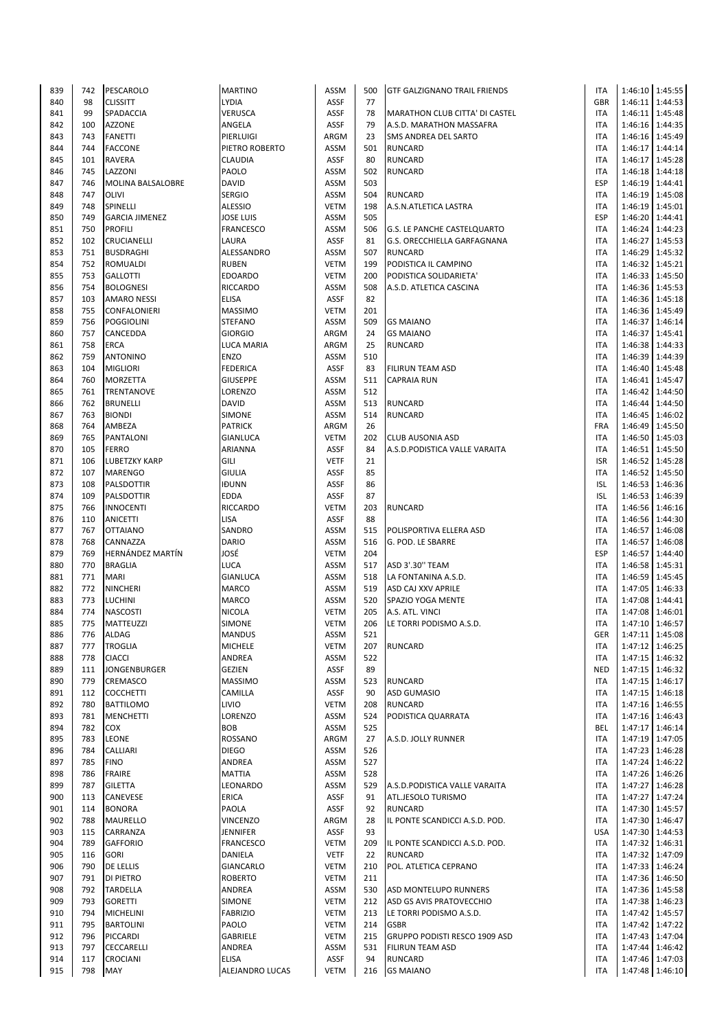| 839 | 742 | PESCAROLO                | <b>MARTINO</b>   | ASSM        | 500 | <b>GTF GALZIGNANO TRAIL FRIENDS</b>   | <b>ITA</b> |                 | 1:46:10 1:45:55 |
|-----|-----|--------------------------|------------------|-------------|-----|---------------------------------------|------------|-----------------|-----------------|
| 840 | 98  | <b>CLISSITT</b>          | <b>LYDIA</b>     | ASSF        | 77  |                                       | GBR        |                 | 1:46:11 1:44:53 |
| 841 | 99  | SPADACCIA                | VERUSCA          | ASSF        | 78  | <b>MARATHON CLUB CITTA' DI CASTEL</b> | <b>ITA</b> |                 | 1:46:11 1:45:48 |
| 842 | 100 | <b>AZZONE</b>            | ANGELA           | <b>ASSF</b> | 79  | A.S.D. MARATHON MASSAFRA              | <b>ITA</b> |                 | 1:46:16 1:44:35 |
| 843 | 743 | <b>FANETTI</b>           | PIERLUIGI        | ARGM        | 23  | SMS ANDREA DEL SARTO                  | <b>ITA</b> |                 | 1:46:16 1:45:49 |
| 844 | 744 | <b>FACCONE</b>           | PIETRO ROBERTO   | <b>ASSM</b> | 501 | <b>RUNCARD</b>                        | <b>ITA</b> |                 | 1:46:17 1:44:14 |
|     |     |                          |                  |             |     |                                       |            |                 |                 |
| 845 | 101 | <b>RAVERA</b>            | CLAUDIA          | ASSF        | 80  | <b>RUNCARD</b>                        | <b>ITA</b> |                 | 1:46:17 1:45:28 |
| 846 | 745 | LAZZONI                  | PAOLO            | <b>ASSM</b> | 502 | <b>RUNCARD</b>                        | <b>ITA</b> |                 | 1:46:18 1:44:18 |
| 847 | 746 | <b>MOLINA BALSALOBRE</b> | DAVID            | <b>ASSM</b> | 503 |                                       | <b>ESP</b> |                 | 1:46:19 1:44:41 |
| 848 | 747 | <b>OLIVI</b>             | <b>SERGIO</b>    | ASSM        | 504 | <b>RUNCARD</b>                        | <b>ITA</b> |                 | 1:46:19 1:45:08 |
| 849 | 748 | SPINELLI                 | <b>ALESSIO</b>   | <b>VETM</b> | 198 | A.S.N.ATLETICA LASTRA                 | <b>ITA</b> |                 | 1:46:19 1:45:01 |
| 850 | 749 | <b>GARCIA JIMENEZ</b>    | JOSE LUIS        | <b>ASSM</b> | 505 |                                       | ESP        |                 | 1:46:20 1:44:41 |
| 851 | 750 | <b>PROFILI</b>           | FRANCESCO        | ASSM        | 506 | <b>G.S. LE PANCHE CASTELQUARTO</b>    | <b>ITA</b> |                 | 1:46:24 1:44:23 |
|     |     |                          |                  |             |     |                                       |            |                 |                 |
| 852 | 102 | <b>CRUCIANELLI</b>       | LAURA            | ASSF        | 81  | G.S. ORECCHIELLA GARFAGNANA           | <b>ITA</b> |                 | 1:46:27 1:45:53 |
| 853 | 751 | <b>BUSDRAGHI</b>         | ALESSANDRO       | <b>ASSM</b> | 507 | <b>RUNCARD</b>                        | <b>ITA</b> |                 | 1:46:29 1:45:32 |
| 854 | 752 | <b>ROMUALDI</b>          | <b>RUBEN</b>     | <b>VETM</b> | 199 | PODISTICA IL CAMPINO                  | <b>ITA</b> |                 | 1:46:32 1:45:21 |
| 855 | 753 | <b>GALLOTTI</b>          | <b>EDOARDO</b>   | <b>VETM</b> | 200 | PODISTICA SOLIDARIETA'                | <b>ITA</b> |                 | 1:46:33 1:45:50 |
| 856 | 754 | <b>BOLOGNESI</b>         | RICCARDO         | <b>ASSM</b> | 508 | A.S.D. ATLETICA CASCINA               | <b>ITA</b> |                 | 1:46:36 1:45:53 |
| 857 | 103 | <b>AMARO NESSI</b>       | <b>ELISA</b>     | ASSF        | 82  |                                       | <b>ITA</b> |                 | 1:46:36 1:45:18 |
| 858 | 755 | <b>CONFALONIERI</b>      | <b>MASSIMO</b>   | <b>VETM</b> | 201 |                                       | <b>ITA</b> |                 | 1:46:36 1:45:49 |
|     |     |                          |                  |             |     |                                       |            |                 |                 |
| 859 | 756 | <b>POGGIOLINI</b>        | <b>STEFANO</b>   | <b>ASSM</b> | 509 | <b>GS MAIANO</b>                      | <b>ITA</b> |                 | 1:46:37 1:46:14 |
| 860 | 757 | CANCEDDA                 | <b>GIORGIO</b>   | ARGM        | 24  | <b>GS MAIANO</b>                      | <b>ITA</b> |                 | 1:46:37 1:45:41 |
| 861 | 758 | <b>ERCA</b>              | LUCA MARIA       | ARGM        | 25  | <b>RUNCARD</b>                        | <b>ITA</b> |                 | 1:46:38 1:44:33 |
| 862 | 759 | <b>ANTONINO</b>          | <b>ENZO</b>      | <b>ASSM</b> | 510 |                                       | <b>ITA</b> |                 | 1:46:39 1:44:39 |
| 863 | 104 | <b>MIGLIORI</b>          | <b>FEDERICA</b>  | ASSF        | 83  | <b>FILIRUN TEAM ASD</b>               | <b>ITA</b> |                 | 1:46:40 1:45:48 |
| 864 | 760 | <b>MORZETTA</b>          | <b>GIUSEPPE</b>  | ASSM        | 511 | <b>CAPRAIA RUN</b>                    | <b>ITA</b> |                 | 1:46:41 1:45:47 |
| 865 | 761 | TRENTANOVE               | LORENZO          | <b>ASSM</b> | 512 |                                       | <b>ITA</b> |                 | 1:46:42 1:44:50 |
|     |     |                          |                  | <b>ASSM</b> | 513 |                                       |            |                 |                 |
| 866 | 762 | <b>BRUNELLI</b>          | <b>DAVID</b>     |             |     | <b>RUNCARD</b>                        | <b>ITA</b> |                 | 1:46:44 1:44:50 |
| 867 | 763 | <b>BIONDI</b>            | SIMONE           | ASSM        | 514 | <b>RUNCARD</b>                        | <b>ITA</b> |                 | 1:46:45 1:46:02 |
| 868 | 764 | AMBEZA                   | <b>PATRICK</b>   | ARGM        | 26  |                                       | FRA        |                 | 1:46:49 1:45:50 |
| 869 | 765 | PANTALONI                | GIANLUCA         | <b>VETM</b> | 202 | <b>CLUB AUSONIA ASD</b>               | <b>ITA</b> |                 | 1:46:50 1:45:03 |
| 870 | 105 | <b>FERRO</b>             | ARIANNA          | ASSF        | 84  | A.S.D. PODISTICA VALLE VARAITA        | <b>ITA</b> |                 | 1:46:51 1:45:50 |
| 871 | 106 | <b>LUBETZKY KARP</b>     | <b>GILI</b>      | <b>VETF</b> | 21  |                                       | <b>ISR</b> |                 | 1:46:52 1:45:28 |
| 872 | 107 | <b>MARENGO</b>           | <b>GIULIA</b>    | ASSF        | 85  |                                       | <b>ITA</b> |                 | 1:46:52 1:45:50 |
| 873 | 108 | PALSDOTTIR               | <b>IĐUNN</b>     | <b>ASSF</b> | 86  |                                       | <b>ISL</b> |                 | 1:46:53 1:46:36 |
|     |     |                          |                  |             |     |                                       |            |                 |                 |
| 874 | 109 | PALSDOTTIR               | <b>EDDA</b>      | ASSF        | 87  |                                       | <b>ISL</b> |                 | 1:46:53 1:46:39 |
| 875 | 766 | <b>INNOCENTI</b>         | <b>RICCARDO</b>  | <b>VETM</b> | 203 | <b>RUNCARD</b>                        | <b>ITA</b> |                 | 1:46:56 1:46:16 |
| 876 | 110 | ANICETTI                 | <b>LISA</b>      | ASSF        | 88  |                                       | <b>ITA</b> |                 | 1:46:56 1:44:30 |
| 877 | 767 | <b>OTTAIANO</b>          | SANDRO           | <b>ASSM</b> | 515 | POLISPORTIVA ELLERA ASD               | <b>ITA</b> |                 | 1:46:57 1:46:08 |
| 878 | 768 | CANNAZZA                 | <b>DARIO</b>     | <b>ASSM</b> | 516 | G. POD. LE SBARRE                     | <b>ITA</b> |                 | 1:46:57 1:46:08 |
| 879 | 769 | <b>HERNÁNDEZ MARTÍN</b>  | JOSÉ             | <b>VETM</b> | 204 |                                       | <b>ESP</b> |                 | 1:46:57 1:44:40 |
| 880 | 770 | <b>BRAGLIA</b>           | LUCA             | <b>ASSM</b> | 517 | ASD 3'.30" TEAM                       | <b>ITA</b> |                 | 1:46:58 1:45:31 |
| 881 | 771 | <b>MARI</b>              | <b>GIANLUCA</b>  | <b>ASSM</b> | 518 | LA FONTANINA A.S.D.                   | <b>ITA</b> |                 | 1:46:59 1:45:45 |
| 882 | 772 |                          | <b>MARCO</b>     | ASSM        | 519 |                                       | ITA        |                 | 1:47:05 1:46:33 |
|     |     | <b>NINCHERI</b>          |                  |             |     | ASD CAJ XXV APRILE                    |            |                 |                 |
| 883 | 773 | <b>LUCHINI</b>           | MARCO            | ASSM        | 520 | SPAZIO YOGA MENTE                     | <b>ITA</b> |                 | 1:47:08 1:44:41 |
| 884 | 774 | <b>NASCOSTI</b>          | <b>NICOLA</b>    | <b>VETM</b> | 205 | A.S. ATL. VINCI                       | <b>ITA</b> |                 | 1:47:08 1:46:01 |
| 885 | 775 | <b>MATTEUZZI</b>         | SIMONE           | <b>VETM</b> | 206 | LE TORRI PODISMO A.S.D.               | <b>ITA</b> |                 | 1:47:10 1:46:57 |
| 886 | 776 | <b>ALDAG</b>             | <b>MANDUS</b>    | ASSM        | 521 |                                       | GER        |                 | 1:47:11 1:45:08 |
| 887 | 777 | <b>TROGLIA</b>           | <b>MICHELE</b>   | <b>VETM</b> | 207 | <b>RUNCARD</b>                        | ITA        |                 | 1:47:12 1:46:25 |
| 888 | 778 | <b>CIACCI</b>            | ANDREA           | ASSM        | 522 |                                       | <b>ITA</b> |                 | 1:47:15 1:46:32 |
| 889 | 111 | <b>JONGENBURGER</b>      | GEZIEN           | ASSF        | 89  |                                       | <b>NED</b> |                 | 1:47:15 1:46:32 |
| 890 | 779 | CREMASCO                 | <b>MASSIMO</b>   | <b>ASSM</b> | 523 | <b>RUNCARD</b>                        | ITA        |                 | 1:47:15 1:46:17 |
|     |     |                          |                  |             |     |                                       |            |                 |                 |
| 891 | 112 | COCCHETTI                | CAMILLA          | ASSF        | 90  | <b>ASD GUMASIO</b>                    | <b>ITA</b> |                 | 1:47:15 1:46:18 |
| 892 | 780 | <b>BATTILOMO</b>         | LIVIO            | <b>VETM</b> | 208 | <b>RUNCARD</b>                        | ITA        |                 | 1:47:16 1:46:55 |
| 893 | 781 | <b>MENCHETTI</b>         | LORENZO          | ASSM        | 524 | PODISTICA QUARRATA                    | <b>ITA</b> |                 | 1:47:16 1:46:43 |
| 894 | 782 | <b>COX</b>               | <b>BOB</b>       | ASSM        | 525 |                                       | BEL        |                 | 1:47:17 1:46:14 |
| 895 | 783 | LEONE                    | ROSSANO          | ARGM        | 27  | A.S.D. JOLLY RUNNER                   | ITA        |                 | 1:47:19 1:47:05 |
| 896 | 784 | <b>CALLIARI</b>          | <b>DIEGO</b>     | ASSM        | 526 |                                       | <b>ITA</b> |                 | 1:47:23 1:46:28 |
| 897 | 785 | <b>FINO</b>              | ANDREA           | ASSM        | 527 |                                       | ITA        |                 | 1:47:24 1:46:22 |
| 898 | 786 | <b>FRAIRE</b>            | <b>MATTIA</b>    | ASSM        | 528 |                                       | <b>ITA</b> |                 | 1:47:26 1:46:26 |
|     |     |                          |                  |             |     |                                       |            |                 |                 |
| 899 | 787 | <b>GILETTA</b>           | LEONARDO         | ASSM        | 529 | A.S.D.PODISTICA VALLE VARAITA         | <b>ITA</b> |                 | 1:47:27 1:46:28 |
| 900 | 113 | CANEVESE                 | ERICA            | ASSF        | 91  | ATL.JESOLO TURISMO                    | ITA        |                 | 1:47:27 1:47:24 |
| 901 | 114 | <b>BONORA</b>            | PAOLA            | ASSF        | 92  | <b>RUNCARD</b>                        | <b>ITA</b> |                 | 1:47:30 1:45:57 |
| 902 | 788 | <b>MAURELLO</b>          | <b>VINCENZO</b>  | ARGM        | 28  | IL PONTE SCANDICCI A.S.D. POD.        | <b>ITA</b> |                 | 1:47:30 1:46:47 |
| 903 | 115 | CARRANZA                 | JENNIFER         | ASSF        | 93  |                                       | <b>USA</b> |                 | 1:47:30 1:44:53 |
| 904 | 789 | <b>GAFFORIO</b>          | <b>FRANCESCO</b> | <b>VETM</b> | 209 | IL PONTE SCANDICCI A.S.D. POD.        | ITA        |                 | 1:47:32 1:46:31 |
| 905 | 116 | <b>GORI</b>              | DANIELA          | <b>VETF</b> | 22  | <b>RUNCARD</b>                        | <b>ITA</b> |                 | 1:47:32 1:47:09 |
| 906 | 790 | <b>DE LELLIS</b>         | <b>GIANCARLO</b> | <b>VETM</b> | 210 | POL. ATLETICA CEPRANO                 | ITA        |                 | 1:47:33 1:46:24 |
| 907 | 791 |                          | <b>ROBERTO</b>   | <b>VETM</b> | 211 |                                       | ITA        |                 |                 |
|     |     | <b>DI PIETRO</b>         |                  |             |     |                                       |            |                 | 1:47:36 1:46:50 |
| 908 | 792 | <b>TARDELLA</b>          | ANDREA           | ASSM        | 530 | ASD MONTELUPO RUNNERS                 | <b>ITA</b> |                 | 1:47:36 1:45:58 |
| 909 | 793 | <b>GORETTI</b>           | SIMONE           | <b>VETM</b> | 212 | ASD GS AVIS PRATOVECCHIO              | ITA        |                 | 1:47:38 1:46:23 |
| 910 | 794 | <b>MICHELINI</b>         | <b>FABRIZIO</b>  | <b>VETM</b> | 213 | LE TORRI PODISMO A.S.D.               | <b>ITA</b> |                 | 1:47:42 1:45:57 |
| 911 | 795 | <b>BARTOLINI</b>         | PAOLO            | <b>VETM</b> | 214 | <b>GSBR</b>                           | <b>ITA</b> |                 | 1:47:42 1:47:22 |
| 912 |     | PICCARDI                 | GABRIELE         | <b>VETM</b> | 215 | GRUPPO PODISTI RESCO 1909 ASD         | <b>ITA</b> |                 | 1:47:43 1:47:04 |
|     | 796 |                          |                  |             |     |                                       |            |                 |                 |
| 913 | 797 | <b>CECCARELLI</b>        | ANDREA           | ASSM        | 531 | <b>FILIRUN TEAM ASD</b>               | <b>ITA</b> |                 | 1:47:44 1:46:42 |
| 914 | 117 | <b>CROCIANI</b>          | <b>ELISA</b>     | ASSF        | 94  | <b>RUNCARD</b>                        | ITA        |                 | 1:47:46 1:47:03 |
| 915 | 798 | <b>MAY</b>               | ALEJANDRO LUCAS  | <b>VETM</b> | 216 | <b>GS MAIANO</b>                      | <b>ITA</b> | 1:47:48 1:46:10 |                 |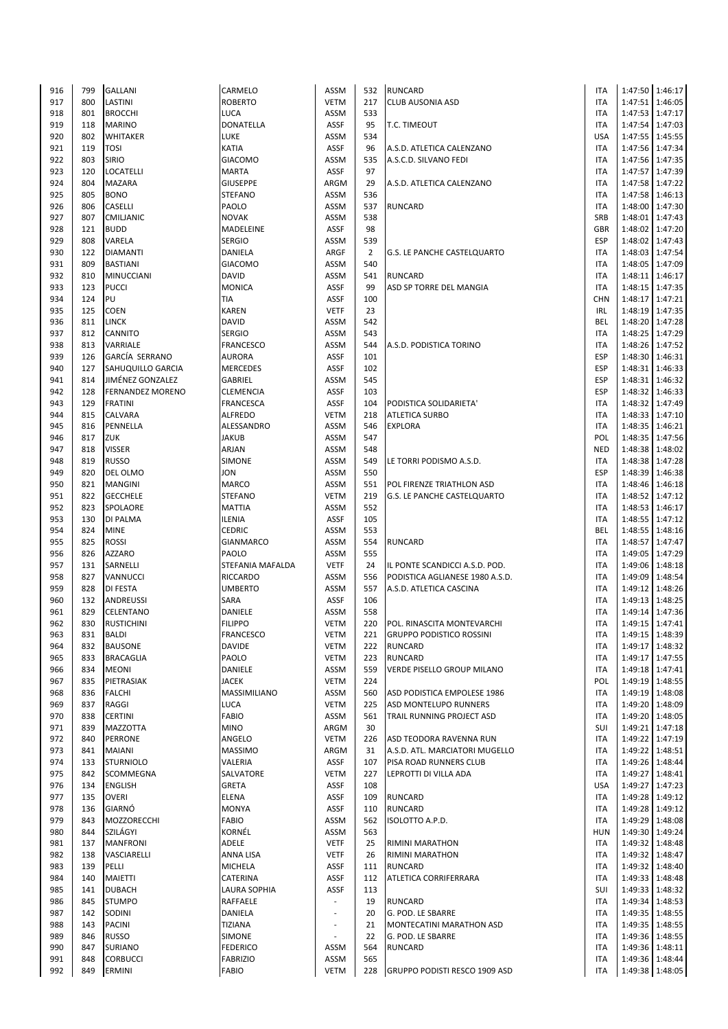| 916        | 799        | <b>GALLANI</b>                   | CARMELO                         | ASSM                     | 532            | <b>RUNCARD</b>                     | <b>ITA</b>               |                 | 1:47:50 1:46:17                    |
|------------|------------|----------------------------------|---------------------------------|--------------------------|----------------|------------------------------------|--------------------------|-----------------|------------------------------------|
| 917        | 800        | LASTINI                          | <b>ROBERTO</b>                  | <b>VETM</b>              | 217            | <b>CLUB AUSONIA ASD</b>            | <b>ITA</b>               | 1:47:51         | 1:46:05                            |
| 918        | 801        | <b>BROCCHI</b>                   | LUCA                            | ASSM                     | 533            |                                    | <b>ITA</b>               |                 | 1:47:53 1:47:17                    |
| 919        | 118        | <b>MARINO</b>                    | DONATELLA                       | ASSF                     | 95             | <b>T.C. TIMEOUT</b>                | <b>ITA</b>               |                 | 1:47:54 1:47:03                    |
| 920        | 802        | <b>WHITAKER</b>                  | LUKE                            | ASSM                     | 534            |                                    | <b>USA</b>               |                 | 1:47:55 1:45:55                    |
| 921        |            | <b>TOSI</b>                      | KATIA                           | ASSF                     | 96             |                                    | <b>ITA</b>               |                 |                                    |
|            | 119        |                                  |                                 |                          |                | A.S.D. ATLETICA CALENZANO          |                          |                 | 1:47:56 1:47:34                    |
| 922        | 803        | <b>SIRIO</b>                     | <b>GIACOMO</b>                  | <b>ASSM</b>              | 535            | A.S.C.D. SILVANO FEDI              | <b>ITA</b>               | 1:47:56         | 1:47:35                            |
| 923        | 120        | <b>LOCATELLI</b>                 | MARTA                           | ASSF                     | 97             |                                    | <b>ITA</b>               |                 | 1:47:57 1:47:39                    |
| 924        | 804        | <b>MAZARA</b>                    | <b>GIUSEPPE</b>                 | ARGM                     | 29             | A.S.D. ATLETICA CALENZANO          | <b>ITA</b>               |                 | 1:47:58 1:47:22                    |
| 925        | 805        | <b>BONO</b>                      | STEFANO                         | ASSM                     | 536            |                                    | <b>ITA</b>               |                 | 1:47:58 1:46:13                    |
| 926        | 806        | <b>CASELLI</b>                   | PAOLO                           | ASSM                     | 537            | <b>RUNCARD</b>                     | <b>ITA</b>               |                 | 1:48:00 1:47:30                    |
| 927        | 807        | CMILJANIC                        | <b>NOVAK</b>                    | ASSM                     | 538            |                                    | SRB                      |                 | 1:48:01 1:47:43                    |
| 928        | 121        | <b>BUDD</b>                      | MADELEINE                       | ASSF                     | 98             |                                    | <b>GBR</b>               |                 | 1:48:02 1:47:20                    |
| 929        | 808        | VARELA                           | <b>SERGIO</b>                   | <b>ASSM</b>              | 539            |                                    | <b>ESP</b>               |                 | 1:48:02 1:47:43                    |
| 930        | 122        |                                  | DANIELA                         | ARGF                     | $\overline{2}$ |                                    | <b>ITA</b>               |                 | 1:48:03 1:47:54                    |
|            |            | <b>DIAMANTI</b>                  |                                 |                          |                | <b>G.S. LE PANCHE CASTELQUARTO</b> |                          |                 |                                    |
| 931        | 809        | <b>BASTIANI</b>                  | <b>GIACOMO</b>                  | <b>ASSM</b>              | 540            |                                    | <b>ITA</b>               |                 | 1:48:05 1:47:09                    |
| 932        | 810        | <b>MINUCCIANI</b>                | <b>DAVID</b>                    | ASSM                     | 541            | <b>RUNCARD</b>                     | <b>ITA</b>               |                 | 1:48:11 1:46:17                    |
| 933        | 123        | <b>PUCCI</b>                     | <b>MONICA</b>                   | ASSF                     | 99             | ASD SP TORRE DEL MANGIA            | <b>ITA</b>               |                 | 1:48:15 1:47:35                    |
| 934        | 124        | PU                               | TIA                             | ASSF                     | 100            |                                    | <b>CHN</b>               |                 | 1:48:17 1:47:21                    |
| 935        | 125        | <b>COEN</b>                      | KAREN                           | <b>VETF</b>              | 23             |                                    | <b>IRL</b>               |                 | 1:48:19 1:47:35                    |
| 936        | 811        | <b>LINCK</b>                     | DAVID                           | <b>ASSM</b>              | 542            |                                    | <b>BEL</b>               |                 | 1:48:20 1:47:28                    |
| 937        | 812        | <b>CANNITO</b>                   | <b>SERGIO</b>                   | <b>ASSM</b>              | 543            |                                    | <b>ITA</b>               |                 | 1:48:25 1:47:29                    |
| 938        | 813        | <b>VARRIALE</b>                  | FRANCESCO                       | <b>ASSM</b>              | 544            | A.S.D. PODISTICA TORINO            | <b>ITA</b>               |                 | 1:48:26 1:47:52                    |
| 939        | 126        | GARCÍA SERRANO                   | AURORA                          | ASSF                     | 101            |                                    | <b>ESP</b>               |                 | 1:48:30 1:46:31                    |
| 940        | 127        | <b>SAHUQUILLO GARCIA</b>         |                                 | ASSF                     | 102            |                                    | <b>ESP</b>               | 1:48:31         | 1:46:33                            |
|            |            |                                  | <b>MERCEDES</b>                 |                          |                |                                    |                          |                 |                                    |
| 941        | 814        | JIMÉNEZ GONZALEZ                 | <b>GABRIEL</b>                  | <b>ASSM</b>              | 545            |                                    | ESP                      | 1:48:31         | 1:46:32                            |
| 942        | 128        | <b>FERNANDEZ MORENO</b>          | CLEMENCIA                       | ASSF                     | 103            |                                    | <b>ESP</b>               |                 | 1:48:32 1:46:33                    |
| 943        | 129        | <b>FRATINI</b>                   | <b>FRANCESCA</b>                | <b>ASSF</b>              | 104            | PODISTICA SOLIDARIETA'             | <b>ITA</b>               |                 | 1:48:32 1:47:49                    |
| 944        | 815        | <b>CALVARA</b>                   | ALFREDO                         | <b>VETM</b>              | 218            | <b>ATLETICA SURBO</b>              | <b>ITA</b>               |                 | 1:48:33 1:47:10                    |
| 945        | 816        | PENNELLA                         | ALESSANDRO                      | ASSM                     | 546            | <b>EXPLORA</b>                     | <b>ITA</b>               |                 | 1:48:35 1:46:21                    |
| 946        | 817        | <b>ZUK</b>                       | JAKUB                           | ASSM                     | 547            |                                    | POL                      |                 | 1:48:35 1:47:56                    |
| 947        | 818        | <b>VISSER</b>                    | ARJAN                           | <b>ASSM</b>              | 548            |                                    | <b>NED</b>               |                 | 1:48:38 1:48:02                    |
| 948        | 819        | <b>RUSSO</b>                     | <b>SIMONE</b>                   | <b>ASSM</b>              | 549            | LE TORRI PODISMO A.S.D.            | <b>ITA</b>               | 1:48:38         | 1:47:28                            |
| 949        | 820        | DEL OLMO                         | JON                             | ASSM                     | 550            |                                    | <b>ESP</b>               |                 | 1:48:39 1:46:38                    |
|            |            |                                  | MARCO                           |                          |                |                                    |                          |                 |                                    |
| 950        | 821        | <b>MANGINI</b>                   |                                 | <b>ASSM</b>              | 551            | POL FIRENZE TRIATHLON ASD          | <b>ITA</b>               |                 | 1:48:46 1:46:18                    |
| 951        | 822        | <b>GECCHELE</b>                  | STEFANO                         | <b>VETM</b>              | 219            | G.S. LE PANCHE CASTELQUARTO        | <b>ITA</b>               |                 | 1:48:52 1:47:12                    |
| 952        | 823        | SPOLAORE                         | <b>MATTIA</b>                   | ASSM                     | 552            |                                    | <b>ITA</b>               |                 | 1:48:53 1:46:17                    |
| 953        | 130        | <b>DI PALMA</b>                  | ILENIA                          | <b>ASSF</b>              | 105            |                                    | <b>ITA</b>               | 1:48:55         | 1:47:12                            |
| 954        | 824        | <b>MINE</b>                      | CEDRIC                          | ASSM                     | 553            |                                    | BEL                      |                 | 1:48:55 1:48:16                    |
| 955        | 825        | <b>ROSSI</b>                     | GIANMARCO                       | <b>ASSM</b>              | 554            | <b>RUNCARD</b>                     | <b>ITA</b>               | 1:48:57         | 1:47:47                            |
| 956        | 826        | <b>AZZARO</b>                    | PAOLO                           | <b>ASSM</b>              | 555            |                                    | <b>ITA</b>               |                 | 1:49:05 1:47:29                    |
| 957        | 131        | SARNELLI                         | STEFANIA MAFALDA                | <b>VETF</b>              | 24             | IL PONTE SCANDICCI A.S.D. POD.     | <b>ITA</b>               |                 | 1:49:06 1:48:18                    |
| 958        | 827        | VANNUCCI                         | RICCARDO                        | ASSM                     | 556            | PODISTICA AGLIANESE 1980 A.S.D.    | <b>ITA</b>               |                 | 1:49:09 1:48:54                    |
| 959        | 828        | <b>DI FESTA</b>                  | UMBERTO                         | <b>ASSM</b>              | 557            | A.S.D. ATLETICA CASCINA            | <b>ITA</b>               |                 | 1:49:12 1:48:26                    |
|            |            |                                  |                                 |                          |                |                                    |                          |                 |                                    |
| 960        | 132        | ANDREUSSI                        | SARA                            | ASSF                     | 106            |                                    | <b>ITA</b>               | 1:49:13         | 1:48:25                            |
| 961        | 829        | CELENTANO                        | DANIELE                         | <b>ASSM</b>              | 558            |                                    | <b>ITA</b>               |                 | 1:49:14 1:47:36                    |
| 962        | 830        | <b>RUSTICHINI</b>                | <b>FILIPPO</b>                  | <b>VETM</b>              | 220            | <b>POL. RINASCITA MONTEVARCHI</b>  | <b>ITA</b>               |                 | 1:49:15 1:47:41                    |
| 963        | 831        | BALDI                            | <b>FRANCESCO</b>                | VETM                     | 221            | <b>GRUPPO PODISTICO ROSSINI</b>    | <b>ITA</b>               |                 | 1:49:15 1:48:39                    |
| 964        | 832        | <b>BAUSONE</b>                   | <b>DAVIDE</b>                   | <b>VETM</b>              | 222            | RUNCARD                            | <b>ITA</b>               |                 | 1:49:17 1:48:32                    |
| 965        | 833        | <b>BRACAGLIA</b>                 | PAOLO                           | <b>VETM</b>              | 223            | <b>RUNCARD</b>                     | <b>ITA</b>               |                 | 1:49:17 1:47:55                    |
| 966        | 834        | <b>MEONI</b>                     | DANIELE                         | ASSM                     | 559            | <b>VERDE PISELLO GROUP MILANO</b>  | <b>ITA</b>               |                 | 1:49:18 1:47:41                    |
| 967        | 835        | PIETRASIAK                       | <b>JACEK</b>                    | <b>VETM</b>              | 224            |                                    | POL                      |                 | 1:49:19 1:48:55                    |
| 968        | 836        | <b>FALCHI</b>                    | MASSIMILIANO                    | ASSM                     | 560            | ASD PODISTICA EMPOLESE 1986        | <b>ITA</b>               |                 | 1:49:19 1:48:08                    |
|            |            |                                  |                                 |                          |                |                                    |                          |                 | 1:49:20 1:48:09                    |
| 969        | 837        | RAGGI                            | LUCA                            | <b>VETM</b>              | 225            | ASD MONTELUPO RUNNERS              | <b>ITA</b>               |                 |                                    |
| 970        | 838        | <b>CERTINI</b>                   | FABIO                           | ASSM                     | 561            | TRAIL RUNNING PROJECT ASD          | <b>ITA</b>               |                 | 1:49:20 1:48:05                    |
| 971        | 839        | <b>MAZZOTTA</b>                  | <b>MINO</b>                     | ARGM                     | 30             |                                    | SUI                      |                 | 1:49:21 1:47:18                    |
| 972        | 840        | <b>PERRONE</b>                   | ANGELO                          | <b>VETM</b>              | 226            | ASD TEODORA RAVENNA RUN            | <b>ITA</b>               |                 | 1:49:22 1:47:19                    |
| 973        | 841        | <b>MAIANI</b>                    | <b>MASSIMO</b>                  | ARGM                     | 31             | A.S.D. ATL. MARCIATORI MUGELLO     | <b>ITA</b>               |                 | 1:49:22 1:48:51                    |
| 974        | 133        | <b>STURNIOLO</b>                 | VALERIA                         | ASSF                     | 107            | PISA ROAD RUNNERS CLUB             | <b>ITA</b>               |                 | 1:49:26 1:48:44                    |
| 975        | 842        | SCOMMEGNA                        | SALVATORE                       | <b>VETM</b>              | 227            | LEPROTTI DI VILLA ADA              | <b>ITA</b>               |                 | 1:49:27 1:48:41                    |
| 976        | 134        | <b>ENGLISH</b>                   | GRETA                           | ASSF                     | 108            |                                    | <b>USA</b>               |                 | 1:49:27 1:47:23                    |
| 977        | 135        | <b>OVERI</b>                     | ELENA                           | ASSF                     | 109            | <b>RUNCARD</b>                     | <b>ITA</b>               |                 | 1:49:28 1:49:12                    |
| 978        | 136        | GIARNÓ                           | <b>MONYA</b>                    | ASSF                     | 110            | <b>RUNCARD</b>                     | <b>ITA</b>               |                 | 1:49:28 1:49:12                    |
| 979        | 843        | MOZZORECCHI                      | FABIO                           | ASSM                     | 562            | ISOLOTTO A.P.D.                    | <b>ITA</b>               |                 | 1:49:29 1:48:08                    |
|            | 844        | SZILÁGYI                         | KORNÉL                          |                          | 563            |                                    | <b>HUN</b>               |                 |                                    |
| 980        |            |                                  |                                 | ASSM                     |                |                                    |                          |                 | 1:49:30 1:49:24                    |
| 981        | 137        | <b>MANFRONI</b>                  | ADELE                           | <b>VETF</b>              | 25             | <b>RIMINI MARATHON</b>             | <b>ITA</b>               |                 | 1:49:32 1:48:48                    |
| 982        | 138        | VASCIARELLI                      | ANNA LISA                       | <b>VETF</b>              | 26             | <b>RIMINI MARATHON</b>             | <b>ITA</b>               |                 | 1:49:32 1:48:47                    |
| 983        | 139        | PELLI                            | MICHELA                         | ASSF                     | 111            | <b>RUNCARD</b>                     | <b>ITA</b>               |                 | 1:49:32 1:48:40                    |
| 984        | 140        | <b>MAIETTI</b>                   | CATERINA                        | ASSF                     | 112            | ATLETICA CORRIFERRARA              | <b>ITA</b>               |                 | 1:49:33 1:48:48                    |
| 985        | 141        | <b>DUBACH</b>                    | LAURA SOPHIA                    | ASSF                     | 113            |                                    | SUI                      |                 | 1:49:33 1:48:32                    |
| 986        | 845        | <b>STUMPO</b>                    | RAFFAELE                        | $\overline{\phantom{a}}$ | 19             | <b>RUNCARD</b>                     | <b>ITA</b>               |                 | 1:49:34 1:48:53                    |
| 987        | 142        | SODINI                           | DANIELA                         | $\overline{\phantom{m}}$ | 20             | G. POD. LE SBARRE                  | <b>ITA</b>               |                 | 1:49:35 1:48:55                    |
| 988        | 143        | <b>PACINI</b>                    | TIZIANA                         | ä,                       | 21             | MONTECATINI MARATHON ASD           | <b>ITA</b>               |                 | 1:49:35 1:48:55                    |
| 989        | 846        | <b>RUSSO</b>                     | SIMONE                          | $\overline{\phantom{m}}$ | 22             | G. POD. LE SBARRE                  | <b>ITA</b>               |                 | 1:49:36 1:48:55                    |
| 990        |            |                                  |                                 |                          |                |                                    |                          |                 |                                    |
|            |            |                                  |                                 |                          |                |                                    |                          |                 |                                    |
|            | 847        | <b>SURIANO</b>                   | <b>FEDERICO</b>                 | ASSM                     | 564            | <b>RUNCARD</b>                     | <b>ITA</b>               | 1:49:36 1:48:11 |                                    |
| 991<br>992 | 848<br>849 | <b>CORBUCCI</b><br><b>ERMINI</b> | <b>FABRIZIO</b><br><b>FABIO</b> | ASSM<br><b>VETM</b>      | 565<br>228     | GRUPPO PODISTI RESCO 1909 ASD      | <b>ITA</b><br><b>ITA</b> |                 | 1:49:36 1:48:44<br>1:49:38 1:48:05 |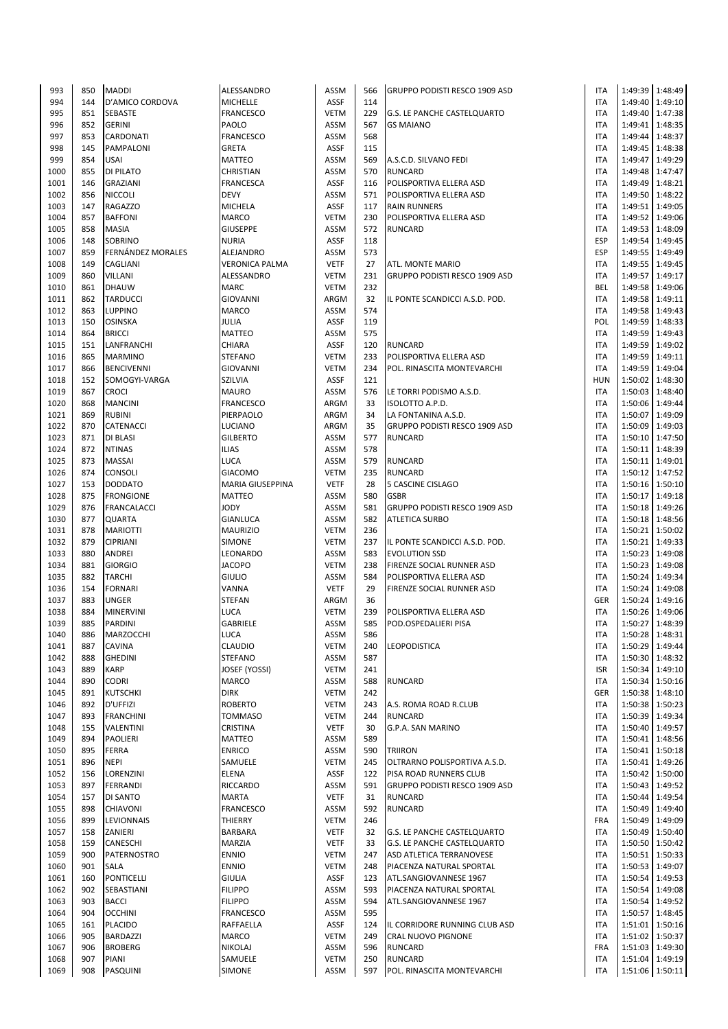| 993  | 850 | <b>MADDI</b>       | ALESSANDRO            | <b>ASSM</b> | 566 | <b>GRUPPO PODISTI RESCO 1909 ASD</b> | <b>ITA</b> |                 | 1:49:39 1:48:49 |
|------|-----|--------------------|-----------------------|-------------|-----|--------------------------------------|------------|-----------------|-----------------|
| 994  | 144 | D'AMICO CORDOVA    | <b>MICHELLE</b>       | <b>ASSF</b> | 114 |                                      | <b>ITA</b> | 1:49:40         | 1:49:10         |
| 995  | 851 | <b>SEBASTE</b>     | <b>FRANCESCO</b>      | <b>VETM</b> | 229 | G.S. LE PANCHE CASTELQUARTO          | <b>ITA</b> |                 | 1:49:40 1:47:38 |
| 996  | 852 | <b>GERINI</b>      | PAOLO                 | ASSM        | 567 | <b>GS MAIANO</b>                     | <b>ITA</b> | 1:49:41         | 1:48:35         |
| 997  |     |                    |                       | ASSM        | 568 |                                      | <b>ITA</b> |                 |                 |
|      | 853 | <b>CARDONATI</b>   | <b>FRANCESCO</b>      |             |     |                                      |            |                 | 1:49:44 1:48:37 |
| 998  | 145 | PAMPALONI          | <b>GRETA</b>          | ASSF        | 115 |                                      | <b>ITA</b> |                 | 1:49:45 1:48:38 |
| 999  | 854 | <b>USAI</b>        | <b>MATTEO</b>         | <b>ASSM</b> | 569 | A.S.C.D. SILVANO FEDI                | <b>ITA</b> | 1:49:47         | 1:49:29         |
| 1000 | 855 | <b>DI PILATO</b>   | <b>CHRISTIAN</b>      | ASSM        | 570 | <b>RUNCARD</b>                       | <b>ITA</b> |                 | 1:49:48 1:47:47 |
| 1001 | 146 | <b>GRAZIANI</b>    | <b>FRANCESCA</b>      | <b>ASSF</b> | 116 | POLISPORTIVA ELLERA ASD              | <b>ITA</b> | 1:49:49 1:48:21 |                 |
| 1002 | 856 | <b>NICCOLI</b>     | <b>DEVY</b>           | ASSM        | 571 | POLISPORTIVA ELLERA ASD              | <b>ITA</b> |                 | 1:49:50 1:48:22 |
| 1003 | 147 | <b>RAGAZZO</b>     | <b>MICHELA</b>        | <b>ASSF</b> | 117 | <b>RAIN RUNNERS</b>                  | <b>ITA</b> |                 | 1:49:51 1:49:05 |
| 1004 | 857 | <b>BAFFONI</b>     | MARCO                 | <b>VETM</b> | 230 | POLISPORTIVA ELLERA ASD              | <b>ITA</b> | 1:49:52 1:49:06 |                 |
| 1005 | 858 | MASIA              | <b>GIUSEPPE</b>       | <b>ASSM</b> | 572 | <b>RUNCARD</b>                       | <b>ITA</b> | 1:49:53 1:48:09 |                 |
| 1006 | 148 | <b>SOBRINO</b>     | <b>NURIA</b>          | <b>ASSF</b> | 118 |                                      | <b>ESP</b> | 1:49:54         | 1:49:45         |
| 1007 | 859 | FERNÁNDEZ MORALES  | ALEJANDRO             | <b>ASSM</b> | 573 |                                      | <b>ESP</b> |                 | 1:49:55 1:49:49 |
|      |     |                    |                       |             |     |                                      |            |                 |                 |
| 1008 | 149 | <b>CAGLIANI</b>    | <b>VERONICA PALMA</b> | <b>VETF</b> | 27  | ATL. MONTE MARIO                     | <b>ITA</b> | 1:49:55 1:49:45 |                 |
| 1009 | 860 | <b>VILLANI</b>     | ALESSANDRO            | <b>VETM</b> | 231 | GRUPPO PODISTI RESCO 1909 ASD        | <b>ITA</b> |                 | 1:49:57 1:49:17 |
| 1010 | 861 | <b>DHAUW</b>       | <b>MARC</b>           | <b>VETM</b> | 232 |                                      | BEL        |                 | 1:49:58 1:49:06 |
| 1011 | 862 | <b>TARDUCCI</b>    | <b>GIOVANNI</b>       | ARGM        | 32  | IL PONTE SCANDICCI A.S.D. POD.       | <b>ITA</b> | 1:49:58 1:49:11 |                 |
| 1012 | 863 | <b>LUPPINO</b>     | <b>MARCO</b>          | ASSM        | 574 |                                      | <b>ITA</b> |                 | 1:49:58 1:49:43 |
| 1013 | 150 | OSINSKA            | JULIA                 | <b>ASSF</b> | 119 |                                      | POL        |                 | 1:49:59 1:48:33 |
| 1014 | 864 | <b>BRICCI</b>      | <b>MATTEO</b>         | ASSM        | 575 |                                      | <b>ITA</b> |                 | 1:49:59 1:49:43 |
| 1015 | 151 | LANFRANCHI         | CHIARA                | <b>ASSF</b> | 120 | <b>RUNCARD</b>                       | <b>ITA</b> |                 | 1:49:59 1:49:02 |
| 1016 | 865 | <b>MARMINO</b>     | <b>STEFANO</b>        | <b>VETM</b> | 233 | POLISPORTIVA ELLERA ASD              | <b>ITA</b> |                 | 1:49:59 1:49:11 |
| 1017 | 866 |                    | <b>GIOVANNI</b>       | <b>VETM</b> | 234 | POL. RINASCITA MONTEVARCHI           | <b>ITA</b> |                 |                 |
|      |     | <b>BENCIVENNI</b>  |                       |             |     |                                      |            | 1:49:59 1:49:04 |                 |
| 1018 | 152 | SOMOGYI-VARGA      | <b>SZILVIA</b>        | <b>ASSF</b> | 121 |                                      | <b>HUN</b> | 1:50:02         | 1:48:30         |
| 1019 | 867 | <b>CROCI</b>       | <b>MAURO</b>          | ASSM        | 576 | LE TORRI PODISMO A.S.D.              | <b>ITA</b> |                 | 1:50:03 1:48:40 |
| 1020 | 868 | <b>MANCINI</b>     | <b>FRANCESCO</b>      | ARGM        | 33  | ISOLOTTO A.P.D.                      | <b>ITA</b> |                 | 1:50:06 1:49:44 |
| 1021 | 869 | <b>RUBINI</b>      | PIERPAOLO             | ARGM        | 34  | LA FONTANINA A.S.D.                  | <b>ITA</b> |                 | 1:50:07 1:49:09 |
| 1022 | 870 | <b>CATENACCI</b>   | LUCIANO               | ARGM        | 35  | GRUPPO PODISTI RESCO 1909 ASD        | <b>ITA</b> |                 | 1:50:09 1:49:03 |
| 1023 | 871 | <b>DI BLASI</b>    | <b>GILBERTO</b>       | ASSM        | 577 | <b>RUNCARD</b>                       | <b>ITA</b> | 1:50:10 1:47:50 |                 |
| 1024 | 872 | <b>NTINAS</b>      | <b>ILIAS</b>          | ASSM        | 578 |                                      | <b>ITA</b> | 1:50:11         | 1:48:39         |
| 1025 | 873 | <b>MASSAI</b>      | <b>LUCA</b>           | ASSM        | 579 | <b>RUNCARD</b>                       | <b>ITA</b> | 1:50:11         | 1:49:01         |
| 1026 | 874 | <b>CONSOLI</b>     | <b>GIACOMO</b>        | <b>VETM</b> | 235 | <b>RUNCARD</b>                       | <b>ITA</b> |                 | 1:50:12 1:47:52 |
| 1027 | 153 |                    |                       | <b>VETF</b> | 28  |                                      |            |                 |                 |
|      |     | <b>DODDATO</b>     | MARIA GIUSEPPINA      |             |     | 5 CASCINE CISLAGO                    | <b>ITA</b> |                 | 1:50:16 1:50:10 |
| 1028 | 875 | <b>FRONGIONE</b>   | <b>MATTEO</b>         | ASSM        | 580 | <b>GSBR</b>                          | <b>ITA</b> |                 | 1:50:17 1:49:18 |
| 1029 | 876 | <b>FRANCALACCI</b> | YODY                  | <b>ASSM</b> | 581 | GRUPPO PODISTI RESCO 1909 ASD        | <b>ITA</b> |                 | 1:50:18 1:49:26 |
| 1030 | 877 | <b>QUARTA</b>      | GIANLUCA              | ASSM        | 582 | <b>ATLETICA SURBO</b>                | <b>ITA</b> |                 | 1:50:18 1:48:56 |
| 1031 | 878 | <b>MARIOTTI</b>    | <b>MAURIZIO</b>       | <b>VETM</b> | 236 |                                      | <b>ITA</b> |                 | 1:50:21 1:50:02 |
| 1032 | 879 | <b>CIPRIANI</b>    | SIMONE                | <b>VETM</b> | 237 | IL PONTE SCANDICCI A.S.D. POD.       | <b>ITA</b> | 1:50:21         | 1:49:33         |
| 1033 | 880 | <b>ANDREI</b>      | LEONARDO              | ASSM        | 583 | <b>EVOLUTION SSD</b>                 | <b>ITA</b> |                 | 1:50:23 1:49:08 |
| 1034 | 881 | <b>GIORGIO</b>     | <b>JACOPO</b>         | <b>VETM</b> | 238 | <b>FIRENZE SOCIAL RUNNER ASD</b>     | <b>ITA</b> |                 | 1:50:23 1:49:08 |
| 1035 | 882 | <b>TARCHI</b>      | <b>GIULIO</b>         | ASSM        | 584 | POLISPORTIVA ELLERA ASD              | <b>ITA</b> | 1:50:24 1:49:34 |                 |
| 1036 | 154 | <b>FORNARI</b>     | VANNA                 | <b>VETF</b> | 29  | FIRENZE SOCIAL RUNNER ASD            | <b>ITA</b> |                 | 1:50:24 1:49:08 |
|      |     |                    |                       |             |     |                                      |            |                 |                 |
| 1037 | 883 | <b>UNGER</b>       | <b>STEFAN</b>         | ARGM        | 36  |                                      | <b>GER</b> | 1:50:24         | 1:49:16         |
| 1038 | 884 | <b>MINERVINI</b>   | LUCA                  | <b>VETM</b> | 239 | POLISPORTIVA ELLERA ASD              | <b>ITA</b> |                 | 1:50:26 1:49:06 |
| 1039 | 885 | <b>PARDINI</b>     | <b>GABRIELE</b>       | ASSM        | 585 | POD.OSPEDALIERI PISA                 | <b>ITA</b> |                 | 1:50:27 1:48:39 |
| 1040 | 886 | MARZOCCHI          | LUCA                  | ASSM        | 586 |                                      | ITA        |                 | 1:50:28 1:48:31 |
| 1041 | 887 | <b>CAVINA</b>      | CLAUDIO               | <b>VETM</b> | 240 | <b>LEOPODISTICA</b>                  | <b>ITA</b> |                 | 1:50:29 1:49:44 |
| 1042 | 888 | <b>GHEDINI</b>     | <b>STEFANO</b>        | ASSM        | 587 |                                      | <b>ITA</b> |                 | 1:50:30 1:48:32 |
| 1043 | 889 | <b>KARP</b>        | JOSEF (YOSSI)         | <b>VETM</b> | 241 |                                      | <b>ISR</b> |                 | 1:50:34 1:49:10 |
| 1044 | 890 | <b>CODRI</b>       | MARCO                 | ASSM        | 588 | <b>RUNCARD</b>                       | <b>ITA</b> |                 | 1:50:34 1:50:16 |
| 1045 | 891 | <b>KUTSCHKI</b>    | <b>DIRK</b>           | <b>VETM</b> | 242 |                                      | <b>GER</b> |                 | 1:50:38 1:48:10 |
| 1046 | 892 | <b>D'UFFIZI</b>    | <b>ROBERTO</b>        | <b>VETM</b> | 243 | A.S. ROMA ROAD R.CLUB                | <b>ITA</b> |                 | 1:50:38 1:50:23 |
|      |     |                    |                       |             |     |                                      |            |                 |                 |
| 1047 | 893 | <b>FRANCHINI</b>   | <b>TOMMASO</b>        | <b>VETM</b> | 244 | <b>RUNCARD</b>                       | <b>ITA</b> |                 | 1:50:39 1:49:34 |
| 1048 | 155 | VALENTINI          | CRISTINA              | <b>VETF</b> | 30  | G.P.A. SAN MARINO                    | <b>ITA</b> |                 | 1:50:40 1:49:57 |
| 1049 | 894 | <b>PAOLIERI</b>    | <b>MATTEO</b>         | <b>ASSM</b> | 589 |                                      | <b>ITA</b> | 1:50:41         | 1:48:56         |
| 1050 | 895 | FERRA              | <b>ENRICO</b>         | ASSM        | 590 | <b>TRIIRON</b>                       | <b>ITA</b> | 1:50:41         | 1:50:18         |
| 1051 | 896 | <b>NEPI</b>        | SAMUELE               | <b>VETM</b> | 245 | OLTRARNO POLISPORTIVA A.S.D.         | <b>ITA</b> | 1:50:41         | 1:49:26         |
| 1052 | 156 | LORENZINI          | ELENA                 | ASSF        | 122 | PISA ROAD RUNNERS CLUB               | <b>ITA</b> |                 | 1:50:42 1:50:00 |
| 1053 | 897 | <b>FERRANDI</b>    | RICCARDO              | <b>ASSM</b> | 591 | GRUPPO PODISTI RESCO 1909 ASD        | <b>ITA</b> |                 | 1:50:43 1:49:52 |
| 1054 | 157 | DI SANTO           | <b>MARTA</b>          | <b>VETF</b> | 31  | <b>RUNCARD</b>                       | <b>ITA</b> |                 | 1:50:44 1:49:54 |
| 1055 | 898 | <b>CHIAVONI</b>    | <b>FRANCESCO</b>      | <b>ASSM</b> | 592 | <b>RUNCARD</b>                       | <b>ITA</b> |                 | 1:50:49 1:49:40 |
| 1056 | 899 | LEVIONNAIS         | THIERRY               | <b>VETM</b> | 246 |                                      | <b>FRA</b> | 1:50:49         | 1:49:09         |
|      |     |                    |                       |             | 32  |                                      | <b>ITA</b> |                 |                 |
| 1057 | 158 | ZANIERI            | BARBARA               | <b>VETF</b> |     | <b>G.S. LE PANCHE CASTELQUARTO</b>   |            |                 | 1:50:49 1:50:40 |
| 1058 | 159 | <b>CANESCHI</b>    | MARZIA                | <b>VETF</b> | 33  | G.S. LE PANCHE CASTELQUARTO          | <b>ITA</b> | 1:50:50         | 1:50:42         |
| 1059 | 900 | <b>PATERNOSTRO</b> | <b>ENNIO</b>          | <b>VETM</b> | 247 | ASD ATLETICA TERRANOVESE             | <b>ITA</b> | 1:50:51         | 1:50:33         |
| 1060 | 901 | <b>SALA</b>        | <b>ENNIO</b>          | <b>VETM</b> | 248 | PIACENZA NATURAL SPORTAL             | <b>ITA</b> |                 | 1:50:53 1:49:07 |
| 1061 | 160 | <b>PONTICELLI</b>  | <b>GIULIA</b>         | ASSF        | 123 | ATL.SANGIOVANNESE 1967               | <b>ITA</b> |                 | 1:50:54 1:49:53 |
| 1062 | 902 | SEBASTIANI         | <b>FILIPPO</b>        | <b>ASSM</b> | 593 | PIACENZA NATURAL SPORTAL             | <b>ITA</b> | 1:50:54         | 1:49:08         |
| 1063 | 903 | <b>BACCI</b>       | <b>FILIPPO</b>        | ASSM        | 594 | ATL.SANGIOVANNESE 1967               | <b>ITA</b> | 1:50:54         | 1:49:52         |
| 1064 | 904 | <b>OCCHINI</b>     | <b>FRANCESCO</b>      | ASSM        | 595 |                                      | <b>ITA</b> |                 | 1:50:57 1:48:45 |
| 1065 | 161 | <b>PLACIDO</b>     | RAFFAELLA             | ASSF        | 124 | IL CORRIDORE RUNNING CLUB ASD        | <b>ITA</b> |                 | 1:51:01 1:50:16 |
| 1066 | 905 | <b>BARDAZZI</b>    | MARCO                 | <b>VETM</b> | 249 | CRAL NUOVO PIGNONE                   | <b>ITA</b> |                 | 1:51:02 1:50:37 |
|      |     |                    |                       |             |     |                                      |            |                 |                 |
| 1067 | 906 | <b>BROBERG</b>     | <b>NIKOLAJ</b>        | ASSM        | 596 | <b>RUNCARD</b>                       | <b>FRA</b> |                 | 1:51:03 1:49:30 |
| 1068 | 907 | <b>PIANI</b>       | SAMUELE               | <b>VETM</b> | 250 | <b>RUNCARD</b>                       | <b>ITA</b> | 1:51:04         | 1:49:19         |
| 1069 | 908 | PASQUINI           | <b>SIMONE</b>         | ASSM        | 597 | POL. RINASCITA MONTEVARCHI           | <b>ITA</b> | 1:51:06 1:50:11 |                 |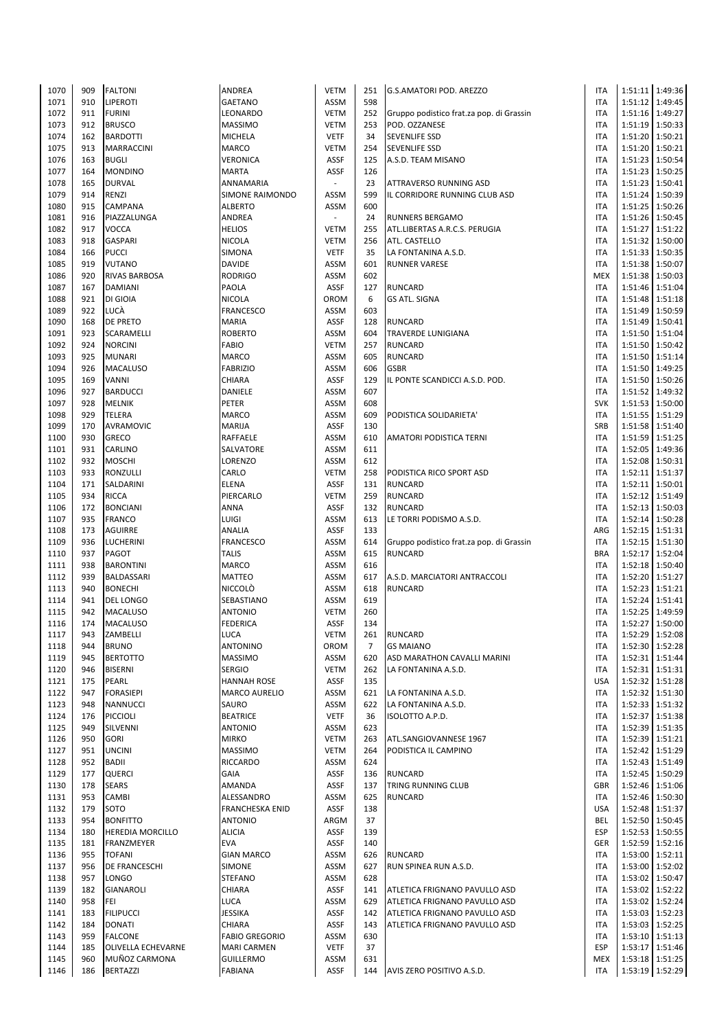| 1070 | 909 | <b>FALTONI</b>            | <b>ANDREA</b>          | <b>VETM</b>              | 251            | G.S.AMATORI POD. AREZZO                  | <b>ITA</b> | 1:51:11 1:49:36 |                   |
|------|-----|---------------------------|------------------------|--------------------------|----------------|------------------------------------------|------------|-----------------|-------------------|
| 1071 | 910 | LIPEROTI                  | <b>GAETANO</b>         | ASSM                     | 598            |                                          | <b>ITA</b> |                 | 1:51:12 1:49:45   |
|      |     |                           |                        |                          |                |                                          |            |                 |                   |
| 1072 | 911 | <b>FURINI</b>             | LEONARDO               | <b>VETM</b>              | 252            | Gruppo podistico frat.za pop. di Grassin | <b>ITA</b> |                 | 1:51:16 1:49:27   |
| 1073 | 912 | <b>BRUSCO</b>             | <b>MASSIMO</b>         | <b>VETM</b>              | 253            | POD. OZZANESE                            | <b>ITA</b> |                 | 1:51:19 1:50:33   |
| 1074 | 162 | <b>BARDOTTI</b>           | <b>MICHELA</b>         | <b>VETF</b>              | 34             | <b>SEVENLIFE SSD</b>                     | <b>ITA</b> | 1:51:20 1:50:21 |                   |
| 1075 | 913 | <b>MARRACCINI</b>         | <b>MARCO</b>           | <b>VETM</b>              | 254            | <b>SEVENLIFE SSD</b>                     | <b>ITA</b> | 1:51:20 1:50:21 |                   |
| 1076 | 163 | <b>BUGLI</b>              | VERONICA               | <b>ASSF</b>              | 125            | A.S.D. TEAM MISANO                       | <b>ITA</b> | 1:51:23 1:50:54 |                   |
|      |     |                           |                        |                          |                |                                          |            |                 |                   |
| 1077 | 164 | <b>MONDINO</b>            | <b>MARTA</b>           | <b>ASSF</b>              | 126            |                                          | <b>ITA</b> |                 | 1:51:23 1:50:25   |
| 1078 | 165 | <b>DURVAL</b>             | ANNAMARIA              | $\overline{\phantom{a}}$ | 23             | <b>ATTRAVERSO RUNNING ASD</b>            | <b>ITA</b> |                 | 1:51:23 1:50:41   |
| 1079 | 914 | RENZI                     | SIMONE RAIMONDO        | ASSM                     | 599            | IL CORRIDORE RUNNING CLUB ASD            | <b>ITA</b> |                 | 1:51:24 1:50:39   |
| 1080 | 915 | <b>CAMPANA</b>            | <b>ALBERTO</b>         | ASSM                     | 600            |                                          | <b>ITA</b> |                 | 1:51:25   1:50:26 |
| 1081 | 916 | PIAZZALUNGA               | <b>ANDREA</b>          | $\overline{\phantom{a}}$ | 24             | <b>RUNNERS BERGAMO</b>                   | <b>ITA</b> | 1:51:26         | 1:50:45           |
|      |     |                           |                        |                          |                |                                          |            |                 |                   |
| 1082 | 917 | <b>VOCCA</b>              | <b>HELIOS</b>          | <b>VETM</b>              | 255            | ATL.LIBERTAS A.R.C.S. PERUGIA            | <b>ITA</b> | 1:51:27         | 1:51:22           |
| 1083 | 918 | <b>GASPARI</b>            | <b>NICOLA</b>          | <b>VETM</b>              | 256            | ATL. CASTELLO                            | <b>ITA</b> |                 | 1:51:32 1:50:00   |
| 1084 | 166 | <b>PUCCI</b>              | <b>SIMONA</b>          | <b>VETF</b>              | 35             | LA FONTANINA A.S.D.                      | <b>ITA</b> |                 | 1:51:33 1:50:35   |
| 1085 | 919 | <b>VUTANO</b>             | <b>DAVIDE</b>          | ASSM                     | 601            | <b>RUNNER VARESE</b>                     | <b>ITA</b> |                 | 1:51:38 1:50:07   |
|      | 920 | <b>RIVAS BARBOSA</b>      | <b>RODRIGO</b>         | ASSM                     | 602            |                                          | <b>MEX</b> | 1:51:38 1:50:03 |                   |
| 1086 |     |                           |                        |                          |                |                                          |            |                 |                   |
| 1087 | 167 | <b>DAMIANI</b>            | PAOLA                  | <b>ASSF</b>              | 127            | <b>RUNCARD</b>                           | <b>ITA</b> |                 | 1:51:46 1:51:04   |
| 1088 | 921 | DI GIOIA                  | <b>NICOLA</b>          | OROM                     | 6              | <b>GS ATL. SIGNA</b>                     | <b>ITA</b> |                 | 1:51:48 1:51:18   |
| 1089 | 922 | LUCÀ                      | <b>FRANCESCO</b>       | ASSM                     | 603            |                                          | <b>ITA</b> |                 | 1:51:49 1:50:59   |
| 1090 | 168 | <b>DE PRETO</b>           | <b>MARIA</b>           | <b>ASSF</b>              | 128            | <b>RUNCARD</b>                           | <b>ITA</b> |                 | 1:51:49 1:50:41   |
|      |     |                           |                        |                          |                |                                          |            |                 |                   |
| 1091 | 923 | SCARAMELLI                | <b>ROBERTO</b>         | ASSM                     | 604            | <b>TRAVERDE LUNIGIANA</b>                | <b>ITA</b> |                 | 1:51:50 1:51:04   |
| 1092 | 924 | <b>NORCINI</b>            | <b>FABIO</b>           | <b>VETM</b>              | 257            | <b>RUNCARD</b>                           | <b>ITA</b> |                 | 1:51:50 1:50:42   |
| 1093 | 925 | <b>MUNARI</b>             | <b>MARCO</b>           | ASSM                     | 605            | <b>RUNCARD</b>                           | <b>ITA</b> | 1:51:50 1:51:14 |                   |
| 1094 | 926 | <b>MACALUSO</b>           | <b>FABRIZIO</b>        | <b>ASSM</b>              | 606            | <b>GSBR</b>                              | <b>ITA</b> | 1:51:50 1:49:25 |                   |
| 1095 | 169 | <b>VANNI</b>              | CHIARA                 | <b>ASSF</b>              | 129            | IL PONTE SCANDICCI A.S.D. POD.           | <b>ITA</b> | 1:51:50 1:50:26 |                   |
|      |     | <b>BARDUCCI</b>           |                        |                          |                |                                          |            |                 |                   |
| 1096 | 927 |                           | DANIELE                | ASSM                     | 607            |                                          | <b>ITA</b> |                 | 1:51:52 1:49:32   |
| 1097 | 928 | <b>MELNIK</b>             | PETER                  | ASSM                     | 608            |                                          | <b>SVK</b> |                 | 1:51:53 1:50:00   |
| 1098 | 929 | <b>TELERA</b>             | <b>MARCO</b>           | ASSM                     | 609            | PODISTICA SOLIDARIETA'                   | <b>ITA</b> | 1:51:55 1:51:29 |                   |
| 1099 | 170 | AVRAMOVIC                 | <b>MARIJA</b>          | <b>ASSF</b>              | 130            |                                          | SRB        | 1:51:58 1:51:40 |                   |
| 1100 | 930 | <b>GRECO</b>              | RAFFAELE               | ASSM                     | 610            | AMATORI PODISTICA TERNI                  | <b>ITA</b> | 1:51:59         | 1:51:25           |
|      |     |                           |                        |                          |                |                                          |            |                 |                   |
| 1101 | 931 | CARLINO                   | SALVATORE              | ASSM                     | 611            |                                          | <b>ITA</b> |                 | 1:52:05 1:49:36   |
| 1102 | 932 | <b>MOSCHI</b>             | LORENZO                | ASSM                     | 612            |                                          | <b>ITA</b> |                 | 1:52:08 1:50:31   |
| 1103 | 933 | RONZULLI                  | CARLO                  | <b>VETM</b>              | 258            | PODISTICA RICO SPORT ASD                 | <b>ITA</b> |                 | 1:52:11 1:51:37   |
| 1104 | 171 | SALDARINI                 | <b>ELENA</b>           | <b>ASSF</b>              | 131            | <b>RUNCARD</b>                           | <b>ITA</b> | 1:52:11 1:50:01 |                   |
| 1105 | 934 | <b>RICCA</b>              | PIERCARLO              | <b>VETM</b>              | 259            | <b>RUNCARD</b>                           | <b>ITA</b> | 1:52:12 1:51:49 |                   |
|      |     |                           |                        | <b>ASSF</b>              |                |                                          |            |                 |                   |
| 1106 | 172 | <b>BONCIANI</b>           | <b>ANNA</b>            |                          | 132            | <b>RUNCARD</b>                           | <b>ITA</b> |                 | 1:52:13 1:50:03   |
| 1107 | 935 | <b>FRANCO</b>             | LUIGI                  | <b>ASSM</b>              | 613            | LE TORRI PODISMO A.S.D.                  | <b>ITA</b> |                 | 1:52:14 1:50:28   |
| 1108 | 173 | <b>AGUIRRE</b>            | ANALIA                 | <b>ASSF</b>              | 133            |                                          | ARG        |                 | 1:52:15 1:51:31   |
| 1109 | 936 | <b>LUCHERINI</b>          | <b>FRANCESCO</b>       | ASSM                     | 614            | Gruppo podistico frat.za pop. di Grassin | <b>ITA</b> |                 | 1:52:15   1:51:30 |
| 1110 | 937 | PAGOT                     | <b>TALIS</b>           | ASSM                     | 615            | <b>RUNCARD</b>                           | <b>BRA</b> |                 | 1:52:17 1:52:04   |
|      | 938 |                           | <b>MARCO</b>           | ASSM                     | 616            |                                          | <b>ITA</b> |                 | 1:52:18 1:50:40   |
| 1111 |     | <b>BARONTINI</b>          |                        |                          |                |                                          |            |                 |                   |
| 1112 | 939 | <b>BALDASSARI</b>         | <b>MATTEO</b>          | ASSM                     | 617            | A.S.D. MARCIATORI ANTRACCOLI             | <b>ITA</b> | 1:52:20         | 1:51:27           |
| 1113 | 940 | <b>BONECHI</b>            | <b>NICCOLO</b>         | ASSM                     | 618            | <b>RUNCARD</b>                           | <b>ITA</b> | 1:52:23 1:51:21 |                   |
| 1114 | 941 | <b>DEL LONGO</b>          | SEBASTIANO             | ASSM                     | 619            |                                          | <b>ITA</b> |                 | 1:52:24 1:51:41   |
| 1115 | 942 | <b>MACALUSO</b>           | <b>ANTONIO</b>         | <b>VETM</b>              | 260            |                                          | <b>ITA</b> |                 | 1:52:25 1:49:59   |
| 1116 | 174 | <b>MACALUSO</b>           | <b>FEDERICA</b>        | <b>ASSF</b>              | 134            |                                          | <b>ITA</b> |                 | 1:52:27 1:50:00   |
|      |     |                           |                        |                          |                |                                          |            |                 |                   |
| 1117 | 943 | ZAMBELLI                  | <b>LUCA</b>            | VETM                     | 261            | <b>RUNCARD</b>                           | <b>ITA</b> |                 | 1:52:29 1:52:08   |
| 1118 | 944 | <b>BRUNO</b>              | <b>ANTONINO</b>        | <b>OROM</b>              | $\overline{7}$ | <b>GS MAIANO</b>                         | <b>ITA</b> |                 | 1:52:30 1:52:28   |
| 1119 | 945 | <b>BERTOTTO</b>           | <b>MASSIMO</b>         | ASSM                     | 620            | ASD MARATHON CAVALLI MARINI              | <b>ITA</b> | 1:52:31         | 1:51:44           |
| 1120 | 946 | <b>BISERNI</b>            | <b>SERGIO</b>          | <b>VETM</b>              | 262            | LA FONTANINA A.S.D.                      | <b>ITA</b> |                 | 1:52:31 1:51:31   |
| 1121 | 175 | PEARL                     | <b>HANNAH ROSE</b>     | <b>ASSF</b>              | 135            |                                          | <b>USA</b> |                 | 1:52:32 1:51:28   |
|      |     |                           |                        |                          |                |                                          |            |                 |                   |
| 1122 | 947 | <b>FORASIEPI</b>          | <b>MARCO AURELIO</b>   | ASSM                     | 621            | LA FONTANINA A.S.D.                      | <b>ITA</b> |                 | 1:52:32 1:51:30   |
| 1123 | 948 | <b>NANNUCCI</b>           | SAURO                  | ASSM                     | 622            | LA FONTANINA A.S.D.                      | <b>ITA</b> | 1:52:33 1:51:32 |                   |
| 1124 | 176 | PICCIOLI                  | <b>BEATRICE</b>        | <b>VETF</b>              | 36             | ISOLOTTO A.P.D.                          | <b>ITA</b> |                 | 1:52:37 1:51:38   |
| 1125 | 949 | SILVENNI                  | <b>ANTONIO</b>         | ASSM                     | 623            |                                          | <b>ITA</b> |                 | 1:52:39 1:51:35   |
| 1126 | 950 | <b>GORI</b>               | <b>MIRKO</b>           | <b>VETM</b>              | 263            | ATL.SANGIOVANNESE 1967                   | <b>ITA</b> | 1:52:39 1:51:21 |                   |
| 1127 | 951 | <b>UNCINI</b>             | <b>MASSIMO</b>         | <b>VETM</b>              | 264            | PODISTICA IL CAMPINO                     | <b>ITA</b> |                 | 1:52:42 1:51:29   |
|      |     |                           |                        |                          |                |                                          |            |                 |                   |
| 1128 | 952 | <b>BADII</b>              | RICCARDO               | ASSM                     | 624            |                                          | <b>ITA</b> |                 | 1:52:43 1:51:49   |
| 1129 | 177 | <b>QUERCI</b>             | <b>GAIA</b>            | <b>ASSF</b>              | 136            | <b>RUNCARD</b>                           | <b>ITA</b> |                 | 1:52:45   1:50:29 |
| 1130 | 178 | <b>SEARS</b>              | AMANDA                 | <b>ASSF</b>              | 137            | <b>TRING RUNNING CLUB</b>                | <b>GBR</b> |                 | 1:52:46 1:51:06   |
| 1131 | 953 | <b>CAMBI</b>              | ALESSANDRO             | ASSM                     | 625            | <b>RUNCARD</b>                           | <b>ITA</b> |                 | 1:52:46 1:50:30   |
| 1132 | 179 | SOTO                      | <b>FRANCHESKA ENID</b> | <b>ASSF</b>              | 138            |                                          | <b>USA</b> |                 | 1:52:48 1:51:37   |
|      |     |                           |                        |                          |                |                                          |            |                 |                   |
| 1133 | 954 | <b>BONFITTO</b>           | <b>ANTONIO</b>         | ARGM                     | 37             |                                          | BEL        | 1:52:50 1:50:45 |                   |
| 1134 | 180 | <b>HEREDIA MORCILLO</b>   | <b>ALICIA</b>          | <b>ASSF</b>              | 139            |                                          | <b>ESP</b> |                 | 1:52:53 1:50:55   |
| 1135 | 181 | FRANZMEYER                | <b>EVA</b>             | <b>ASSF</b>              | 140            |                                          | GER        | 1:52:59 1:52:16 |                   |
| 1136 | 955 | <b>TOFANI</b>             | <b>GIAN MARCO</b>      | ASSM                     | 626            | <b>RUNCARD</b>                           | <b>ITA</b> | 1:53:00 1:52:11 |                   |
| 1137 | 956 | <b>DE FRANCESCHI</b>      | <b>SIMONE</b>          | ASSM                     | 627            | RUN SPINEA RUN A.S.D.                    | <b>ITA</b> |                 | 1:53:00 1:52:02   |
|      |     |                           |                        |                          |                |                                          |            |                 |                   |
| 1138 | 957 | <b>LONGO</b>              | <b>STEFANO</b>         | ASSM                     | 628            |                                          | <b>ITA</b> |                 | 1:53:02 1:50:47   |
| 1139 | 182 | <b>GIANAROLI</b>          | CHIARA                 | <b>ASSF</b>              | 141            | ATLETICA FRIGNANO PAVULLO ASD            | <b>ITA</b> |                 | 1:53:02 1:52:22   |
| 1140 | 958 | FEI                       | LUCA                   | ASSM                     | 629            | ATLETICA FRIGNANO PAVULLO ASD            | <b>ITA</b> |                 | 1:53:02 1:52:24   |
| 1141 | 183 | <b>FILIPUCCI</b>          | JESSIKA                | <b>ASSF</b>              | 142            | ATLETICA FRIGNANO PAVULLO ASD            | <b>ITA</b> |                 | 1:53:03 1:52:23   |
| 1142 | 184 | <b>DONATI</b>             | CHIARA                 | <b>ASSF</b>              | 143            | ATLETICA FRIGNANO PAVULLO ASD            | <b>ITA</b> |                 | 1:53:03 1:52:25   |
|      |     |                           |                        |                          |                |                                          |            |                 |                   |
| 1143 | 959 | <b>FALCONE</b>            | <b>FABIO GREGORIO</b>  | ASSM                     | 630            |                                          | <b>ITA</b> |                 | 1:53:10 1:51:13   |
| 1144 | 185 | <b>OLIVELLA ECHEVARNE</b> | <b>MARI CARMEN</b>     | <b>VETF</b>              | 37             |                                          | <b>ESP</b> |                 | 1:53:17 1:51:46   |
| 1145 | 960 | MUÑOZ CARMONA             | <b>GUILLERMO</b>       | ASSM                     | 631            |                                          | <b>MEX</b> |                 | 1:53:18 1:51:25   |
| 1146 | 186 | <b>BERTAZZI</b>           | <b>FABIANA</b>         | <b>ASSF</b>              | 144            | AVIS ZERO POSITIVO A.S.D.                | <b>ITA</b> |                 | 1:53:19 1:52:29   |
|      |     |                           |                        |                          |                |                                          |            |                 |                   |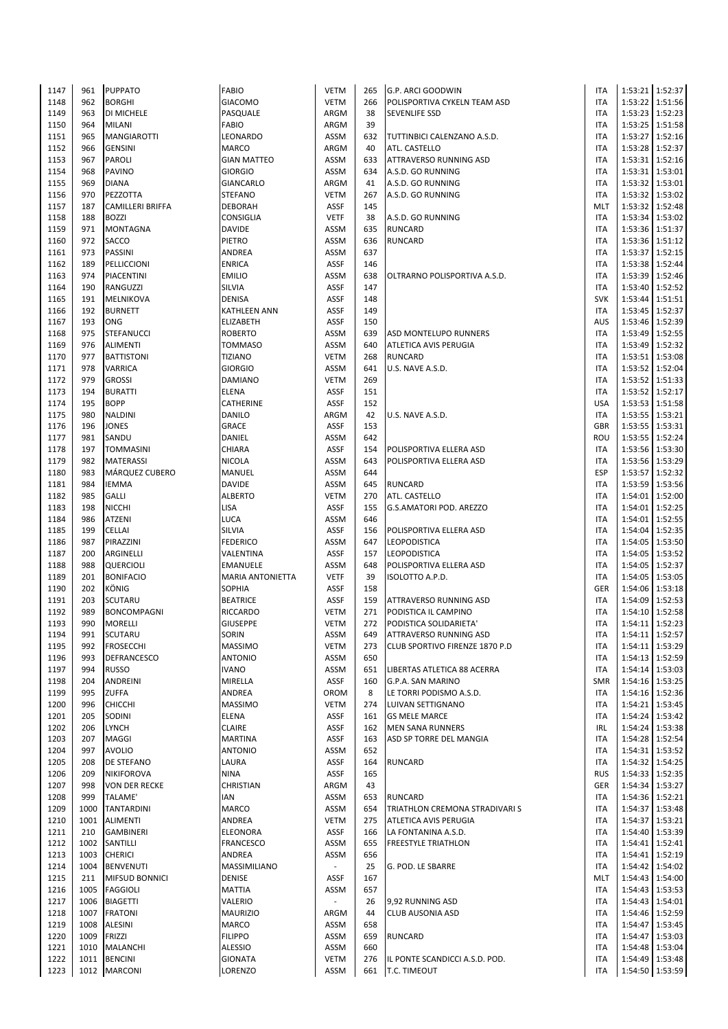| 1147         | 961  | <b>PUPPATO</b>                 | <b>FABIO</b>              | <b>VETM</b>              | 265        | G.P. ARCI GOODWIN                              | <b>ITA</b>               |                 | 1:53:21 1:52:37     |
|--------------|------|--------------------------------|---------------------------|--------------------------|------------|------------------------------------------------|--------------------------|-----------------|---------------------|
| 1148         | 962  | <b>BORGHI</b>                  | <b>GIACOMO</b>            | <b>VETM</b>              | 266        | POLISPORTIVA CYKELN TEAM ASD                   | <b>ITA</b>               |                 | 1:53:22 1:51:56     |
| 1149         | 963  | DI MICHELE                     | PASQUALE                  | ARGM                     | 38         | <b>SEVENLIFE SSD</b>                           | <b>ITA</b>               |                 | 1:53:23 1:52:23     |
| 1150         | 964  | <b>MILANI</b>                  | <b>FABIO</b>              | ARGM                     | 39         |                                                | <b>ITA</b>               |                 | 1:53:25   1:51:58   |
|              |      |                                |                           |                          |            |                                                |                          |                 |                     |
| 1151         | 965  | <b>MANGIAROTTI</b>             | LEONARDO                  | ASSM                     | 632        | TUTTINBICI CALENZANO A.S.D.                    | <b>ITA</b>               |                 | 1:53:27 1:52:16     |
| 1152         | 966  | <b>GENSINI</b>                 | <b>MARCO</b>              | ARGM                     | 40         | ATL. CASTELLO                                  | <b>ITA</b>               |                 | 1:53:28 1:52:37     |
| 1153         | 967  | <b>PAROLI</b>                  | <b>GIAN MATTEO</b>        | ASSM                     | 633        | <b>ATTRAVERSO RUNNING ASD</b>                  | <b>ITA</b>               | 1:53:31         | 1:52:16             |
| 1154         | 968  | <b>PAVINO</b>                  | <b>GIORGIO</b>            | ASSM                     | 634        | A.S.D. GO RUNNING                              | <b>ITA</b>               |                 | 1:53:31 1:53:01     |
| 1155         | 969  | <b>DIANA</b>                   | GIANCARLO                 | ARGM                     | 41         | A.S.D. GO RUNNING                              | <b>ITA</b>               |                 | 1:53:32 1:53:01     |
| 1156         | 970  | PEZZOTTA                       | <b>STEFANO</b>            | <b>VETM</b>              | 267        | A.S.D. GO RUNNING                              | <b>ITA</b>               |                 | 1:53:32 1:53:02     |
| 1157         | 187  | <b>CAMILLERI BRIFFA</b>        | <b>DEBORAH</b>            | <b>ASSF</b>              | 145        |                                                | <b>MLT</b>               |                 | 1:53:32 1:52:48     |
| 1158         | 188  | <b>BOZZI</b>                   | <b>CONSIGLIA</b>          | <b>VETF</b>              | 38         | A.S.D. GO RUNNING                              | <b>ITA</b>               |                 | 1:53:34 1:53:02     |
| 1159         | 971  | <b>MONTAGNA</b>                | <b>DAVIDE</b>             | ASSM                     | 635        | <b>RUNCARD</b>                                 | <b>ITA</b>               |                 | 1:53:36 1:51:37     |
|              | 972  |                                |                           |                          |            |                                                | <b>ITA</b>               |                 |                     |
| 1160         |      | <b>SACCO</b>                   | PIETRO                    | ASSM                     | 636        | <b>RUNCARD</b>                                 |                          |                 | 1:53:36 1:51:12     |
| 1161         | 973  | PASSINI                        | ANDREA                    | ASSM                     | 637        |                                                | <b>ITA</b>               |                 | 1:53:37 1:52:15     |
| 1162         | 189  | PELLICCIONI                    | <b>ENRICA</b>             | <b>ASSF</b>              | 146        |                                                | <b>ITA</b>               |                 | 1:53:38 1:52:44     |
| 1163         | 974  | PIACENTINI                     | <b>EMILIO</b>             | ASSM                     | 638        | OLTRARNO POLISPORTIVA A.S.D.                   | <b>ITA</b>               |                 | 1:53:39 1:52:46     |
| 1164         | 190  | RANGUZZI                       | SILVIA                    | <b>ASSF</b>              | 147        |                                                | <b>ITA</b>               |                 | 1:53:40 1:52:52     |
| 1165         | 191  | MELNIKOVA                      | <b>DENISA</b>             | <b>ASSF</b>              | 148        |                                                | <b>SVK</b>               | 1:53:44         | 1:51:51             |
| 1166         | 192  | <b>BURNETT</b>                 | <b>KATHLEEN ANN</b>       | <b>ASSF</b>              | 149        |                                                | <b>ITA</b>               |                 | 1:53:45   1:52:37   |
| 1167         | 193  | <b>ONG</b>                     | <b>ELIZABETH</b>          | <b>ASSF</b>              | 150        |                                                | <b>AUS</b>               |                 | 1:53:46 1:52:39     |
| 1168         | 975  | <b>STEFANUCCI</b>              | <b>ROBERTO</b>            | ASSM                     | 639        | <b>ASD MONTELUPO RUNNERS</b>                   | <b>ITA</b>               |                 | 1:53:49 1:52:55     |
| 1169         | 976  | <b>ALIMENTI</b>                | <b>TOMMASO</b>            | ASSM                     | 640        | ATLETICA AVIS PERUGIA                          | <b>ITA</b>               |                 | 1:53:49 1:52:32     |
|              |      |                                |                           |                          |            |                                                |                          |                 |                     |
| 1170         | 977  | <b>BATTISTONI</b>              | <b>TIZIANO</b>            | <b>VETM</b>              | 268        | <b>RUNCARD</b>                                 | <b>ITA</b>               |                 | 1:53:51   1:53:08   |
| 1171         | 978  | <b>VARRICA</b>                 | <b>GIORGIO</b>            | ASSM                     | 641        | U.S. NAVE A.S.D.                               | <b>ITA</b>               |                 | 1:53:52 1:52:04     |
| 1172         | 979  | <b>GROSSI</b>                  | DAMIANO                   | <b>VETM</b>              | 269        |                                                | <b>ITA</b>               |                 | 1:53:52 1:51:33     |
| 1173         | 194  | <b>BURATTI</b>                 | ELENA                     | <b>ASSF</b>              | 151        |                                                | <b>ITA</b>               |                 | 1:53:52 1:52:17     |
| 1174         | 195  | <b>BOPP</b>                    | CATHERINE                 | <b>ASSF</b>              | 152        |                                                | <b>USA</b>               |                 | 1:53:53 1:51:58     |
| 1175         | 980  | <b>NALDINI</b>                 | DANILO                    | ARGM                     | 42         | U.S. NAVE A.S.D.                               | <b>ITA</b>               |                 | 1:53:55 1:53:21     |
| 1176         | 196  | <b>JONES</b>                   | GRACE                     | <b>ASSF</b>              | 153        |                                                | <b>GBR</b>               |                 | 1:53:55 1:53:31     |
| 1177         | 981  | SANDU                          | DANIEL                    | ASSM                     | 642        |                                                | ROU                      | 1:53:55         | 1:52:24             |
| 1178         | 197  | <b>TOMMASINI</b>               | <b>CHIARA</b>             | <b>ASSF</b>              | 154        | POLISPORTIVA ELLERA ASD                        | <b>ITA</b>               |                 | 1:53:56   1:53:30   |
| 1179         | 982  | <b>MATERASSI</b>               | <b>NICOLA</b>             | ASSM                     | 643        | POLISPORTIVA ELLERA ASD                        | <b>ITA</b>               |                 | 1:53:56 1:53:29     |
|              |      |                                |                           |                          |            |                                                |                          |                 |                     |
| 1180         | 983  | MÁRQUEZ CUBERO                 | MANUEL                    | ASSM                     | 644        |                                                | <b>ESP</b>               |                 | 1:53:57 1:52:32     |
| 1181         | 984  | <b>IEMMA</b>                   | <b>DAVIDE</b>             | ASSM                     | 645        | <b>RUNCARD</b>                                 | <b>ITA</b>               |                 | 1:53:59 1:53:56     |
| 1182         | 985  | <b>GALLI</b>                   | <b>ALBERTO</b>            | <b>VETM</b>              | 270        | ATL. CASTELLO                                  | <b>ITA</b>               | 1:54:01 1:52:00 |                     |
| 1183         | 198  | <b>NICCHI</b>                  | LISA                      | <b>ASSF</b>              | 155        | G.S.AMATORI POD. AREZZO                        | <b>ITA</b>               |                 | 1:54:01 1:52:25     |
| 1184         | 986  | <b>ATZENI</b>                  | LUCA                      | ASSM                     | 646        |                                                | <b>ITA</b>               | 1:54:01         | 1:52:55             |
| 1185         | 199  | <b>CELLAI</b>                  | <b>SILVIA</b>             | <b>ASSF</b>              | 156        | POLISPORTIVA ELLERA ASD                        | <b>ITA</b>               |                 | 1:54:04 1:52:35     |
| 1186         | 987  | PIRAZZINI                      | <b>FEDERICO</b>           | <b>ASSM</b>              | 647        | LEOPODISTICA                                   | <b>ITA</b>               |                 | 1:54:05   1:53:50   |
| 1187         | 200  | ARGINELLI                      | VALENTINA                 | <b>ASSF</b>              | 157        | <b>LEOPODISTICA</b>                            | <b>ITA</b>               |                 | 1:54:05 1:53:52     |
| 1188         | 988  | <b>QUERCIOLI</b>               | <b>EMANUELE</b>           | ASSM                     | 648        | POLISPORTIVA ELLERA ASD                        | <b>ITA</b>               |                 | 1:54:05   1:52:37   |
|              |      | <b>BONIFACIO</b>               |                           | <b>VETF</b>              | 39         |                                                | <b>ITA</b>               |                 |                     |
| 1189         | 201  |                                | <b>MARIA ANTONIETTA</b>   |                          |            | ISOLOTTO A.P.D.                                |                          |                 | 1:54:05   1:53:05   |
| 1190         | 202  | KÖNIG                          | SOPHIA                    | <b>ASSF</b>              | 158        |                                                | GER                      |                 | 1:54:06 1:53:18     |
| 1191         | 203  | SCUTARU                        | <b>BEATRICE</b>           | <b>ASSF</b>              | 159        | <b>ATTRAVERSO RUNNING ASD</b>                  | <b>ITA</b>               |                 | 1:54:09 1:52:53     |
| 1192         | 989  | <b>BONCOMPAGNI</b>             | RICCARDO                  | <b>VETM</b>              | 271        | PODISTICA IL CAMPINO                           | <b>ITA</b>               |                 | 1:54:10 1:52:58     |
| 1193         | 990  | <b>MORELLI</b>                 | <b>GIUSEPPE</b>           | <b>VETM</b>              | 272        | PODISTICA SOLIDARIETA'                         | <b>ITA</b>               |                 | 1:54:11 1:52:23     |
| 1194         | 991  | SCUTARU                        | <b>SORIN</b>              | ASSM                     | 649        | ATTRAVERSO RUNNING ASD                         | ITA                      |                 | $1:54:11$   1:52:57 |
| 1195         | 992  | <b>FROSECCHI</b>               | <b>MASSIMO</b>            | <b>VETM</b>              | 273        | CLUB SPORTIVO FIRENZE 1870 P.D                 | <b>ITA</b>               |                 | 1:54:11 1:53:29     |
| 1196         | 993  | DEFRANCESCO                    | <b>ANTONIO</b>            | ASSM                     | 650        |                                                | <b>ITA</b>               |                 | 1:54:13 1:52:59     |
| 1197         | 994  | <b>RUSSO</b>                   | <b>IVANO</b>              | ASSM                     | 651        | LIBERTAS ATLETICA 88 ACERRA                    | <b>ITA</b>               |                 | 1:54:14 1:53:03     |
| 1198         | 204  | <b>ANDREINI</b>                | MIRELLA                   | <b>ASSF</b>              | 160        | G.P.A. SAN MARINO                              | <b>SMR</b>               |                 | 1:54:16 1:53:25     |
|              |      |                                |                           |                          |            | LE TORRI PODISMO A.S.D.                        |                          |                 |                     |
| 1199         | 995  | <b>ZUFFA</b>                   | ANDREA                    | OROM                     | 8          |                                                | <b>ITA</b>               |                 | 1:54:16 1:52:36     |
| 1200         | 996  | <b>CHICCHI</b>                 | <b>MASSIMO</b>            | <b>VETM</b>              | 274        | LUIVAN SETTIGNANO                              | <b>ITA</b>               |                 | 1:54:21 1:53:45     |
| 1201         | 205  | SODINI                         | <b>ELENA</b>              | <b>ASSF</b>              | 161        | <b>GS MELE MARCE</b>                           | <b>ITA</b>               |                 | 1:54:24 1:53:42     |
| 1202         | 206  | <b>LYNCH</b>                   | <b>CLAIRE</b>             | <b>ASSF</b>              | 162        | <b>MEN SANA RUNNERS</b>                        | <b>IRL</b>               |                 | 1:54:24 1:53:38     |
| 1203         | 207  | <b>MAGGI</b>                   | <b>MARTINA</b>            | <b>ASSF</b>              | 163        | ASD SP TORRE DEL MANGIA                        | <b>ITA</b>               |                 | 1:54:28 1:52:54     |
| 1204         | 997  | <b>AVOLIO</b>                  | <b>ANTONIO</b>            | ASSM                     | 652        |                                                | <b>ITA</b>               |                 | 1:54:31 1:53:52     |
| 1205         | 208  | <b>DE STEFANO</b>              | LAURA                     | <b>ASSF</b>              | 164        | <b>RUNCARD</b>                                 | <b>ITA</b>               |                 | 1:54:32 1:54:25     |
| 1206         | 209  | <b>NIKIFOROVA</b>              | <b>NINA</b>               | ASSF                     | 165        |                                                | <b>RUS</b>               |                 | 1:54:33 1:52:35     |
| 1207         | 998  | <b>VON DER RECKE</b>           | CHRISTIAN                 | ARGM                     | 43         |                                                | GER                      |                 | 1:54:34 1:53:27     |
| 1208         | 999  | <b>TALAME</b>                  | IAN                       | ASSM                     | 653        | <b>RUNCARD</b>                                 | <b>ITA</b>               |                 | 1:54:36 1:52:21     |
| 1209         | 1000 |                                | <b>MARCO</b>              | ASSM                     | 654        | TRIATHLON CREMONA STRADIVARI S                 | <b>ITA</b>               |                 | 1:54:37 1:53:48     |
|              |      | <b>TANTARDINI</b>              |                           |                          |            |                                                |                          |                 |                     |
| 1210         | 1001 | <b>ALIMENTI</b>                | ANDREA                    | <b>VETM</b>              | 275        | ATLETICA AVIS PERUGIA                          | <b>ITA</b>               |                 | 1:54:37 1:53:21     |
| 1211         | 210  | <b>GAMBINERI</b>               | <b>ELEONORA</b>           | <b>ASSF</b>              | 166        | LA FONTANINA A.S.D.                            | <b>ITA</b>               |                 | 1:54:40 1:53:39     |
| 1212         | 1002 | SANTILLI                       | <b>FRANCESCO</b>          | ASSM                     | 655        | <b>FREESTYLE TRIATHLON</b>                     | <b>ITA</b>               |                 | 1:54:41 1:52:41     |
| 1213         | 1003 | <b>CHERICI</b>                 | ANDREA                    | ASSM                     | 656        |                                                | <b>ITA</b>               |                 | 1:54:41 1:52:19     |
| 1214         | 1004 | <b>BENVENUTI</b>               | MASSIMILIANO              | $\overline{\phantom{a}}$ | 25         | G. POD. LE SBARRE                              | <b>ITA</b>               |                 | 1:54:42 1:54:02     |
| 1215         | 211  | <b>MIFSUD BONNICI</b>          | <b>DENISE</b>             | <b>ASSF</b>              | 167        |                                                | <b>MLT</b>               |                 | 1:54:43 1:54:00     |
| 1216         |      | 1005 FAGGIOLI                  | <b>MATTIA</b>             | ASSM                     | 657        |                                                | <b>ITA</b>               |                 | 1:54:43 1:53:53     |
| 1217         | 1006 | <b>BIAGETTI</b>                | VALERIO                   |                          | 26         | 9,92 RUNNING ASD                               | <b>ITA</b>               |                 | 1:54:43 1:54:01     |
| 1218         | 1007 | <b>FRATONI</b>                 | <b>MAURIZIO</b>           | ARGM                     | 44         | <b>CLUB AUSONIA ASD</b>                        | <b>ITA</b>               |                 | 1:54:46 1:52:59     |
| 1219         |      | 1008 ALESINI                   | <b>MARCO</b>              | ASSM                     | 658        |                                                | <b>ITA</b>               |                 | 1:54:47 1:53:45     |
|              |      |                                |                           |                          |            |                                                |                          |                 |                     |
| 1220         | 1009 | <b>FRIZZI</b>                  | <b>FILIPPO</b>            | ASSM                     | 659        | <b>RUNCARD</b>                                 | <b>ITA</b>               |                 | 1:54:47 1:53:03     |
| 1221         |      | 1010   MALANCHI                | <b>ALESSIO</b>            | ASSM                     | 660        |                                                | <b>ITA</b>               |                 | 1:54:48 1:53:04     |
|              |      |                                |                           |                          |            |                                                |                          |                 |                     |
| 1222<br>1223 | 1011 | <b>BENCINI</b><br>1012 MARCONI | <b>GIONATA</b><br>LORENZO | <b>VETM</b><br>ASSM      | 276<br>661 | IL PONTE SCANDICCI A.S.D. POD.<br>T.C. TIMEOUT | <b>ITA</b><br><b>ITA</b> | 1:54:49 1:53:48 | 1:54:50 1:53:59     |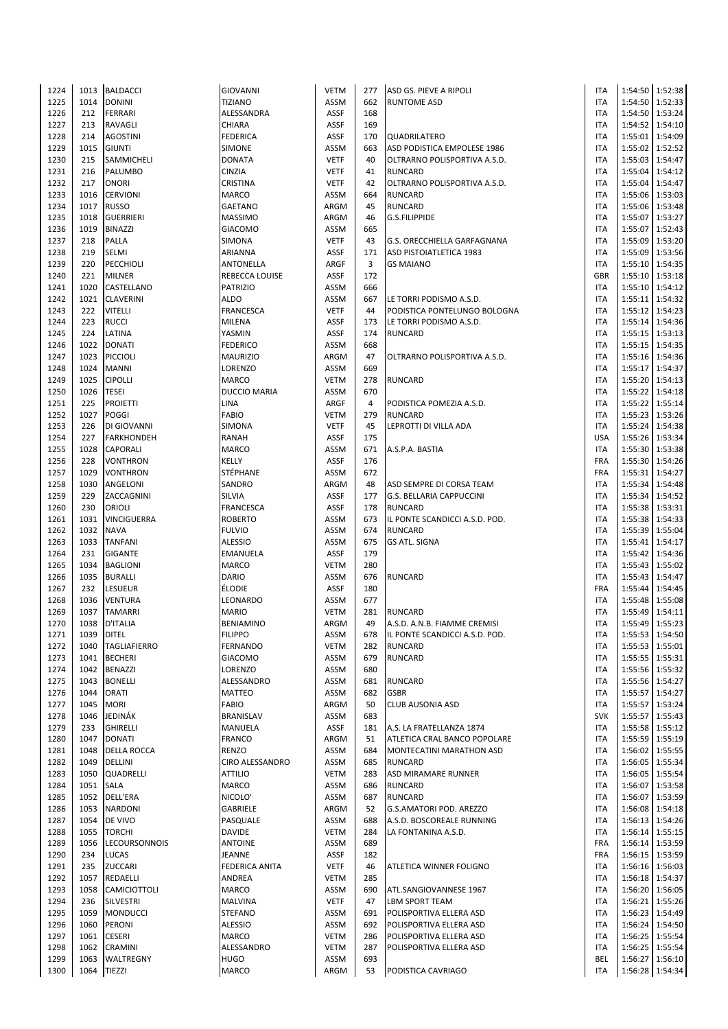| 1224         | 1013                | <b>BALDACCI</b>     | <b>GIOVANNI</b>      | <b>VETM</b>  | 277       | ASD GS. PIEVE A RIPOLI          | <b>ITA</b>        |                   | 1:54:50 1:52:38   |
|--------------|---------------------|---------------------|----------------------|--------------|-----------|---------------------------------|-------------------|-------------------|-------------------|
| 1225         | 1014                | <b>DONINI</b>       | <b>TIZIANO</b>       | <b>ASSM</b>  | 662       | <b>RUNTOME ASD</b>              | <b>ITA</b>        |                   | 1:54:50 1:52:33   |
| 1226         | 212                 | <b>FERRARI</b>      | ALESSANDRA           | ASSF         | 168       |                                 | <b>ITA</b>        |                   | 1:54:50 1:53:24   |
| 1227         | 213                 | <b>RAVAGLI</b>      | <b>CHIARA</b>        | <b>ASSF</b>  | 169       |                                 | <b>ITA</b>        |                   | 1:54:52 1:54:10   |
| 1228         | 214                 | <b>AGOSTINI</b>     | <b>FEDERICA</b>      | ASSF         | 170       | QUADRILATERO                    | <b>ITA</b>        |                   | 1:55:01 1:54:09   |
|              |                     |                     |                      |              |           |                                 |                   |                   |                   |
| 1229         | 1015                | <b>GIUNTI</b>       | SIMONE               | <b>ASSM</b>  | 663       | ASD PODISTICA EMPOLESE 1986     | <b>ITA</b>        |                   | 1:55:02 1:52:52   |
| 1230         | 215                 | SAMMICHELI          | DONATA               | <b>VETF</b>  | 40        | OLTRARNO POLISPORTIVA A.S.D.    | <b>ITA</b>        |                   | 1:55:03 1:54:47   |
| 1231         | 216                 | PALUMBO             | CINZIA               | <b>VETF</b>  | 41        | <b>RUNCARD</b>                  | <b>ITA</b>        |                   | 1:55:04 1:54:12   |
| 1232         | 217                 | <b>ONORI</b>        | CRISTINA             | <b>VETF</b>  | 42        | OLTRARNO POLISPORTIVA A.S.D.    | <b>ITA</b>        | 1:55:04           | 1:54:47           |
| 1233         | 1016                | <b>CERVIONI</b>     | MARCO                | ASSM         | 664       | <b>RUNCARD</b>                  | <b>ITA</b>        |                   | 1:55:06 1:53:03   |
| 1234         | 1017                | <b>RUSSO</b>        | <b>GAETANO</b>       | ARGM         | 45        | <b>RUNCARD</b>                  | <b>ITA</b>        |                   | 1:55:06 1:53:48   |
| 1235         | 1018                | <b>GUERRIERI</b>    | <b>MASSIMO</b>       | ARGM         | 46        | <b>G.S.FILIPPIDE</b>            | <b>ITA</b>        |                   | 1:55:07 1:53:27   |
| 1236         | 1019                | <b>BINAZZI</b>      | <b>GIACOMO</b>       | ASSM         | 665       |                                 | <b>ITA</b>        |                   | 1:55:07 1:52:43   |
| 1237         | 218                 | <b>PALLA</b>        | SIMONA               | <b>VETF</b>  | 43        | G.S. ORECCHIELLA GARFAGNANA     | <b>ITA</b>        |                   | 1:55:09 1:53:20   |
| 1238         | 219                 | SELMI               | ARIANNA              | ASSF         | 171       | ASD PISTOIATLETICA 1983         | <b>ITA</b>        |                   | 1:55:09 1:53:56   |
|              |                     |                     |                      |              |           |                                 |                   |                   |                   |
| 1239         | 220                 | PECCHIOLI           | ANTONELLA            | <b>ARGF</b>  | 3         | <b>GS MAIANO</b>                | <b>ITA</b>        |                   | 1:55:10 1:54:35   |
| 1240         | 221                 | <b>MILNER</b>       | REBECCA LOUISE       | ASSF         | 172       |                                 | <b>GBR</b>        |                   | 1:55:10 1:53:18   |
| 1241         | 1020                | CASTELLANO          | <b>PATRIZIO</b>      | ASSM         | 666       |                                 | ITA               |                   | 1:55:10 1:54:12   |
| 1242         | 1021                | <b>CLAVERINI</b>    | ALDO                 | <b>ASSM</b>  | 667       | LE TORRI PODISMO A.S.D.         | <b>ITA</b>        |                   | 1:55:11 1:54:32   |
| 1243         | 222                 | <b>VITELLI</b>      | <b>FRANCESCA</b>     | <b>VETF</b>  | 44        | PODISTICA PONTELUNGO BOLOGNA    | <b>ITA</b>        |                   | 1:55:12 1:54:23   |
| 1244         | 223                 | <b>RUCCI</b>        | MILENA               | <b>ASSF</b>  | 173       | LE TORRI PODISMO A.S.D.         | <b>ITA</b>        |                   | 1:55:14 1:54:36   |
| 1245         | 224                 | LATINA              | YASMIN               | ASSF         | 174       | <b>RUNCARD</b>                  | <b>ITA</b>        |                   | $1:55:15$ 1:53:13 |
| 1246         | 1022                | <b>DONATI</b>       | <b>FEDERICO</b>      | <b>ASSM</b>  | 668       |                                 | <b>ITA</b>        |                   | 1:55:15   1:54:35 |
| 1247         | 1023                | <b>PICCIOLI</b>     | MAURIZIO             | ARGM         | 47        | OLTRARNO POLISPORTIVA A.S.D.    | <b>ITA</b>        |                   | 1:55:16   1:54:36 |
|              | 1024                |                     |                      |              | 669       |                                 | <b>ITA</b>        |                   |                   |
| 1248         |                     | <b>MANNI</b>        | LORENZO              | ASSM         |           |                                 |                   |                   | 1:55:17 1:54:37   |
| 1249         | 1025                | <b>CIPOLLI</b>      | MARCO                | <b>VETM</b>  | 278       | <b>RUNCARD</b>                  | <b>ITA</b>        |                   | 1:55:20 1:54:13   |
| 1250         | 1026                | <b>TESEI</b>        | <b>DUCCIO MARIA</b>  | ASSM         | 670       |                                 | <b>ITA</b>        |                   | 1:55:22 1:54:18   |
| 1251         | 225                 | <b>PROIETTI</b>     | LINA                 | <b>ARGF</b>  | 4         | PODISTICA POMEZIA A.S.D.        | <b>ITA</b>        |                   | 1:55:22 1:55:14   |
| 1252         | 1027                | <b>POGGI</b>        | FABIO                | <b>VETM</b>  | 279       | <b>RUNCARD</b>                  | <b>ITA</b>        |                   | 1:55:23   1:53:26 |
| 1253         | 226                 | DI GIOVANNI         | SIMONA               | <b>VETF</b>  | 45        | LEPROTTI DI VILLA ADA           | <b>ITA</b>        |                   | 1:55:24   1:54:38 |
| 1254         | 227                 | <b>FARKHONDEH</b>   | RANAH                | ASSF         | 175       |                                 | <b>USA</b>        |                   | 1:55:26 1:53:34   |
| 1255         | 1028                | <b>CAPORALI</b>     | MARCO                | ASSM         | 671       | A.S.P.A. BASTIA                 | <b>ITA</b>        |                   | 1:55:30 1:53:38   |
| 1256         | 228                 | <b>VONTHRON</b>     | KELLY                | ASSF         | 176       |                                 | <b>FRA</b>        |                   | 1:55:30 1:54:26   |
| 1257         | 1029                | <b>VONTHRON</b>     | STÉPHANE             | ASSM         | 672       |                                 | <b>FRA</b>        |                   | 1:55:31 1:54:27   |
|              |                     |                     |                      |              |           |                                 |                   |                   |                   |
| 1258         | 1030                | ANGELONI            | SANDRO               | ARGM         | 48        | ASD SEMPRE DI CORSA TEAM        | <b>ITA</b>        |                   | 1:55:34 1:54:48   |
| 1259         | 229                 | ZACCAGNINI          | SILVIA               | ASSF         | 177       | <b>G.S. BELLARIA CAPPUCCINI</b> | <b>ITA</b>        |                   | 1:55:34 1:54:52   |
| 1260         | 230                 | ORIOLI              | FRANCESCA            | ASSF         | 178       | <b>RUNCARD</b>                  | <b>ITA</b>        |                   | 1:55:38   1:53:31 |
| 1261         | 1031                | <b>VINCIGUERRA</b>  | <b>ROBERTO</b>       | ASSM         | 673       | IL PONTE SCANDICCI A.S.D. POD.  | <b>ITA</b>        |                   | 1:55:38 1:54:33   |
| 1262         | 1032                | <b>NAVA</b>         | <b>FULVIO</b>        | <b>ASSM</b>  | 674       | <b>RUNCARD</b>                  | <b>ITA</b>        |                   | 1:55:39 1:55:04   |
| 1263         | 1033                | <b>TANFANI</b>      | <b>ALESSIO</b>       | <b>ASSM</b>  | 675       | <b>GS ATL. SIGNA</b>            | <b>ITA</b>        | 1:55:41           | 1:54:17           |
| 1264         | 231                 | <b>GIGANTE</b>      | EMANUELA             | ASSF         | 179       |                                 | <b>ITA</b>        |                   | 1:55:42   1:54:36 |
| 1265         | 1034                | <b>BAGLIONI</b>     | <b>MARCO</b>         | <b>VETM</b>  | 280       |                                 | ITA               |                   | 1:55:43 1:55:02   |
| 1266         | 1035                | <b>BURALLI</b>      | DARIO                | ASSM         | 676       | <b>RUNCARD</b>                  | ITA               |                   | 1:55:43 1:54:47   |
| 1267         | 232                 | <b>LESUEUR</b>      | ÉLODIE               | ASSF         | 180       |                                 | <b>FRA</b>        |                   | 1:55:44 1:54:45   |
|              |                     |                     |                      |              |           |                                 |                   |                   |                   |
| 1268         | 1036                | <b>VENTURA</b>      | LEONARDO             | ASSM         | 677       |                                 | ITA               |                   | 1:55:48 1:55:08   |
| 1269         | 1037                | <b>TAMARRI</b>      | <b>MARIO</b>         | <b>VETM</b>  | 281       | <b>RUNCARD</b>                  | <b>ITA</b>        |                   | 1:55:49 1:54:11   |
| 1270         | 1038                | <b>D'ITALIA</b>     | <b>BENIAMINO</b>     | ARGM         | 49        | A.S.D. A.N.B. FIAMME CREMISI    | <b>ITA</b>        |                   | 1:55:49 1:55:23   |
| 1271         | 1039                | <b>DITEL</b>        | <b>FILIPPO</b>       | ASSM         | 678       | IL PONTE SCANDICCI A.S.D. POD.  | <b>ITA</b>        |                   | 1:55:53 1:54:50   |
| 1272         | 1040                | <b>TAGLIAFIERRO</b> | FERNANDO             | <b>VETM</b>  | 282       | <b>RUNCARD</b>                  | <b>ITA</b>        |                   | 1:55:53 1:55:01   |
| 1273         | 1041                | <b>BECHERI</b>      | <b>GIACOMO</b>       | ASSM         | 679       | <b>RUNCARD</b>                  | <b>ITA</b>        |                   | 1:55:55 1:55:31   |
| 1274         | 1042                | <b>BENAZZI</b>      | LORENZO              | ASSM         | 680       |                                 | <b>ITA</b>        |                   | 1:55:56 1:55:32   |
| 1275         | 1043                | <b>BONELLI</b>      | ALESSANDRO           | ASSM         | 681       | <b>RUNCARD</b>                  | <b>ITA</b>        |                   | 1:55:56 1:54:27   |
| 1276         | 1044                | <b>ORATI</b>        | MATTEO               | ASSM         | 682       | <b>GSBR</b>                     | <b>ITA</b>        |                   | 1:55:57 1:54:27   |
|              | 1045                | <b>MORI</b>         | FABIO                | ARGM         | 50        |                                 | <b>ITA</b>        |                   | 1:55:57 1:53:24   |
| 1277         |                     |                     |                      |              |           | <b>CLUB AUSONIA ASD</b>         |                   |                   |                   |
| 1278         | 1046                | JEDINÁK             | BRANISLAV            | ASSM         | 683       |                                 | <b>SVK</b>        |                   | 1:55:57 1:55:43   |
| 1279         | 233                 | <b>GHIRELLI</b>     | MANUELA              | ASSF         | 181       | A.S. LA FRATELLANZA 1874        | <b>ITA</b>        |                   | 1:55:58 1:55:12   |
| 1280         | 1047                | <b>DONATI</b>       | <b>FRANCO</b>        | ARGM         | 51        | ATLETICA CRAL BANCO POPOLARE    | <b>ITA</b>        |                   | 1:55:59 1:55:19   |
| 1281         |                     | 1048 DELLA ROCCA    | RENZO                | ASSM         | 684       | MONTECATINI MARATHON ASD        | <b>ITA</b>        |                   | 1:56:02   1:55:55 |
| 1282         | 1049                | <b>DELLINI</b>      | CIRO ALESSANDRO      | ASSM         | 685       | <b>RUNCARD</b>                  | <b>ITA</b>        |                   | 1:56:05 1:55:34   |
| 1283         | 1050                | QUADRELLI           | ATTILIO              | <b>VETM</b>  | 283       | ASD MIRAMARE RUNNER             | <b>ITA</b>        |                   | 1:56:05 1:55:54   |
| 1284         | 1051 SALA           |                     | MARCO                | ASSM         | 686       | <b>RUNCARD</b>                  | <b>ITA</b>        |                   | 1:56:07 1:53:58   |
| 1285         |                     | 1052 DELL'ERA       | NICOLO'              | ASSM         | 687       | <b>RUNCARD</b>                  | <b>ITA</b>        |                   | 1:56:07 1:53:59   |
| 1286         |                     | 1053 NARDONI        | GABRIELE             | ARGM         | 52        | G.S.AMATORI POD. AREZZO         | <b>ITA</b>        |                   | 1:56:08 1:54:18   |
| 1287         | 1054                | DE VIVO             | PASQUALE             | ASSM         | 688       | A.S.D. BOSCOREALE RUNNING       | <b>ITA</b>        |                   | 1:56:13 1:54:26   |
|              | 1055                |                     |                      | <b>VETM</b>  | 284       |                                 | <b>ITA</b>        |                   |                   |
| 1288         |                     | <b>TORCHI</b>       | DAVIDE               |              |           | LA FONTANINA A.S.D.             |                   |                   | 1:56:14 1:55:15   |
| 1289         |                     | 1056  LECOURSONNOIS | <b>ANTOINE</b>       | ASSM         | 689       |                                 | <b>FRA</b>        |                   | 1:56:14 1:53:59   |
| 1290         | 234                 | <b>LUCAS</b>        | JEANNE               | ASSF         | 182       |                                 | FRA               |                   | 1:56:15   1:53:59 |
| 1291         | 235                 | <b>ZUCCARI</b>      | FEDERICA ANITA       | <b>VETF</b>  | 46        | ATLETICA WINNER FOLIGNO         | <b>ITA</b>        |                   | 1:56:16 1:56:03   |
| 1292         | 1057                | REDAELLI            | ANDREA               | <b>VETM</b>  | 285       |                                 | <b>ITA</b>        |                   | 1:56:18   1:54:37 |
| 1293         |                     | 1058 CAMICIOTTOLI   | MARCO                | ASSM         | 690       | ATL.SANGIOVANNESE 1967          | <b>ITA</b>        |                   | 1:56:20   1:56:05 |
| 1294         | 236                 | SILVESTRI           | <b>MALVINA</b>       | <b>VETF</b>  | 47        | LBM SPORT TEAM                  | ITA               | 1:56:21           | 1:55:26           |
| 1295         | 1059                | <b>MONDUCCI</b>     | <b>STEFANO</b>       | ASSM         | 691       | POLISPORTIVA ELLERA ASD         | <b>ITA</b>        |                   | 1:56:23   1:54:49 |
| 1296         | 1060                | PERONI              | <b>ALESSIO</b>       | ASSM         | 692       | POLISPORTIVA ELLERA ASD         | ITA               |                   | 1:56:24   1:54:50 |
| 1297         | 1061                | <b>CESERI</b>       | MARCO                | <b>VETM</b>  | 286       | POLISPORTIVA ELLERA ASD         | ITA               |                   | 1:56:25 1:55:54   |
|              | 1062                |                     |                      |              |           |                                 |                   |                   |                   |
| 1298         |                     | <b>CRAMINI</b>      | ALESSANDRO           | <b>VETM</b>  | 287       | POLISPORTIVA ELLERA ASD         | <b>ITA</b>        |                   | 1:56:25 1:55:54   |
|              |                     |                     |                      |              |           |                                 |                   |                   |                   |
| 1299<br>1300 | 1063<br>1064 TIEZZI | WALTREGNY           | HUGO<br><b>MARCO</b> | ASSM<br>ARGM | 693<br>53 | PODISTICA CAVRIAGO              | BEL<br><b>ITA</b> | 1:56:27   1:56:10 | 1:56:28 1:54:34   |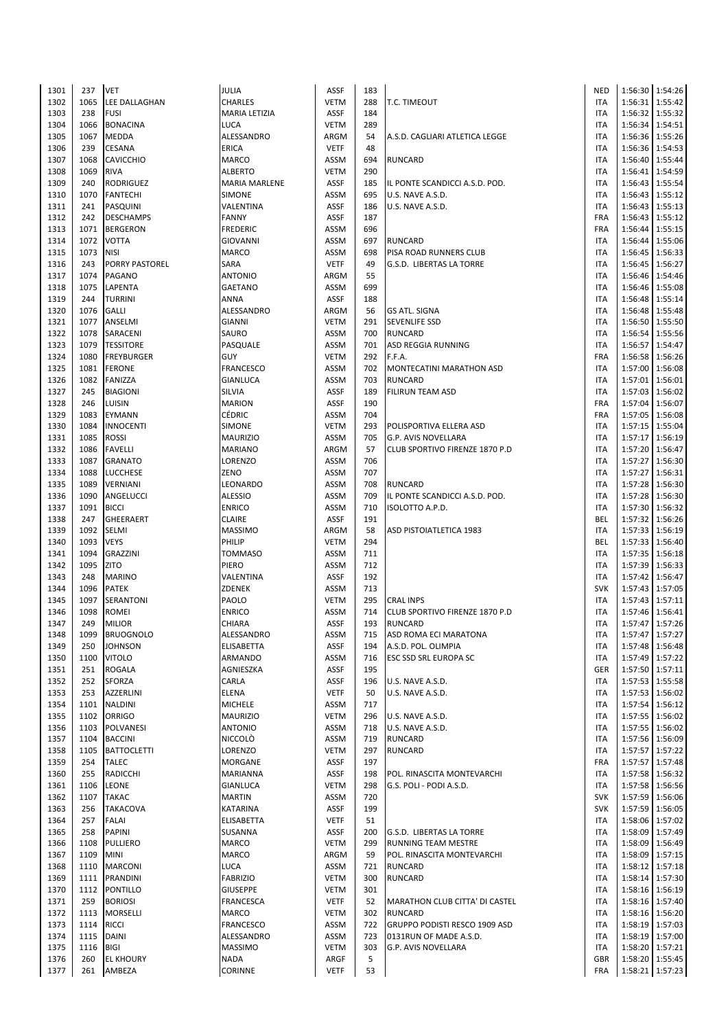| 1301 | 237  | <b>VET</b>         | JULIA                | <b>ASSF</b> | 183 |                                       | <b>NED</b> |         | 1:56:30 1:54:26   |
|------|------|--------------------|----------------------|-------------|-----|---------------------------------------|------------|---------|-------------------|
| 1302 | 1065 | LEE DALLAGHAN      | <b>CHARLES</b>       | <b>VETM</b> | 288 | <b>T.C. TIMEOUT</b>                   | <b>ITA</b> |         | 1:56:31   1:55:42 |
| 1303 | 238  | <b>FUSI</b>        | MARIA LETIZIA        | ASSF        | 184 |                                       | <b>ITA</b> |         | 1:56:32 1:55:32   |
|      |      |                    |                      |             |     |                                       |            |         |                   |
| 1304 | 1066 | <b>BONACINA</b>    | <b>LUCA</b>          | <b>VETM</b> | 289 |                                       | <b>ITA</b> |         | 1:56:34 1:54:51   |
| 1305 | 1067 | MEDDA              | ALESSANDRO           | ARGM        | 54  | A.S.D. CAGLIARI ATLETICA LEGGE        | <b>ITA</b> |         | 1:56:36 1:55:26   |
| 1306 | 239  | <b>CESANA</b>      | <b>ERICA</b>         | <b>VETF</b> | 48  |                                       | <b>ITA</b> |         | 1:56:36 1:54:53   |
| 1307 | 1068 | <b>CAVICCHIO</b>   | MARCO                | ASSM        | 694 | <b>RUNCARD</b>                        | <b>ITA</b> |         | 1:56:40 1:55:44   |
| 1308 | 1069 | <b>RIVA</b>        | <b>ALBERTO</b>       | <b>VETM</b> | 290 |                                       | <b>ITA</b> |         | 1:56:41   1:54:59 |
|      |      |                    |                      |             |     |                                       |            |         |                   |
| 1309 | 240  | RODRIGUEZ          | <b>MARIA MARLENE</b> | <b>ASSF</b> | 185 | IL PONTE SCANDICCI A.S.D. POD.        | <b>ITA</b> | 1:56:43 | 1:55:54           |
| 1310 | 1070 | <b>FANTECHI</b>    | <b>SIMONE</b>        | ASSM        | 695 | U.S. NAVE A.S.D.                      | <b>ITA</b> |         | 1:56:43 1:55:12   |
| 1311 | 241  | PASQUINI           | VALENTINA            | <b>ASSF</b> | 186 | U.S. NAVE A.S.D.                      | <b>ITA</b> |         | 1:56:43 1:55:13   |
| 1312 | 242  | <b>DESCHAMPS</b>   | <b>FANNY</b>         | <b>ASSF</b> | 187 |                                       | FRA        |         | 1:56:43 1:55:12   |
| 1313 | 1071 | <b>BERGERON</b>    | <b>FREDERIC</b>      | ASSM        | 696 |                                       | FRA        |         | 1:56:44 1:55:15   |
|      | 1072 | <b>VOTTA</b>       | <b>GIOVANNI</b>      | ASSM        | 697 |                                       | <b>ITA</b> |         | 1:56:44 1:55:06   |
| 1314 |      |                    |                      |             |     | <b>RUNCARD</b>                        |            |         |                   |
| 1315 | 1073 | <b>NISI</b>        | <b>MARCO</b>         | ASSM        | 698 | PISA ROAD RUNNERS CLUB                | <b>ITA</b> | 1:56:45 | 1:56:33           |
| 1316 | 243  | PORRY PASTOREL     | SARA                 | <b>VETF</b> | 49  | G.S.D. LIBERTAS LA TORRE              | <b>ITA</b> | 1:56:45 | 1:56:27           |
| 1317 | 1074 | PAGANO             | <b>ANTONIO</b>       | ARGM        | 55  |                                       | <b>ITA</b> |         | 1:56:46 1:54:46   |
| 1318 | 1075 | LAPENTA            | <b>GAETANO</b>       | ASSM        | 699 |                                       | <b>ITA</b> |         | 1:56:46 1:55:08   |
| 1319 | 244  | TURRINI            | ANNA                 | ASSF        | 188 |                                       | <b>ITA</b> |         | 1:56:48 1:55:14   |
|      |      |                    |                      |             |     |                                       |            |         |                   |
| 1320 | 1076 | GALLI              | ALESSANDRO           | ARGM        | 56  | <b>GS ATL. SIGNA</b>                  | <b>ITA</b> |         | 1:56:48 1:55:48   |
| 1321 | 1077 | ANSELMI            | <b>GIANNI</b>        | <b>VETM</b> | 291 | <b>SEVENLIFE SSD</b>                  | <b>ITA</b> |         | 1:56:50 1:55:50   |
| 1322 | 1078 | SARACENI           | SAURO                | ASSM        | 700 | <b>RUNCARD</b>                        | <b>ITA</b> |         | 1:56:54 1:55:56   |
| 1323 | 1079 | <b>TESSITORE</b>   | PASQUALE             | ASSM        | 701 | <b>ASD REGGIA RUNNING</b>             | <b>ITA</b> |         | 1:56:57 1:54:47   |
| 1324 | 1080 | <b>FREYBURGER</b>  | <b>GUY</b>           | <b>VETM</b> | 292 | F.F.A.                                | FRA        |         | 1:56:58 1:56:26   |
| 1325 | 1081 | <b>FERONE</b>      | <b>FRANCESCO</b>     | ASSM        | 702 | MONTECATINI MARATHON ASD              | <b>ITA</b> |         | 1:57:00 1:56:08   |
|      |      |                    |                      |             |     |                                       |            |         |                   |
| 1326 | 1082 | FANIZZA            | GIANLUCA             | ASSM        | 703 | <b>RUNCARD</b>                        | <b>ITA</b> |         | 1:57:01 1:56:01   |
| 1327 | 245  | <b>BIAGIONI</b>    | SILVIA               | <b>ASSF</b> | 189 | <b>FILIRUN TEAM ASD</b>               | <b>ITA</b> |         | 1:57:03 1:56:02   |
| 1328 | 246  | <b>LUISIN</b>      | <b>MARION</b>        | <b>ASSF</b> | 190 |                                       | FRA        | 1:57:04 | 1:56:07           |
| 1329 | 1083 | EYMANN             | CÉDRIC               | ASSM        | 704 |                                       | FRA        |         | 1:57:05 1:56:08   |
| 1330 | 1084 | <b>INNOCENTI</b>   | <b>SIMONE</b>        | <b>VETM</b> | 293 | POLISPORTIVA ELLERA ASD               | <b>ITA</b> |         | 1:57:15   1:55:04 |
|      |      |                    |                      |             |     |                                       |            |         |                   |
| 1331 | 1085 | <b>ROSSI</b>       | <b>MAURIZIO</b>      | ASSM        | 705 | G.P. AVIS NOVELLARA                   | <b>ITA</b> |         | 1:57:17 1:56:19   |
| 1332 | 1086 | <b>FAVELLI</b>     | <b>MARIANO</b>       | ARGM        | 57  | CLUB SPORTIVO FIRENZE 1870 P.D        | <b>ITA</b> |         | 1:57:20 1:56:47   |
| 1333 | 1087 | <b>GRANATO</b>     | LORENZO              | ASSM        | 706 |                                       | <b>ITA</b> |         | 1:57:27 1:56:30   |
| 1334 | 1088 | LUCCHESE           | ZENO                 | ASSM        | 707 |                                       | <b>ITA</b> |         | 1:57:27 1:56:31   |
| 1335 | 1089 | VERNIANI           | LEONARDO             | ASSM        | 708 | <b>RUNCARD</b>                        | <b>ITA</b> |         | 1:57:28   1:56:30 |
| 1336 | 1090 |                    | <b>ALESSIO</b>       | ASSM        | 709 |                                       | <b>ITA</b> |         |                   |
|      |      | ANGELUCCI          |                      |             |     | IL PONTE SCANDICCI A.S.D. POD.        |            |         | 1:57:28   1:56:30 |
| 1337 | 1091 | <b>BICCI</b>       | <b>ENRICO</b>        | ASSM        | 710 | ISOLOTTO A.P.D.                       | <b>ITA</b> |         | 1:57:30 1:56:32   |
| 1338 | 247  | GHEERAERT          | <b>CLAIRE</b>        | ASSF        | 191 |                                       | BEL        |         | 1:57:32 1:56:26   |
| 1339 | 1092 | <b>SELMI</b>       | <b>MASSIMO</b>       | ARGM        | 58  | ASD PISTOIATLETICA 1983               | <b>ITA</b> |         | 1:57:33 1:56:19   |
| 1340 | 1093 | <b>VEYS</b>        | PHILIP               | <b>VETM</b> | 294 |                                       | <b>BEL</b> | 1:57:33 | 1:56:40           |
| 1341 | 1094 | GRAZZINI           | <b>TOMMASO</b>       | ASSM        | 711 |                                       | <b>ITA</b> |         | 1:57:35   1:56:18 |
|      |      |                    |                      |             |     |                                       |            |         |                   |
| 1342 | 1095 | ZITO               | PIERO                | ASSM        | 712 |                                       | <b>ITA</b> |         | 1:57:39 1:56:33   |
| 1343 | 248  | <b>MARINO</b>      | VALENTINA            | <b>ASSF</b> | 192 |                                       | <b>ITA</b> |         | 1:57:42 1:56:47   |
| 1344 | 1096 | <b>PATEK</b>       | ZDENEK               | ASSM        | 713 |                                       | <b>SVK</b> |         | 1:57:43 1:57:05   |
| 1345 | 1097 | SERANTONI          | PAOLO                | <b>VETM</b> | 295 | <b>CRAL INPS</b>                      | <b>ITA</b> |         | 1:57:43 1:57:11   |
| 1346 | 1098 | <b>ROMEI</b>       | <b>ENRICO</b>        | ASSM        | 714 | <b>CLUB SPORTIVO FIRENZE 1870 P.D</b> | <b>ITA</b> |         | 1:57:46 1:56:41   |
| 1347 | 249  | <b>MILIOR</b>      | CHIARA               | <b>ASSF</b> | 193 | <b>RUNCARD</b>                        | <b>ITA</b> |         | 1:57:47 1:57:26   |
|      |      |                    |                      |             |     |                                       |            |         |                   |
| 1348 | 1099 | <b>BRUOGNOLO</b>   | ALESSANDRO           | ASSM        | 715 | ASD ROMA ECI MARATONA                 | <b>ITA</b> |         | 1:57:47 1:57:27   |
| 1349 | 250  | <b>JOHNSON</b>     | ELISABETTA           | ASSF        | 194 | A.S.D. POL. OLIMPIA                   | <b>ITA</b> |         | 1:57:48 1:56:48   |
| 1350 | 1100 | <b>VITOLO</b>      | ARMANDO              | ASSM        | 716 | ESC SSD SRL EUROPA SC                 | <b>ITA</b> |         | 1:57:49 1:57:22   |
| 1351 | 251  | <b>ROGALA</b>      | AGNIESZKA            | ASSF        | 195 |                                       | GER        |         | 1:57:50 1:57:11   |
| 1352 | 252  | SFORZA             | CARLA                | ASSF        | 196 | U.S. NAVE A.S.D.                      | ITA        |         | 1:57:53 1:55:58   |
| 1353 | 253  | <b>AZZERLINI</b>   | ELENA                | <b>VETF</b> | 50  |                                       | <b>ITA</b> |         | 1:57:53 1:56:02   |
|      |      |                    |                      |             |     | U.S. NAVE A.S.D.                      |            |         |                   |
| 1354 | 1101 | <b>NALDINI</b>     | <b>MICHELE</b>       | ASSM        | 717 |                                       | ITA        |         | 1:57:54 1:56:12   |
| 1355 | 1102 | <b>ORRIGO</b>      | <b>MAURIZIO</b>      | <b>VETM</b> | 296 | U.S. NAVE A.S.D.                      | <b>ITA</b> |         | 1:57:55 1:56:02   |
| 1356 | 1103 | POLVANESI          | <b>ANTONIO</b>       | ASSM        | 718 | U.S. NAVE A.S.D.                      | <b>ITA</b> |         | 1:57:55   1:56:02 |
| 1357 | 1104 | <b>BACCINI</b>     | NICCOLÒ              | ASSM        | 719 | <b>RUNCARD</b>                        | <b>ITA</b> |         | 1:57:56 1:56:09   |
| 1358 | 1105 | <b>BATTOCLETTI</b> | LORENZO              | <b>VETM</b> | 297 | <b>RUNCARD</b>                        | <b>ITA</b> |         | 1:57:57 1:57:22   |
|      | 254  |                    |                      | ASSF        | 197 |                                       |            |         | 1:57:57 1:57:48   |
| 1359 |      | <b>TALEC</b>       | MORGANE              |             |     |                                       | <b>FRA</b> |         |                   |
| 1360 | 255  | RADICCHI           | MARIANNA             | ASSF        | 198 | POL. RINASCITA MONTEVARCHI            | ITA        |         | 1:57:58 1:56:32   |
| 1361 | 1106 | <b>LEONE</b>       | GIANLUCA             | <b>VETM</b> | 298 | G.S. POLI - PODI A.S.D.               | ITA        |         | 1:57:58 1:56:56   |
| 1362 | 1107 | <b>TAKAC</b>       | <b>MARTIN</b>        | ASSM        | 720 |                                       | <b>SVK</b> |         | 1:57:59 1:56:06   |
| 1363 | 256  | <b>TAKACOVA</b>    | KATARINA             | ASSF        | 199 |                                       | <b>SVK</b> |         | 1:57:59 1:56:05   |
| 1364 | 257  | <b>FALAI</b>       | ELISABETTA           | <b>VETF</b> | 51  |                                       | ITA        |         | 1:58:06 1:57:02   |
| 1365 | 258  | <b>PAPINI</b>      | SUSANNA              | ASSF        | 200 |                                       | <b>ITA</b> |         | 1:58:09 1:57:49   |
|      |      |                    |                      |             |     | G.S.D. LIBERTAS LA TORRE              |            |         |                   |
| 1366 | 1108 | PULLIERO           | MARCO                | <b>VETM</b> | 299 | RUNNING TEAM MESTRE                   | <b>ITA</b> |         | 1:58:09 1:56:49   |
| 1367 | 1109 | MINI               | MARCO                | ARGM        | 59  | POL. RINASCITA MONTEVARCHI            | <b>ITA</b> |         | 1:58:09 1:57:15   |
| 1368 | 1110 | <b>MARCONI</b>     | LUCA                 | ASSM        | 721 | <b>RUNCARD</b>                        | ITA        |         | 1:58:12 1:57:18   |
| 1369 | 1111 | PRANDINI           | <b>FABRIZIO</b>      | VETM        | 300 | <b>RUNCARD</b>                        | ITA        |         | 1:58:14 1:57:30   |
| 1370 | 1112 | <b>PONTILLO</b>    | <b>GIUSEPPE</b>      | <b>VETM</b> | 301 |                                       | <b>ITA</b> |         | 1:58:16 1:56:19   |
|      |      |                    |                      |             |     |                                       |            |         |                   |
| 1371 | 259  | <b>BORIOSI</b>     | <b>FRANCESCA</b>     | <b>VETF</b> | 52  | MARATHON CLUB CITTA' DI CASTEL        | ITA        |         | 1:58:16 1:57:40   |
| 1372 |      | 1113 MORSELLI      | MARCO                | <b>VETM</b> | 302 | <b>RUNCARD</b>                        | <b>ITA</b> |         | 1:58:16 1:56:20   |
| 1373 | 1114 | <b>RICCI</b>       | <b>FRANCESCO</b>     | ASSM        | 722 | GRUPPO PODISTI RESCO 1909 ASD         | ITA        |         | 1:58:19 1:57:03   |
| 1374 | 1115 | DAINI              | ALESSANDRO           | ASSM        | 723 | 0131RUN OF MADE A.S.D.                | ITA        |         | 1:58:19 1:57:00   |
| 1375 | 1116 | BIGI               | <b>MASSIMO</b>       | <b>VETM</b> | 303 | G.P. AVIS NOVELLARA                   | ITA        |         | 1:58:20 1:57:21   |
| 1376 | 260  | <b>EL KHOURY</b>   | <b>NADA</b>          | ARGF        | 5   |                                       | GBR        |         | 1:58:20 1:55:45   |
| 1377 | 261  | AMBEZA             | CORINNE              | <b>VETF</b> | 53  |                                       | FRA        |         | 1:58:21 1:57:23   |
|      |      |                    |                      |             |     |                                       |            |         |                   |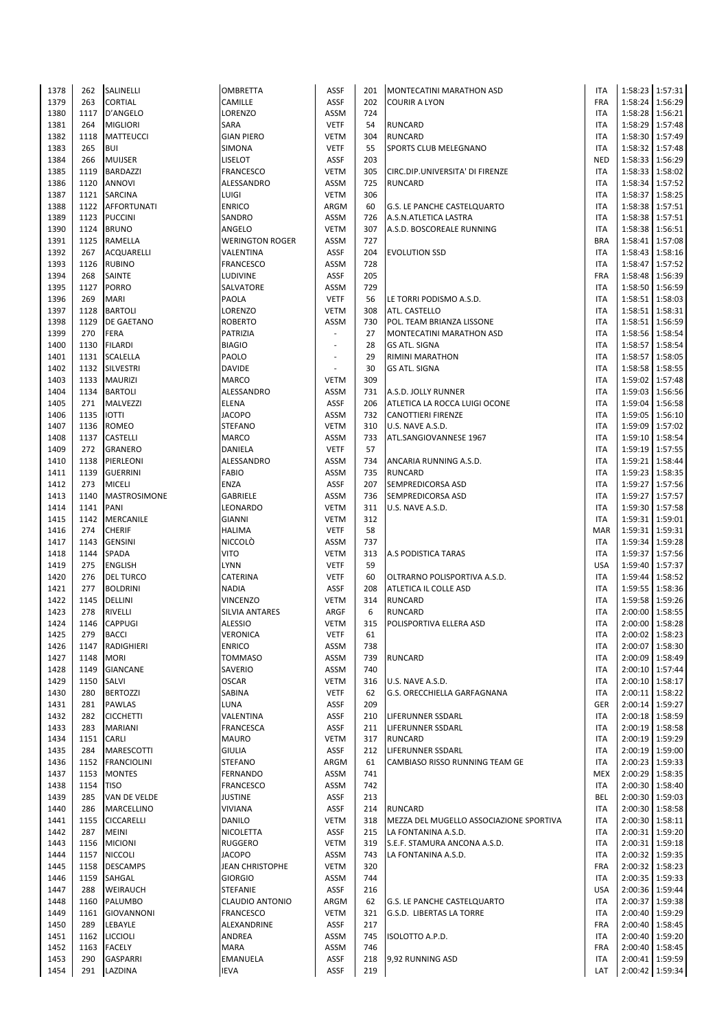| 1378 | 262        | SALINELLI           | <b>OMBRETTA</b>        | ASSF        | 201 | MONTECATINI MARATHON ASD                | <b>ITA</b> |         | 1:58:23 1:57:31   |
|------|------------|---------------------|------------------------|-------------|-----|-----------------------------------------|------------|---------|-------------------|
| 1379 | 263        | <b>CORTIAL</b>      | CAMILLE                | ASSF        | 202 | <b>COURIR A LYON</b>                    | FRA        | 1:58:24 | 1:56:29           |
| 1380 | 1117       | D'ANGELO            | <b>LORENZO</b>         | <b>ASSM</b> | 724 |                                         | <b>ITA</b> |         | 1:58:28 1:56:21   |
| 1381 | 264        | <b>MIGLIORI</b>     | <b>SARA</b>            | <b>VETF</b> | 54  | <b>RUNCARD</b>                          | <b>ITA</b> |         | 1:58:29 1:57:48   |
| 1382 | 1118       | <b>MATTEUCCI</b>    | <b>GIAN PIERO</b>      | <b>VETM</b> | 304 | <b>RUNCARD</b>                          | <b>ITA</b> |         | 1:58:30 1:57:49   |
| 1383 | 265        | <b>BUI</b>          | <b>SIMONA</b>          | <b>VETF</b> | 55  | SPORTS CLUB MELEGNANO                   | <b>ITA</b> |         | 1:58:32 1:57:48   |
| 1384 | 266        | <b>MUIJSER</b>      | LISELOT                | ASSF        | 203 |                                         | <b>NED</b> | 1:58:33 | 1:56:29           |
| 1385 | 1119       | <b>BARDAZZI</b>     | <b>FRANCESCO</b>       | <b>VETM</b> | 305 | CIRC.DIP.UNIVERSITA' DI FIRENZE         | <b>ITA</b> | 1:58:33 | 1:58:02           |
| 1386 | 1120       | <b>ANNOVI</b>       | ALESSANDRO             | <b>ASSM</b> | 725 | <b>RUNCARD</b>                          | <b>ITA</b> | 1:58:34 | 1:57:52           |
| 1387 |            | 1121 SARCINA        | LUIGI                  | <b>VETM</b> | 306 |                                         | <b>ITA</b> | 1:58:37 | 1:58:25           |
| 1388 | 1122       | AFFORTUNATI         | <b>ENRICO</b>          | ARGM        | 60  | <b>G.S. LE PANCHE CASTELQUARTO</b>      | <b>ITA</b> | 1:58:38 | 1:57:51           |
| 1389 |            | 1123 PUCCINI        | SANDRO                 | ASSM        | 726 | A.S.N.ATLETICA LASTRA                   | <b>ITA</b> |         | 1:58:38 1:57:51   |
| 1390 | 1124       | <b>BRUNO</b>        | ANGELO                 | <b>VETM</b> | 307 | A.S.D. BOSCOREALE RUNNING               | <b>ITA</b> |         | 1:58:38 1:56:51   |
| 1391 | 1125       | RAMELLA             | <b>WERINGTON ROGER</b> | ASSM        | 727 |                                         | <b>BRA</b> | 1:58:41 | 1:57:08           |
| 1392 | 267        | <b>ACQUARELLI</b>   | VALENTINA              | ASSF        | 204 | <b>EVOLUTION SSD</b>                    | <b>ITA</b> | 1:58:43 | 1:58:16           |
| 1393 | 1126       | <b>RUBINO</b>       | <b>FRANCESCO</b>       | <b>ASSM</b> | 728 |                                         | <b>ITA</b> | 1:58:47 | 1:57:52           |
| 1394 | 268        | <b>SAINTE</b>       | LUDIVINE               | ASSF        | 205 |                                         | FRA        | 1:58:48 | 1:56:39           |
| 1395 | 1127       | <b>PORRO</b>        | SALVATORE              | <b>ASSM</b> | 729 |                                         | <b>ITA</b> |         | 1:58:50 1:56:59   |
| 1396 | 269        | <b>MARI</b>         | PAOLA                  | <b>VETF</b> | 56  | LE TORRI PODISMO A.S.D.                 | <b>ITA</b> | 1:58:51 | 1:58:03           |
| 1397 | 1128       | <b>BARTOLI</b>      | LORENZO                | <b>VETM</b> | 308 | ATL. CASTELLO                           | <b>ITA</b> | 1:58:51 | 1:58:31           |
| 1398 | 1129       | <b>DE GAETANO</b>   | <b>ROBERTO</b>         | <b>ASSM</b> | 730 | POL. TEAM BRIANZA LISSONE               | <b>ITA</b> | 1:58:51 | 1:56:59           |
| 1399 | 270        | <b>FERA</b>         | PATRIZIA               | ÷,          | 27  | MONTECATINI MARATHON ASD                | <b>ITA</b> |         | 1:58:56 1:58:54   |
| 1400 | 1130       | <b>FILARDI</b>      | <b>BIAGIO</b>          | ٠           | 28  | <b>GS ATL. SIGNA</b>                    | <b>ITA</b> | 1:58:57 | 1:58:54           |
| 1401 | 1131       | <b>SCALELLA</b>     | PAOLO                  | ÷,          | 29  | RIMINI MARATHON                         | <b>ITA</b> | 1:58:57 | 1:58:05           |
| 1402 |            | 1132 SILVESTRI      | <b>DAVIDE</b>          | ÷,          | 30  | <b>GS ATL. SIGNA</b>                    | <b>ITA</b> |         | 1:58:58   1:58:55 |
| 1403 |            | 1133 MAURIZI        | <b>MARCO</b>           | <b>VETM</b> | 309 |                                         | <b>ITA</b> | 1:59:02 | 1:57:48           |
| 1404 |            | 1134 BARTOLI        | ALESSANDRO             | <b>ASSM</b> | 731 | A.S.D. JOLLY RUNNER                     | <b>ITA</b> | 1:59:03 | 1:56:56           |
|      |            |                     |                        |             |     |                                         |            | 1:59:04 |                   |
| 1405 | 271        | MALVEZZI            | <b>ELENA</b>           | <b>ASSF</b> | 206 | ATLETICA LA ROCCA LUIGI OCONE           | <b>ITA</b> |         | 1:56:58           |
| 1406 | 1135       | <b>IOTTI</b>        | <b>JACOPO</b>          | <b>ASSM</b> | 732 | <b>CANOTTIERI FIRENZE</b>               | <b>ITA</b> | 1:59:05 | 1:56:10           |
| 1407 | 1136       | <b>ROMEO</b>        | <b>STEFANO</b>         | <b>VETM</b> | 310 | U.S. NAVE A.S.D.                        | <b>ITA</b> | 1:59:09 | 1:57:02           |
| 1408 |            | 1137 CASTELLI       | <b>MARCO</b>           | ASSM        | 733 | ATL.SANGIOVANNESE 1967                  | <b>ITA</b> | 1:59:10 | 1:58:54           |
| 1409 | 272        | <b>GRANERO</b>      | DANIELA                | <b>VETF</b> | 57  |                                         | <b>ITA</b> |         | 1:59:19 1:57:55   |
| 1410 | 1138       | PIERLEONI           | ALESSANDRO             | <b>ASSM</b> | 734 | ANCARIA RUNNING A.S.D.                  | <b>ITA</b> | 1:59:21 | 1:58:44           |
| 1411 | 1139       | <b>GUERRINI</b>     | <b>FABIO</b>           | <b>ASSM</b> | 735 | <b>RUNCARD</b>                          | <b>ITA</b> | 1:59:23 | 1:58:35           |
| 1412 | 273        | <b>MICELI</b>       | <b>ENZA</b>            | ASSF        | 207 | SEMPREDICORSA ASD                       | <b>ITA</b> | 1:59:27 | 1:57:56           |
| 1413 | 1140       | <b>MASTROSIMONE</b> | <b>GABRIELE</b>        | <b>ASSM</b> | 736 | SEMPREDICORSA ASD                       | <b>ITA</b> | 1:59:27 | 1:57:57           |
| 1414 | 1141       | PANI                | LEONARDO               | <b>VETM</b> | 311 | U.S. NAVE A.S.D.                        | <b>ITA</b> |         | 1:59:30 1:57:58   |
| 1415 | 1142       | MERCANILE           | <b>GIANNI</b>          | <b>VETM</b> | 312 |                                         | <b>ITA</b> | 1:59:31 | 1:59:01           |
| 1416 | 274        | <b>CHERIF</b>       | <b>HALIMA</b>          | <b>VETF</b> | 58  |                                         | <b>MAR</b> | 1:59:31 | 1:59:31           |
| 1417 | 1143       | <b>GENSINI</b>      | <b>NICCOLO</b>         | <b>ASSM</b> | 737 |                                         | <b>ITA</b> | 1:59:34 | 1:59:28           |
| 1418 | 1144       | <b>SPADA</b>        | VITO                   | <b>VETM</b> | 313 | A.S PODISTICA TARAS                     | <b>ITA</b> | 1:59:37 | 1:57:56           |
| 1419 | 275        | <b>ENGLISH</b>      | <b>LYNN</b>            | <b>VETF</b> | 59  |                                         | <b>USA</b> | 1:59:40 | 1:57:37           |
| 1420 | 276        | <b>DEL TURCO</b>    | CATERINA               | <b>VETF</b> | 60  | OLTRARNO POLISPORTIVA A.S.D.            | ITA        | 1:59:44 | 1:58:52           |
| 1421 | 277        | <b>BOLDRINI</b>     | <b>NADIA</b>           | ASSF        | 208 | ATLETICA IL COLLE ASD                   | <b>ITA</b> |         | 1:59:55 1:58:36   |
| 1422 | 1145       | DELLINI             | <b>VINCENZO</b>        | <b>VETM</b> | 314 | <b>RUNCARD</b>                          | <b>ITA</b> | 1:59:58 | 1:59:26           |
| 1423 | 278        | <b>RIVELLI</b>      | <b>SILVIA ANTARES</b>  | ARGF        | 6   | <b>RUNCARD</b>                          | <b>ITA</b> | 2:00:00 | 1:58:55           |
| 1424 | 1146       | <b>CAPPUGI</b>      | <b>ALESSIO</b>         | <b>VETM</b> | 315 | POLISPORTIVA ELLERA ASD                 | <b>ITA</b> | 2:00:00 | 1:58:28           |
| 1425 | 279        | <b>BACCI</b>        | VERONICA               | <b>VETF</b> | 61  |                                         | <b>ITA</b> |         | 2:00:02 1:58:23   |
| 1426 | 1147       | RADIGHIERI          | <b>ENRICO</b>          | ASSM        | 738 |                                         | <b>ITA</b> |         | 2:00:07 1:58:30   |
| 1427 | 1148       | <b>MORI</b>         | <b>TOMMASO</b>         | ASSM        | 739 | <b>RUNCARD</b>                          | <b>ITA</b> | 2:00:09 | 1:58:49           |
| 1428 | 1149       | <b>GIANCANE</b>     | SAVERIO                | ASSM        | 740 |                                         | <b>ITA</b> |         | 2:00:10 1:57:44   |
| 1429 | 1150       | SALVI               | <b>OSCAR</b>           | <b>VETM</b> | 316 | U.S. NAVE A.S.D.                        | <b>ITA</b> |         | 2:00:10 1:58:17   |
| 1430 | 280        | <b>BERTOZZI</b>     | SABINA                 | <b>VETF</b> | 62  | G.S. ORECCHIELLA GARFAGNANA             | <b>ITA</b> |         | 2:00:11 1:58:22   |
| 1431 | 281        | <b>PAWLAS</b>       | LUNA                   | ASSF        | 209 |                                         | <b>GER</b> |         | 2:00:14 1:59:27   |
| 1432 | 282        | <b>CICCHETTI</b>    | VALENTINA              | ASSF        | 210 | LIFERUNNER SSDARL                       | <b>ITA</b> |         | 2:00:18 1:58:59   |
| 1433 | 283        | <b>MARIANI</b>      | <b>FRANCESCA</b>       | ASSF        | 211 | LIFERUNNER SSDARL                       | <b>ITA</b> |         | 2:00:19 1:58:58   |
| 1434 | 1151 CARLI |                     | <b>MAURO</b>           | <b>VETM</b> | 317 | <b>RUNCARD</b>                          | <b>ITA</b> |         | 2:00:19 1:59:29   |
| 1435 | 284        | <b>MARESCOTTI</b>   | <b>GIULIA</b>          | ASSF        | 212 | LIFERUNNER SSDARL                       | <b>ITA</b> |         | 2:00:19 1:59:00   |
| 1436 |            | 1152 FRANCIOLINI    | <b>STEFANO</b>         | ARGM        | 61  | CAMBIASO RISSO RUNNING TEAM GE          | <b>ITA</b> | 2:00:23 | 1:59:33           |
| 1437 |            | 1153 MONTES         | <b>FERNANDO</b>        | ASSM        | 741 |                                         | <b>MEX</b> |         | 2:00:29 1:58:35   |
| 1438 | 1154       | <b>TISO</b>         | <b>FRANCESCO</b>       | ASSM        | 742 |                                         | <b>ITA</b> |         | 2:00:30 1:58:40   |
| 1439 | 285        | VAN DE VELDE        | <b>JUSTINE</b>         | ASSF        | 213 |                                         | BEL        |         | 2:00:30 1:59:03   |
| 1440 | 286        | MARCELLINO          | <b>VIVIANA</b>         | ASSF        | 214 | <b>RUNCARD</b>                          | <b>ITA</b> |         | 2:00:30 1:58:58   |
| 1441 |            | 1155 CICCARELLI     | DANILO                 | <b>VETM</b> | 318 | MEZZA DEL MUGELLO ASSOCIAZIONE SPORTIVA | <b>ITA</b> | 2:00:30 | 1:58:11           |
| 1442 | 287        | <b>MEINI</b>        | NICOLETTA              | ASSF        | 215 | LA FONTANINA A.S.D.                     | <b>ITA</b> |         | 2:00:31 1:59:20   |
| 1443 |            | 1156 MICIONI        | <b>RUGGERO</b>         | <b>VETM</b> | 319 | S.E.F. STAMURA ANCONA A.S.D.            | <b>ITA</b> | 2:00:31 | 1:59:18           |
| 1444 |            | 1157 NICCOLI        | <b>JACOPO</b>          | ASSM        | 743 | LA FONTANINA A.S.D.                     | <b>ITA</b> |         | 2:00:32 1:59:35   |
| 1445 |            | 1158 DESCAMPS       | JEAN CHRISTOPHE        | <b>VETM</b> | 320 |                                         | FRA        |         | 2:00:32 1:58:23   |
| 1446 |            | 1159 SAHGAL         | <b>GIORGIO</b>         | ASSM        | 744 |                                         | <b>ITA</b> |         | 2:00:35 1:59:33   |
| 1447 | 288        | WEIRAUCH            | <b>STEFANIE</b>        | ASSF        | 216 |                                         | <b>USA</b> |         | 2:00:36 1:59:44   |
| 1448 | 1160       | PALUMBO             | <b>CLAUDIO ANTONIO</b> | ARGM        | 62  | <b>G.S. LE PANCHE CASTELQUARTO</b>      | <b>ITA</b> | 2:00:37 | 1:59:38           |
| 1449 |            | 1161 GIOVANNONI     | <b>FRANCESCO</b>       | <b>VETM</b> | 321 | G.S.D. LIBERTAS LA TORRE                | <b>ITA</b> |         | 2:00:40 1:59:29   |
| 1450 | 289        | LEBAYLE             | ALEXANDRINE            | ASSF        | 217 |                                         | FRA        |         | 2:00:40 1:58:45   |
| 1451 |            | 1162 LICCIOLI       | ANDREA                 | ASSM        | 745 | ISOLOTTO A.P.D.                         | ITA        |         | 2:00:40 1:59:20   |
| 1452 |            | 1163 FACELY         | <b>MARA</b>            | ASSM        | 746 |                                         | <b>FRA</b> |         | 2:00:40 1:58:45   |
| 1453 | 290        | <b>GASPARRI</b>     | <b>EMANUELA</b>        | <b>ASSF</b> | 218 | 9,92 RUNNING ASD                        | <b>ITA</b> | 2:00:41 | 1:59:59           |
|      |            |                     |                        |             |     |                                         |            |         | 2:00:42 1:59:34   |
| 1454 | 291        | LAZDINA             | <b>IEVA</b>            | ASSF        | 219 |                                         | LAT        |         |                   |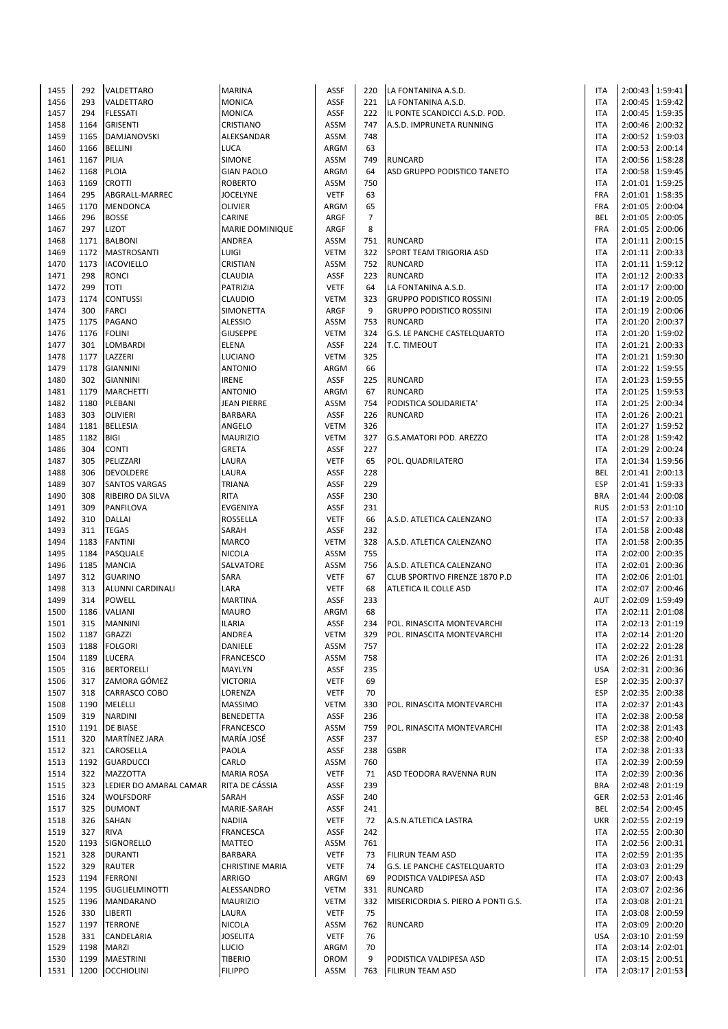| 1455 | 292  | VALDETTARO             | <b>MARINA</b>      | ASSF        | 220            | LA FONTANINA A.S.D.                | <b>ITA</b> |                   | 2:00:43 1:59:41   |
|------|------|------------------------|--------------------|-------------|----------------|------------------------------------|------------|-------------------|-------------------|
| 1456 | 293  | VALDETTARO             | <b>MONICA</b>      | <b>ASSF</b> | 221            | LA FONTANINA A.S.D.                | <b>ITA</b> |                   | 2:00:45   1:59:42 |
| 1457 | 294  | <b>FLESSATI</b>        | <b>MONICA</b>      | <b>ASSF</b> | 222            | IL PONTE SCANDICCI A.S.D. POD.     | <b>ITA</b> |                   | 2:00:45 1:59:35   |
| 1458 | 1164 | <b>GRISENTI</b>        | CRISTIANO          | ASSM        | 747            | A.S.D. IMPRUNETA RUNNING           | <b>ITA</b> |                   | 2:00:46 2:00:32   |
| 1459 | 1165 | DAMJANOVSKI            | ALEKSANDAR         | ASSM        | 748            |                                    | <b>ITA</b> |                   | 2:00:52 1:59:03   |
|      |      |                        |                    |             |                |                                    |            |                   |                   |
| 1460 | 1166 | <b>BELLINI</b>         | LUCA               | ARGM        | 63             |                                    | <b>ITA</b> |                   | 2:00:53 2:00:14   |
| 1461 | 1167 | PILIA                  | <b>SIMONE</b>      | <b>ASSM</b> | 749            | <b>RUNCARD</b>                     | <b>ITA</b> |                   | 2:00:56 1:58:28   |
| 1462 | 1168 | <b>PLOIA</b>           | <b>GIAN PAOLO</b>  | ARGM        | 64             | ASD GRUPPO PODISTICO TANETO        | <b>ITA</b> |                   | 2:00:58   1:59:45 |
| 1463 | 1169 | <b>CROTTI</b>          | <b>ROBERTO</b>     | ASSM        | 750            |                                    | <b>ITA</b> | 2:01:01           | 1:59:25           |
| 1464 | 295  | ABGRALL-MARREC         | <b>JOCELYNE</b>    | <b>VETF</b> | 63             |                                    | <b>FRA</b> |                   | 2:01:01 1:58:35   |
| 1465 | 1170 | <b>MENDONCA</b>        | <b>OLIVIER</b>     | ARGM        | 65             |                                    | <b>FRA</b> | 2:01:05   2:00:04 |                   |
| 1466 | 296  | <b>BOSSE</b>           | CARINE             | ARGF        | $\overline{7}$ |                                    | <b>BEL</b> |                   | 2:01:05 2:00:05   |
| 1467 | 297  | <b>LIZOT</b>           | MARIE DOMINIQUE    | ARGF        | 8              |                                    | <b>FRA</b> |                   | 2:01:05   2:00:06 |
| 1468 | 1171 | <b>BALBONI</b>         | ANDREA             | <b>ASSM</b> | 751            | <b>RUNCARD</b>                     | <b>ITA</b> | 2:01:11 2:00:15   |                   |
|      |      | <b>MASTROSANTI</b>     |                    |             |                |                                    | <b>ITA</b> |                   | 2:01:11 2:00:33   |
| 1469 | 1172 |                        | LUIGI              | <b>VETM</b> | 322            | <b>SPORT TEAM TRIGORIA ASD</b>     |            |                   |                   |
| 1470 | 1173 | <b>IACOVIELLO</b>      | CRISTIAN           | ASSM        | 752            | <b>RUNCARD</b>                     | <b>ITA</b> | 2:01:11           | 1:59:12           |
| 1471 | 298  | <b>RONCI</b>           | CLAUDIA            | <b>ASSF</b> | 223            | <b>RUNCARD</b>                     | <b>ITA</b> |                   | 2:01:12 2:00:33   |
| 1472 | 299  | <b>TOTI</b>            | PATRIZIA           | <b>VETF</b> | 64             | LA FONTANINA A.S.D.                | <b>ITA</b> |                   | 2:01:17 2:00:00   |
| 1473 | 1174 | <b>CONTUSSI</b>        | CLAUDIO            | <b>VETM</b> | 323            | <b>GRUPPO PODISTICO ROSSINI</b>    | <b>ITA</b> | 2:01:19 2:00:05   |                   |
| 1474 | 300  | <b>FARCI</b>           | SIMONETTA          | ARGF        | 9              | <b>GRUPPO PODISTICO ROSSINI</b>    | <b>ITA</b> |                   | 2:01:19 2:00:06   |
| 1475 | 1175 | PAGANO                 | <b>ALESSIO</b>     | ASSM        | 753            | <b>RUNCARD</b>                     | <b>ITA</b> | 2:01:20 2:00:37   |                   |
| 1476 | 1176 | <b>FOLINI</b>          | <b>GIUSEPPE</b>    | <b>VETM</b> | 324            | <b>G.S. LE PANCHE CASTELQUARTO</b> | <b>ITA</b> |                   | 2:01:20 1:59:02   |
| 1477 | 301  | LOMBARDI               | <b>ELENA</b>       | <b>ASSF</b> | 224            | T.C. TIMEOUT                       | <b>ITA</b> |                   | 2:01:21 2:00:33   |
|      |      |                        |                    |             |                |                                    |            |                   | 2:01:21 1:59:30   |
| 1478 | 1177 | LAZZERI                | LUCIANO            | <b>VETM</b> | 325            |                                    | <b>ITA</b> |                   |                   |
| 1479 | 1178 | <b>GIANNINI</b>        | <b>ANTONIO</b>     | ARGM        | 66             |                                    | <b>ITA</b> |                   | 2:01:22 1:59:55   |
| 1480 | 302  | <b>GIANNINI</b>        | <b>IRENE</b>       | ASSF        | 225            | <b>RUNCARD</b>                     | <b>ITA</b> | 2:01:23 1:59:55   |                   |
| 1481 | 1179 | <b>MARCHETTI</b>       | <b>ANTONIO</b>     | ARGM        | 67             | <b>RUNCARD</b>                     | <b>ITA</b> |                   | 2:01:25   1:59:53 |
| 1482 | 1180 | PLEBANI                | <b>JEAN PIERRE</b> | ASSM        | 754            | PODISTICA SOLIDARIETA'             | <b>ITA</b> | 2:01:25 2:00:34   |                   |
| 1483 | 303  | <b>OLIVIERI</b>        | <b>BARBARA</b>     | ASSF        | 226            | <b>RUNCARD</b>                     | <b>ITA</b> | 2:01:26 2:00:21   |                   |
| 1484 | 1181 | <b>BELLESIA</b>        | ANGELO             | <b>VETM</b> | 326            |                                    | <b>ITA</b> |                   | 2:01:27 1:59:52   |
| 1485 | 1182 | <b>BIGI</b>            | <b>MAURIZIO</b>    | <b>VETM</b> | 327            | G.S.AMATORI POD. AREZZO            | <b>ITA</b> |                   | 2:01:28 1:59:42   |
| 1486 | 304  | <b>CONTI</b>           | GRETA              | <b>ASSF</b> | 227            |                                    | <b>ITA</b> |                   | 2:01:29 2:00:24   |
| 1487 | 305  | PELIZZARI              | LAURA              | <b>VETF</b> | 65             | POL. QUADRILATERO                  | <b>ITA</b> | 2:01:34 1:59:56   |                   |
|      |      |                        |                    |             |                |                                    |            |                   |                   |
| 1488 | 306  | <b>DEVOLDERE</b>       | LAURA              | <b>ASSF</b> | 228            |                                    | <b>BEL</b> | 2:01:41 2:00:13   |                   |
| 1489 | 307  | <b>SANTOS VARGAS</b>   | <b>TRIANA</b>      | <b>ASSF</b> | 229            |                                    | <b>ESP</b> | 2:01:41           | 1:59:33           |
| 1490 | 308  | RIBEIRO DA SILVA       | <b>RITA</b>        | <b>ASSF</b> | 230            |                                    | <b>BRA</b> |                   | 2:01:44 2:00:08   |
| 1491 | 309  | PANFILOVA              | EVGENIYA           | <b>ASSF</b> | 231            |                                    | <b>RUS</b> |                   | 2:01:53 2:01:10   |
| 1492 | 310  | <b>DALLAI</b>          | ROSSELLA           | <b>VETF</b> | 66             | A.S.D. ATLETICA CALENZANO          | <b>ITA</b> | 2:01:57 2:00:33   |                   |
| 1493 | 311  | <b>TEGAS</b>           | SARAH              | <b>ASSF</b> | 232            |                                    | <b>ITA</b> |                   | 2:01:58 2:00:48   |
| 1494 | 1183 | <b>FANTINI</b>         | <b>MARCO</b>       | <b>VETM</b> | 328            | A.S.D. ATLETICA CALENZANO          | <b>ITA</b> | 2:01:58 2:00:35   |                   |
| 1495 | 1184 | PASQUALE               | NICOLA             | ASSM        | 755            |                                    | <b>ITA</b> |                   | 2:02:00 2:00:35   |
| 1496 | 1185 | <b>MANCIA</b>          | SALVATORE          | ASSM        | 756            | A.S.D. ATLETICA CALENZANO          | <b>ITA</b> |                   | 2:02:01 2:00:36   |
|      |      |                        |                    |             |                |                                    |            |                   | 2:02:06 2:01:01   |
| 1497 | 312  | <b>GUARINO</b>         | SARA               | <b>VETF</b> | 67             | CLUB SPORTIVO FIRENZE 1870 P.D     | <b>ITA</b> |                   |                   |
| 1498 | 313  | ALUNNI CARDINALI       | LARA               | <b>VETF</b> | 68             | ATLETICA IL COLLE ASD              | <b>ITA</b> |                   | 2:02:07 2:00:46   |
| 1499 | 314  | <b>POWELL</b>          | <b>MARTINA</b>     | <b>ASSF</b> | 233            |                                    | AUT        | 2:02:09 1:59:49   |                   |
| 1500 | 1186 | <b>VALIANI</b>         | <b>MAURO</b>       | ARGM        | 68             |                                    | <b>ITA</b> |                   | 2:02:11 2:01:08   |
| 1501 | 315  | <b>MANNINI</b>         | <b>ILARIA</b>      | <b>ASSF</b> | 234            | POL. RINASCITA MONTEVARCHI         | <b>ITA</b> |                   | 2:02:13 2:01:19   |
| 1502 | 1187 | GRAZZI                 | ANDREA             | VETM        | 329            | POL. RINASCITA MONTEVARCHI         | <b>ITA</b> |                   | 2:02:14 2:01:20   |
| 1503 |      | 1188 FOLGORI           | DANIELE            | ASSM        | 757            |                                    | <b>ITA</b> |                   | 2:02:22 2:01:28   |
| 1504 |      | 1189 LUCERA            | <b>FRANCESCO</b>   | ASSM        | 758            |                                    | ITA        |                   | 2:02:26 2:01:31   |
| 1505 | 316  | <b>BERTORELLI</b>      | MAYLYN             | ASSF        | 235            |                                    | <b>USA</b> |                   | 2:02:31 2:00:36   |
|      | 317  | ZAMORA GÓMEZ           | <b>VICTORIA</b>    | <b>VETF</b> | 69             |                                    | <b>ESP</b> |                   | 2:02:35 2:00:37   |
| 1506 |      |                        |                    |             |                |                                    |            |                   |                   |
| 1507 | 318  | <b>CARRASCO COBO</b>   | LORENZA            | <b>VETF</b> | 70             |                                    | <b>ESP</b> |                   | 2:02:35 2:00:38   |
| 1508 | 1190 | MELELLI                | MASSIMO            | <b>VETM</b> | 330            | POL. RINASCITA MONTEVARCHI         | <b>ITA</b> |                   | 2:02:37 2:01:43   |
| 1509 | 319  | <b>NARDINI</b>         | <b>BENEDETTA</b>   | ASSF        | 236            |                                    | <b>ITA</b> |                   | 2:02:38 2:00:58   |
| 1510 | 1191 | <b>DE BIASE</b>        | FRANCESCO          | <b>ASSM</b> | 759            | POL. RINASCITA MONTEVARCHI         | <b>ITA</b> |                   | 2:02:38 2:01:43   |
| 1511 | 320  | MARTÍNEZ JARA          | MARÍA JOSÉ         | ASSF        | 237            |                                    | <b>ESP</b> |                   | 2:02:38 2:00:40   |
| 1512 | 321  | CAROSELLA              | PAOLA              | ASSF        | 238            | <b>GSBR</b>                        | <b>ITA</b> |                   | 2:02:38 2:01:33   |
| 1513 | 1192 | <b>GUARDUCCI</b>       | CARLO              | <b>ASSM</b> | 760            |                                    | <b>ITA</b> |                   | 2:02:39 2:00:59   |
| 1514 | 322  | <b>MAZZOTTA</b>        | <b>MARIA ROSA</b>  | <b>VETF</b> | 71             | ASD TEODORA RAVENNA RUN            | <b>ITA</b> | 2:02:39 2:00:36   |                   |
| 1515 | 323  | LEDIER DO AMARAL CAMAR | RITA DE CÁSSIA     | ASSF        | 239            |                                    | <b>BRA</b> |                   | 2:02:48 2:01:19   |
| 1516 | 324  | <b>WOLFSDORF</b>       | SARAH              | ASSF        | 240            |                                    | <b>GER</b> |                   | 2:02:53 2:01:46   |
|      |      |                        |                    |             |                |                                    |            |                   |                   |
| 1517 | 325  | <b>DUMONT</b>          | MARIE-SARAH        | ASSF        | 241            |                                    | BEL        |                   | 2:02:54 2:00:45   |
| 1518 | 326  | SAHAN                  | <b>NADIIA</b>      | <b>VETF</b> | 72             | A.S.N.ATLETICA LASTRA              | <b>UKR</b> |                   | 2:02:55 2:02:19   |
| 1519 | 327  | <b>RIVA</b>            | FRANCESCA          | ASSF        | 242            |                                    | <b>ITA</b> |                   | 2:02:55 2:00:30   |
| 1520 | 1193 | SIGNORELLO             | <b>MATTEO</b>      | <b>ASSM</b> | 761            |                                    | <b>ITA</b> |                   | 2:02:56 2:00:31   |
| 1521 | 328  | <b>DURANTI</b>         | <b>BARBARA</b>     | <b>VETF</b> | 73             | <b>FILIRUN TEAM ASD</b>            | <b>ITA</b> |                   | 2:02:59 2:01:35   |
| 1522 | 329  | RAUTER                 | CHRISTINE MARIA    | <b>VETF</b> | 74             | G.S. LE PANCHE CASTELQUARTO        | <b>ITA</b> |                   | 2:03:03 2:01:29   |
| 1523 | 1194 | <b>FERRONI</b>         | ARRIGO             | ARGM        | 69             | PODISTICA VALDIPESA ASD            | <b>ITA</b> |                   | 2:03:07 2:00:43   |
| 1524 | 1195 | <b>GUGLIELMINOTTI</b>  | ALESSANDRO         | <b>VETM</b> | 331            | <b>RUNCARD</b>                     | <b>ITA</b> |                   | 2:03:07 2:02:36   |
| 1525 | 1196 | <b>MANDARANO</b>       | <b>MAURIZIO</b>    | <b>VETM</b> | 332            | MISERICORDIA S. PIERO A PONTI G.S. | <b>ITA</b> |                   | 2:03:08 2:01:21   |
|      |      |                        |                    |             |                |                                    |            |                   |                   |
| 1526 | 330  | LIBERTI                | LAURA              | <b>VETF</b> | 75             |                                    | <b>ITA</b> |                   | 2:03:08 2:00:59   |
| 1527 | 1197 | <b>TERRONE</b>         | NICOLA             | ASSM        | 762            | <b>RUNCARD</b>                     | <b>ITA</b> |                   | 2:03:09 2:00:20   |
| 1528 | 331  | CANDELARIA             | <b>JOSELITA</b>    | <b>VETF</b> | 76             |                                    | <b>USA</b> |                   | 2:03:10 2:01:59   |
| 1529 |      | 1198 MARZI             | LUCIO              | ARGM        | 70             |                                    | <b>ITA</b> |                   | 2:03:14 2:02:01   |
| 1530 | 1199 | MAESTRINI              | <b>TIBERIO</b>     | OROM        | 9              | PODISTICA VALDIPESA ASD            | <b>ITA</b> |                   | 2:03:15 2:00:51   |
| 1531 |      | 1200 OCCHIOLINI        | <b>FILIPPO</b>     | ASSM        | 763            | <b>FILIRUN TEAM ASD</b>            | <b>ITA</b> | 2:03:17 2:01:53   |                   |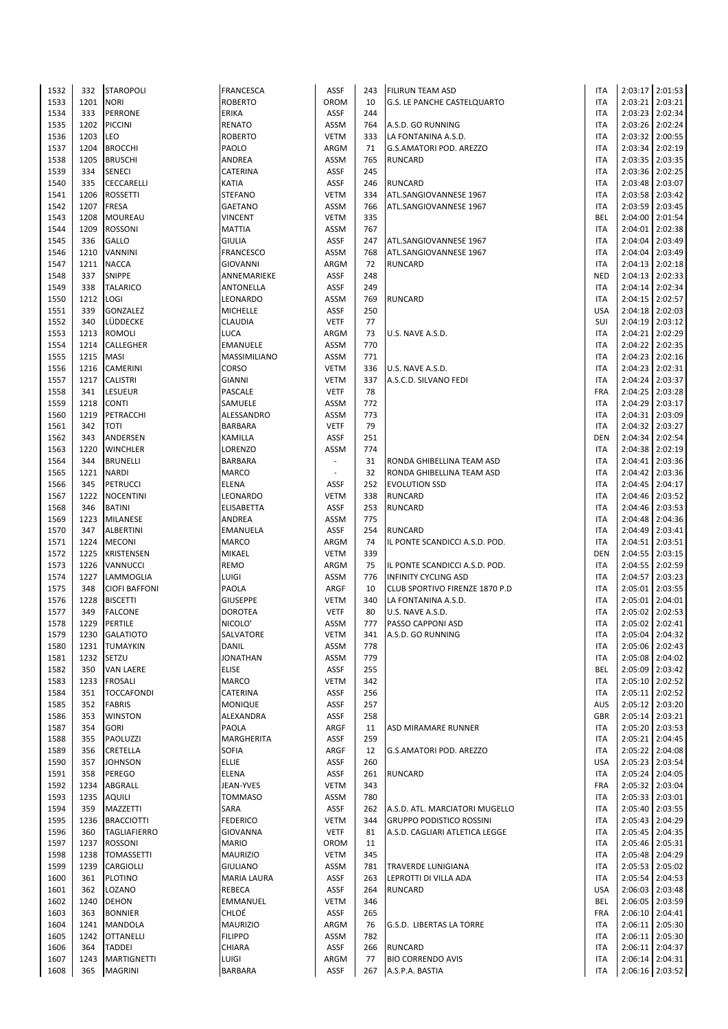| 1532 | 332  | <b>STAROPOLI</b>     | <b>FRANCESCA</b>   | ASSF                     | 243 | <b>FILIRUN TEAM ASD</b>         | <b>ITA</b> |         | 2:03:17 2:01:53   |
|------|------|----------------------|--------------------|--------------------------|-----|---------------------------------|------------|---------|-------------------|
|      |      |                      |                    |                          |     |                                 |            |         |                   |
| 1533 | 1201 | <b>NORI</b>          | ROBERTO            | OROM                     | 10  | G.S. LE PANCHE CASTELQUARTO     | <b>ITA</b> |         | 2:03:21 2:03:21   |
| 1534 | 333  | <b>PERRONE</b>       | ERIKA              | <b>ASSF</b>              | 244 |                                 | <b>ITA</b> |         | 2:03:23 2:02:34   |
| 1535 | 1202 | <b>PICCINI</b>       | RENATO             | <b>ASSM</b>              | 764 | A.S.D. GO RUNNING               | <b>ITA</b> |         | 2:03:26 2:02:24   |
|      |      |                      |                    |                          |     |                                 |            |         |                   |
| 1536 | 1203 | LEO                  | ROBERTO            | <b>VETM</b>              | 333 | LA FONTANINA A.S.D.             | <b>ITA</b> |         | 2:03:32 2:00:55   |
| 1537 | 1204 | <b>BROCCHI</b>       | PAOLO              | ARGM                     | 71  | G.S.AMATORI POD. AREZZO         | <b>ITA</b> |         | 2:03:34 2:02:19   |
| 1538 | 1205 | <b>BRUSCHI</b>       | ANDREA             | <b>ASSM</b>              | 765 | <b>RUNCARD</b>                  | <b>ITA</b> |         | 2:03:35 2:03:35   |
| 1539 | 334  |                      |                    |                          | 245 |                                 | <b>ITA</b> |         | 2:03:36 2:02:25   |
|      |      | <b>SENECI</b>        | CATERINA           | ASSF                     |     |                                 |            |         |                   |
| 1540 | 335  | CECCARELLI           | KATIA              | <b>ASSF</b>              | 246 | <b>RUNCARD</b>                  | <b>ITA</b> |         | 2:03:48 2:03:07   |
| 1541 | 1206 | <b>ROSSETTI</b>      | STEFANO            | <b>VETM</b>              | 334 | ATL.SANGIOVANNESE 1967          | <b>ITA</b> |         | 2:03:58 2:03:42   |
|      | 1207 | <b>FRESA</b>         |                    |                          | 766 |                                 | <b>ITA</b> |         | 2:03:59 2:03:45   |
| 1542 |      |                      | <b>GAETANO</b>     | ASSM                     |     | ATL.SANGIOVANNESE 1967          |            |         |                   |
| 1543 | 1208 | <b>MOUREAU</b>       | VINCENT            | <b>VETM</b>              | 335 |                                 | BEL        |         | 2:04:00 2:01:54   |
| 1544 | 1209 | <b>ROSSONI</b>       | <b>MATTIA</b>      | ASSM                     | 767 |                                 | <b>ITA</b> |         | 2:04:01 2:02:38   |
| 1545 | 336  | <b>GALLO</b>         | <b>GIULIA</b>      | ASSF                     | 247 | ATL.SANGIOVANNESE 1967          | <b>ITA</b> | 2:04:04 | 2:03:49           |
|      |      |                      |                    |                          |     |                                 |            |         |                   |
| 1546 | 1210 | <b>VANNINI</b>       | FRANCESCO          | <b>ASSM</b>              | 768 | ATL.SANGIOVANNESE 1967          | <b>ITA</b> |         | 2:04:04 2:03:49   |
| 1547 | 1211 | <b>NACCA</b>         | GIOVANNI           | ARGM                     | 72  | <b>RUNCARD</b>                  | <b>ITA</b> |         | 2:04:13 2:02:18   |
| 1548 | 337  | <b>SNIPPE</b>        | ANNEMARIEKE        | ASSF                     | 248 |                                 | <b>NED</b> |         | 2:04:13 2:02:33   |
|      |      |                      |                    |                          |     |                                 |            |         |                   |
| 1549 | 338  | <b>TALARICO</b>      | ANTONELLA          | ASSF                     | 249 |                                 | <b>ITA</b> |         | 2:04:14 2:02:34   |
| 1550 | 1212 | LOGI                 | LEONARDO           | <b>ASSM</b>              | 769 | <b>RUNCARD</b>                  | <b>ITA</b> |         | 2:04:15 2:02:57   |
| 1551 | 339  | GONZALEZ             | <b>MICHELLE</b>    | ASSF                     | 250 |                                 | <b>USA</b> |         | 2:04:18 2:02:03   |
|      |      |                      |                    |                          |     |                                 |            |         |                   |
| 1552 | 340  | LÜDDECKE             | CLAUDIA            | <b>VETF</b>              | 77  |                                 | SUI        |         | 2:04:19 2:03:12   |
| 1553 | 1213 | <b>ROMOLI</b>        | LUCA               | ARGM                     | 73  | U.S. NAVE A.S.D.                | <b>ITA</b> |         | 2:04:21 2:02:29   |
| 1554 | 1214 | CALLEGHER            | EMANUELE           | ASSM                     | 770 |                                 | <b>ITA</b> |         | 2:04:22 2:02:35   |
|      |      |                      |                    |                          |     |                                 |            |         |                   |
| 1555 | 1215 | <b>MASI</b>          | MASSIMILIANO       | ASSM                     | 771 |                                 | <b>ITA</b> |         | 2:04:23 2:02:16   |
| 1556 | 1216 | <b>CAMERINI</b>      | CORSO              | <b>VETM</b>              | 336 | U.S. NAVE A.S.D.                | <b>ITA</b> |         | 2:04:23 2:02:31   |
| 1557 | 1217 | <b>CALISTRI</b>      | <b>GIANNI</b>      | <b>VETM</b>              | 337 | A.S.C.D. SILVANO FEDI           | <b>ITA</b> |         | 2:04:24 2:03:37   |
|      |      |                      |                    |                          |     |                                 |            |         |                   |
| 1558 | 341  | LESUEUR              | PASCALE            | <b>VETF</b>              | 78  |                                 | FRA        |         | 2:04:25 2:03:28   |
| 1559 | 1218 | <b>CONTI</b>         | SAMUELE            | <b>ASSM</b>              | 772 |                                 | <b>ITA</b> |         | 2:04:29 2:03:17   |
| 1560 | 1219 | PETRACCHI            | ALESSANDRO         | ASSM                     | 773 |                                 | <b>ITA</b> |         | 2:04:31 2:03:09   |
|      |      |                      |                    |                          |     |                                 |            |         |                   |
| 1561 | 342  | <b>TOTI</b>          | <b>BARBARA</b>     | <b>VETF</b>              | 79  |                                 | <b>ITA</b> |         | 2:04:32 2:03:27   |
| 1562 | 343  | ANDERSEN             | KAMILLA            | ASSF                     | 251 |                                 | <b>DEN</b> |         | 2:04:34 2:02:54   |
| 1563 | 1220 | <b>WINCHLER</b>      | LORENZO            | <b>ASSM</b>              | 774 |                                 | <b>ITA</b> |         | 2:04:38 2:02:19   |
|      |      |                      |                    |                          |     |                                 |            |         |                   |
| 1564 | 344  | <b>BRUNELLI</b>      | BARBARA            | $\overline{\phantom{a}}$ | 31  | RONDA GHIBELLINA TEAM ASD       | <b>ITA</b> | 2:04:41 | 2:03:36           |
| 1565 | 1221 | <b>NARDI</b>         | MARCO              | $\blacksquare$           | 32  | RONDA GHIBELLINA TEAM ASD       | <b>ITA</b> |         | 2:04:42 2:03:36   |
| 1566 | 345  | <b>PETRUCCI</b>      | ELENA              | <b>ASSF</b>              | 252 | <b>EVOLUTION SSD</b>            | <b>ITA</b> |         | 2:04:45 2:04:17   |
|      |      |                      |                    |                          |     |                                 |            |         |                   |
| 1567 | 1222 | <b>NOCENTINI</b>     | LEONARDO           | <b>VETM</b>              | 338 | <b>RUNCARD</b>                  | <b>ITA</b> |         | 2:04:46 2:03:52   |
| 1568 | 346  | <b>BATINI</b>        | ELISABETTA         | ASSF                     | 253 | <b>RUNCARD</b>                  | <b>ITA</b> |         | 2:04:46 2:03:53   |
| 1569 | 1223 | <b>MILANESE</b>      | ANDREA             | <b>ASSM</b>              | 775 |                                 | <b>ITA</b> |         | 2:04:48 2:04:36   |
| 1570 | 347  | <b>ALBERTINI</b>     | EMANUELA           | ASSF                     | 254 | <b>RUNCARD</b>                  | <b>ITA</b> |         | 2:04:49 2:03:41   |
|      |      |                      |                    |                          |     |                                 |            |         |                   |
| 1571 | 1224 | <b>MECONI</b>        | MARCO              | ARGM                     | 74  | IL PONTE SCANDICCI A.S.D. POD.  | <b>ITA</b> |         | 2:04:51 2:03:51   |
| 1572 | 1225 | <b>KRISTENSEN</b>    | MIKAEL             | <b>VETM</b>              | 339 |                                 | <b>DEN</b> |         | 2:04:55 2:03:15   |
| 1573 | 1226 | VANNUCCI             | REMO               | ARGM                     | 75  | IL PONTE SCANDICCI A.S.D. POD.  | <b>ITA</b> |         | 2:04:55 2:02:59   |
|      |      |                      |                    |                          |     |                                 |            |         |                   |
| 1574 | 1227 | LAMMOGLIA            | LUIGI              | ASSM                     | 776 | <b>INFINITY CYCLING ASD</b>     | <b>ITA</b> |         | 2:04:57 2:03:23   |
| 1575 | 348  | <b>CIOFI BAFFONI</b> | PAOLA              | ARGF                     | 10  | CLUB SPORTIVO FIRENZE 1870 P.D  | <b>ITA</b> |         | 2:05:01 2:03:55   |
| 1576 | 1228 | <b>BISCETTI</b>      | <b>GIUSEPPE</b>    | <b>VETM</b>              | 340 | LA FONTANINA A.S.D.             | <b>ITA</b> | 2:05:01 | 2:04:01           |
|      |      |                      |                    |                          |     |                                 |            |         |                   |
| 1577 | 349  | <b>FALCONE</b>       | <b>DOROTEA</b>     | <b>VETF</b>              | 80  | U.S. NAVE A.S.D.                | <b>ITA</b> |         | 2:05:02 2:02:53   |
| 1578 | 1229 | PERTILE              | NICOLO'            | <b>ASSM</b>              | 777 | PASSO CAPPONI ASD               | <b>ITA</b> |         | 2:05:02 2:02:41   |
| 1579 | 1230 | <b>GALATIOTO</b>     | SALVATORE          | VETM                     | 341 | A.S.D. GO RUNNING               | ITA        |         | 2:05:04 2:04:32   |
|      |      |                      |                    |                          |     |                                 |            |         |                   |
| 1580 | 1231 | <b>TUMAYKIN</b>      | DANIL              | ASSM                     | 778 |                                 | <b>ITA</b> |         | 2:05:06 2:02:43   |
| 1581 | 1232 | <b>SETZU</b>         | JONATHAN           | ASSM                     | 779 |                                 | <b>ITA</b> |         | 2:05:08 2:04:02   |
| 1582 | 350  | <b>VAN LAERE</b>     | <b>ELISE</b>       | ASSF                     | 255 |                                 | BEL        |         | 2:05:09 2:03:42   |
|      |      |                      |                    |                          |     |                                 |            |         |                   |
| 1583 | 1233 | <b>FROSALI</b>       | MARCO              | <b>VETM</b>              | 342 |                                 | <b>ITA</b> |         | 2:05:10 2:02:52   |
| 1584 | 351  | <b>TOCCAFONDI</b>    | CATERINA           | ASSF                     | 256 |                                 | <b>ITA</b> |         | 2:05:11 2:02:52   |
| 1585 | 352  | <b>FABRIS</b>        | MONIQUE            | ASSF                     | 257 |                                 | AUS        |         | 2:05:12 2:03:20   |
| 1586 | 353  | <b>WINSTON</b>       | ALEXANDRA          | ASSF                     | 258 |                                 | <b>GBR</b> |         | 2:05:14 2:03:21   |
|      |      |                      |                    |                          |     |                                 |            |         |                   |
| 1587 | 354  | <b>GORI</b>          | PAOLA              | ARGF                     | 11  | ASD MIRAMARE RUNNER             | <b>ITA</b> |         | 2:05:20 2:03:53   |
| 1588 | 355  | PAOLUZZI             | MARGHERITA         | ASSF                     | 259 |                                 | <b>ITA</b> |         | 2:05:21 2:04:45   |
| 1589 | 356  | <b>CRETELLA</b>      | SOFIA              | ARGF                     | 12  | G.S.AMATORI POD. AREZZO         | <b>ITA</b> |         | 2:05:22 2:04:08   |
|      |      |                      |                    |                          |     |                                 |            |         |                   |
| 1590 | 357  | <b>JOHNSON</b>       | <b>ELLIE</b>       | ASSF                     | 260 |                                 | <b>USA</b> |         | 2:05:23 2:03:54   |
| 1591 | 358  | <b>PEREGO</b>        | ELENA              | ASSF                     | 261 | <b>RUNCARD</b>                  | <b>ITA</b> |         | 2:05:24 2:04:05   |
| 1592 | 1234 | ABGRALL              | JEAN-YVES          | <b>VETM</b>              | 343 |                                 | <b>FRA</b> |         | 2:05:32 2:03:04   |
|      |      |                      |                    |                          |     |                                 |            |         |                   |
| 1593 | 1235 | <b>AQUILI</b>        | <b>TOMMASO</b>     | ASSM                     | 780 |                                 | <b>ITA</b> |         | 2:05:33 2:03:01   |
| 1594 | 359  | MAZZETTI             | SARA               | ASSF                     | 262 | A.S.D. ATL. MARCIATORI MUGELLO  | <b>ITA</b> |         | 2:05:40 2:03:55   |
| 1595 | 1236 | <b>BRACCIOTTI</b>    | <b>FEDERICO</b>    | <b>VETM</b>              | 344 | <b>GRUPPO PODISTICO ROSSINI</b> | <b>ITA</b> |         | 2:05:43 2:04:29   |
|      |      |                      |                    |                          |     |                                 |            |         |                   |
| 1596 | 360  | <b>TAGLIAFIERRO</b>  | GIOVANNA           | <b>VETF</b>              | 81  | A.S.D. CAGLIARI ATLETICA LEGGE  | <b>ITA</b> |         | 2:05:45 2:04:35   |
| 1597 | 1237 | <b>ROSSONI</b>       | <b>MARIO</b>       | OROM                     | 11  |                                 | <b>ITA</b> |         | 2:05:46 2:05:31   |
| 1598 | 1238 | <b>TOMASSETTI</b>    | <b>MAURIZIO</b>    | <b>VETM</b>              | 345 |                                 | <b>ITA</b> |         | 2:05:48 2:04:29   |
|      |      |                      |                    |                          |     |                                 |            |         |                   |
| 1599 | 1239 | <b>CARGIOLLI</b>     | <b>GIULIANO</b>    | ASSM                     | 781 | <b>TRAVERDE LUNIGIANA</b>       | <b>ITA</b> |         | 2:05:53 2:05:02   |
| 1600 | 361  | <b>PLOTINO</b>       | <b>MARIA LAURA</b> | ASSF                     | 263 | LEPROTTI DI VILLA ADA           | <b>ITA</b> |         | 2:05:54 2:04:53   |
| 1601 | 362  | LOZANO               | REBECA             | ASSF                     | 264 | <b>RUNCARD</b>                  | <b>USA</b> |         | 2:06:03 2:03:48   |
|      |      |                      |                    |                          |     |                                 |            |         |                   |
| 1602 | 1240 | <b>DEHON</b>         | EMMANUEL           | <b>VETM</b>              | 346 |                                 | BEL        |         | 2:06:05   2:03:59 |
| 1603 | 363  | <b>BONNIER</b>       | CHLOÉ              | ASSF                     | 265 |                                 | FRA        |         | 2:06:10 2:04:41   |
| 1604 | 1241 | <b>MANDOLA</b>       | <b>MAURIZIO</b>    | ARGM                     | 76  | G.S.D. LIBERTAS LA TORRE        | <b>ITA</b> |         | 2:06:11 2:05:30   |
|      |      |                      |                    |                          | 782 |                                 |            |         |                   |
| 1605 | 1242 | <b>OTTANELLI</b>     | <b>FILIPPO</b>     | ASSM                     |     |                                 | <b>ITA</b> |         | 2:06:11 2:05:30   |
| 1606 | 364  | <b>TADDEI</b>        | CHIARA             | ASSF                     | 266 | <b>RUNCARD</b>                  | <b>ITA</b> |         | 2:06:11 2:04:37   |
| 1607 | 1243 | <b>MARTIGNETTI</b>   | LUIGI              | ARGM                     | 77  | <b>BIO CORRENDO AVIS</b>        | <b>ITA</b> |         | 2:06:14 2:04:31   |
| 1608 | 365  | <b>MAGRINI</b>       | BARBARA            | ASSF                     | 267 | A.S.P.A. BASTIA                 | <b>ITA</b> |         | 2:06:16 2:03:52   |
|      |      |                      |                    |                          |     |                                 |            |         |                   |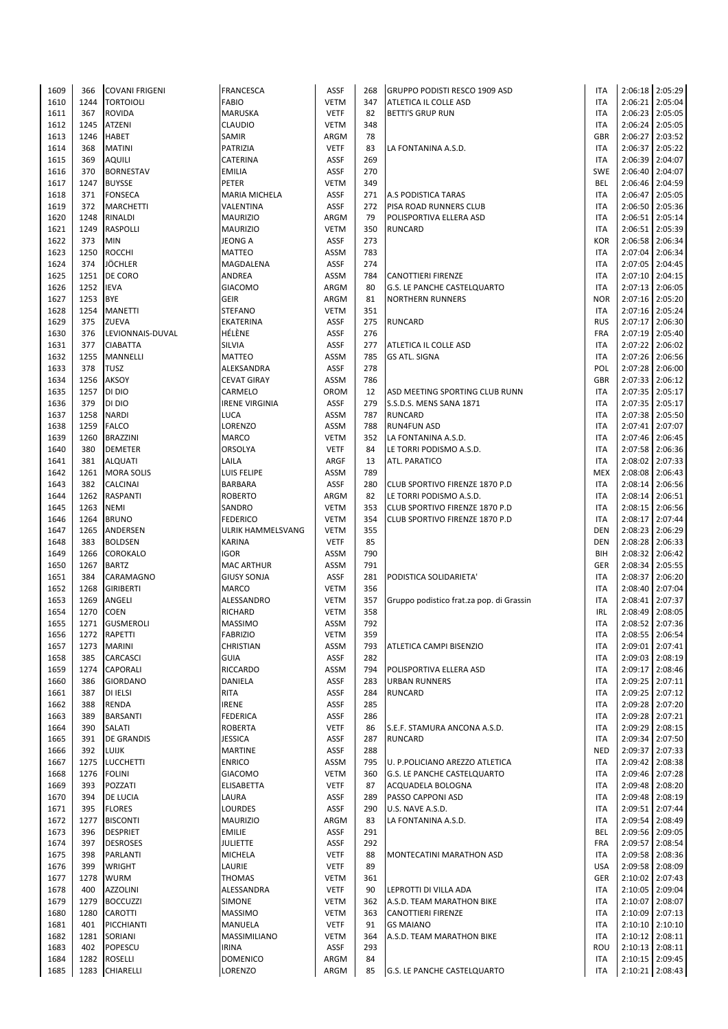| 1609         | 366  | <b>COVANI FRIGENI</b>            | <b>FRANCESCA</b>           | <b>ASSF</b>  | 268      | GRUPPO PODISTI RESCO 1909 ASD            | <b>ITA</b>               |         | 2:06:18 2:05:29                    |
|--------------|------|----------------------------------|----------------------------|--------------|----------|------------------------------------------|--------------------------|---------|------------------------------------|
| 1610         | 1244 | <b>TORTOIOLI</b>                 | <b>FABIO</b>               | <b>VETM</b>  | 347      | ATLETICA IL COLLE ASD                    | <b>ITA</b>               | 2:06:21 | 2:05:04                            |
| 1611         | 367  | <b>ROVIDA</b>                    | MARUSKA                    | <b>VETF</b>  | 82       | <b>BETTI'S GRUP RUN</b>                  | <b>ITA</b>               |         | 2:06:23 2:05:05                    |
| 1612         | 1245 | <b>ATZENI</b>                    | CLAUDIO                    | <b>VETM</b>  | 348      |                                          | <b>ITA</b>               |         | 2:06:24 2:05:05                    |
| 1613         | 1246 | <b>HABET</b>                     | SAMIR                      | ARGM         | 78       |                                          | GBR                      |         | 2:06:27 2:03:52                    |
|              |      |                                  |                            |              |          |                                          |                          |         |                                    |
| 1614         | 368  | <b>MATINI</b>                    | PATRIZIA                   | <b>VETF</b>  | 83       | LA FONTANINA A.S.D.                      | <b>ITA</b>               |         | 2:06:37 2:05:22                    |
| 1615         | 369  | <b>AQUILI</b>                    | CATERINA                   | <b>ASSF</b>  | 269      |                                          | <b>ITA</b>               |         | 2:06:39 2:04:07                    |
| 1616         | 370  | <b>BORNESTAV</b>                 | <b>EMILIA</b>              | <b>ASSF</b>  | 270      |                                          | <b>SWE</b>               |         | 2:06:40 2:04:07                    |
| 1617         | 1247 | <b>BUYSSE</b>                    | PETER                      | <b>VETM</b>  | 349      |                                          | <b>BEL</b>               |         | 2:06:46 2:04:59                    |
| 1618         | 371  | <b>FONSECA</b>                   | MARIA MICHELA              | <b>ASSF</b>  | 271      | A.S PODISTICA TARAS                      | <b>ITA</b>               |         | 2:06:47 2:05:05                    |
| 1619         | 372  | <b>MARCHETTI</b>                 | VALENTINA                  | <b>ASSF</b>  | 272      | PISA ROAD RUNNERS CLUB                   | <b>ITA</b>               |         | 2:06:50   2:05:36                  |
| 1620         | 1248 | <b>RINALDI</b>                   | <b>MAURIZIO</b>            | ARGM         | 79       | POLISPORTIVA ELLERA ASD                  | <b>ITA</b>               |         | 2:06:51 2:05:14                    |
| 1621         | 1249 | <b>RASPOLLI</b>                  | <b>MAURIZIO</b>            | <b>VETM</b>  | 350      | <b>RUNCARD</b>                           | <b>ITA</b>               |         | 2:06:51 2:05:39                    |
| 1622         | 373  | <b>MIN</b>                       | <b>JEONG A</b>             | <b>ASSF</b>  | 273      |                                          | KOR                      |         | 2:06:58 2:06:34                    |
|              |      |                                  |                            |              |          |                                          |                          |         |                                    |
| 1623         | 1250 | <b>ROCCHI</b>                    | <b>MATTEO</b>              | ASSM         | 783      |                                          | <b>ITA</b>               | 2:07:04 | 2:06:34                            |
| 1624         | 374  | <b>JÖCHLER</b>                   | MAGDALENA                  | <b>ASSF</b>  | 274      |                                          | <b>ITA</b>               |         | 2:07:05   2:04:45                  |
| 1625         | 1251 | DE CORO                          | ANDREA                     | ASSM         | 784      | <b>CANOTTIERI FIRENZE</b>                | <b>ITA</b>               |         | 2:07:10 2:04:15                    |
| 1626         | 1252 | <b>IEVA</b>                      | <b>GIACOMO</b>             | ARGM         | 80       | <b>G.S. LE PANCHE CASTELQUARTO</b>       | <b>ITA</b>               |         | 2:07:13 2:06:05                    |
| 1627         | 1253 | <b>BYE</b>                       | <b>GEIR</b>                | ARGM         | 81       | <b>NORTHERN RUNNERS</b>                  | <b>NOR</b>               |         | 2:07:16 2:05:20                    |
| 1628         | 1254 | <b>MANETTI</b>                   | <b>STEFANO</b>             | <b>VETM</b>  | 351      |                                          | <b>ITA</b>               |         | 2:07:16 2:05:24                    |
| 1629         | 375  | <b>ZUEVA</b>                     | EKATERINA                  | <b>ASSF</b>  | 275      | <b>RUNCARD</b>                           | <b>RUS</b>               | 2:07:17 | 2:06:30                            |
| 1630         | 376  | LEVIONNAIS-DUVAL                 | HÉLÈNE                     | <b>ASSF</b>  | 276      |                                          | FRA                      |         | 2:07:19 2:05:40                    |
| 1631         | 377  | <b>CIABATTA</b>                  | SILVIA                     | <b>ASSF</b>  | 277      | ATLETICA IL COLLE ASD                    | <b>ITA</b>               |         | 2:07:22 2:06:02                    |
|              |      |                                  |                            | ASSM         | 785      |                                          | <b>ITA</b>               |         | 2:07:26 2:06:56                    |
| 1632         | 1255 | <b>MANNELLI</b>                  | MATTEO                     |              |          | <b>GS ATL. SIGNA</b>                     |                          |         |                                    |
| 1633         | 378  | <b>TUSZ</b>                      | ALEKSANDRA                 | <b>ASSF</b>  | 278      |                                          | POL                      |         | 2:07:28 2:06:00                    |
| 1634         | 1256 | <b>AKSOY</b>                     | <b>CEVAT GIRAY</b>         | ASSM         | 786      |                                          | GBR                      |         | 2:07:33 2:06:12                    |
| 1635         | 1257 | DI DIO                           | CARMELO                    | OROM         | 12       | ASD MEETING SPORTING CLUB RUNN           | <b>ITA</b>               |         | 2:07:35 2:05:17                    |
| 1636         | 379  | DI DIO                           | <b>IRENE VIRGINIA</b>      | <b>ASSF</b>  | 279      | S.S.D.S. MENS SANA 1871                  | <b>ITA</b>               |         | 2:07:35 2:05:17                    |
| 1637         | 1258 | <b>NARDI</b>                     | LUCA                       | ASSM         | 787      | <b>RUNCARD</b>                           | <b>ITA</b>               |         | 2:07:38 2:05:50                    |
| 1638         | 1259 | <b>FALCO</b>                     | LORENZO                    | ASSM         | 788      | <b>RUN4FUN ASD</b>                       | <b>ITA</b>               |         | 2:07:41 2:07:07                    |
| 1639         | 1260 | <b>BRAZZINI</b>                  | MARCO                      | <b>VETM</b>  | 352      | LA FONTANINA A.S.D.                      | <b>ITA</b>               |         | 2:07:46 2:06:45                    |
| 1640         | 380  | <b>DEMETER</b>                   | <b>ORSOLYA</b>             | <b>VETF</b>  | 84       | LE TORRI PODISMO A.S.D.                  | <b>ITA</b>               |         | 2:07:58 2:06:36                    |
| 1641         | 381  | <b>ALQUATI</b>                   | LAILA                      | ARGF         | 13       | <b>ATL. PARATICO</b>                     | <b>ITA</b>               | 2:08:02 | 2:07:33                            |
|              |      |                                  |                            |              | 789      |                                          | <b>MEX</b>               |         |                                    |
| 1642         | 1261 | <b>MORA SOLIS</b>                | LUIS FELIPE                | ASSM         |          |                                          |                          |         | 2:08:08 2:06:43                    |
| 1643         | 382  | <b>CALCINAI</b>                  | <b>BARBARA</b>             | <b>ASSF</b>  | 280      | CLUB SPORTIVO FIRENZE 1870 P.D           | <b>ITA</b>               | 2:08:14 | 2:06:56                            |
| 1644         | 1262 | <b>RASPANTI</b>                  | <b>ROBERTO</b>             | ARGM         | 82       | LE TORRI PODISMO A.S.D.                  | <b>ITA</b>               | 2:08:14 | 2:06:51                            |
| 1645         | 1263 | <b>NEMI</b>                      | SANDRO                     | <b>VETM</b>  | 353      | CLUB SPORTIVO FIRENZE 1870 P.D           | <b>ITA</b>               |         | 2:08:15 2:06:56                    |
| 1646         | 1264 | <b>BRUNO</b>                     | <b>FEDERICO</b>            | <b>VETM</b>  | 354      | CLUB SPORTIVO FIRENZE 1870 P.D           | <b>ITA</b>               |         | 2:08:17 2:07:44                    |
| 1647         | 1265 | ANDERSEN                         | ULRIK HAMMELSVANG          | <b>VETM</b>  | 355      |                                          | <b>DEN</b>               |         | 2:08:23 2:06:29                    |
| 1648         | 383  | <b>BOLDSEN</b>                   | KARINA                     | <b>VETF</b>  | 85       |                                          | <b>DEN</b>               | 2:08:28 | 2:06:33                            |
| 1649         | 1266 | <b>COROKALO</b>                  | IGOR                       | ASSM         | 790      |                                          | BIH                      |         | 2:08:32 2:06:42                    |
| 1650         | 1267 | <b>BARTZ</b>                     | <b>MAC ARTHUR</b>          | ASSM         | 791      |                                          | GER                      |         | 2:08:34 2:05:55                    |
| 1651         | 384  | CARAMAGNO                        | <b>GIUSY SONJA</b>         | <b>ASSF</b>  | 281      | PODISTICA SOLIDARIETA'                   | <b>ITA</b>               |         | 2:08:37 2:06:20                    |
|              |      |                                  |                            |              |          |                                          |                          |         |                                    |
| 1652         | 1268 | <b>GIRIBERTI</b>                 | MARCO                      | <b>VETM</b>  | 356      |                                          | <b>ITA</b>               |         | 2:08:40 2:07:04                    |
| 1653         | 1269 | ANGELI                           | ALESSANDRO                 | <b>VETM</b>  | 357      | Gruppo podistico frat.za pop. di Grassin | <b>ITA</b>               | 2:08:41 | 2:07:37                            |
| 1654         | 1270 | <b>COEN</b>                      | RICHARD                    | <b>VETM</b>  | 358      |                                          | <b>IRL</b>               |         | 2:08:49 2:08:05                    |
| 1655         | 1271 | <b>GUSMEROLI</b>                 | <b>MASSIMO</b>             | ASSM         | 792      |                                          | <b>ITA</b>               |         | 2:08:52 2:07:36                    |
| 1656         | 1272 | RAPETTI                          | <b>FABRIZIO</b>            | <b>VETM</b>  | 359      |                                          | <b>ITA</b>               |         | 2:08:55 2:06:54                    |
| 1657         | 1273 | <b>MARINI</b>                    | CHRISTIAN                  | ASSM         | 793      | <b>ATLETICA CAMPI BISENZIO</b>           | <b>ITA</b>               |         | 2:09:01 2:07:41                    |
| 1658         | 385  | <b>CARCASCI</b>                  | <b>GUIA</b>                | <b>ASSF</b>  | 282      |                                          | <b>ITA</b>               |         | 2:09:03 2:08:19                    |
| 1659         | 1274 | CAPORALI                         | RICCARDO                   | ASSM         | 794      | POLISPORTIVA ELLERA ASD                  | <b>ITA</b>               |         | 2:09:17 2:08:46                    |
| 1660         | 386  | <b>GIORDANO</b>                  | DANIELA                    | <b>ASSF</b>  | 283      | <b>URBAN RUNNERS</b>                     | <b>ITA</b>               |         | 2:09:25 2:07:11                    |
|              |      |                                  |                            |              |          |                                          |                          |         |                                    |
| 1661         | 387  | <b>DI IELSI</b>                  | RITA                       | <b>ASSF</b>  | 284      | <b>RUNCARD</b>                           | <b>ITA</b>               |         | 2:09:25 2:07:12                    |
| 1662         | 388  | <b>RENDA</b>                     | IRENE                      | <b>ASSF</b>  | 285      |                                          | <b>ITA</b>               |         | 2:09:28 2:07:20                    |
| 1663         | 389  | <b>BARSANTI</b>                  | <b>FEDERICA</b>            | <b>ASSF</b>  | 286      |                                          | <b>ITA</b>               |         | 2:09:28 2:07:21                    |
| 1664         | 390  | <b>SALATI</b>                    | <b>ROBERTA</b>             | <b>VETF</b>  | 86       | S.E.F. STAMURA ANCONA A.S.D.             | <b>ITA</b>               |         | 2:09:29 2:08:15                    |
| 1665         | 391  | <b>DE GRANDIS</b>                | <b>JESSICA</b>             | <b>ASSF</b>  | 287      | <b>RUNCARD</b>                           | <b>ITA</b>               |         | 2:09:34 2:07:50                    |
| 1666         | 392  | <b>LUIJK</b>                     | <b>MARTINE</b>             | <b>ASSF</b>  | 288      |                                          | <b>NED</b>               |         | 2:09:37 2:07:33                    |
| 1667         | 1275 | <b>LUCCHETTI</b>                 | <b>ENRICO</b>              | ASSM         | 795      | U. P.POLICIANO AREZZO ATLETICA           | <b>ITA</b>               |         | 2:09:42 2:08:38                    |
| 1668         | 1276 | <b>FOLINI</b>                    | <b>GIACOMO</b>             | <b>VETM</b>  | 360      | G.S. LE PANCHE CASTELQUARTO              | <b>ITA</b>               |         | 2:09:46 2:07:28                    |
| 1669         | 393  | POZZATI                          | <b>ELISABETTA</b>          | <b>VETF</b>  | 87       | ACQUADELA BOLOGNA                        | <b>ITA</b>               |         | 2:09:48 2:08:20                    |
| 1670         | 394  | <b>DE LUCIA</b>                  | LAURA                      | <b>ASSF</b>  | 289      | PASSO CAPPONI ASD                        | <b>ITA</b>               |         | 2:09:48 2:08:19                    |
| 1671         | 395  | <b>FLORES</b>                    | LOURDES                    | <b>ASSF</b>  | 290      | U.S. NAVE A.S.D.                         | <b>ITA</b>               |         | 2:09:51 2:07:44                    |
|              |      |                                  |                            |              |          |                                          |                          |         |                                    |
| 1672         | 1277 | <b>BISCONTI</b>                  | <b>MAURIZIO</b>            | ARGM         | 83       | LA FONTANINA A.S.D.                      | <b>ITA</b>               | 2:09:54 | 2:08:49                            |
| 1673         | 396  | <b>DESPRIET</b>                  | <b>EMILIE</b>              | <b>ASSF</b>  | 291      |                                          | BEL                      |         | 2:09:56 2:09:05                    |
| 1674         | 397  | <b>DESROSES</b>                  | <b>JULIETTE</b>            | <b>ASSF</b>  | 292      |                                          | FRA                      |         | 2:09:57 2:08:54                    |
| 1675         | 398  | PARLANTI                         | MICHELA                    | <b>VETF</b>  | 88       | MONTECATINI MARATHON ASD                 | ITA                      |         | 2:09:58 2:08:36                    |
| 1676         | 399  | <b>WRIGHT</b>                    | LAURIE                     | <b>VETF</b>  | 89       |                                          | <b>USA</b>               |         | 2:09:58 2:08:09                    |
| 1677         | 1278 | <b>WURM</b>                      | <b>THOMAS</b>              | <b>VETM</b>  | 361      |                                          | GER                      |         | 2:10:02 2:07:43                    |
| 1678         | 400  | <b>AZZOLINI</b>                  | ALESSANDRA                 | <b>VETF</b>  | 90       | LEPROTTI DI VILLA ADA                    | <b>ITA</b>               |         | 2:10:05   2:09:04                  |
| 1679         | 1279 | <b>BOCCUZZI</b>                  | SIMONE                     | <b>VETM</b>  | 362      | A.S.D. TEAM MARATHON BIKE                | <b>ITA</b>               | 2:10:07 | 2:08:07                            |
| 1680         | 1280 | <b>CAROTTI</b>                   | <b>MASSIMO</b>             | <b>VETM</b>  | 363      | <b>CANOTTIERI FIRENZE</b>                | <b>ITA</b>               |         | 2:10:09 2:07:13                    |
|              |      |                                  |                            |              |          |                                          |                          |         |                                    |
| 1681         | 401  | PICCHIANTI                       | MANUELA                    | <b>VETF</b>  | 91       | <b>GS MAIANO</b>                         | <b>ITA</b>               |         | 2:10:10 2:10:10                    |
| 1682         | 1281 | SORIANI                          | MASSIMILIANO               | <b>VETM</b>  | 364      | A.S.D. TEAM MARATHON BIKE                | <b>ITA</b>               |         | 2:10:12 2:08:11                    |
| 1683         |      | POPESCU                          | <b>IRINA</b>               | ASSF         | 293      |                                          | ROU                      |         | 2:10:13 2:08:11                    |
|              | 402  |                                  |                            |              |          |                                          |                          |         |                                    |
| 1684<br>1685 | 1282 | <b>ROSELLI</b><br>1283 CHIARELLI | <b>DOMENICO</b><br>LORENZO | ARGM<br>ARGM | 84<br>85 | G.S. LE PANCHE CASTELQUARTO              | <b>ITA</b><br><b>ITA</b> |         | 2:10:15 2:09:45<br>2:10:21 2:08:43 |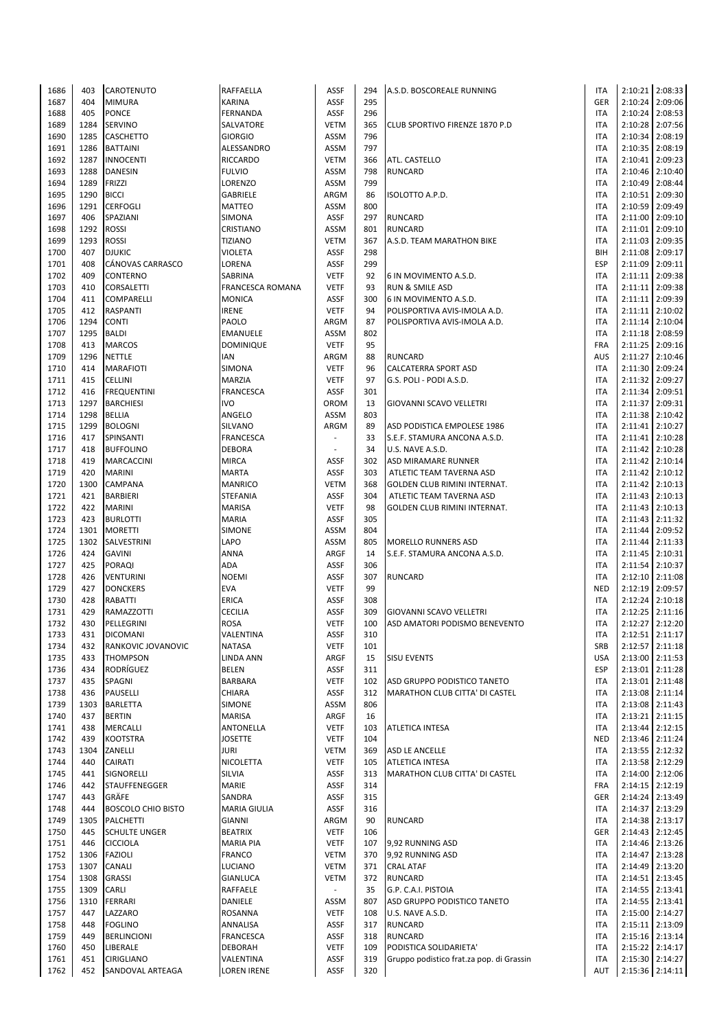| 1686 | 403  | CAROTENUTO                            | RAFFAELLA           | <b>ASSF</b>              | 294 | A.S.D. BOSCOREALE RUNNING                | <b>ITA</b> | 2:10:21 2:08:33   |
|------|------|---------------------------------------|---------------------|--------------------------|-----|------------------------------------------|------------|-------------------|
| 1687 | 404  | <b>MIMURA</b>                         | <b>KARINA</b>       | <b>ASSF</b>              | 295 |                                          | <b>GER</b> | 2:10:24 2:09:06   |
| 1688 | 405  | PONCE                                 | FERNANDA            | ASSF                     | 296 |                                          | <b>ITA</b> | 2:10:24 2:08:53   |
|      |      |                                       |                     |                          |     |                                          |            |                   |
| 1689 | 1284 | <b>SERVINO</b>                        | SALVATORE           | <b>VETM</b>              | 365 | CLUB SPORTIVO FIRENZE 1870 P.D           | <b>ITA</b> | 2:10:28 2:07:56   |
| 1690 | 1285 | <b>CASCHETTO</b>                      | <b>GIORGIO</b>      | ASSM                     | 796 |                                          | <b>ITA</b> | 2:10:34 2:08:19   |
| 1691 | 1286 | <b>BATTAINI</b>                       | ALESSANDRO          | <b>ASSM</b>              | 797 |                                          | <b>ITA</b> | 2:10:35 2:08:19   |
| 1692 | 1287 | <b>INNOCENTI</b>                      | <b>RICCARDO</b>     | <b>VETM</b>              | 366 | <b>ATL. CASTELLO</b>                     | <b>ITA</b> | 2:10:41 2:09:23   |
| 1693 | 1288 | <b>DANESIN</b>                        | <b>FULVIO</b>       | ASSM                     | 798 | <b>RUNCARD</b>                           | <b>ITA</b> | 2:10:46 2:10:40   |
|      |      |                                       |                     |                          |     |                                          | <b>ITA</b> |                   |
| 1694 | 1289 | FRIZZI                                | LORENZO             | ASSM                     | 799 |                                          |            | 2:10:49 2:08:44   |
| 1695 | 1290 | <b>BICCI</b>                          | <b>GABRIELE</b>     | ARGM                     | 86  | <b>ISOLOTTO A.P.D.</b>                   | <b>ITA</b> | 2:10:51 2:09:30   |
| 1696 | 1291 | <b>CERFOGLI</b>                       | <b>MATTEO</b>       | ASSM                     | 800 |                                          | <b>ITA</b> | 2:10:59 2:09:49   |
| 1697 | 406  | SPAZIANI                              | SIMONA              | ASSF                     | 297 | <b>RUNCARD</b>                           | <b>ITA</b> | 2:11:00 2:09:10   |
| 1698 | 1292 | <b>ROSSI</b>                          | CRISTIANO           | <b>ASSM</b>              | 801 | <b>RUNCARD</b>                           | <b>ITA</b> | 2:11:01 2:09:10   |
|      |      |                                       |                     |                          |     |                                          |            |                   |
| 1699 | 1293 | <b>ROSSI</b>                          | <b>TIZIANO</b>      | <b>VETM</b>              | 367 | A.S.D. TEAM MARATHON BIKE                | <b>ITA</b> | 2:11:03 2:09:35   |
| 1700 | 407  | <b>DJUKIC</b>                         | <b>VIOLETA</b>      | ASSF                     | 298 |                                          | BIH        | 2:11:08 2:09:17   |
| 1701 | 408  | CÁNOVAS CARRASCO                      | LORENA              | <b>ASSF</b>              | 299 |                                          | <b>ESP</b> | 2:11:09 2:09:11   |
| 1702 | 409  | <b>CONTERNO</b>                       | SABRINA             | <b>VETF</b>              | 92  | 6 IN MOVIMENTO A.S.D.                    | <b>ITA</b> | 2:11:11 2:09:38   |
| 1703 | 410  | <b>CORSALETTI</b>                     | FRANCESCA ROMANA    | <b>VETF</b>              | 93  | RUN & SMILE ASD                          | <b>ITA</b> | 2:11:11 2:09:38   |
| 1704 | 411  | <b>COMPARELLI</b>                     | <b>MONICA</b>       | <b>ASSF</b>              | 300 | 6 IN MOVIMENTO A.S.D.                    | <b>ITA</b> | 2:11:11 2:09:39   |
|      |      |                                       |                     |                          |     |                                          |            |                   |
| 1705 | 412  | <b>RASPANTI</b>                       | <b>IRENE</b>        | <b>VETF</b>              | 94  | POLISPORTIVA AVIS-IMOLA A.D.             | <b>ITA</b> | 2:11:11 2:10:02   |
| 1706 | 1294 | <b>CONTI</b>                          | PAOLO               | ARGM                     | 87  | POLISPORTIVA AVIS-IMOLA A.D.             | <b>ITA</b> | 2:11:14 2:10:04   |
| 1707 | 1295 | <b>BALDI</b>                          | EMANUELE            | ASSM                     | 802 |                                          | <b>ITA</b> | 2:11:18 2:08:59   |
| 1708 | 413  | <b>MARCOS</b>                         | <b>DOMINIQUE</b>    | <b>VETF</b>              | 95  |                                          | <b>FRA</b> | 2:11:25 2:09:16   |
| 1709 | 1296 | <b>NETTLE</b>                         | IAN                 |                          | 88  | <b>RUNCARD</b>                           | <b>AUS</b> | 2:11:27 2:10:46   |
|      |      |                                       |                     | ARGM                     |     |                                          |            |                   |
| 1710 | 414  | <b>MARAFIOTI</b>                      | SIMONA              | <b>VETF</b>              | 96  | <b>CALCATERRA SPORT ASD</b>              | <b>ITA</b> | 2:11:30 2:09:24   |
| 1711 | 415  | <b>CELLINI</b>                        | <b>MARZIA</b>       | <b>VETF</b>              | 97  | G.S. POLI - PODI A.S.D.                  | <b>ITA</b> | 2:11:32 2:09:27   |
| 1712 | 416  | <b>FREQUENTINI</b>                    | FRANCESCA           | ASSF                     | 301 |                                          | <b>ITA</b> | 2:11:34 2:09:51   |
| 1713 | 1297 | <b>BARCHIESI</b>                      | <b>IVO</b>          | OROM                     | 13  | GIOVANNI SCAVO VELLETRI                  | <b>ITA</b> | 2:11:37 2:09:31   |
| 1714 | 1298 | <b>BELLIA</b>                         | ANGELO              | ASSM                     | 803 |                                          | <b>ITA</b> | 2:11:38 2:10:42   |
|      |      |                                       |                     |                          |     |                                          |            |                   |
| 1715 | 1299 | <b>BOLOGNI</b>                        | SILVANO             | ARGM                     | 89  | ASD PODISTICA EMPOLESE 1986              | <b>ITA</b> | 2:11:41 2:10:27   |
| 1716 | 417  | SPINSANTI                             | <b>FRANCESCA</b>    | $\overline{\phantom{a}}$ | 33  | S.E.F. STAMURA ANCONA A.S.D.             | <b>ITA</b> | 2:11:41 2:10:28   |
| 1717 | 418  | <b>BUFFOLINO</b>                      | <b>DEBORA</b>       |                          | 34  | U.S. NAVE A.S.D.                         | <b>ITA</b> | 2:11:42 2:10:28   |
| 1718 | 419  | <b>MARCACCINI</b>                     | <b>MIRCA</b>        | ASSF                     | 302 | ASD MIRAMARE RUNNER                      | <b>ITA</b> | 2:11:42 2:10:14   |
| 1719 | 420  | <b>MARINI</b>                         | <b>MARTA</b>        | <b>ASSF</b>              | 303 | ATLETIC TEAM TAVERNA ASD                 | <b>ITA</b> | 2:11:42 2:10:12   |
| 1720 |      |                                       | <b>MANRICO</b>      | <b>VETM</b>              |     | GOLDEN CLUB RIMINI INTERNAT.             | <b>ITA</b> |                   |
|      | 1300 | <b>CAMPANA</b>                        |                     |                          | 368 |                                          |            | 2:11:42 2:10:13   |
| 1721 | 421  | <b>BARBIERI</b>                       | <b>STEFANIA</b>     | ASSF                     | 304 | ATLETIC TEAM TAVERNA ASD                 | <b>ITA</b> | 2:11:43 2:10:13   |
| 1722 | 422  | <b>MARINI</b>                         | <b>MARISA</b>       | <b>VETF</b>              | 98  | GOLDEN CLUB RIMINI INTERNAT.             | <b>ITA</b> | 2:11:43 2:10:13   |
| 1723 | 423  | <b>BURLOTTI</b>                       | <b>MARIA</b>        | <b>ASSF</b>              | 305 |                                          | <b>ITA</b> | 2:11:43 2:11:32   |
| 1724 | 1301 | <b>MORETTI</b>                        | <b>SIMONE</b>       | <b>ASSM</b>              | 804 |                                          | <b>ITA</b> | 2:11:44 2:09:52   |
| 1725 | 1302 | SALVESTRINI                           | LAPO                | ASSM                     | 805 | <b>MORELLO RUNNERS ASD</b>               | <b>ITA</b> | 2:11:44 2:11:33   |
|      | 424  |                                       | ANNA                | ARGF                     |     |                                          | <b>ITA</b> |                   |
| 1726 |      | <b>GAVINI</b>                         |                     |                          | 14  | S.E.F. STAMURA ANCONA A.S.D.             |            | 2:11:45 2:10:31   |
| 1727 | 425  | <b>PORAQI</b>                         | ADA                 | <b>ASSF</b>              | 306 |                                          | <b>ITA</b> | 2:11:54 2:10:37   |
| 1728 | 426  | <b>VENTURINI</b>                      | <b>NOEMI</b>        | <b>ASSF</b>              | 307 | <b>RUNCARD</b>                           | <b>ITA</b> | 2:12:10 2:11:08   |
| 1729 | 427  | <b>DONCKERS</b>                       | <b>EVA</b>          | <b>VETF</b>              | 99  |                                          | <b>NED</b> | 2:12:19 2:09:57   |
| 1730 | 428  | RABATTI                               | ERICA               | ASSF                     | 308 |                                          | <b>ITA</b> | 2:12:24 2:10:18   |
| 1731 | 429  | RAMAZZOTTI                            | <b>CECILIA</b>      | <b>ASSF</b>              | 309 | GIOVANNI SCAVO VELLETRI                  | <b>ITA</b> | $2:12:25$ 2:11:16 |
|      |      |                                       |                     |                          |     |                                          |            |                   |
| 1732 | 430  | PELLEGRINI                            | <b>ROSA</b>         | <b>VETF</b>              | 100 | ASD AMATORI PODISMO BENEVENTO            | <b>ITA</b> | 2:12:27 2:12:20   |
| 1733 | 431  | <b>DICOMANI</b>                       | VALENTINA           | ASSF                     | 310 |                                          | ITA        | 2:12:51 2:11:17   |
| 1734 | 432  | RANKOVIC JOVANOVIC                    | <b>NATASA</b>       | <b>VETF</b>              | 101 |                                          | SRB        | 2:12:57 2:11:18   |
| 1735 | 433  | <b>THOMPSON</b>                       | <b>LINDA ANN</b>    | ARGF                     | 15  | <b>SISU EVENTS</b>                       | <b>USA</b> | 2:13:00 2:11:53   |
| 1736 | 434  | RODRÍGUEZ                             | <b>BELEN</b>        | ASSF                     | 311 |                                          | <b>ESP</b> | 2:13:01 2:11:28   |
| 1737 | 435  | SPAGNI                                | BARBARA             | <b>VETF</b>              | 102 | ASD GRUPPO PODISTICO TANETO              | <b>ITA</b> | 2:13:01 2:11:48   |
|      |      |                                       |                     |                          |     |                                          |            |                   |
| 1738 | 436  | PAUSELLI                              | CHIARA              | ASSF                     | 312 | MARATHON CLUB CITTA' DI CASTEL           | <b>ITA</b> | 2:13:08 2:11:14   |
| 1739 | 1303 | <b>BARLETTA</b>                       | SIMONE              | <b>ASSM</b>              | 806 |                                          | <b>ITA</b> | 2:13:08 2:11:43   |
| 1740 | 437  | <b>BERTIN</b>                         | <b>MARISA</b>       | ARGF                     | 16  |                                          | <b>ITA</b> | 2:13:21 2:11:15   |
| 1741 | 438  | <b>MERCALLI</b>                       | ANTONELLA           | <b>VETF</b>              | 103 | ATLETICA INTESA                          | <b>ITA</b> | 2:13:44 2:12:15   |
| 1742 | 439  | <b>KOOTSTRA</b>                       | <b>JOSETTE</b>      | <b>VETF</b>              | 104 |                                          | <b>NED</b> | 2:13:46 2:11:24   |
| 1743 | 1304 | ZANELLI                               | JURI                | <b>VETM</b>              | 369 | <b>ASD LE ANCELLE</b>                    | <b>ITA</b> | 2:13:55 2:12:32   |
|      |      |                                       |                     |                          |     |                                          |            |                   |
| 1744 | 440  | <b>CAIRATI</b>                        | NICOLETTA           | <b>VETF</b>              | 105 | <b>ATLETICA INTESA</b>                   | <b>ITA</b> | 2:13:58 2:12:29   |
| 1745 | 441  | SIGNORELLI                            | <b>SILVIA</b>       | <b>ASSF</b>              | 313 | MARATHON CLUB CITTA' DI CASTEL           | <b>ITA</b> | 2:14:00 2:12:06   |
| 1746 | 442  | <b>STAUFFENEGGER</b>                  | MARIE               | <b>ASSF</b>              | 314 |                                          | <b>FRA</b> | 2:14:15 2:12:19   |
| 1747 | 443  | GRÄFE                                 | SANDRA              | ASSF                     | 315 |                                          | GER        | 2:14:24 2:13:49   |
| 1748 | 444  | <b>BOSCOLO CHIO BISTO</b>             | <b>MARIA GIULIA</b> | ASSF                     | 316 |                                          | <b>ITA</b> | 2:14:37 2:13:29   |
|      |      |                                       |                     |                          | 90  |                                          | <b>ITA</b> | 2:14:38 2:13:17   |
| 1749 | 1305 | PALCHETTI                             | <b>GIANNI</b>       | ARGM                     |     | <b>RUNCARD</b>                           |            |                   |
| 1750 | 445  | <b>SCHULTE UNGER</b>                  | <b>BEATRIX</b>      | <b>VETF</b>              | 106 |                                          | GER        | 2:14:43 2:12:45   |
| 1751 | 446  | <b>CICCIOLA</b>                       | <b>MARIA PIA</b>    | <b>VETF</b>              | 107 | 9,92 RUNNING ASD                         | <b>ITA</b> | 2:14:46 2:13:26   |
| 1752 | 1306 | <b>FAZIOLI</b>                        | FRANCO              | <b>VETM</b>              | 370 | 9,92 RUNNING ASD                         | <b>ITA</b> | 2:14:47 2:13:28   |
| 1753 | 1307 | <b>CANALI</b>                         | LUCIANO             | <b>VETM</b>              | 371 | <b>CRAL ATAF</b>                         | <b>ITA</b> | 2:14:49 2:13:20   |
| 1754 | 1308 | <b>GRASSI</b>                         | <b>GIANLUCA</b>     | <b>VETM</b>              | 372 | <b>RUNCARD</b>                           | <b>ITA</b> | 2:14:51 2:13:45   |
|      |      |                                       |                     | L.                       |     |                                          |            |                   |
| 1755 | 1309 | CARLI                                 | RAFFAELE            |                          | 35  | G.P. C.A.I. PISTOIA                      | <b>ITA</b> | 2:14:55 2:13:41   |
| 1756 | 1310 | FERRARI                               | DANIELE             | <b>ASSM</b>              | 807 | ASD GRUPPO PODISTICO TANETO              | <b>ITA</b> | 2:14:55 2:13:41   |
| 1757 | 447  | LAZZARO                               | ROSANNA             | <b>VETF</b>              | 108 | U.S. NAVE A.S.D.                         | <b>ITA</b> | 2:15:00 2:14:27   |
| 1758 | 448  | <b>FOGLINO</b>                        | ANNALISA            | <b>ASSF</b>              | 317 | <b>RUNCARD</b>                           | <b>ITA</b> | 2:15:11 2:13:09   |
| 1759 | 449  | <b>BERLINCIONI</b>                    | <b>FRANCESCA</b>    | ASSF                     | 318 | <b>RUNCARD</b>                           | <b>ITA</b> | 2:15:16 2:13:14   |
| 1760 | 450  | LIBERALE                              | <b>DEBORAH</b>      | <b>VETF</b>              | 109 | PODISTICA SOLIDARIETA'                   | <b>ITA</b> | 2:15:22 2:14:17   |
|      |      |                                       |                     |                          |     |                                          |            |                   |
| 1761 | 451  | <b>CIRIGLIANO</b><br>SANDOVAL ARTEAGA | VALENTINA           | <b>ASSF</b>              | 319 | Gruppo podistico frat.za pop. di Grassin | <b>ITA</b> | 2:15:30 2:14:27   |
| 1762 | 452  |                                       | <b>LOREN IRENE</b>  | ASSF                     | 320 |                                          | AUT        | 2:15:36 2:14:11   |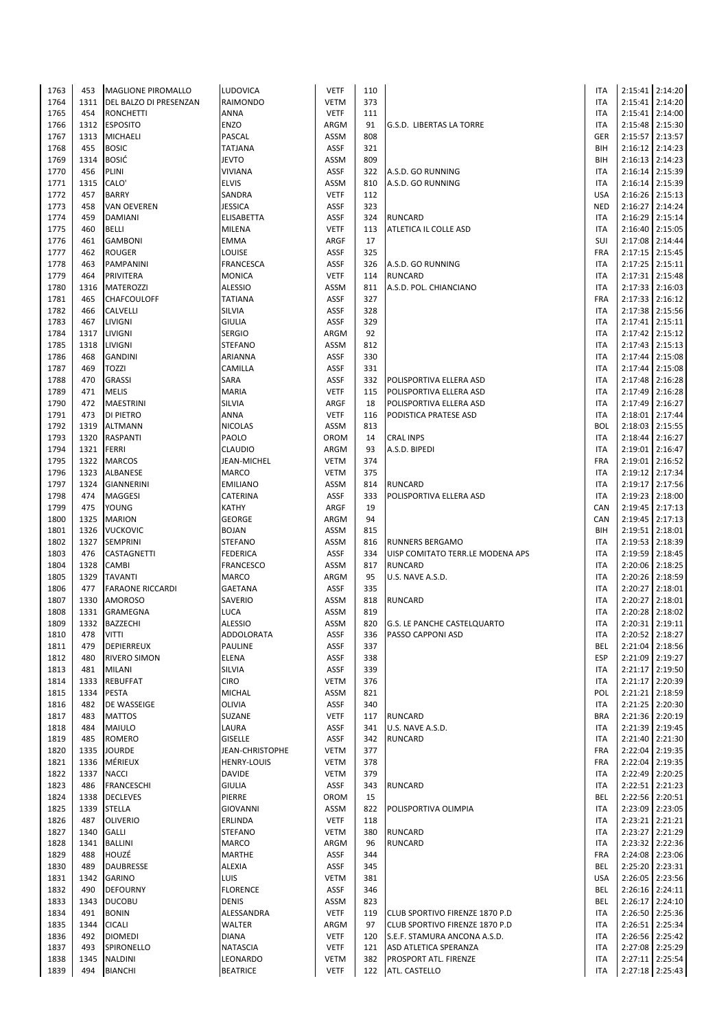| 1763         | 453         | <b>MAGLIONE PIROMALLO</b>        | LUDOVICA                    | <b>VETF</b>         | 110        |                                        | <b>ITA</b>               |                 | 2:15:41 2:14:20 |
|--------------|-------------|----------------------------------|-----------------------------|---------------------|------------|----------------------------------------|--------------------------|-----------------|-----------------|
| 1764         | 1311        | DEL BALZO DI PRESENZAN           | RAIMONDO                    | VETM                | 373        |                                        | <b>ITA</b>               |                 | 2:15:41 2:14:20 |
| 1765         | 454         | <b>RONCHETTI</b>                 | <b>ANNA</b>                 | <b>VETF</b>         | 111        |                                        | <b>ITA</b>               |                 | 2:15:41 2:14:00 |
| 1766         | 1312        | <b>ESPOSITO</b>                  | <b>ENZO</b>                 | ARGM                | 91         | G.S.D. LIBERTAS LA TORRE               | <b>ITA</b>               |                 | 2:15:48 2:15:30 |
| 1767         | 1313        | MICHAELI                         | PASCAL                      | ASSM                | 808        |                                        | GER                      |                 | 2:15:57 2:13:57 |
| 1768         | 455         | <b>BOSIC</b>                     | <b>TATJANA</b>              | <b>ASSF</b>         | 321        |                                        | BIH                      |                 | 2:16:12 2:14:23 |
|              |             |                                  |                             |                     |            |                                        |                          |                 |                 |
| 1769         | 1314        | <b>BOSIĆ</b>                     | <b>JEVTO</b>                | ASSM                | 809        |                                        | BIH                      |                 | 2:16:13 2:14:23 |
| 1770         | 456         | PLINI                            | <b>VIVIANA</b>              | <b>ASSF</b>         | 322        | A.S.D. GO RUNNING                      | <b>ITA</b>               |                 | 2:16:14 2:15:39 |
| 1771         | 1315        | CALO'                            | <b>ELVIS</b>                | ASSM                | 810        | A.S.D. GO RUNNING                      | <b>ITA</b>               |                 | 2:16:14 2:15:39 |
| 1772         | 457         | <b>BARRY</b>                     | SANDRA                      | <b>VETF</b>         | 112        |                                        | <b>USA</b>               |                 | 2:16:26 2:15:13 |
| 1773         | 458         | <b>VAN OEVEREN</b>               | <b>JESSICA</b>              | <b>ASSF</b>         | 323        |                                        | <b>NED</b>               |                 | 2:16:27 2:14:24 |
| 1774         | 459         | DAMIANI                          | <b>ELISABETTA</b>           | <b>ASSF</b>         | 324        | <b>RUNCARD</b>                         | <b>ITA</b>               |                 | 2:16:29 2:15:14 |
| 1775         | 460         | BELLI                            | <b>MILENA</b>               | <b>VETF</b>         | 113        | ATLETICA IL COLLE ASD                  | <b>ITA</b>               |                 | 2:16:40 2:15:05 |
| 1776         | 461         | <b>GAMBONI</b>                   | <b>EMMA</b>                 | ARGF                | 17         |                                        | SUI                      |                 | 2:17:08 2:14:44 |
| 1777         | 462         | <b>ROUGER</b>                    | LOUISE                      | <b>ASSF</b>         | 325        |                                        | FRA                      |                 | 2:17:15 2:15:45 |
| 1778         | 463         | PAMPANINI                        | <b>FRANCESCA</b>            | <b>ASSF</b>         | 326        | A.S.D. GO RUNNING                      | <b>ITA</b>               |                 | 2:17:25 2:15:11 |
|              |             |                                  |                             |                     |            |                                        |                          |                 |                 |
| 1779         | 464         | PRIVITERA                        | <b>MONICA</b>               | <b>VETF</b>         | 114        | <b>RUNCARD</b>                         | <b>ITA</b>               |                 | 2:17:31 2:15:48 |
| 1780         | 1316        | MATEROZZI                        | <b>ALESSIO</b>              | ASSM                | 811        | A.S.D. POL. CHIANCIANO                 | <b>ITA</b>               |                 | 2:17:33 2:16:03 |
| 1781         | 465         | CHAFCOULOFF                      | <b>TATIANA</b>              | <b>ASSF</b>         | 327        |                                        | <b>FRA</b>               |                 | 2:17:33 2:16:12 |
| 1782         | 466         | CALVELLI                         | SILVIA                      | ASSF                | 328        |                                        | <b>ITA</b>               |                 | 2:17:38 2:15:56 |
| 1783         | 467         | LIVIGNI                          | <b>GIULIA</b>               | <b>ASSF</b>         | 329        |                                        | <b>ITA</b>               |                 | 2:17:41 2:15:11 |
| 1784         | 1317        | LIVIGNI                          | <b>SERGIO</b>               | ARGM                | 92         |                                        | <b>ITA</b>               |                 | 2:17:42 2:15:12 |
| 1785         | 1318        | LIVIGNI                          | <b>STEFANO</b>              | ASSM                | 812        |                                        | <b>ITA</b>               |                 | 2:17:43 2:15:13 |
| 1786         | 468         | <b>GANDINI</b>                   | ARIANNA                     | ASSF                | 330        |                                        | <b>ITA</b>               |                 | 2:17:44 2:15:08 |
| 1787         | 469         | <b>TOZZI</b>                     | CAMILLA                     | <b>ASSF</b>         | 331        |                                        | <b>ITA</b>               |                 | 2:17:44 2:15:08 |
|              |             |                                  |                             |                     |            |                                        |                          |                 | 2:17:48 2:16:28 |
| 1788         | 470         | <b>GRASSI</b>                    | SARA                        | ASSF                | 332        | POLISPORTIVA ELLERA ASD                | <b>ITA</b>               |                 |                 |
| 1789         | 471         | <b>MELIS</b>                     | <b>MARIA</b>                | <b>VETF</b>         | 115        | POLISPORTIVA ELLERA ASD                | <b>ITA</b>               |                 | 2:17:49 2:16:28 |
| 1790         | 472         | MAESTRINI                        | SILVIA                      | ARGF                | 18         | POLISPORTIVA ELLERA ASD                | <b>ITA</b>               |                 | 2:17:49 2:16:27 |
| 1791         | 473         | DI PIETRO                        | ANNA                        | <b>VETF</b>         | 116        | PODISTICA PRATESE ASD                  | <b>ITA</b>               |                 | 2:18:01 2:17:44 |
| 1792         | 1319        | <b>ALTMANN</b>                   | <b>NICOLAS</b>              | ASSM                | 813        |                                        | <b>BOL</b>               |                 | 2:18:03 2:15:55 |
| 1793         | 1320        | RASPANTI                         | PAOLO                       | <b>OROM</b>         | 14         | <b>CRAL INPS</b>                       | <b>ITA</b>               |                 | 2:18:44 2:16:27 |
| 1794         | 1321        | FERRI                            | <b>CLAUDIO</b>              | ARGM                | 93         | A.S.D. BIPEDI                          | <b>ITA</b>               |                 | 2:19:01 2:16:47 |
| 1795         | 1322        | <b>MARCOS</b>                    | JEAN-MICHEL                 | VETM                | 374        |                                        | <b>FRA</b>               |                 | 2:19:01 2:16:52 |
| 1796         | 1323        | ALBANESE                         | <b>MARCO</b>                | <b>VETM</b>         | 375        |                                        | <b>ITA</b>               |                 | 2:19:12 2:17:34 |
| 1797         | 1324        | <b>GIANNERINI</b>                | <b>EMILIANO</b>             | ASSM                | 814        | <b>RUNCARD</b>                         | <b>ITA</b>               |                 | 2:19:17 2:17:56 |
|              |             |                                  |                             |                     |            |                                        |                          |                 |                 |
| 1798         | 474         | MAGGESI                          | CATERINA                    | <b>ASSF</b>         | 333        | POLISPORTIVA ELLERA ASD                | <b>ITA</b>               |                 | 2:19:23 2:18:00 |
| 1799         | 475         | YOUNG                            | <b>KATHY</b>                | ARGF                | 19         |                                        | CAN                      |                 | 2:19:45 2:17:13 |
| 1800         | 1325        | <b>MARION</b>                    | <b>GEORGE</b>               | ARGM                | 94         |                                        | CAN                      |                 | 2:19:45 2:17:13 |
| 1801         | 1326        | <b>VUCKOVIC</b>                  | <b>BOJAN</b>                | ASSM                | 815        |                                        | BIH                      |                 | 2:19:51 2:18:01 |
|              |             |                                  |                             |                     |            |                                        |                          |                 |                 |
| 1802         | 1327        | <b>SEMPRINI</b>                  | <b>STEFANO</b>              | ASSM                | 816        | <b>RUNNERS BERGAMO</b>                 | <b>ITA</b>               |                 | 2:19:53 2:18:39 |
| 1803         | 476         | CASTAGNETTI                      | <b>FEDERICA</b>             | <b>ASSF</b>         | 334        | UISP COMITATO TERR.LE MODENA APS       | <b>ITA</b>               |                 | 2:19:59 2:18:45 |
|              | 1328        |                                  |                             | ASSM                | 817        | <b>RUNCARD</b>                         | <b>ITA</b>               |                 |                 |
| 1804         |             | CAMBI                            | <b>FRANCESCO</b>            |                     |            |                                        |                          |                 | 2:20:06 2:18:25 |
| 1805         | 1329        | <b>TAVANTI</b>                   | <b>MARCO</b>                | ARGM                | 95         | U.S. NAVE A.S.D.                       | <b>ITA</b>               |                 | 2:20:26 2:18:59 |
| 1806         | 477         | <b>FARAONE RICCARDI</b>          | <b>GAETANA</b>              | <b>ASSF</b>         | 335        |                                        | <b>ITA</b>               |                 | 2:20:27 2:18:01 |
| 1807         | 1330        | <b>AMOROSO</b>                   | SAVERIO                     | ASSM                | 818        | <b>RUNCARD</b>                         | <b>ITA</b>               |                 | 2:20:27 2:18:01 |
| 1808         | 1331        | GRAMEGNA                         | <b>LUCA</b>                 | ASSM                | 819        |                                        | <b>ITA</b>               |                 | 2:20:28 2:18:02 |
| 1809         | 1332        | <b>BAZZECHI</b>                  | <b>ALESSIO</b>              | ASSM                | 820        | <b>G.S. LE PANCHE CASTELQUARTO</b>     | <b>ITA</b>               |                 | 2:20:31 2:19:11 |
| 1810         | 478         | <b>VITTI</b>                     | ADDOLORATA                  | ASSF                | 336        | PASSO CAPPONI ASD                      | <b>ITA</b>               | 2:20:52 2:18:27 |                 |
| 1811         | 479         | DEPIERREUX                       | PAULINE                     | <b>ASSF</b>         | 337        |                                        | <b>BEL</b>               |                 | 2:21:04 2:18:56 |
| 1812         | 480         | RIVERO SIMON                     | <b>ELENA</b>                | ASSF                | 338        |                                        | <b>ESP</b>               |                 | 2:21:09 2:19:27 |
| 1813         | 481         | <b>MILANI</b>                    | SILVIA                      | ASSF                | 339        |                                        | ITA                      |                 | 2:21:17 2:19:50 |
| 1814         | 1333        | <b>REBUFFAT</b>                  | <b>CIRO</b>                 | <b>VETM</b>         | 376        |                                        | <b>ITA</b>               |                 | 2:21:17 2:20:39 |
|              |             |                                  |                             |                     |            |                                        |                          |                 |                 |
| 1815         | 1334<br>482 | PESTA                            | <b>MICHAL</b>               | ASSM<br>ASSF        | 821<br>340 |                                        | POL<br>ITA               |                 | 2:21:21 2:18:59 |
| 1816         |             | DE WASSEIGE                      | OLIVIA                      |                     |            |                                        |                          |                 | 2:21:25 2:20:30 |
| 1817         | 483         | <b>MATTOS</b>                    | SUZANE                      | <b>VETF</b>         | 117        | <b>RUNCARD</b>                         | <b>BRA</b>               |                 | 2:21:36 2:20:19 |
| 1818         | 484         | MAIULO                           | LAURA                       | <b>ASSF</b>         | 341        | U.S. NAVE A.S.D.                       | <b>ITA</b>               |                 | 2:21:39 2:19:45 |
| 1819         | 485         | ROMERO                           | <b>GISELLE</b>              | ASSF                | 342        | <b>RUNCARD</b>                         | <b>ITA</b>               |                 | 2:21:40 2:21:30 |
| 1820         | 1335        | <b>JOURDE</b>                    | JEAN-CHRISTOPHE             | <b>VETM</b>         | 377        |                                        | FRA                      |                 | 2:22:04 2:19:35 |
| 1821         | 1336        | MÉRIEUX                          | <b>HENRY-LOUIS</b>          | <b>VETM</b>         | 378        |                                        | <b>FRA</b>               |                 | 2:22:04 2:19:35 |
| 1822         | 1337        | <b>NACCI</b>                     | <b>DAVIDE</b>               | <b>VETM</b>         | 379        |                                        | <b>ITA</b>               |                 | 2:22:49 2:20:25 |
| 1823         | 486         | <b>FRANCESCHI</b>                | <b>GIULIA</b>               | ASSF                | 343        | <b>RUNCARD</b>                         | ITA                      |                 | 2:22:51 2:21:23 |
| 1824         | 1338        | <b>DECLEVES</b>                  | PIERRE                      | OROM                | 15         |                                        | BEL                      |                 | 2:22:56 2:20:51 |
| 1825         | 1339        | <b>STELLA</b>                    | <b>GIOVANNI</b>             | ASSM                | 822        | POLISPORTIVA OLIMPIA                   | <b>ITA</b>               |                 | 2:23:09 2:23:05 |
|              | 487         |                                  |                             |                     | 118        |                                        | <b>ITA</b>               |                 |                 |
| 1826         |             | <b>OLIVERIO</b>                  | ERLINDA                     | <b>VETF</b>         |            |                                        |                          |                 | 2:23:21 2:21:21 |
| 1827         | 1340        | <b>GALLI</b>                     | <b>STEFANO</b>              | <b>VETM</b>         | 380        | <b>RUNCARD</b>                         | <b>ITA</b>               |                 | 2:23:27 2:21:29 |
| 1828         | 1341        | <b>BALLINI</b>                   | MARCO                       | ARGM                | 96         | <b>RUNCARD</b>                         | <b>ITA</b>               |                 | 2:23:32 2:22:36 |
| 1829         | 488         | HOUZÉ                            | <b>MARTHE</b>               | ASSF                | 344        |                                        | FRA                      |                 | 2:24:08 2:23:06 |
| 1830         | 489         | DAUBRESSE                        | <b>ALEXIA</b>               | ASSF                | 345        |                                        | <b>BEL</b>               |                 | 2:25:20 2:23:31 |
| 1831         | 1342        | GARINO                           | LUIS                        | <b>VETM</b>         | 381        |                                        | <b>USA</b>               |                 | 2:26:05 2:23:56 |
| 1832         | 490         | <b>DEFOURNY</b>                  | <b>FLORENCE</b>             | ASSF                | 346        |                                        | BEL                      |                 | 2:26:16 2:24:11 |
| 1833         | 1343        | <b>DUCOBU</b>                    | <b>DENIS</b>                | ASSM                | 823        |                                        | <b>BEL</b>               |                 | 2:26:17 2:24:10 |
| 1834         | 491         | <b>BONIN</b>                     | ALESSANDRA                  | <b>VETF</b>         | 119        | CLUB SPORTIVO FIRENZE 1870 P.D         | <b>ITA</b>               |                 | 2:26:50 2:25:36 |
| 1835         | 1344        | <b>CICALI</b>                    | WALTER                      | ARGM                | 97         | CLUB SPORTIVO FIRENZE 1870 P.D         | ITA                      |                 |                 |
|              |             |                                  |                             |                     |            |                                        |                          |                 | 2:26:51 2:25:34 |
| 1836         | 492         | <b>DIOMEDI</b>                   | <b>DIANA</b>                | <b>VETF</b>         | 120        | S.E.F. STAMURA ANCONA A.S.D.           | ITA                      |                 | 2:26:56 2:25:42 |
| 1837         | 493         | SPIRONELLO                       | <b>NATASCIA</b>             | <b>VETF</b>         | 121        | ASD ATLETICA SPERANZA                  | ITA                      |                 | 2:27:08 2:25:29 |
| 1838<br>1839 | 1345<br>494 | <b>NALDINI</b><br><b>BIANCHI</b> | LEONARDO<br><b>BEATRICE</b> | VETM<br><b>VETF</b> | 382<br>122 | PROSPORT ATL. FIRENZE<br>ATL. CASTELLO | <b>ITA</b><br><b>ITA</b> | 2:27:18 2:25:43 | 2:27:11 2:25:54 |